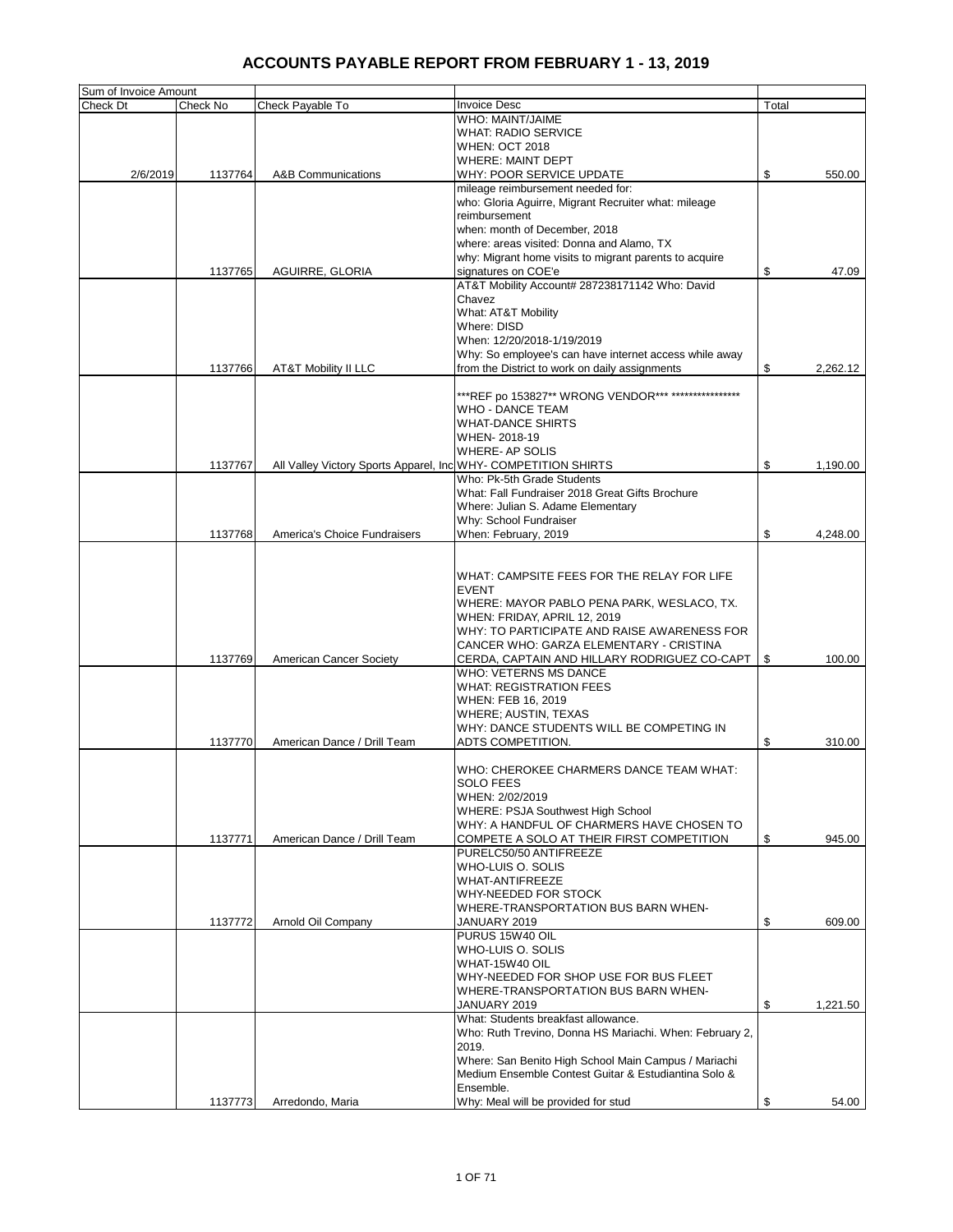| Sum of Invoice Amount |          |                                                                |                                                                       |       |          |
|-----------------------|----------|----------------------------------------------------------------|-----------------------------------------------------------------------|-------|----------|
| Check Dt              | Check No | Check Payable To                                               | <b>Invoice Desc</b>                                                   | Total |          |
|                       |          |                                                                | WHO: MAINT/JAIME                                                      |       |          |
|                       |          |                                                                | <b>WHAT: RADIO SERVICE</b>                                            |       |          |
|                       |          |                                                                | <b>WHEN: OCT 2018</b>                                                 |       |          |
|                       |          |                                                                | <b>WHERE: MAINT DEPT</b>                                              |       |          |
| 2/6/2019              | 1137764  | <b>A&amp;B Communications</b>                                  | WHY: POOR SERVICE UPDATE                                              | \$    | 550.00   |
|                       |          |                                                                | mileage reimbursement needed for:                                     |       |          |
|                       |          |                                                                | who: Gloria Aguirre, Migrant Recruiter what: mileage<br>reimbursement |       |          |
|                       |          |                                                                | when: month of December, 2018                                         |       |          |
|                       |          |                                                                | where: areas visited: Donna and Alamo, TX                             |       |          |
|                       |          |                                                                | why: Migrant home visits to migrant parents to acquire                |       |          |
|                       | 1137765  | AGUIRRE, GLORIA                                                | signatures on COE'e                                                   | \$    | 47.09    |
|                       |          |                                                                | AT&T Mobility Account# 287238171142 Who: David                        |       |          |
|                       |          |                                                                | Chavez                                                                |       |          |
|                       |          |                                                                | What: AT&T Mobility                                                   |       |          |
|                       |          |                                                                | Where: DISD                                                           |       |          |
|                       |          |                                                                | When: 12/20/2018-1/19/2019                                            |       |          |
|                       |          |                                                                | Why: So employee's can have internet access while away                |       |          |
|                       | 1137766  | AT&T Mobility II LLC                                           | from the District to work on daily assignments                        | \$    | 2,262.12 |
|                       |          |                                                                |                                                                       |       |          |
|                       |          |                                                                | ***REF po 153827** WRONG VENDOR*** ****************                   |       |          |
|                       |          |                                                                | <b>WHO - DANCE TEAM</b>                                               |       |          |
|                       |          |                                                                | <b>WHAT-DANCE SHIRTS</b>                                              |       |          |
|                       |          |                                                                | WHEN-2018-19                                                          |       |          |
|                       |          |                                                                | WHERE- AP SOLIS                                                       |       |          |
|                       | 1137767  | All Valley Victory Sports Apparel, Inc WHY- COMPETITION SHIRTS |                                                                       | \$    | 1,190.00 |
|                       |          |                                                                | Who: Pk-5th Grade Students                                            |       |          |
|                       |          |                                                                | What: Fall Fundraiser 2018 Great Gifts Brochure                       |       |          |
|                       |          |                                                                | Where: Julian S. Adame Elementary                                     |       |          |
|                       |          |                                                                | Why: School Fundraiser                                                |       |          |
|                       | 1137768  | America's Choice Fundraisers                                   | When: February, 2019                                                  | \$    | 4,248.00 |
|                       |          |                                                                |                                                                       |       |          |
|                       |          |                                                                | WHAT: CAMPSITE FEES FOR THE RELAY FOR LIFE                            |       |          |
|                       |          |                                                                | <b>EVENT</b>                                                          |       |          |
|                       |          |                                                                | WHERE: MAYOR PABLO PENA PARK, WESLACO, TX.                            |       |          |
|                       |          |                                                                | WHEN: FRIDAY, APRIL 12, 2019                                          |       |          |
|                       |          |                                                                | WHY: TO PARTICIPATE AND RAISE AWARENESS FOR                           |       |          |
|                       |          |                                                                | CANCER WHO: GARZA ELEMENTARY - CRISTINA                               |       |          |
|                       | 1137769  | <b>American Cancer Society</b>                                 | CERDA, CAPTAIN AND HILLARY RODRIGUEZ CO-CAPT                          | \$    | 100.00   |
|                       |          |                                                                | WHO: VETERNS MS DANCE                                                 |       |          |
|                       |          |                                                                | <b>WHAT: REGISTRATION FEES</b>                                        |       |          |
|                       |          |                                                                | WHEN: FEB 16, 2019                                                    |       |          |
|                       |          |                                                                | WHERE; AUSTIN, TEXAS                                                  |       |          |
|                       |          |                                                                | WHY: DANCE STUDENTS WILL BE COMPETING IN                              |       |          |
|                       | 1137770  | American Dance / Drill Team                                    | ADTS COMPETITION.                                                     | \$    | 310.00   |
|                       |          |                                                                |                                                                       |       |          |
|                       |          |                                                                | WHO: CHEROKEE CHARMERS DANCE TEAM WHAT:                               |       |          |
|                       |          |                                                                | SULU FEES                                                             |       |          |
|                       |          |                                                                | WHEN: 2/02/2019                                                       |       |          |
|                       |          |                                                                | WHERE: PSJA Southwest High School                                     |       |          |
|                       |          |                                                                | WHY: A HANDFUL OF CHARMERS HAVE CHOSEN TO                             |       |          |
|                       | 1137771  | American Dance / Drill Team                                    | COMPETE A SOLO AT THEIR FIRST COMPETITION                             | \$    | 945.00   |
|                       |          |                                                                | PURELC50/50 ANTIFREEZE                                                |       |          |
|                       |          |                                                                | WHO-LUIS O. SOLIS<br><b>WHAT-ANTIFREEZE</b>                           |       |          |
|                       |          |                                                                | WHY-NEEDED FOR STOCK                                                  |       |          |
|                       |          |                                                                | WHERE-TRANSPORTATION BUS BARN WHEN-                                   |       |          |
|                       | 1137772  | Arnold Oil Company                                             | JANUARY 2019                                                          | \$    | 609.00   |
|                       |          |                                                                | PURUS 15W40 OIL                                                       |       |          |
|                       |          |                                                                | WHO-LUIS O. SOLIS                                                     |       |          |
|                       |          |                                                                | WHAT-15W40 OIL                                                        |       |          |
|                       |          |                                                                | WHY-NEEDED FOR SHOP USE FOR BUS FLEET                                 |       |          |
|                       |          |                                                                | WHERE-TRANSPORTATION BUS BARN WHEN-                                   |       |          |
|                       |          |                                                                | JANUARY 2019                                                          | \$    | 1,221.50 |
|                       |          |                                                                | What: Students breakfast allowance.                                   |       |          |
|                       |          |                                                                | Who: Ruth Trevino, Donna HS Mariachi. When: February 2,               |       |          |
|                       |          |                                                                | 2019.                                                                 |       |          |
|                       |          |                                                                | Where: San Benito High School Main Campus / Mariachi                  |       |          |
|                       |          |                                                                | Medium Ensemble Contest Guitar & Estudiantina Solo &                  |       |          |
|                       |          |                                                                | Ensemble.                                                             |       |          |
|                       | 1137773  | Arredondo, Maria                                               | Why: Meal will be provided for stud                                   | \$    | 54.00    |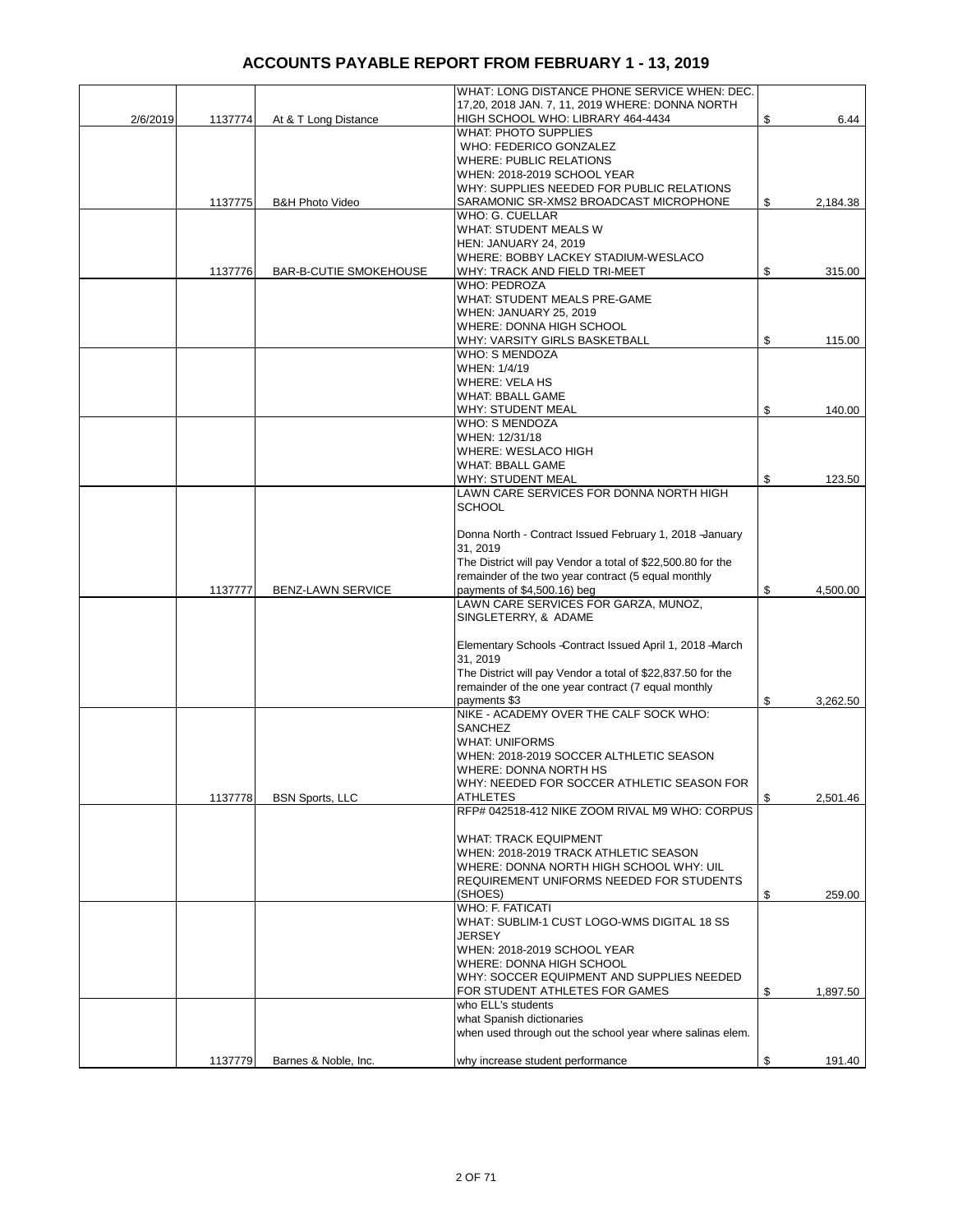|          |         |                               | WHAT: LONG DISTANCE PHONE SERVICE WHEN: DEC.                        |                |
|----------|---------|-------------------------------|---------------------------------------------------------------------|----------------|
|          |         |                               | 17,20, 2018 JAN. 7, 11, 2019 WHERE: DONNA NORTH                     |                |
| 2/6/2019 | 1137774 | At & T Long Distance          | HIGH SCHOOL WHO: LIBRARY 464-4434                                   | \$<br>6.44     |
|          |         |                               | <b>WHAT: PHOTO SUPPLIES</b>                                         |                |
|          |         |                               | WHO: FEDERICO GONZALEZ                                              |                |
|          |         |                               | <b>WHERE: PUBLIC RELATIONS</b>                                      |                |
|          |         |                               | WHEN: 2018-2019 SCHOOL YEAR                                         |                |
|          |         |                               | WHY: SUPPLIES NEEDED FOR PUBLIC RELATIONS                           |                |
|          | 1137775 | <b>B&amp;H Photo Video</b>    | SARAMONIC SR-XMS2 BROADCAST MICROPHONE<br>WHO: G. CUELLAR           | \$<br>2,184.38 |
|          |         |                               | WHAT: STUDENT MEALS W                                               |                |
|          |         |                               | <b>HEN: JANUARY 24, 2019</b>                                        |                |
|          |         |                               | WHERE: BOBBY LACKEY STADIUM-WESLACO                                 |                |
|          | 1137776 | <b>BAR-B-CUTIE SMOKEHOUSE</b> | WHY: TRACK AND FIELD TRI-MEET                                       | \$<br>315.00   |
|          |         |                               | <b>WHO: PEDROZA</b>                                                 |                |
|          |         |                               | <b>WHAT: STUDENT MEALS PRE-GAME</b>                                 |                |
|          |         |                               | WHEN: JANUARY 25, 2019                                              |                |
|          |         |                               | WHERE: DONNA HIGH SCHOOL                                            |                |
|          |         |                               | WHY: VARSITY GIRLS BASKETBALL                                       | \$<br>115.00   |
|          |         |                               | <b>WHO: S MENDOZA</b>                                               |                |
|          |         |                               | WHEN: 1/4/19                                                        |                |
|          |         |                               | <b>WHERE: VELA HS</b><br><b>WHAT: BBALL GAME</b>                    |                |
|          |         |                               | <b>WHY: STUDENT MEAL</b>                                            | \$             |
|          |         |                               | <b>WHO: S MENDOZA</b>                                               | 140.00         |
|          |         |                               | WHEN: 12/31/18                                                      |                |
|          |         |                               | WHERE: WESLACO HIGH                                                 |                |
|          |         |                               | <b>WHAT: BBALL GAME</b>                                             |                |
|          |         |                               | <b>WHY: STUDENT MEAL</b>                                            | \$<br>123.50   |
|          |         |                               | LAWN CARE SERVICES FOR DONNA NORTH HIGH                             |                |
|          |         |                               | <b>SCHOOL</b>                                                       |                |
|          |         |                               |                                                                     |                |
|          |         |                               | Donna North - Contract Issued February 1, 2018 -January             |                |
|          |         |                               | 31, 2019                                                            |                |
|          |         |                               | The District will pay Vendor a total of \$22,500.80 for the         |                |
|          |         |                               | remainder of the two year contract (5 equal monthly                 | \$             |
|          | 1137777 | <b>BENZ-LAWN SERVICE</b>      | payments of \$4,500.16) beg<br>LAWN CARE SERVICES FOR GARZA, MUNOZ, | 4,500.00       |
|          |         |                               | SINGLETERRY, & ADAME                                                |                |
|          |         |                               |                                                                     |                |
|          |         |                               | Elementary Schools - Contract Issued April 1, 2018 - March          |                |
|          |         |                               | 31, 2019                                                            |                |
|          |         |                               | The District will pay Vendor a total of \$22,837.50 for the         |                |
|          |         |                               | remainder of the one year contract (7 equal monthly                 |                |
|          |         |                               | payments \$3                                                        | \$<br>3,262.50 |
|          |         |                               | NIKE - ACADEMY OVER THE CALF SOCK WHO:                              |                |
|          |         |                               | <b>SANCHEZ</b>                                                      |                |
|          |         |                               | <b>WHAT: UNIFORMS</b>                                               |                |
|          |         |                               | WHEN: 2018-2019 SOCCER ALTHLETIC SEASON                             |                |
|          |         |                               | WHERE: DONNA NORTH HS                                               |                |
|          | 1137778 | <b>BSN Sports, LLC</b>        | WHY: NEEDED FOR SOCCER ATHLETIC SEASON FOR<br><b>ATHLETES</b>       | \$<br>2,501.46 |
|          |         |                               | RFP# 042518-412 NIKE ZOOM RIVAL M9 WHO: CORPUS                      |                |
|          |         |                               |                                                                     |                |
|          |         |                               | <b>WHAT: TRACK EQUIPMENT</b>                                        |                |
|          |         |                               | WHEN: 2018-2019 TRACK ATHLETIC SEASON                               |                |
|          |         |                               | WHERE: DONNA NORTH HIGH SCHOOL WHY: UIL                             |                |
|          |         |                               | REQUIREMENT UNIFORMS NEEDED FOR STUDENTS                            |                |
|          |         |                               | (SHOES)                                                             | \$<br>259.00   |
|          |         |                               | <b>WHO: F. FATICATI</b>                                             |                |
|          |         |                               | WHAT: SUBLIM-1 CUST LOGO-WMS DIGITAL 18 SS                          |                |
|          |         |                               | <b>JERSEY</b>                                                       |                |
|          |         |                               | WHEN: 2018-2019 SCHOOL YEAR<br>WHERE: DONNA HIGH SCHOOL             |                |
|          |         |                               | WHY: SOCCER EQUIPMENT AND SUPPLIES NEEDED                           |                |
|          |         |                               | FOR STUDENT ATHLETES FOR GAMES                                      | \$<br>1,897.50 |
|          |         |                               | who ELL's students                                                  |                |
|          |         |                               | what Spanish dictionaries                                           |                |
|          |         |                               | when used through out the school year where salinas elem.           |                |
|          |         |                               |                                                                     |                |
|          | 1137779 | Barnes & Noble, Inc.          | why increase student performance                                    | \$<br>191.40   |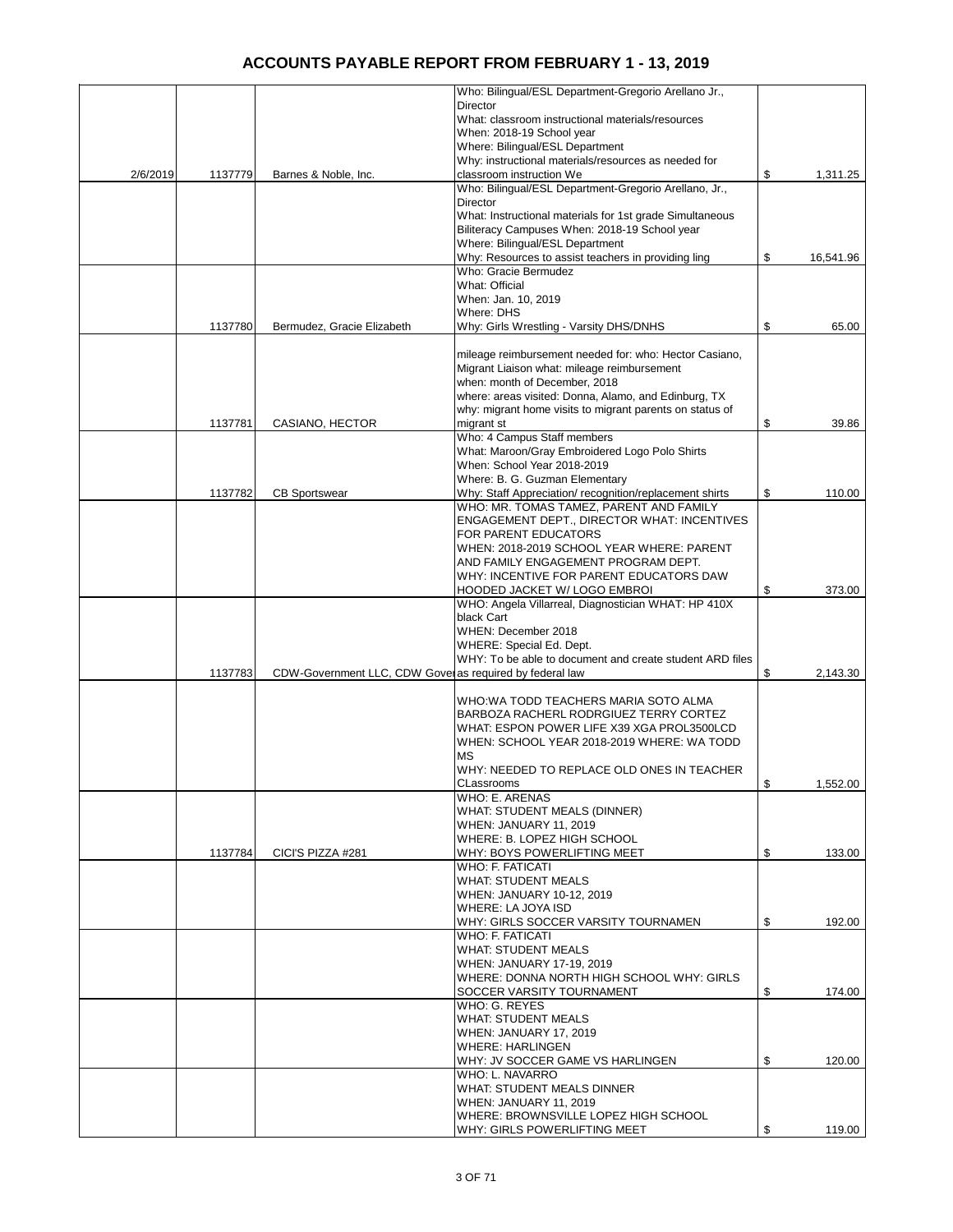|          |         |                                                          | Who: Bilingual/ESL Department-Gregorio Arellano Jr.,                        |                 |
|----------|---------|----------------------------------------------------------|-----------------------------------------------------------------------------|-----------------|
|          |         |                                                          | <b>Director</b>                                                             |                 |
|          |         |                                                          | What: classroom instructional materials/resources                           |                 |
|          |         |                                                          | When: 2018-19 School year                                                   |                 |
|          |         |                                                          | Where: Bilingual/ESL Department                                             |                 |
|          |         |                                                          | Why: instructional materials/resources as needed for                        |                 |
| 2/6/2019 | 1137779 | Barnes & Noble, Inc.                                     | classroom instruction We                                                    | \$<br>1,311.25  |
|          |         |                                                          | Who: Bilingual/ESL Department-Gregorio Arellano, Jr.,                       |                 |
|          |         |                                                          | Director                                                                    |                 |
|          |         |                                                          | What: Instructional materials for 1st grade Simultaneous                    |                 |
|          |         |                                                          | Biliteracy Campuses When: 2018-19 School year                               |                 |
|          |         |                                                          | Where: Bilingual/ESL Department                                             |                 |
|          |         |                                                          | Why: Resources to assist teachers in providing ling<br>Who: Gracie Bermudez | \$<br>16,541.96 |
|          |         |                                                          | What: Official                                                              |                 |
|          |         |                                                          |                                                                             |                 |
|          |         |                                                          | When: Jan. 10, 2019<br>Where: DHS                                           |                 |
|          | 1137780 | Bermudez, Gracie Elizabeth                               | Why: Girls Wrestling - Varsity DHS/DNHS                                     | \$<br>65.00     |
|          |         |                                                          |                                                                             |                 |
|          |         |                                                          | mileage reimbursement needed for: who: Hector Casiano,                      |                 |
|          |         |                                                          | Migrant Liaison what: mileage reimbursement                                 |                 |
|          |         |                                                          | when: month of December, 2018                                               |                 |
|          |         |                                                          | where: areas visited: Donna, Alamo, and Edinburg, TX                        |                 |
|          |         |                                                          | why: migrant home visits to migrant parents on status of                    |                 |
|          | 1137781 | CASIANO, HECTOR                                          | migrant st                                                                  | \$<br>39.86     |
|          |         |                                                          | Who: 4 Campus Staff members                                                 |                 |
|          |         |                                                          | What: Maroon/Gray Embroidered Logo Polo Shirts                              |                 |
|          |         |                                                          | When: School Year 2018-2019                                                 |                 |
|          |         |                                                          | Where: B. G. Guzman Elementary                                              |                 |
|          | 1137782 | <b>CB Sportswear</b>                                     | Why: Staff Appreciation/recognition/replacement shirts                      | \$<br>110.00    |
|          |         |                                                          | WHO: MR. TOMAS TAMEZ. PARENT AND FAMILY                                     |                 |
|          |         |                                                          | <b>ENGAGEMENT DEPT., DIRECTOR WHAT: INCENTIVES</b>                          |                 |
|          |         |                                                          | FOR PARENT EDUCATORS                                                        |                 |
|          |         |                                                          | WHEN: 2018-2019 SCHOOL YEAR WHERE: PARENT                                   |                 |
|          |         |                                                          | AND FAMILY ENGAGEMENT PROGRAM DEPT.                                         |                 |
|          |         |                                                          | WHY: INCENTIVE FOR PARENT EDUCATORS DAW                                     |                 |
|          |         |                                                          | <b>HOODED JACKET W/ LOGO EMBROI</b>                                         | \$<br>373.00    |
|          |         |                                                          | WHO: Angela Villarreal, Diagnostician WHAT: HP 410X                         |                 |
|          |         |                                                          | black Cart                                                                  |                 |
|          |         |                                                          | WHEN: December 2018                                                         |                 |
|          |         |                                                          | WHERE: Special Ed. Dept.                                                    |                 |
|          |         |                                                          | WHY: To be able to document and create student ARD files                    |                 |
|          | 1137783 | CDW-Government LLC, CDW Gover as required by federal law |                                                                             | \$<br>2,143.30  |
|          |         |                                                          |                                                                             |                 |
|          |         |                                                          | WHO:WA TODD TEACHERS MARIA SOTO ALMA                                        |                 |
|          |         |                                                          | BARBOZA RACHERL RODRGIUEZ TERRY CORTEZ                                      |                 |
|          |         |                                                          | WHAT: ESPON POWER LIFE X39 XGA PROL3500LCD                                  |                 |
|          |         |                                                          | WHEN: SCHOOL YEAR 2018-2019 WHERE: WA TODD                                  |                 |
|          |         |                                                          | МS                                                                          |                 |
|          |         |                                                          | WHY: NEEDED TO REPLACE OLD ONES IN TEACHER                                  |                 |
|          |         |                                                          | CLassrooms                                                                  | \$<br>1,552.00  |
|          |         |                                                          | WHO: E. ARENAS                                                              |                 |
|          |         |                                                          | WHAT: STUDENT MEALS (DINNER)                                                |                 |
|          |         |                                                          | WHEN: JANUARY 11, 2019                                                      |                 |
|          | 1137784 | CICI'S PIZZA #281                                        | WHERE: B. LOPEZ HIGH SCHOOL<br>WHY: BOYS POWERLIFTING MEET                  | \$<br>133.00    |
|          |         |                                                          | <b>WHO: F. FATICATI</b>                                                     |                 |
|          |         |                                                          | <b>WHAT: STUDENT MEALS</b>                                                  |                 |
|          |         |                                                          | WHEN: JANUARY 10-12, 2019                                                   |                 |
|          |         |                                                          | WHERE: LA JOYA ISD                                                          |                 |
|          |         |                                                          | WHY: GIRLS SOCCER VARSITY TOURNAMEN                                         | \$<br>192.00    |
|          |         |                                                          | WHO: F. FATICATI                                                            |                 |
|          |         |                                                          | <b>WHAT: STUDENT MEALS</b>                                                  |                 |
|          |         |                                                          | WHEN: JANUARY 17-19, 2019                                                   |                 |
|          |         |                                                          | WHERE: DONNA NORTH HIGH SCHOOL WHY: GIRLS                                   |                 |
|          |         |                                                          | SOCCER VARSITY TOURNAMENT                                                   | \$<br>174.00    |
|          |         |                                                          | WHO: G. REYES                                                               |                 |
|          |         |                                                          | <b>WHAT: STUDENT MEALS</b>                                                  |                 |
|          |         |                                                          | WHEN: JANUARY 17, 2019                                                      |                 |
|          |         |                                                          | <b>WHERE: HARLINGEN</b>                                                     |                 |
|          |         |                                                          | WHY: JV SOCCER GAME VS HARLINGEN                                            | \$<br>120.00    |
|          |         |                                                          | WHO: L. NAVARRO                                                             |                 |
|          |         |                                                          | <b>WHAT: STUDENT MEALS DINNER</b>                                           |                 |
|          |         |                                                          | WHEN: JANUARY 11, 2019                                                      |                 |
|          |         |                                                          | WHERE: BROWNSVILLE LOPEZ HIGH SCHOOL                                        |                 |
|          |         |                                                          | WHY: GIRLS POWERLIFTING MEET                                                | \$<br>119.00    |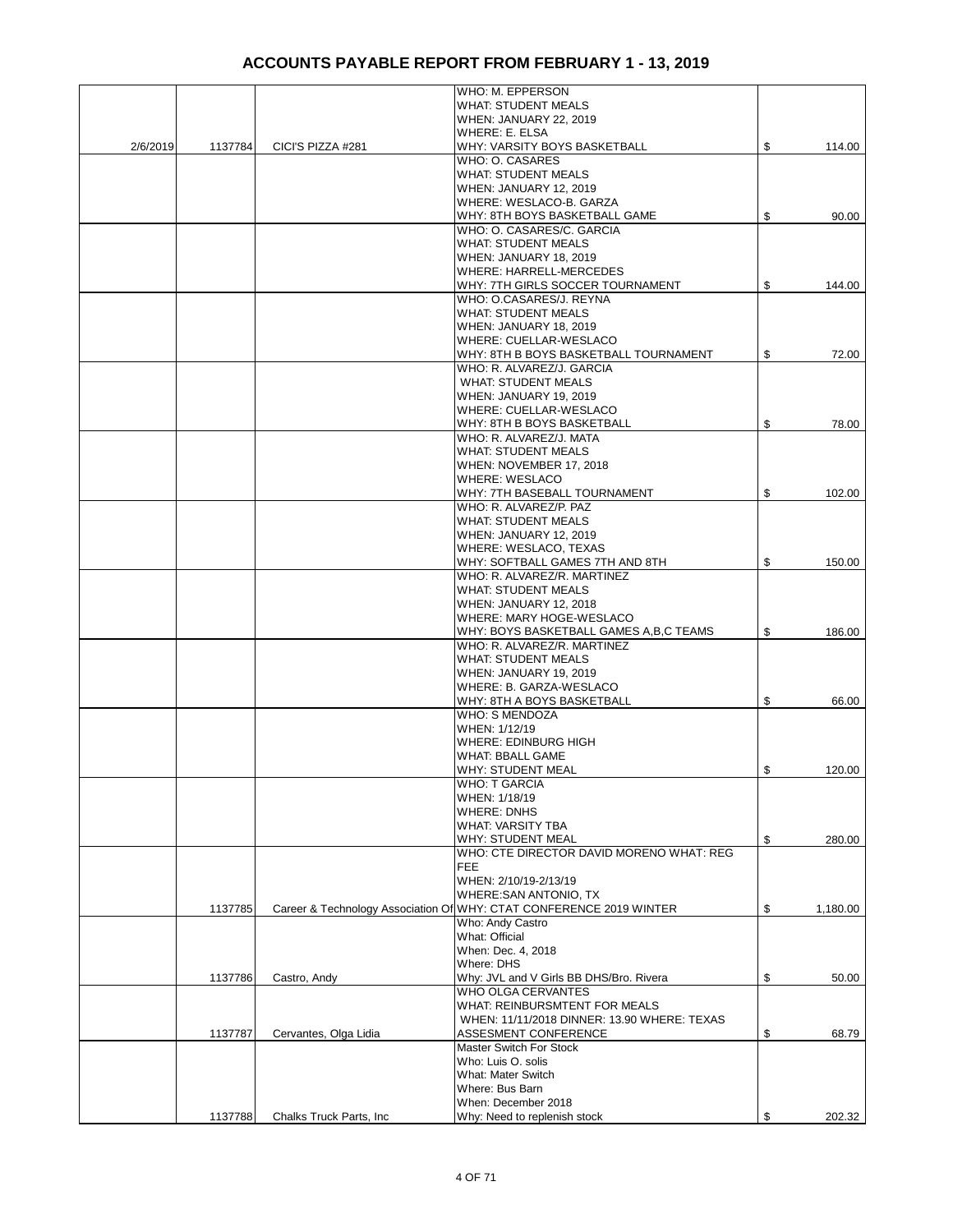|          |         |                          | WHO: M. EPPERSON                                                    |                |
|----------|---------|--------------------------|---------------------------------------------------------------------|----------------|
|          |         |                          | <b>WHAT: STUDENT MEALS</b>                                          |                |
|          |         |                          | WHEN: JANUARY 22, 2019                                              |                |
|          |         |                          | WHERE: E. ELSA                                                      |                |
| 2/6/2019 | 1137784 | CICI'S PIZZA #281        | WHY: VARSITY BOYS BASKETBALL                                        | \$<br>114.00   |
|          |         |                          | WHO: O. CASARES                                                     |                |
|          |         |                          | <b>WHAT: STUDENT MEALS</b>                                          |                |
|          |         |                          | <b>WHEN: JANUARY 12, 2019</b>                                       |                |
|          |         |                          | WHERE: WESLACO-B. GARZA                                             |                |
|          |         |                          | WHY: 8TH BOYS BASKETBALL GAME                                       | \$<br>90.00    |
|          |         |                          | WHO: O. CASARES/C. GARCIA                                           |                |
|          |         |                          | <b>WHAT: STUDENT MEALS</b>                                          |                |
|          |         |                          | WHEN: JANUARY 18, 2019                                              |                |
|          |         |                          | WHERE: HARRELL-MERCEDES                                             |                |
|          |         |                          | WHY: 7TH GIRLS SOCCER TOURNAMENT                                    | \$<br>144.00   |
|          |         |                          | WHO: O.CASARES/J. REYNA                                             |                |
|          |         |                          | <b>WHAT: STUDENT MEALS</b>                                          |                |
|          |         |                          | WHEN: JANUARY 18, 2019                                              |                |
|          |         |                          | WHERE: CUELLAR-WESLACO                                              |                |
|          |         |                          | WHY: 8TH B BOYS BASKETBALL TOURNAMENT                               | \$<br>72.00    |
|          |         |                          | WHO: R. ALVAREZ/J. GARCIA                                           |                |
|          |         |                          | <b>WHAT: STUDENT MEALS</b>                                          |                |
|          |         |                          | <b>WHEN: JANUARY 19, 2019</b>                                       |                |
|          |         |                          | WHERE: CUELLAR-WESLACO                                              |                |
|          |         |                          | WHY: 8TH B BOYS BASKETBALL                                          | \$<br>78.00    |
|          |         |                          | WHO: R. ALVAREZ/J. MATA                                             |                |
|          |         |                          | <b>WHAT: STUDENT MEALS</b>                                          |                |
|          |         |                          | WHEN: NOVEMBER 17, 2018                                             |                |
|          |         |                          | <b>WHERE: WESLACO</b>                                               |                |
|          |         |                          | WHY: 7TH BASEBALL TOURNAMENT                                        | \$<br>102.00   |
|          |         |                          | WHO: R. ALVAREZ/P. PAZ                                              |                |
|          |         |                          | <b>WHAT: STUDENT MEALS</b>                                          |                |
|          |         |                          | WHEN: JANUARY 12, 2019                                              |                |
|          |         |                          | WHERE: WESLACO, TEXAS                                               |                |
|          |         |                          | WHY: SOFTBALL GAMES 7TH AND 8TH                                     | \$<br>150.00   |
|          |         |                          | WHO: R. ALVAREZ/R. MARTINEZ                                         |                |
|          |         |                          | <b>WHAT: STUDENT MEALS</b>                                          |                |
|          |         |                          | <b>WHEN: JANUARY 12, 2018</b>                                       |                |
|          |         |                          | WHERE: MARY HOGE-WESLACO                                            |                |
|          |         |                          | WHY: BOYS BASKETBALL GAMES A, B, C TEAMS                            | \$<br>186.00   |
|          |         |                          | WHO: R. ALVAREZ/R. MARTINEZ                                         |                |
|          |         |                          | <b>WHAT: STUDENT MEALS</b>                                          |                |
|          |         |                          | <b>WHEN: JANUARY 19, 2019</b>                                       |                |
|          |         |                          | WHERE: B. GARZA-WESLACO                                             |                |
|          |         |                          | WHY: 8TH A BOYS BASKETBALL                                          | \$<br>66.00    |
|          |         |                          | <b>WHO: S MENDOZA</b>                                               |                |
|          |         |                          | WHEN: 1/12/19                                                       |                |
|          |         |                          | <b>WHERE: EDINBURG HIGH</b>                                         |                |
|          |         |                          | <b>WHAT: BBALL GAME</b>                                             |                |
|          |         |                          | WHY: STUDENT MEAL                                                   | \$<br>120.00   |
|          |         |                          | <b>WHO: T GARCIA</b>                                                |                |
|          |         |                          | WHEN: 1/18/19                                                       |                |
|          |         |                          | <b>WHERE: DNHS</b>                                                  |                |
|          |         |                          | WHAT: VARSITY TBA                                                   |                |
|          |         |                          | WHY: STUDENT MEAL                                                   | \$<br>280.00   |
|          |         |                          | WHO: CTE DIRECTOR DAVID MORENO WHAT: REG                            |                |
|          |         |                          | <b>FEE</b><br>WHEN: 2/10/19-2/13/19                                 |                |
|          |         |                          | WHERE: SAN ANTONIO, TX                                              |                |
|          | 1137785 |                          | Career & Technology Association Of WHY: CTAT CONFERENCE 2019 WINTER | \$<br>1,180.00 |
|          |         |                          | Who: Andy Castro                                                    |                |
|          |         |                          | What: Official                                                      |                |
|          |         |                          | When: Dec. 4, 2018                                                  |                |
|          |         |                          | Where: DHS                                                          |                |
|          | 1137786 | Castro, Andy             | Why: JVL and V Girls BB DHS/Bro. Rivera                             | \$<br>50.00    |
|          |         |                          | WHO OLGA CERVANTES                                                  |                |
|          |         |                          | WHAT: REINBURSMTENT FOR MEALS                                       |                |
|          |         |                          | WHEN: 11/11/2018 DINNER: 13.90 WHERE: TEXAS                         |                |
|          | 1137787 | Cervantes, Olga Lidia    | ASSESMENT CONFERENCE                                                | \$<br>68.79    |
|          |         |                          | Master Switch For Stock                                             |                |
|          |         |                          | Who: Luis O. solis                                                  |                |
|          |         |                          | What: Mater Switch                                                  |                |
|          |         |                          | Where: Bus Barn                                                     |                |
|          |         |                          | When: December 2018                                                 |                |
|          | 1137788 | Chalks Truck Parts, Inc. | Why: Need to replenish stock                                        | \$<br>202.32   |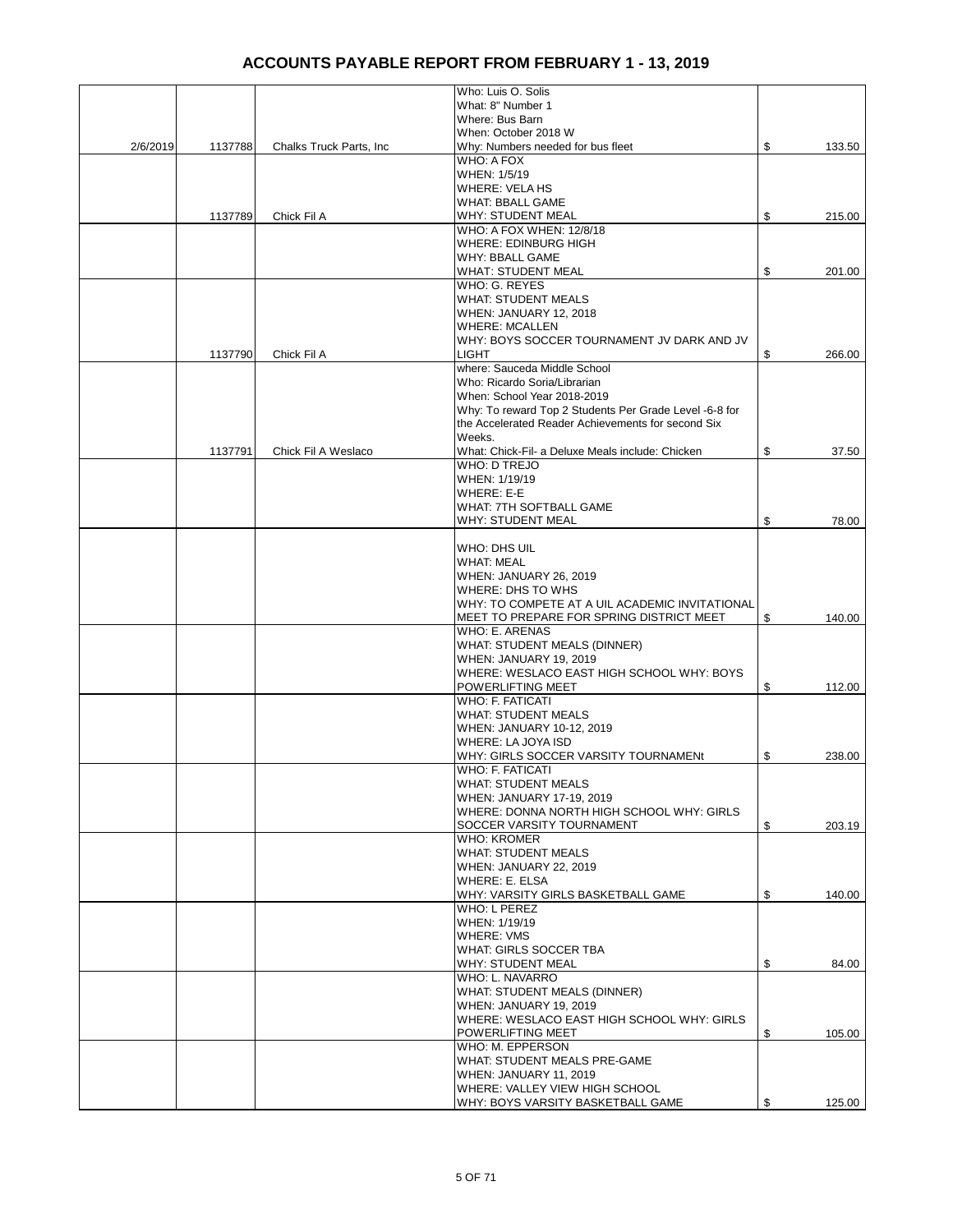|          |         |                          | Who: Luis O. Solis                                                                                           |              |
|----------|---------|--------------------------|--------------------------------------------------------------------------------------------------------------|--------------|
|          |         |                          | What: 8" Number 1                                                                                            |              |
|          |         |                          | Where: Bus Barn                                                                                              |              |
|          |         |                          | When: October 2018 W                                                                                         |              |
| 2/6/2019 | 1137788 | Chalks Truck Parts, Inc. | Why: Numbers needed for bus fleet                                                                            | \$<br>133.50 |
|          |         |                          | WHO: A FOX                                                                                                   |              |
|          |         |                          | WHEN: 1/5/19                                                                                                 |              |
|          |         |                          | WHERE: VELA HS                                                                                               |              |
|          |         |                          | <b>WHAT: BBALL GAME</b>                                                                                      |              |
|          | 1137789 | Chick Fil A              | <b>WHY: STUDENT MEAL</b>                                                                                     | \$<br>215.00 |
|          |         |                          | WHO: A FOX WHEN: 12/8/18                                                                                     |              |
|          |         |                          | WHERE: EDINBURG HIGH                                                                                         |              |
|          |         |                          | WHY: BBALL GAME                                                                                              |              |
|          |         |                          | <b>WHAT: STUDENT MEAL</b>                                                                                    | \$<br>201.00 |
|          |         |                          | WHO: G. REYES                                                                                                |              |
|          |         |                          | <b>WHAT: STUDENT MEALS</b>                                                                                   |              |
|          |         |                          | <b>WHEN: JANUARY 12, 2018</b>                                                                                |              |
|          |         |                          | <b>WHERE: MCALLEN</b>                                                                                        |              |
|          |         |                          | WHY: BOYS SOCCER TOURNAMENT JV DARK AND JV                                                                   |              |
|          | 1137790 | Chick Fil A              | <b>LIGHT</b>                                                                                                 | \$<br>266.00 |
|          |         |                          | where: Sauceda Middle School                                                                                 |              |
|          |         |                          | Who: Ricardo Soria/Librarian                                                                                 |              |
|          |         |                          | When: School Year 2018-2019                                                                                  |              |
|          |         |                          |                                                                                                              |              |
|          |         |                          | Why: To reward Top 2 Students Per Grade Level -6-8 for<br>the Accelerated Reader Achievements for second Six |              |
|          |         |                          | Weeks.                                                                                                       |              |
|          |         |                          |                                                                                                              |              |
|          | 1137791 | Chick Fil A Weslaco      | What: Chick-Fil- a Deluxe Meals include: Chicken                                                             | \$<br>37.50  |
|          |         |                          | WHO: D TREJO                                                                                                 |              |
|          |         |                          | WHEN: 1/19/19                                                                                                |              |
|          |         |                          | WHERE: E-E                                                                                                   |              |
|          |         |                          | <b>WHAT: 7TH SOFTBALL GAME</b>                                                                               |              |
|          |         |                          | WHY: STUDENT MEAL                                                                                            | \$<br>78.00  |
|          |         |                          |                                                                                                              |              |
|          |         |                          | WHO: DHS UIL                                                                                                 |              |
|          |         |                          | <b>WHAT: MEAL</b>                                                                                            |              |
|          |         |                          | WHEN: JANUARY 26, 2019                                                                                       |              |
|          |         |                          | WHERE: DHS TO WHS                                                                                            |              |
|          |         |                          | WHY: TO COMPETE AT A UIL ACADEMIC INVITATIONAL                                                               |              |
|          |         |                          | MEET TO PREPARE FOR SPRING DISTRICT MEET                                                                     | \$<br>140.00 |
|          |         |                          | WHO: E. ARENAS                                                                                               |              |
|          |         |                          | WHAT: STUDENT MEALS (DINNER)                                                                                 |              |
|          |         |                          | WHEN: JANUARY 19, 2019                                                                                       |              |
|          |         |                          | WHERE: WESLACO EAST HIGH SCHOOL WHY: BOYS                                                                    |              |
|          |         |                          | POWERLIFTING MEET                                                                                            | \$<br>112.00 |
|          |         |                          | <b>WHO: F. FATICATI</b>                                                                                      |              |
|          |         |                          | <b>WHAT: STUDENT MEALS</b>                                                                                   |              |
|          |         |                          | WHEN: JANUARY 10-12, 2019                                                                                    |              |
|          |         |                          | WHERE: LA JOYA ISD                                                                                           |              |
|          |         |                          | WHY: GIRLS SOCCER VARSITY TOURNAMENt                                                                         | \$<br>238.00 |
|          |         |                          | WHO: F. FATICATI                                                                                             |              |
|          |         |                          | <b>WHAT: STUDENT MEALS</b>                                                                                   |              |
|          |         |                          | WHEN: JANUARY 17-19, 2019                                                                                    |              |
|          |         |                          | WHERE: DONNA NORTH HIGH SCHOOL WHY: GIRLS                                                                    |              |
|          |         |                          | SOCCER VARSITY TOURNAMENT                                                                                    | \$<br>203.19 |
|          |         |                          | <b>WHO: KROMER</b>                                                                                           |              |
|          |         |                          |                                                                                                              |              |
|          |         |                          | <b>WHAT: STUDENT MEALS</b>                                                                                   |              |
|          |         |                          | WHEN: JANUARY 22, 2019                                                                                       |              |
|          |         |                          | WHERE: E. ELSA                                                                                               |              |
|          |         |                          | WHY: VARSITY GIRLS BASKETBALL GAME                                                                           | \$<br>140.00 |
|          |         |                          | WHO: L PEREZ                                                                                                 |              |
|          |         |                          | WHEN: 1/19/19                                                                                                |              |
|          |         |                          | <b>WHERE: VMS</b>                                                                                            |              |
|          |         |                          | WHAT: GIRLS SOCCER TBA                                                                                       |              |
|          |         |                          | <b>WHY: STUDENT MEAL</b>                                                                                     | \$<br>84.00  |
|          |         |                          | WHO: L. NAVARRO                                                                                              |              |
|          |         |                          | WHAT: STUDENT MEALS (DINNER)                                                                                 |              |
|          |         |                          | WHEN: JANUARY 19, 2019                                                                                       |              |
|          |         |                          | WHERE: WESLACO EAST HIGH SCHOOL WHY: GIRLS                                                                   |              |
|          |         |                          | POWERLIFTING MEET                                                                                            | \$<br>105.00 |
|          |         |                          | WHO: M. EPPERSON                                                                                             |              |
|          |         |                          | WHAT: STUDENT MEALS PRE-GAME                                                                                 |              |
|          |         |                          | WHEN: JANUARY 11, 2019                                                                                       |              |
|          |         |                          | WHERE: VALLEY VIEW HIGH SCHOOL                                                                               |              |
|          |         |                          | WHY: BOYS VARSITY BASKETBALL GAME                                                                            | \$<br>125.00 |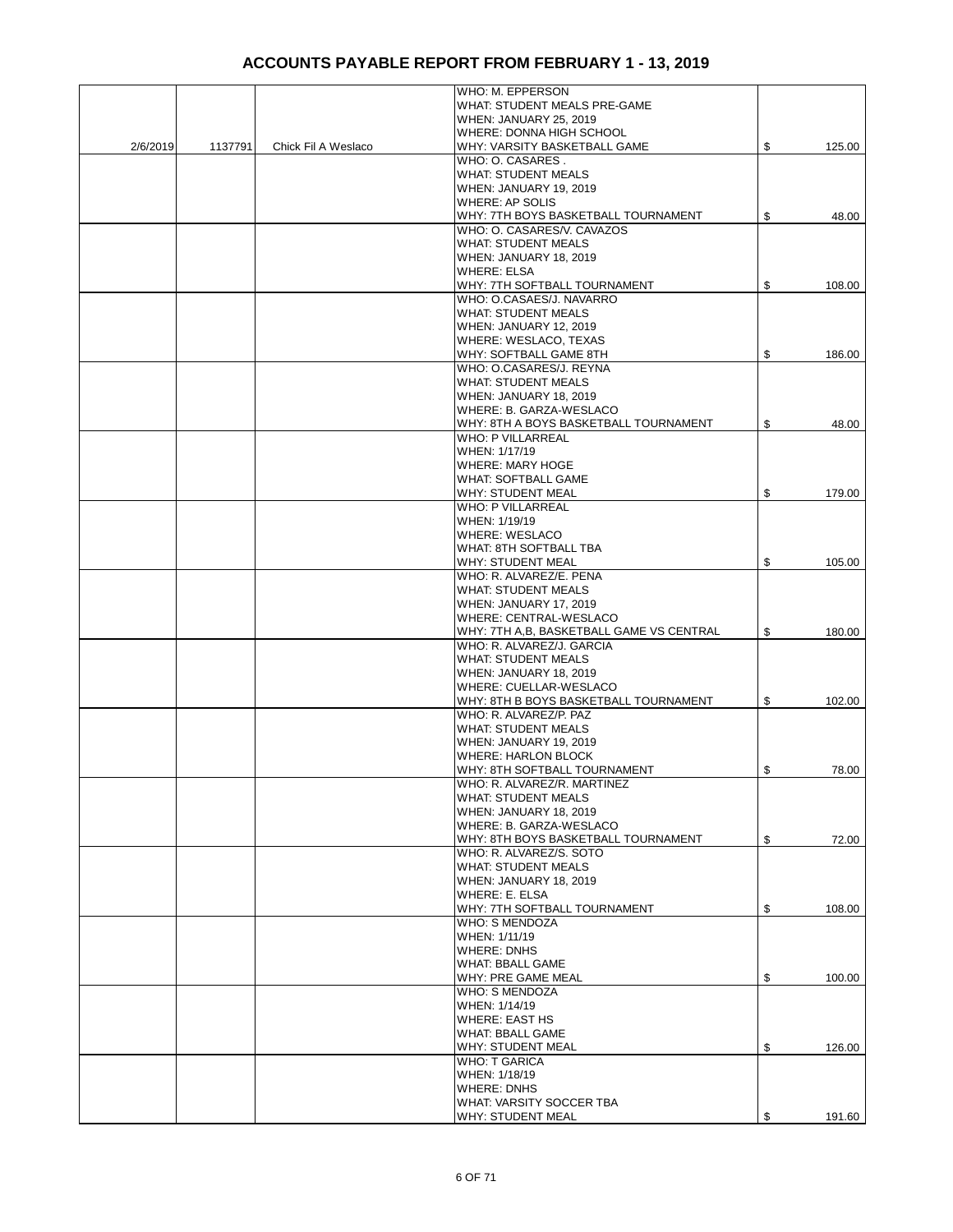|          |         |                     | WHO: M. EPPERSON                         |              |
|----------|---------|---------------------|------------------------------------------|--------------|
|          |         |                     | WHAT: STUDENT MEALS PRE-GAME             |              |
|          |         |                     | WHEN: JANUARY 25, 2019                   |              |
|          |         |                     | WHERE: DONNA HIGH SCHOOL                 |              |
| 2/6/2019 | 1137791 | Chick Fil A Weslaco | WHY: VARSITY BASKETBALL GAME             | \$<br>125.00 |
|          |         |                     | WHO: O. CASARES.                         |              |
|          |         |                     | <b>WHAT: STUDENT MEALS</b>               |              |
|          |         |                     | WHEN: JANUARY 19, 2019                   |              |
|          |         |                     | <b>WHERE: AP SOLIS</b>                   |              |
|          |         |                     | WHY: 7TH BOYS BASKETBALL TOURNAMENT      | \$<br>48.00  |
|          |         |                     | WHO: O. CASARES/V. CAVAZOS               |              |
|          |         |                     | <b>WHAT: STUDENT MEALS</b>               |              |
|          |         |                     | WHEN: JANUARY 18, 2019                   |              |
|          |         |                     | <b>WHERE: ELSA</b>                       |              |
|          |         |                     | WHY: 7TH SOFTBALL TOURNAMENT             | \$<br>108.00 |
|          |         |                     | WHO: O.CASAES/J. NAVARRO                 |              |
|          |         |                     | <b>WHAT: STUDENT MEALS</b>               |              |
|          |         |                     | <b>WHEN: JANUARY 12, 2019</b>            |              |
|          |         |                     | WHERE: WESLACO, TEXAS                    |              |
|          |         |                     | WHY: SOFTBALL GAME 8TH                   | \$<br>186.00 |
|          |         |                     | WHO: O.CASARES/J. REYNA                  |              |
|          |         |                     | <b>WHAT: STUDENT MEALS</b>               |              |
|          |         |                     |                                          |              |
|          |         |                     | WHEN: JANUARY 18, 2019                   |              |
|          |         |                     | WHERE: B. GARZA-WESLACO                  |              |
|          |         |                     | WHY: 8TH A BOYS BASKETBALL TOURNAMENT    | \$<br>48.00  |
|          |         |                     | <b>WHO: P VILLARREAL</b>                 |              |
|          |         |                     | WHEN: 1/17/19                            |              |
|          |         |                     | <b>WHERE: MARY HOGE</b>                  |              |
|          |         |                     | <b>WHAT: SOFTBALL GAME</b>               |              |
|          |         |                     | WHY: STUDENT MEAL                        | \$<br>179.00 |
|          |         |                     | <b>WHO: P VILLARREAL</b>                 |              |
|          |         |                     | WHEN: 1/19/19                            |              |
|          |         |                     | <b>WHERE: WESLACO</b>                    |              |
|          |         |                     | WHAT: 8TH SOFTBALL TBA                   |              |
|          |         |                     | <b>WHY: STUDENT MEAL</b>                 | \$<br>105.00 |
|          |         |                     | WHO: R. ALVAREZ/E. PENA                  |              |
|          |         |                     | <b>WHAT: STUDENT MEALS</b>               |              |
|          |         |                     | WHEN: JANUARY 17, 2019                   |              |
|          |         |                     | WHERE: CENTRAL-WESLACO                   |              |
|          |         |                     | WHY: 7TH A,B, BASKETBALL GAME VS CENTRAL | \$<br>180.00 |
|          |         |                     | WHO: R. ALVAREZ/J. GARCIA                |              |
|          |         |                     | <b>WHAT: STUDENT MEALS</b>               |              |
|          |         |                     | WHEN: JANUARY 18, 2019                   |              |
|          |         |                     | WHERE: CUELLAR-WESLACO                   |              |
|          |         |                     | WHY: 8TH B BOYS BASKETBALL TOURNAMENT    | \$<br>102.00 |
|          |         |                     | WHO: R. ALVAREZ/P. PAZ                   |              |
|          |         |                     | <b>WHAT: STUDENT MEALS</b>               |              |
|          |         |                     | WHEN: JANUARY 19, 2019                   |              |
|          |         |                     |                                          |              |
|          |         |                     | <b>WHERE: HARLON BLOCK</b>               |              |
|          |         |                     | WHY: 8TH SOFTBALL TOURNAMENT             | \$<br>78.00  |
|          |         |                     | WHO: R. ALVAREZ/R. MARTINEZ              |              |
|          |         |                     | <b>WHAT: STUDENT MEALS</b>               |              |
|          |         |                     | WHEN: JANUARY 18, 2019                   |              |
|          |         |                     | WHERE: B. GARZA-WESLACO                  |              |
|          |         |                     | WHY: 8TH BOYS BASKETBALL TOURNAMENT      | \$<br>72.00  |
|          |         |                     | WHO: R. ALVAREZ/S. SOTO                  |              |
|          |         |                     | <b>WHAT: STUDENT MEALS</b>               |              |
|          |         |                     | WHEN: JANUARY 18, 2019                   |              |
|          |         |                     | WHERE: E. ELSA                           |              |
|          |         |                     | WHY: 7TH SOFTBALL TOURNAMENT             | \$<br>108.00 |
|          |         |                     | WHO: S MENDOZA                           |              |
|          |         |                     | WHEN: 1/11/19                            |              |
|          |         |                     | <b>WHERE: DNHS</b>                       |              |
|          |         |                     | WHAT: BBALL GAME                         |              |
|          |         |                     | WHY: PRE GAME MEAL                       | \$<br>100.00 |
|          |         |                     | WHO: S MENDOZA                           |              |
|          |         |                     | WHEN: 1/14/19                            |              |
|          |         |                     | <b>WHERE: EAST HS</b>                    |              |
|          |         |                     | <b>WHAT: BBALL GAME</b>                  |              |
|          |         |                     | WHY: STUDENT MEAL                        | \$           |
|          |         |                     | <b>WHO: T GARICA</b>                     | 126.00       |
|          |         |                     |                                          |              |
|          |         |                     | WHEN: 1/18/19                            |              |
|          |         |                     | <b>WHERE: DNHS</b>                       |              |
|          |         |                     | WHAT: VARSITY SOCCER TBA                 |              |
|          |         |                     | WHY: STUDENT MEAL                        | \$<br>191.60 |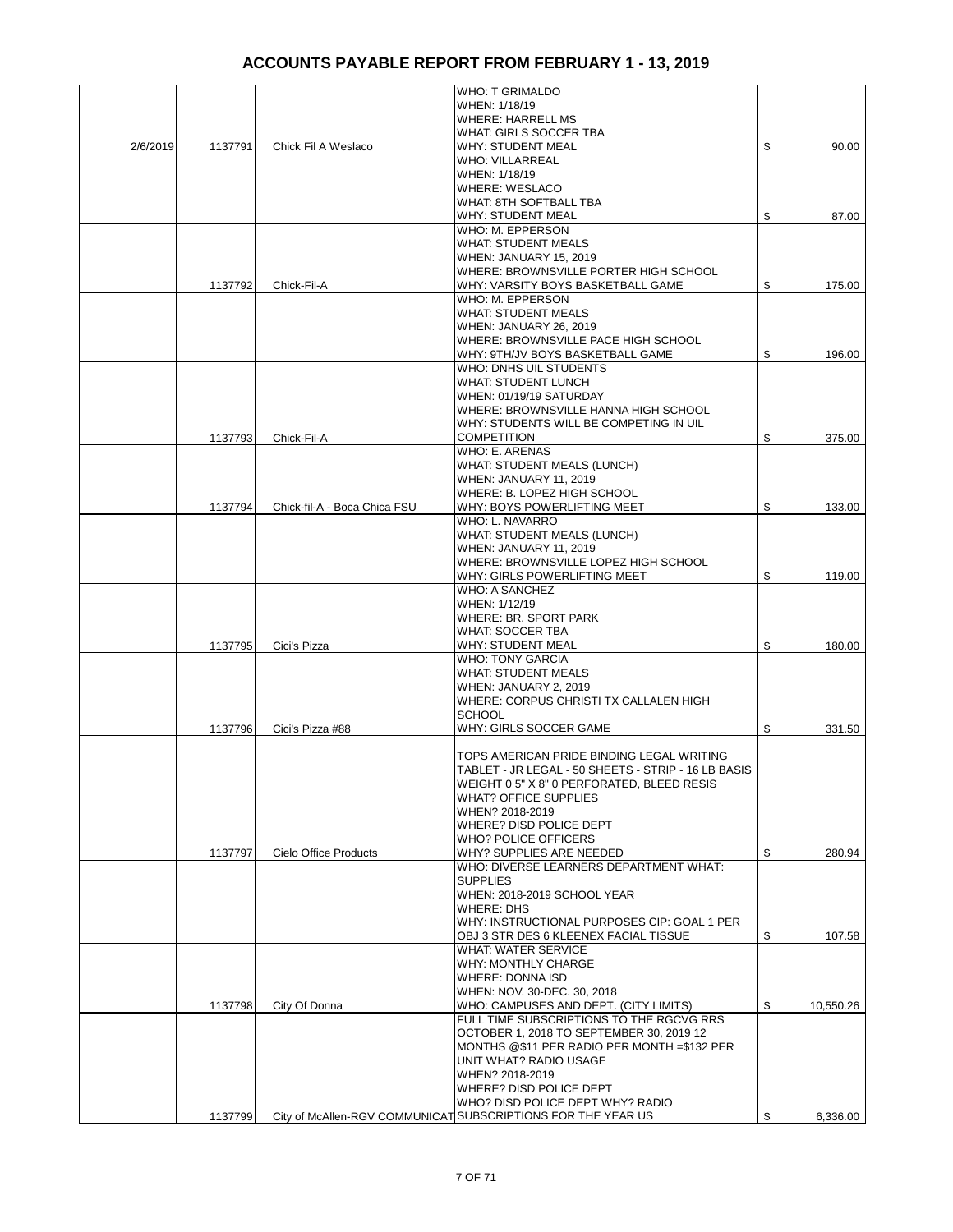|          |         |                              | <b>WHO: T GRIMALDO</b>                                                               |                 |
|----------|---------|------------------------------|--------------------------------------------------------------------------------------|-----------------|
|          |         |                              | WHEN: 1/18/19<br><b>WHERE: HARRELL MS</b>                                            |                 |
|          |         |                              | <b>WHAT: GIRLS SOCCER TBA</b>                                                        |                 |
| 2/6/2019 | 1137791 | Chick Fil A Weslaco          | <b>WHY: STUDENT MEAL</b><br><b>WHO: VILLARREAL</b>                                   | \$<br>90.00     |
|          |         |                              | WHEN: 1/18/19                                                                        |                 |
|          |         |                              | <b>WHERE: WESLACO</b>                                                                |                 |
|          |         |                              | WHAT: 8TH SOFTBALL TBA<br><b>WHY: STUDENT MEAL</b>                                   | \$<br>87.00     |
|          |         |                              | WHO: M. EPPERSON                                                                     |                 |
|          |         |                              | <b>WHAT: STUDENT MEALS</b>                                                           |                 |
|          |         |                              | WHEN: JANUARY 15, 2019<br>WHERE: BROWNSVILLE PORTER HIGH SCHOOL                      |                 |
|          | 1137792 | Chick-Fil-A                  | WHY: VARSITY BOYS BASKETBALL GAME                                                    | \$<br>175.00    |
|          |         |                              | WHO: M. EPPERSON                                                                     |                 |
|          |         |                              | <b>WHAT: STUDENT MEALS</b><br>WHEN: JANUARY 26, 2019                                 |                 |
|          |         |                              | WHERE: BROWNSVILLE PACE HIGH SCHOOL                                                  |                 |
|          |         |                              | WHY: 9TH/JV BOYS BASKETBALL GAME<br>WHO: DNHS UIL STUDENTS                           | \$<br>196.00    |
|          |         |                              | <b>WHAT: STUDENT LUNCH</b>                                                           |                 |
|          |         |                              | WHEN: 01/19/19 SATURDAY                                                              |                 |
|          |         |                              | WHERE: BROWNSVILLE HANNA HIGH SCHOOL<br>WHY: STUDENTS WILL BE COMPETING IN UIL       |                 |
|          | 1137793 | Chick-Fil-A                  | <b>COMPETITION</b>                                                                   | \$<br>375.00    |
|          |         |                              | WHO: E. ARENAS                                                                       |                 |
|          |         |                              | <b>WHAT: STUDENT MEALS (LUNCH)</b><br>WHEN: JANUARY 11, 2019                         |                 |
|          |         |                              | WHERE: B. LOPEZ HIGH SCHOOL                                                          |                 |
|          | 1137794 | Chick-fil-A - Boca Chica FSU | WHY: BOYS POWERLIFTING MEET                                                          | \$<br>133.00    |
|          |         |                              | WHO: L. NAVARRO<br>WHAT: STUDENT MEALS (LUNCH)                                       |                 |
|          |         |                              | WHEN: JANUARY 11, 2019                                                               |                 |
|          |         |                              | WHERE: BROWNSVILLE LOPEZ HIGH SCHOOL                                                 |                 |
|          |         |                              | WHY: GIRLS POWERLIFTING MEET                                                         | \$<br>119.00    |
|          |         |                              | <b>WHO: A SANCHEZ</b><br>WHEN: 1/12/19                                               |                 |
|          |         |                              | WHERE: BR. SPORT PARK                                                                |                 |
|          |         |                              | <b>WHAT: SOCCER TBA</b><br><b>WHY: STUDENT MEAL</b>                                  |                 |
|          | 1137795 | Cici's Pizza                 | <b>WHO: TONY GARCIA</b>                                                              | \$<br>180.00    |
|          |         |                              | <b>WHAT: STUDENT MEALS</b>                                                           |                 |
|          |         |                              | WHEN: JANUARY 2, 2019<br>WHERE: CORPUS CHRISTI TX CALLALEN HIGH                      |                 |
|          |         |                              | <b>SCHOOL</b>                                                                        |                 |
|          | 1137796 | Cici's Pizza #88             | WHY: GIRLS SOCCER GAME                                                               | \$<br>331.50    |
|          |         |                              | TOPS AMERICAN PRIDE BINDING LEGAL WRITING                                            |                 |
|          |         |                              | TABLET - JR LEGAL - 50 SHEETS - STRIP - 16 LB BASIS                                  |                 |
|          |         |                              | WEIGHT 0 5" X 8" 0 PERFORATED, BLEED RESIS                                           |                 |
|          |         |                              | <b>WHAT? OFFICE SUPPLIES</b><br>WHEN? 2018-2019                                      |                 |
|          |         |                              | WHERE? DISD POLICE DEPT                                                              |                 |
|          |         |                              | <b>WHO? POLICE OFFICERS</b>                                                          |                 |
|          | 1137797 | Cielo Office Products        | WHY? SUPPLIES ARE NEEDED<br>WHO: DIVERSE LEARNERS DEPARTMENT WHAT:                   | \$<br>280.94    |
|          |         |                              | <b>SUPPLIES</b>                                                                      |                 |
|          |         |                              | WHEN: 2018-2019 SCHOOL YEAR                                                          |                 |
|          |         |                              | <b>WHERE: DHS</b><br>IWHY: INSTRUCTIONAL PURPOSES CIP: GOAL 1 PER                    |                 |
|          |         |                              | OBJ 3 STR DES 6 KLEENEX FACIAL TISSUE                                                | \$<br>107.58    |
|          |         |                              | <b>WHAT: WATER SERVICE</b>                                                           |                 |
|          |         |                              | WHY: MONTHLY CHARGE<br><b>WHERE: DONNA ISD</b>                                       |                 |
|          |         |                              | WHEN: NOV. 30-DEC. 30, 2018                                                          |                 |
|          | 1137798 | City Of Donna                | WHO: CAMPUSES AND DEPT. (CITY LIMITS)                                                | \$<br>10,550.26 |
|          |         |                              | FULL TIME SUBSCRIPTIONS TO THE RGCVG RRS<br>OCTOBER 1, 2018 TO SEPTEMBER 30, 2019 12 |                 |
|          |         |                              | MONTHS @\$11 PER RADIO PER MONTH =\$132 PER                                          |                 |
|          |         |                              | UNIT WHAT? RADIO USAGE                                                               |                 |
|          |         |                              | WHEN? 2018-2019<br>WHERE? DISD POLICE DEPT                                           |                 |
|          |         |                              | WHO? DISD POLICE DEPT WHY? RADIO                                                     |                 |
|          | 1137799 |                              | City of McAllen-RGV COMMUNICAT SUBSCRIPTIONS FOR THE YEAR US                         | \$<br>6,336.00  |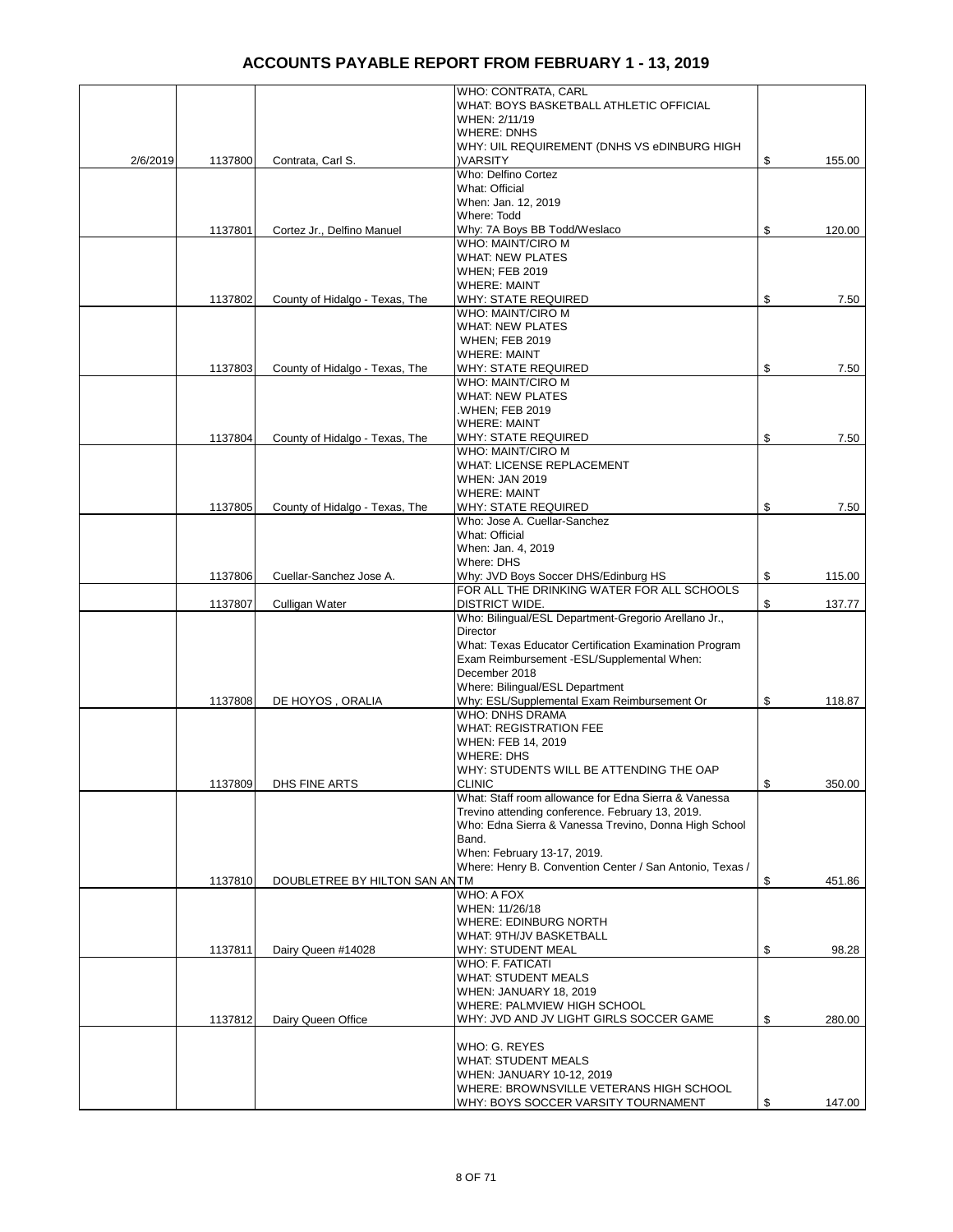|          |         |                                | WHO: CONTRATA, CARL<br>WHAT: BOYS BASKETBALL ATHLETIC OFFICIAL                                           |              |
|----------|---------|--------------------------------|----------------------------------------------------------------------------------------------------------|--------------|
|          |         |                                | WHEN: 2/11/19<br><b>WHERE: DNHS</b>                                                                      |              |
|          |         |                                | WHY: UIL REQUIREMENT (DNHS VS eDINBURG HIGH                                                              |              |
| 2/6/2019 | 1137800 | Contrata, Carl S.              | <b>)VARSITY</b><br>Who: Delfino Cortez                                                                   | \$<br>155.00 |
|          |         |                                | What: Official                                                                                           |              |
|          |         |                                | When: Jan. 12, 2019<br>Where: Todd                                                                       |              |
|          | 1137801 | Cortez Jr., Delfino Manuel     | Why: 7A Boys BB Todd/Weslaco                                                                             | \$<br>120.00 |
|          |         |                                | WHO: MAINT/CIRO M<br><b>WHAT: NEW PLATES</b>                                                             |              |
|          |         |                                | <b>WHEN; FEB 2019</b>                                                                                    |              |
|          |         |                                | <b>WHERE: MAINT</b>                                                                                      |              |
|          | 1137802 | County of Hidalgo - Texas, The | <b>WHY: STATE REQUIRED</b><br>WHO: MAINT/CIRO M                                                          | \$<br>7.50   |
|          |         |                                | WHAT: NEW PLATES                                                                                         |              |
|          |         |                                | <b>WHEN; FEB 2019</b><br><b>WHERE: MAINT</b>                                                             |              |
|          | 1137803 | County of Hidalgo - Texas, The | WHY: STATE REQUIRED                                                                                      | \$<br>7.50   |
|          |         |                                | WHO: MAINT/CIRO M                                                                                        |              |
|          |         |                                | <b>WHAT: NEW PLATES</b><br><b>WHEN: FEB 2019</b>                                                         |              |
|          |         |                                | <b>WHERE: MAINT</b>                                                                                      |              |
|          | 1137804 | County of Hidalgo - Texas, The | <b>WHY: STATE REQUIRED</b>                                                                               | \$<br>7.50   |
|          |         |                                | WHO: MAINT/CIRO M<br>WHAT: LICENSE REPLACEMENT                                                           |              |
|          |         |                                | <b>WHEN: JAN 2019</b>                                                                                    |              |
|          | 1137805 | County of Hidalgo - Texas, The | <b>WHERE: MAINT</b><br>WHY: STATE REQUIRED                                                               | \$<br>7.50   |
|          |         |                                | Who: Jose A. Cuellar-Sanchez                                                                             |              |
|          |         |                                | What: Official                                                                                           |              |
|          |         |                                | When: Jan. 4, 2019<br>Where: DHS                                                                         |              |
|          | 1137806 | Cuellar-Sanchez Jose A.        | Why: JVD Boys Soccer DHS/Edinburg HS                                                                     | \$<br>115.00 |
|          |         |                                | FOR ALL THE DRINKING WATER FOR ALL SCHOOLS<br>DISTRICT WIDE.                                             | \$<br>137.77 |
|          | 1137807 | Culligan Water                 | Who: Bilingual/ESL Department-Gregorio Arellano Jr.,                                                     |              |
|          |         |                                | Director                                                                                                 |              |
|          |         |                                | What: Texas Educator Certification Examination Program<br>Exam Reimbursement -ESL/Supplemental When:     |              |
|          |         |                                | December 2018                                                                                            |              |
|          |         |                                | Where: Bilingual/ESL Department                                                                          |              |
|          | 1137808 | DE HOYOS, ORALIA               | Why: ESL/Supplemental Exam Reimbursement Or<br><b>WHO: DNHS DRAMA</b>                                    | \$<br>118.87 |
|          |         |                                | <b>WHAT: REGISTRATION FEE</b>                                                                            |              |
|          |         |                                | WHEN: FEB 14, 2019<br><b>WHERE: DHS</b>                                                                  |              |
|          |         |                                | WHY: STUDENTS WILL BE ATTENDING THE OAP                                                                  |              |
|          | 1137809 | DHS FINE ARTS                  | <b>CLINIC</b>                                                                                            | \$<br>350.00 |
|          |         |                                | What: Staff room allowance for Edna Sierra & Vanessa<br>Trevino attending conference. February 13, 2019. |              |
|          |         |                                | Who: Edna Sierra & Vanessa Trevino, Donna High School                                                    |              |
|          |         |                                | Band.                                                                                                    |              |
|          |         |                                | When: February 13-17, 2019.<br>Where: Henry B. Convention Center / San Antonio, Texas /                  |              |
|          | 1137810 | DOUBLETREE BY HILTON SAN ANTM  |                                                                                                          | \$<br>451.86 |
|          |         |                                | WHO: A FOX<br>WHEN: 11/26/18                                                                             |              |
|          |         |                                | WHERE: EDINBURG NORTH                                                                                    |              |
|          |         |                                | WHAT: 9TH/JV BASKETBALL                                                                                  |              |
|          | 1137811 | Dairy Queen #14028             | WHY: STUDENT MEAL<br>WHO: F. FATICATI                                                                    | \$<br>98.28  |
|          |         |                                | WHAT: STUDENT MEALS                                                                                      |              |
|          |         |                                | WHEN: JANUARY 18, 2019                                                                                   |              |
|          | 1137812 | Dairy Queen Office             | WHERE: PALMVIEW HIGH SCHOOL<br>WHY: JVD AND JV LIGHT GIRLS SOCCER GAME                                   | \$<br>280.00 |
|          |         |                                | WHO: G. REYES                                                                                            |              |
|          |         |                                | WHAT: STUDENT MEALS                                                                                      |              |
|          |         |                                | WHEN: JANUARY 10-12, 2019                                                                                |              |
|          |         |                                | WHERE: BROWNSVILLE VETERANS HIGH SCHOOL<br>WHY: BOYS SOCCER VARSITY TOURNAMENT                           | \$<br>147.00 |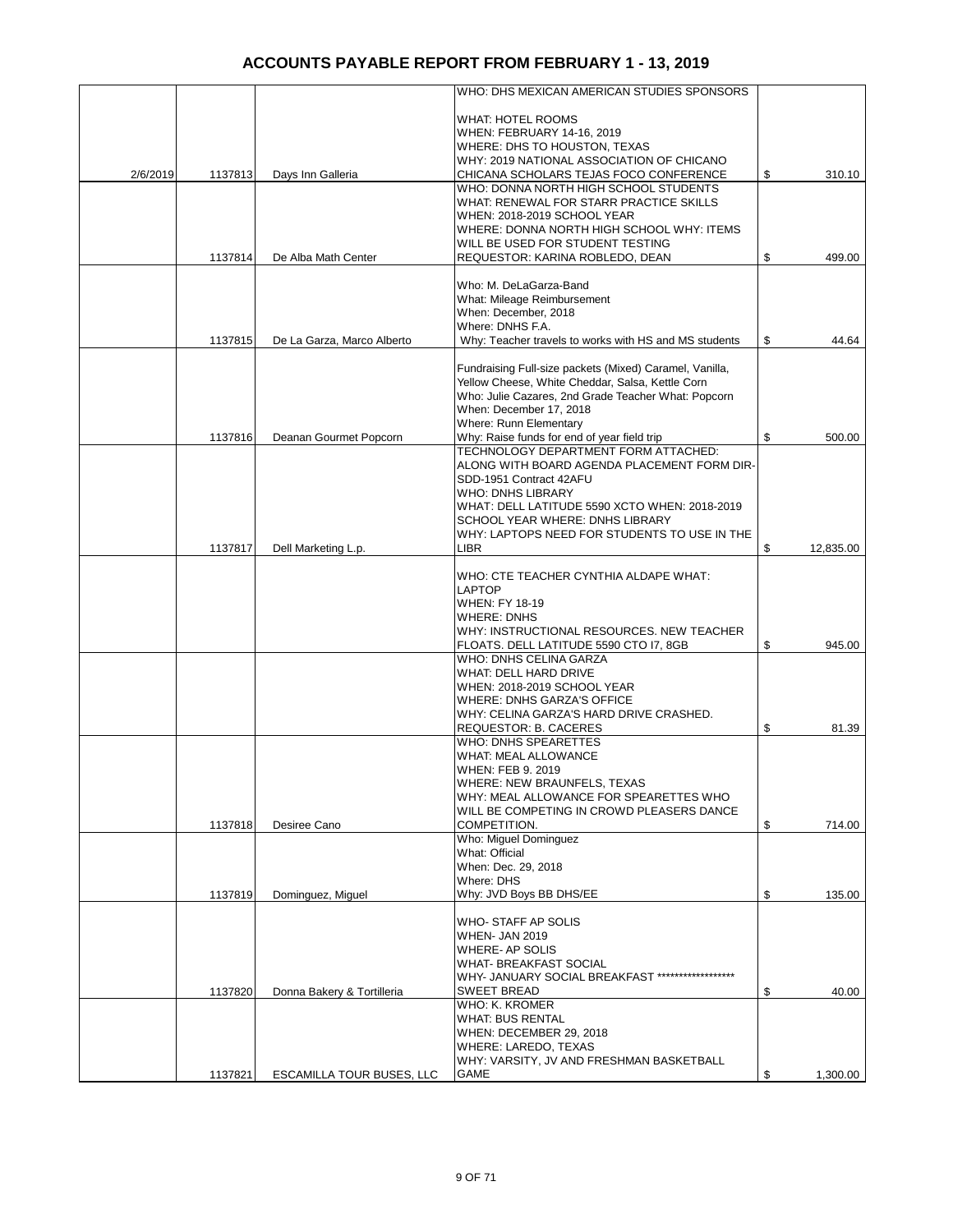|          |         |                            | WHO: DHS MEXICAN AMERICAN STUDIES SPONSORS                                                              |                 |
|----------|---------|----------------------------|---------------------------------------------------------------------------------------------------------|-----------------|
|          |         |                            | <b>WHAT: HOTEL ROOMS</b>                                                                                |                 |
|          |         |                            | WHEN: FEBRUARY 14-16, 2019                                                                              |                 |
|          |         |                            | WHERE: DHS TO HOUSTON, TEXAS                                                                            |                 |
|          |         |                            | WHY: 2019 NATIONAL ASSOCIATION OF CHICANO                                                               |                 |
| 2/6/2019 | 1137813 | Days Inn Galleria          | CHICANA SCHOLARS TEJAS FOCO CONFERENCE                                                                  | \$<br>310.10    |
|          |         |                            | WHO: DONNA NORTH HIGH SCHOOL STUDENTS<br>WHAT: RENEWAL FOR STARR PRACTICE SKILLS                        |                 |
|          |         |                            | WHEN: 2018-2019 SCHOOL YEAR                                                                             |                 |
|          |         |                            | WHERE: DONNA NORTH HIGH SCHOOL WHY: ITEMS                                                               |                 |
|          |         |                            | WILL BE USED FOR STUDENT TESTING                                                                        |                 |
|          | 1137814 | De Alba Math Center        | REQUESTOR: KARINA ROBLEDO, DEAN                                                                         | \$<br>499.00    |
|          |         |                            |                                                                                                         |                 |
|          |         |                            | Who: M. DeLaGarza-Band<br>What: Mileage Reimbursement                                                   |                 |
|          |         |                            | When: December, 2018                                                                                    |                 |
|          |         |                            | Where: DNHS F.A.                                                                                        |                 |
|          | 1137815 | De La Garza, Marco Alberto | Why: Teacher travels to works with HS and MS students                                                   | \$<br>44.64     |
|          |         |                            |                                                                                                         |                 |
|          |         |                            | Fundraising Full-size packets (Mixed) Caramel, Vanilla,                                                 |                 |
|          |         |                            | Yellow Cheese, White Cheddar, Salsa, Kettle Corn<br>Who: Julie Cazares, 2nd Grade Teacher What: Popcorn |                 |
|          |         |                            | When: December 17, 2018                                                                                 |                 |
|          |         |                            | Where: Runn Elementary                                                                                  |                 |
|          | 1137816 | Deanan Gourmet Popcorn     | Why: Raise funds for end of year field trip                                                             | \$<br>500.00    |
|          |         |                            | TECHNOLOGY DEPARTMENT FORM ATTACHED:                                                                    |                 |
|          |         |                            | ALONG WITH BOARD AGENDA PLACEMENT FORM DIR-                                                             |                 |
|          |         |                            | SDD-1951 Contract 42AFU<br><b>WHO: DNHS LIBRARY</b>                                                     |                 |
|          |         |                            | WHAT: DELL LATITUDE 5590 XCTO WHEN: 2018-2019                                                           |                 |
|          |         |                            | SCHOOL YEAR WHERE: DNHS LIBRARY                                                                         |                 |
|          |         |                            | WHY: LAPTOPS NEED FOR STUDENTS TO USE IN THE                                                            |                 |
|          | 1137817 | Dell Marketing L.p.        | LIBR                                                                                                    | \$<br>12,835.00 |
|          |         |                            |                                                                                                         |                 |
|          |         |                            | WHO: CTE TEACHER CYNTHIA ALDAPE WHAT:<br><b>LAPTOP</b>                                                  |                 |
|          |         |                            | <b>WHEN: FY 18-19</b>                                                                                   |                 |
|          |         |                            | <b>WHERE: DNHS</b>                                                                                      |                 |
|          |         |                            | WHY: INSTRUCTIONAL RESOURCES. NEW TEACHER                                                               |                 |
|          |         |                            | FLOATS. DELL LATITUDE 5590 CTO I7, 8GB                                                                  | \$<br>945.00    |
|          |         |                            | WHO: DNHS CELINA GARZA                                                                                  |                 |
|          |         |                            | WHAT: DELL HARD DRIVE<br>WHEN: 2018-2019 SCHOOL YEAR                                                    |                 |
|          |         |                            | WHERE: DNHS GARZA'S OFFICE                                                                              |                 |
|          |         |                            | WHY: CELINA GARZA'S HARD DRIVE CRASHED.                                                                 |                 |
|          |         |                            | REQUESTOR: B. CACERES                                                                                   | \$<br>81.39     |
|          |         |                            | <b>WHO: DNHS SPEARETTES</b>                                                                             |                 |
|          |         |                            | <b>WHAT: MEAL ALLOWANCE</b>                                                                             |                 |
|          |         |                            | WHEN: FEB 9. 2019                                                                                       |                 |
|          |         |                            | WHERE: NEW BRAUNFELS, TEXAS<br>WHY: MEAL ALLOWANCE FOR SPEARETTES WHO                                   |                 |
|          |         |                            | WILL BE COMPETING IN CROWD PLEASERS DANCE                                                               |                 |
|          | 1137818 | Desiree Cano               | COMPETITION.                                                                                            | \$<br>714.00    |
|          |         |                            | Who: Miguel Dominguez                                                                                   |                 |
|          |         |                            | What: Official                                                                                          |                 |
|          |         |                            | When: Dec. 29, 2018<br>Where: DHS                                                                       |                 |
|          | 1137819 | Dominguez, Miguel          | Why: JVD Boys BB DHS/EE                                                                                 | \$<br>135.00    |
|          |         |                            |                                                                                                         |                 |
|          |         |                            | WHO-STAFF AP SOLIS                                                                                      |                 |
|          |         |                            | <b>WHEN- JAN 2019</b>                                                                                   |                 |
|          |         |                            | WHERE- AP SOLIS                                                                                         |                 |
|          |         |                            | <b>WHAT- BREAKFAST SOCIAL</b><br>WHY- JANUARY SOCIAL BREAKFAST ******************                       |                 |
|          | 1137820 | Donna Bakery & Tortilleria | <b>SWEET BREAD</b>                                                                                      | \$<br>40.00     |
|          |         |                            | WHO: K. KROMER                                                                                          |                 |
|          |         |                            | <b>WHAT: BUS RENTAL</b>                                                                                 |                 |
|          |         |                            | WHEN: DECEMBER 29, 2018                                                                                 |                 |
|          |         |                            | WHERE: LAREDO, TEXAS                                                                                    |                 |
|          |         |                            | WHY: VARSITY, JV AND FRESHMAN BASKETBALL                                                                |                 |
|          | 1137821 | ESCAMILLA TOUR BUSES, LLC  | GAME                                                                                                    | \$<br>1,300.00  |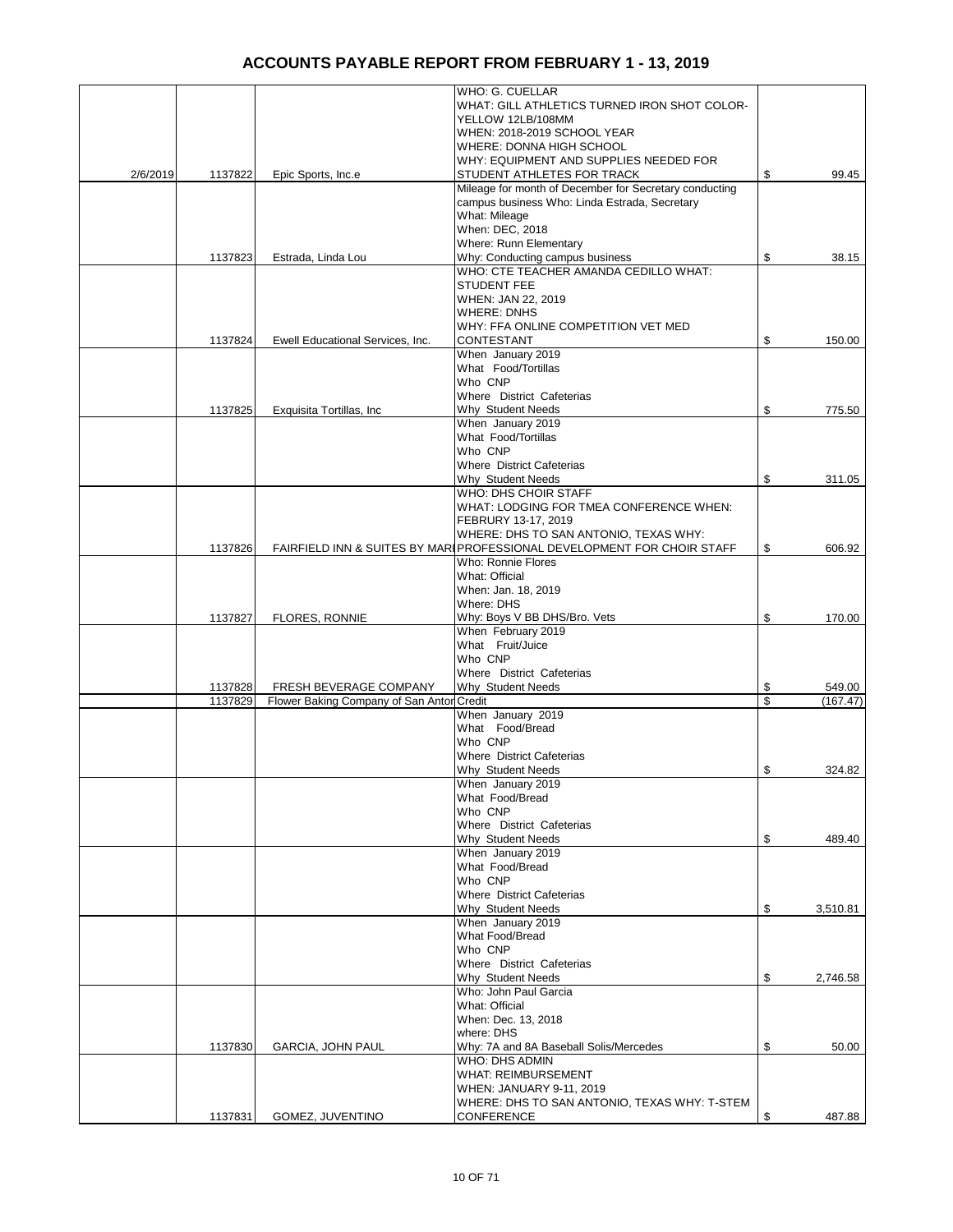|          |         |                                           | WHO: G. CUELLAR<br>WHAT: GILL ATHLETICS TURNED IRON SHOT COLOR-         |                |
|----------|---------|-------------------------------------------|-------------------------------------------------------------------------|----------------|
|          |         |                                           | YELLOW 12LB/108MM<br>WHEN: 2018-2019 SCHOOL YEAR                        |                |
|          |         |                                           | WHERE: DONNA HIGH SCHOOL                                                |                |
|          |         |                                           | WHY: EQUIPMENT AND SUPPLIES NEEDED FOR<br>STUDENT ATHLETES FOR TRACK    | \$<br>99.45    |
| 2/6/2019 | 1137822 | Epic Sports, Inc.e                        | Mileage for month of December for Secretary conducting                  |                |
|          |         |                                           | campus business Who: Linda Estrada, Secretary                           |                |
|          |         |                                           | What: Mileage<br>When: DEC, 2018                                        |                |
|          |         |                                           | Where: Runn Elementary                                                  |                |
|          | 1137823 | Estrada, Linda Lou                        | Why: Conducting campus business                                         | \$<br>38.15    |
|          |         |                                           | WHO: CTE TEACHER AMANDA CEDILLO WHAT:<br><b>STUDENT FEE</b>             |                |
|          |         |                                           | WHEN: JAN 22, 2019<br><b>WHERE: DNHS</b>                                |                |
|          |         |                                           | WHY: FFA ONLINE COMPETITION VET MED                                     |                |
|          | 1137824 | Ewell Educational Services, Inc.          | CONTESTANT<br>When January 2019                                         | \$<br>150.00   |
|          |         |                                           | What Food/Tortillas                                                     |                |
|          |         |                                           | Who CNP                                                                 |                |
|          | 1137825 | Exquisita Tortillas, Inc.                 | Where District Cafeterias<br>Why Student Needs                          | \$<br>775.50   |
|          |         |                                           | When January 2019                                                       |                |
|          |         |                                           | What Food/Tortillas                                                     |                |
|          |         |                                           | Who CNP<br>Where District Cafeterias                                    |                |
|          |         |                                           | Why Student Needs                                                       | \$<br>311.05   |
|          |         |                                           | WHO: DHS CHOIR STAFF                                                    |                |
|          |         |                                           | WHAT: LODGING FOR TMEA CONFERENCE WHEN:                                 |                |
|          |         |                                           | FEBRURY 13-17, 2019<br>WHERE: DHS TO SAN ANTONIO, TEXAS WHY:            |                |
|          | 1137826 |                                           | FAIRFIELD INN & SUITES BY MARI PROFESSIONAL DEVELOPMENT FOR CHOIR STAFF | \$<br>606.92   |
|          |         |                                           | Who: Ronnie Flores                                                      |                |
|          |         |                                           | What: Official<br>When: Jan. 18, 2019                                   |                |
|          |         |                                           | Where: DHS                                                              |                |
|          | 1137827 | <b>FLORES, RONNIE</b>                     | Why: Boys V BB DHS/Bro. Vets                                            | \$<br>170.00   |
|          |         |                                           | When February 2019<br>What Fruit/Juice                                  |                |
|          |         |                                           | Who CNP                                                                 |                |
|          |         |                                           | Where District Cafeterias                                               |                |
|          | 1137828 | FRESH BEVERAGE COMPANY                    | Why Student Needs                                                       | \$<br>549.00   |
|          | 1137829 | Flower Baking Company of San Antor Credit | When January 2019                                                       | \$<br>(167.47) |
|          |         |                                           | What Food/Bread                                                         |                |
|          |         |                                           | Who CNP                                                                 |                |
|          |         |                                           | <b>Where District Cafeterias</b><br>Why Student Needs                   | \$<br>324.82   |
|          |         |                                           | When January 2019                                                       |                |
|          |         |                                           | What Food/Bread                                                         |                |
|          |         |                                           | Who CNP                                                                 |                |
|          |         |                                           | Where District Cafeterias<br>Why Student Needs                          | \$<br>489.40   |
|          |         |                                           | When January 2019                                                       |                |
|          |         |                                           | What Food/Bread                                                         |                |
|          |         |                                           | Who CNP<br><b>Where District Cafeterias</b>                             |                |
|          |         |                                           | Why Student Needs                                                       | \$<br>3,510.81 |
|          |         |                                           | When January 2019                                                       |                |
|          |         |                                           | What Food/Bread<br>Who CNP                                              |                |
|          |         |                                           | Where District Cafeterias                                               |                |
|          |         |                                           | Why Student Needs                                                       | \$<br>2,746.58 |
|          |         |                                           | Who: John Paul Garcia<br>What: Official                                 |                |
|          |         |                                           | When: Dec. 13, 2018                                                     |                |
|          |         |                                           | where: DHS                                                              |                |
|          | 1137830 | GARCIA, JOHN PAUL                         | Why: 7A and 8A Baseball Solis/Mercedes                                  | \$<br>50.00    |
|          |         |                                           | <b>WHO: DHS ADMIN</b><br><b>WHAT: REIMBURSEMENT</b>                     |                |
|          |         |                                           | WHEN: JANUARY 9-11, 2019                                                |                |
|          |         |                                           | WHERE: DHS TO SAN ANTONIO, TEXAS WHY: T-STEM                            |                |
|          | 1137831 | GOMEZ, JUVENTINO                          | CONFERENCE                                                              | \$<br>487.88   |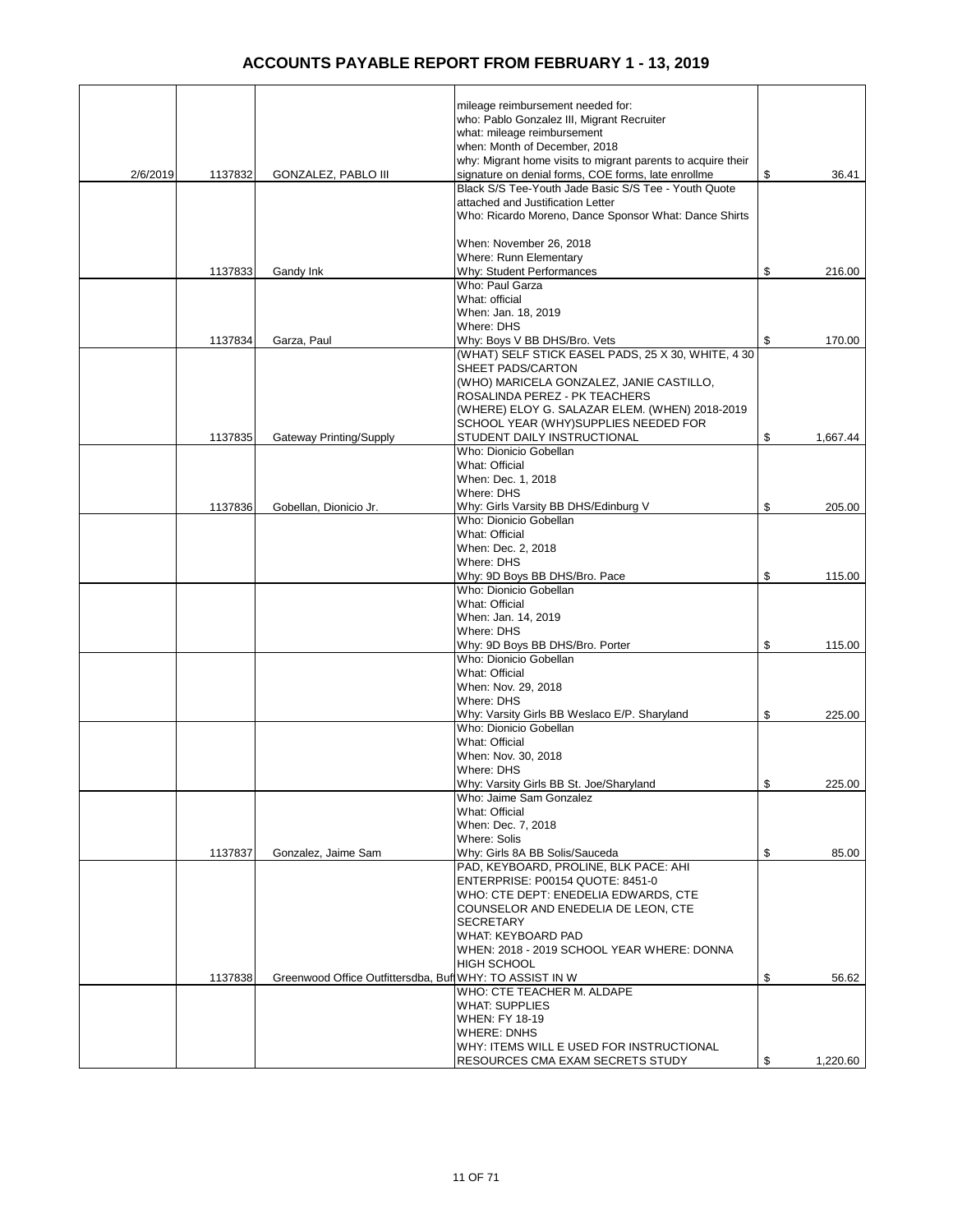|          |         |                                                          | mileage reimbursement needed for:                                           |     |          |
|----------|---------|----------------------------------------------------------|-----------------------------------------------------------------------------|-----|----------|
|          |         |                                                          | who: Pablo Gonzalez III, Migrant Recruiter                                  |     |          |
|          |         |                                                          | what: mileage reimbursement                                                 |     |          |
|          |         |                                                          | when: Month of December, 2018                                               |     |          |
|          |         |                                                          | why: Migrant home visits to migrant parents to acquire their                |     |          |
| 2/6/2019 | 1137832 | GONZALEZ, PABLO III                                      | signature on denial forms, COE forms, late enrollme                         | \$  | 36.41    |
|          |         |                                                          | Black S/S Tee-Youth Jade Basic S/S Tee - Youth Quote                        |     |          |
|          |         |                                                          | attached and Justification Letter                                           |     |          |
|          |         |                                                          | Who: Ricardo Moreno, Dance Sponsor What: Dance Shirts                       |     |          |
|          |         |                                                          |                                                                             |     |          |
|          |         |                                                          | When: November 26, 2018                                                     |     |          |
|          |         |                                                          | Where: Runn Elementary                                                      |     |          |
|          | 1137833 | Gandy Ink                                                | Why: Student Performances                                                   | \$  | 216.00   |
|          |         |                                                          | Who: Paul Garza                                                             |     |          |
|          |         |                                                          | What: official<br>When: Jan. 18, 2019                                       |     |          |
|          |         |                                                          | Where: DHS                                                                  |     |          |
|          | 1137834 | Garza, Paul                                              | Why: Boys V BB DHS/Bro. Vets                                                | \$  | 170.00   |
|          |         |                                                          | (WHAT) SELF STICK EASEL PADS, 25 X 30, WHITE, 4 30                          |     |          |
|          |         |                                                          | SHEET PADS/CARTON                                                           |     |          |
|          |         |                                                          | (WHO) MARICELA GONZALEZ, JANIE CASTILLO,                                    |     |          |
|          |         |                                                          | ROSALINDA PEREZ - PK TEACHERS                                               |     |          |
|          |         |                                                          | (WHERE) ELOY G. SALAZAR ELEM. (WHEN) 2018-2019                              |     |          |
|          |         |                                                          | SCHOOL YEAR (WHY)SUPPLIES NEEDED FOR                                        |     |          |
|          | 1137835 | <b>Gateway Printing/Supply</b>                           | STUDENT DAILY INSTRUCTIONAL                                                 | \$  | 1,667.44 |
|          |         |                                                          | Who: Dionicio Gobellan                                                      |     |          |
|          |         |                                                          | What: Official                                                              |     |          |
|          |         |                                                          | When: Dec. 1, 2018                                                          |     |          |
|          |         |                                                          | Where: DHS                                                                  |     |          |
|          | 1137836 | Gobellan, Dionicio Jr.                                   | Why: Girls Varsity BB DHS/Edinburg V                                        | \$  | 205.00   |
|          |         |                                                          | Who: Dionicio Gobellan                                                      |     |          |
|          |         |                                                          | What: Official                                                              |     |          |
|          |         |                                                          | When: Dec. 2, 2018                                                          |     |          |
|          |         |                                                          | Where: DHS                                                                  |     |          |
|          |         |                                                          | Why: 9D Boys BB DHS/Bro. Pace                                               | \$  | 115.00   |
|          |         |                                                          | Who: Dionicio Gobellan                                                      |     |          |
|          |         |                                                          | What: Official                                                              |     |          |
|          |         |                                                          | When: Jan. 14, 2019<br>Where: DHS                                           |     |          |
|          |         |                                                          | Why: 9D Boys BB DHS/Bro. Porter                                             | \$  | 115.00   |
|          |         |                                                          | Who: Dionicio Gobellan                                                      |     |          |
|          |         |                                                          | What: Official                                                              |     |          |
|          |         |                                                          | When: Nov. 29, 2018                                                         |     |          |
|          |         |                                                          | Where: DHS                                                                  |     |          |
|          |         |                                                          | Why: Varsity Girls BB Weslaco E/P. Sharyland                                | \$  | 225.00   |
|          |         |                                                          | Who: Dionicio Gobellan                                                      |     |          |
|          |         |                                                          | What: Official                                                              |     |          |
|          |         |                                                          | When: Nov. 30, 2018                                                         |     |          |
|          |         |                                                          | Where: DHS                                                                  |     |          |
|          |         |                                                          | Why: Varsity Girls BB St. Joe/Sharyland                                     | \$. | 225.00   |
|          |         |                                                          | Who: Jaime Sam Gonzalez                                                     |     |          |
|          |         |                                                          | What: Official                                                              |     |          |
|          |         |                                                          | When: Dec. 7, 2018                                                          |     |          |
|          |         |                                                          | Where: Solis                                                                |     |          |
|          | 1137837 | Gonzalez, Jaime Sam                                      | Why: Girls 8A BB Solis/Sauceda                                              | \$  | 85.00    |
|          |         |                                                          | PAD, KEYBOARD, PROLINE, BLK PACE: AHI                                       |     |          |
|          |         |                                                          | ENTERPRISE: P00154 QUOTE: 8451-0                                            |     |          |
|          |         |                                                          | WHO: CTE DEPT: ENEDELIA EDWARDS, CTE<br>COUNSELOR AND ENEDELIA DE LEON, CTE |     |          |
|          |         |                                                          | <b>SECRETARY</b>                                                            |     |          |
|          |         |                                                          | WHAT: KEYBOARD PAD                                                          |     |          |
|          |         |                                                          | WHEN: 2018 - 2019 SCHOOL YEAR WHERE: DONNA                                  |     |          |
|          |         |                                                          | <b>HIGH SCHOOL</b>                                                          |     |          |
|          | 1137838 | Greenwood Office Outfittersdba, Buft WHY: TO ASSIST IN W |                                                                             | \$  | 56.62    |
|          |         |                                                          | WHO: CTE TEACHER M. ALDAPE                                                  |     |          |
|          |         |                                                          | <b>WHAT: SUPPLIES</b>                                                       |     |          |
|          |         |                                                          | WHEN: FY 18-19                                                              |     |          |
|          |         |                                                          | <b>WHERE: DNHS</b>                                                          |     |          |
|          |         |                                                          | WHY: ITEMS WILL E USED FOR INSTRUCTIONAL                                    |     |          |
|          |         |                                                          | RESOURCES CMA EXAM SECRETS STUDY                                            | \$  | 1,220.60 |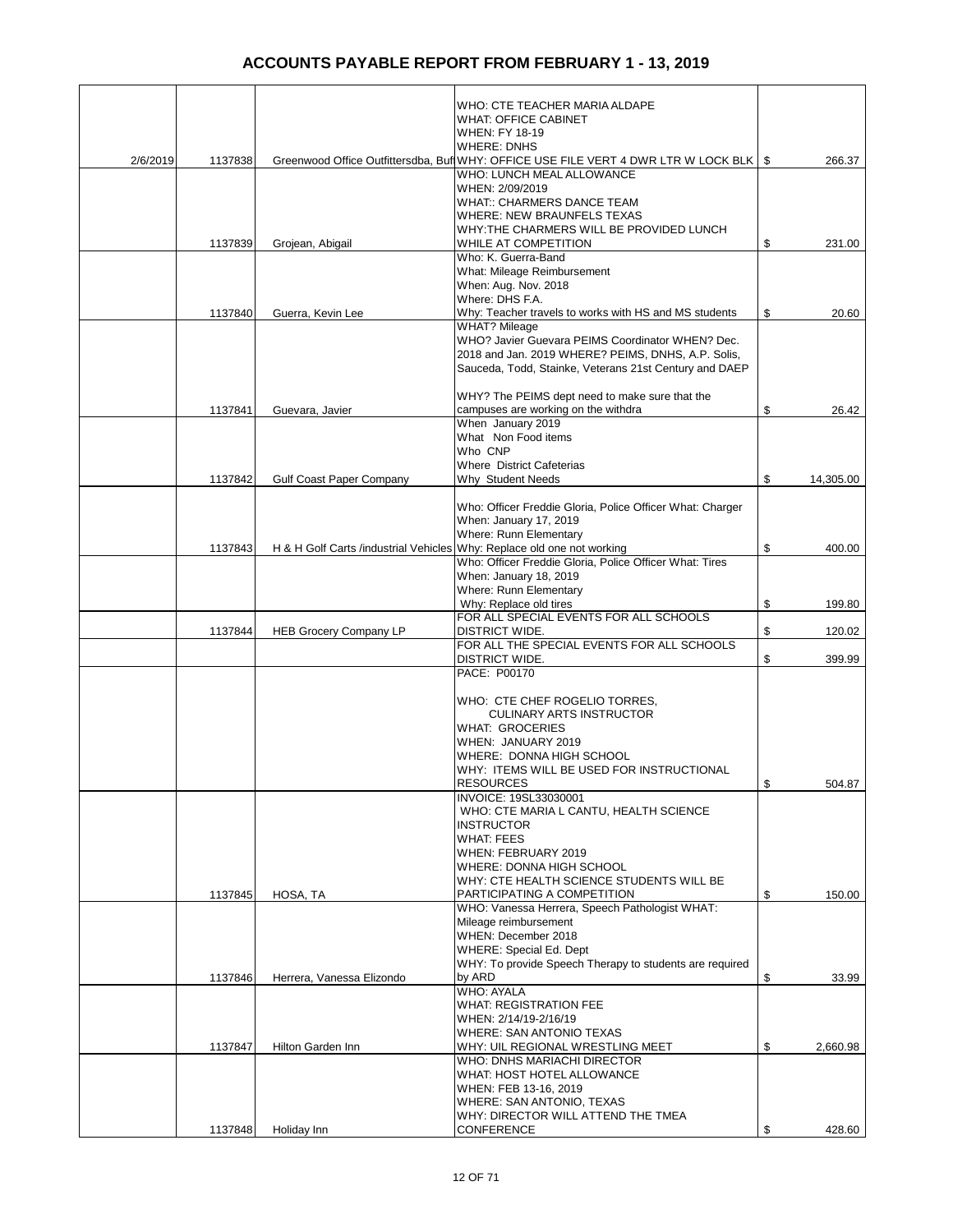|          |         |                                                                        | WHO: CTE TEACHER MARIA ALDAPE<br><b>WHAT: OFFICE CABINET</b>                            |                 |
|----------|---------|------------------------------------------------------------------------|-----------------------------------------------------------------------------------------|-----------------|
|          |         |                                                                        | <b>WHEN: FY 18-19</b>                                                                   |                 |
|          |         |                                                                        | <b>WHERE: DNHS</b>                                                                      |                 |
| 2/6/2019 | 1137838 |                                                                        | Greenwood Office Outfittersdba, Buf WHY: OFFICE USE FILE VERT 4 DWR LTR W LOCK BLK   \$ | 266.37          |
|          |         |                                                                        | WHO: LUNCH MEAL ALLOWANCE                                                               |                 |
|          |         |                                                                        | WHEN: 2/09/2019                                                                         |                 |
|          |         |                                                                        | <b>WHAT:: CHARMERS DANCE TEAM</b>                                                       |                 |
|          |         |                                                                        | <b>WHERE: NEW BRAUNFELS TEXAS</b>                                                       |                 |
|          |         |                                                                        | WHY:THE CHARMERS WILL BE PROVIDED LUNCH                                                 |                 |
|          | 1137839 | Grojean, Abigail                                                       | WHILE AT COMPETITION<br>Who: K. Guerra-Band                                             | \$<br>231.00    |
|          |         |                                                                        | What: Mileage Reimbursement                                                             |                 |
|          |         |                                                                        | When: Aug. Nov. 2018                                                                    |                 |
|          |         |                                                                        | Where: DHS F.A.                                                                         |                 |
|          | 1137840 | Guerra, Kevin Lee                                                      | Why: Teacher travels to works with HS and MS students                                   | \$<br>20.60     |
|          |         |                                                                        | <b>WHAT? Mileage</b>                                                                    |                 |
|          |         |                                                                        | WHO? Javier Guevara PEIMS Coordinator WHEN? Dec.                                        |                 |
|          |         |                                                                        | 2018 and Jan. 2019 WHERE? PEIMS, DNHS, A.P. Solis,                                      |                 |
|          |         |                                                                        | Sauceda, Todd, Stainke, Veterans 21st Century and DAEP                                  |                 |
|          |         |                                                                        |                                                                                         |                 |
|          |         |                                                                        | WHY? The PEIMS dept need to make sure that the                                          |                 |
|          | 1137841 | Guevara, Javier                                                        | campuses are working on the withdra<br>When January 2019                                | \$<br>26.42     |
|          |         |                                                                        | What Non Food items                                                                     |                 |
|          |         |                                                                        | Who CNP                                                                                 |                 |
|          |         |                                                                        | <b>Where District Cafeterias</b>                                                        |                 |
|          | 1137842 | <b>Gulf Coast Paper Company</b>                                        | Why Student Needs                                                                       | \$<br>14,305.00 |
|          |         |                                                                        |                                                                                         |                 |
|          |         |                                                                        | Who: Officer Freddie Gloria, Police Officer What: Charger                               |                 |
|          |         |                                                                        | When: January 17, 2019                                                                  |                 |
|          |         |                                                                        | Where: Runn Elementary                                                                  |                 |
|          | 1137843 | H & H Golf Carts /industrial Vehicles Why: Replace old one not working |                                                                                         | \$<br>400.00    |
|          |         |                                                                        | Who: Officer Freddie Gloria, Police Officer What: Tires                                 |                 |
|          |         |                                                                        | When: January 18, 2019<br>Where: Runn Elementary                                        |                 |
|          |         |                                                                        | Why: Replace old tires                                                                  | \$<br>199.80    |
|          |         |                                                                        | FOR ALL SPECIAL EVENTS FOR ALL SCHOOLS                                                  |                 |
|          | 1137844 | <b>HEB Grocery Company LP</b>                                          | <b>DISTRICT WIDE.</b>                                                                   | \$<br>120.02    |
|          |         |                                                                        | FOR ALL THE SPECIAL EVENTS FOR ALL SCHOOLS                                              |                 |
|          |         |                                                                        | <b>DISTRICT WIDE.</b>                                                                   | \$<br>399.99    |
|          |         |                                                                        | PACE: P00170                                                                            |                 |
|          |         |                                                                        | WHO: CTE CHEF ROGELIO TORRES,                                                           |                 |
|          |         |                                                                        | <b>CULINARY ARTS INSTRUCTOR</b>                                                         |                 |
|          |         |                                                                        | <b>WHAT: GROCERIES</b>                                                                  |                 |
|          |         |                                                                        | WHEN: JANUARY 2019                                                                      |                 |
|          |         |                                                                        | WHERE: DONNA HIGH SCHOOL                                                                |                 |
|          |         |                                                                        | WHY: ITEMS WILL BE USED FOR INSTRUCTIONAL                                               |                 |
|          |         |                                                                        | <b>RESOURCES</b>                                                                        | \$<br>504.87    |
|          |         |                                                                        | INVOICE: 19SL33030001                                                                   |                 |
|          |         |                                                                        | WHO: CTE MARIA L CANTU, HEALTH SCIENCE                                                  |                 |
|          |         |                                                                        | <b>INSTRUCTOR</b>                                                                       |                 |
|          |         |                                                                        | <b>WHAT: FEES</b><br>WHEN: FEBRUARY 2019                                                |                 |
|          |         |                                                                        | WHERE: DONNA HIGH SCHOOL                                                                |                 |
|          |         |                                                                        | WHY: CTE HEALTH SCIENCE STUDENTS WILL BE                                                |                 |
|          | 1137845 | HOSA, TA                                                               | PARTICIPATING A COMPETITION                                                             | \$<br>150.00    |
|          |         |                                                                        | WHO: Vanessa Herrera, Speech Pathologist WHAT:                                          |                 |
|          |         |                                                                        | Mileage reimbursement                                                                   |                 |
|          |         |                                                                        | WHEN: December 2018                                                                     |                 |
|          |         |                                                                        | WHERE: Special Ed. Dept                                                                 |                 |
|          |         |                                                                        | WHY: To provide Speech Therapy to students are required                                 |                 |
|          | 1137846 | Herrera, Vanessa Elizondo                                              | by ARD                                                                                  | \$<br>33.99     |
|          |         |                                                                        | <b>WHO: AYALA</b><br><b>WHAT: REGISTRATION FEE</b>                                      |                 |
|          |         |                                                                        | WHEN: 2/14/19-2/16/19                                                                   |                 |
|          |         |                                                                        | <b>WHERE: SAN ANTONIO TEXAS</b>                                                         |                 |
|          | 1137847 | Hilton Garden Inn                                                      | WHY: UIL REGIONAL WRESTLING MEET                                                        | \$<br>2,660.98  |
|          |         |                                                                        | WHO: DNHS MARIACHI DIRECTOR                                                             |                 |
|          |         |                                                                        | WHAT: HOST HOTEL ALLOWANCE                                                              |                 |
|          |         |                                                                        | WHEN: FEB 13-16, 2019                                                                   |                 |
|          |         |                                                                        | WHERE: SAN ANTONIO, TEXAS                                                               |                 |
|          |         |                                                                        | WHY: DIRECTOR WILL ATTEND THE TMEA                                                      |                 |
|          | 1137848 | Holiday Inn                                                            | <b>CONFERENCE</b>                                                                       | \$<br>428.60    |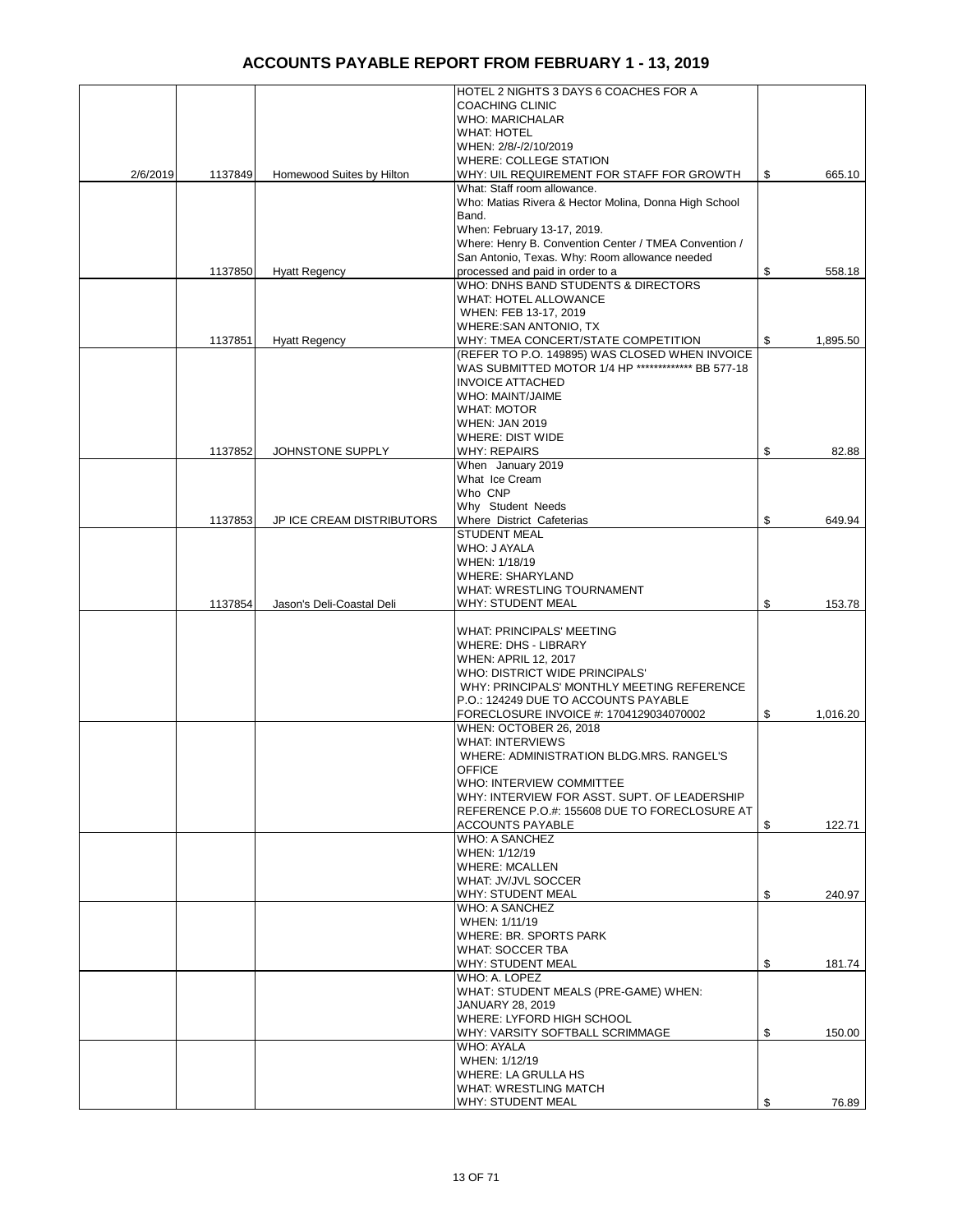|          |         |                           | HOTEL 2 NIGHTS 3 DAYS 6 COACHES FOR A                                                                   |                |
|----------|---------|---------------------------|---------------------------------------------------------------------------------------------------------|----------------|
|          |         |                           | <b>COACHING CLINIC</b><br>WHO: MARICHALAR                                                               |                |
|          |         |                           | <b>WHAT: HOTEL</b><br>WHEN: 2/8/-/2/10/2019                                                             |                |
|          |         |                           | <b>WHERE: COLLEGE STATION</b>                                                                           |                |
| 2/6/2019 | 1137849 | Homewood Suites by Hilton | WHY: UIL REQUIREMENT FOR STAFF FOR GROWTH                                                               | \$<br>665.10   |
|          |         |                           | What: Staff room allowance.<br>Who: Matias Rivera & Hector Molina, Donna High School                    |                |
|          |         |                           | Band.                                                                                                   |                |
|          |         |                           | When: February 13-17, 2019.                                                                             |                |
|          |         |                           | Where: Henry B. Convention Center / TMEA Convention /<br>San Antonio, Texas. Why: Room allowance needed |                |
|          | 1137850 | <b>Hyatt Regency</b>      | processed and paid in order to a                                                                        | \$<br>558.18   |
|          |         |                           | WHO: DNHS BAND STUDENTS & DIRECTORS                                                                     |                |
|          |         |                           | <b>WHAT: HOTEL ALLOWANCE</b><br>WHEN: FEB 13-17, 2019                                                   |                |
|          |         |                           | WHERE:SAN ANTONIO, TX                                                                                   |                |
|          | 1137851 | <b>Hyatt Regency</b>      | WHY: TMEA CONCERT/STATE COMPETITION                                                                     | \$<br>1,895.50 |
|          |         |                           | (REFER TO P.O. 149895) WAS CLOSED WHEN INVOICE                                                          |                |
|          |         |                           | WAS SUBMITTED MOTOR 1/4 HP ************* BB 577-18<br><b>INVOICE ATTACHED</b>                           |                |
|          |         |                           | WHO: MAINT/JAIME                                                                                        |                |
|          |         |                           | <b>WHAT: MOTOR</b>                                                                                      |                |
|          |         |                           | <b>WHEN: JAN 2019</b>                                                                                   |                |
|          | 1137852 | JOHNSTONE SUPPLY          | <b>WHERE: DIST WIDE</b><br><b>WHY: REPAIRS</b>                                                          | \$<br>82.88    |
|          |         |                           | When January 2019                                                                                       |                |
|          |         |                           | What Ice Cream                                                                                          |                |
|          |         |                           | Who CNP<br>Why Student Needs                                                                            |                |
|          | 1137853 | JP ICE CREAM DISTRIBUTORS | Where District Cafeterias                                                                               | \$<br>649.94   |
|          |         |                           | <b>STUDENT MEAL</b>                                                                                     |                |
|          |         |                           | WHO: J AYALA                                                                                            |                |
|          |         |                           | WHEN: 1/18/19<br><b>WHERE: SHARYLAND</b>                                                                |                |
|          |         |                           | WHAT: WRESTLING TOURNAMENT                                                                              |                |
|          | 1137854 | Jason's Deli-Coastal Deli | WHY: STUDENT MEAL                                                                                       | \$<br>153.78   |
|          |         |                           | WHAT: PRINCIPALS' MEETING                                                                               |                |
|          |         |                           | <b>WHERE: DHS - LIBRARY</b>                                                                             |                |
|          |         |                           | <b>WHEN: APRIL 12, 2017</b>                                                                             |                |
|          |         |                           | WHO: DISTRICT WIDE PRINCIPALS'                                                                          |                |
|          |         |                           | WHY: PRINCIPALS' MONTHLY MEETING REFERENCE<br>P.O.: 124249 DUE TO ACCOUNTS PAYABLE                      |                |
|          |         |                           | FORECLOSURE INVOICE #: 1704129034070002                                                                 | \$<br>1,016.20 |
|          |         |                           | WHEN: OCTOBER 26, 2018                                                                                  |                |
|          |         |                           | WHAT: INTERVIEWS<br>WHERE: ADMINISTRATION BLDG.MRS. RANGEL'S                                            |                |
|          |         |                           | <b>OFFICE</b>                                                                                           |                |
|          |         |                           | WHO: INTERVIEW COMMITTEE                                                                                |                |
|          |         |                           | WHY: INTERVIEW FOR ASST. SUPT. OF LEADERSHIP                                                            |                |
|          |         |                           | REFERENCE P.O.#: 155608 DUE TO FORECLOSURE AT<br><b>ACCOUNTS PAYABLE</b>                                | \$<br>122.71   |
|          |         |                           | <b>WHO: A SANCHEZ</b>                                                                                   |                |
|          |         |                           | WHEN: 1/12/19                                                                                           |                |
|          |         |                           | <b>WHERE: MCALLEN</b><br>WHAT: JV/JVL SOCCER                                                            |                |
|          |         |                           | WHY: STUDENT MEAL                                                                                       | \$<br>240.97   |
|          |         |                           | <b>WHO: A SANCHEZ</b>                                                                                   |                |
|          |         |                           | WHEN: 1/11/19                                                                                           |                |
|          |         |                           | WHERE: BR. SPORTS PARK<br>WHAT: SOCCER TBA                                                              |                |
|          |         |                           | WHY: STUDENT MEAL                                                                                       | \$<br>181.74   |
|          |         |                           | WHO: A. LOPEZ                                                                                           |                |
|          |         |                           | WHAT: STUDENT MEALS (PRE-GAME) WHEN:                                                                    |                |
|          |         |                           | JANUARY 28, 2019<br>WHERE: LYFORD HIGH SCHOOL                                                           |                |
|          |         |                           | WHY: VARSITY SOFTBALL SCRIMMAGE                                                                         | \$<br>150.00   |
|          |         |                           | WHO: AYALA                                                                                              |                |
|          |         |                           | WHEN: 1/12/19<br>WHERE: LA GRULLA HS                                                                    |                |
|          |         |                           | WHAT: WRESTLING MATCH                                                                                   |                |
|          |         |                           | WHY: STUDENT MEAL                                                                                       | \$<br>76.89    |
|          |         |                           |                                                                                                         |                |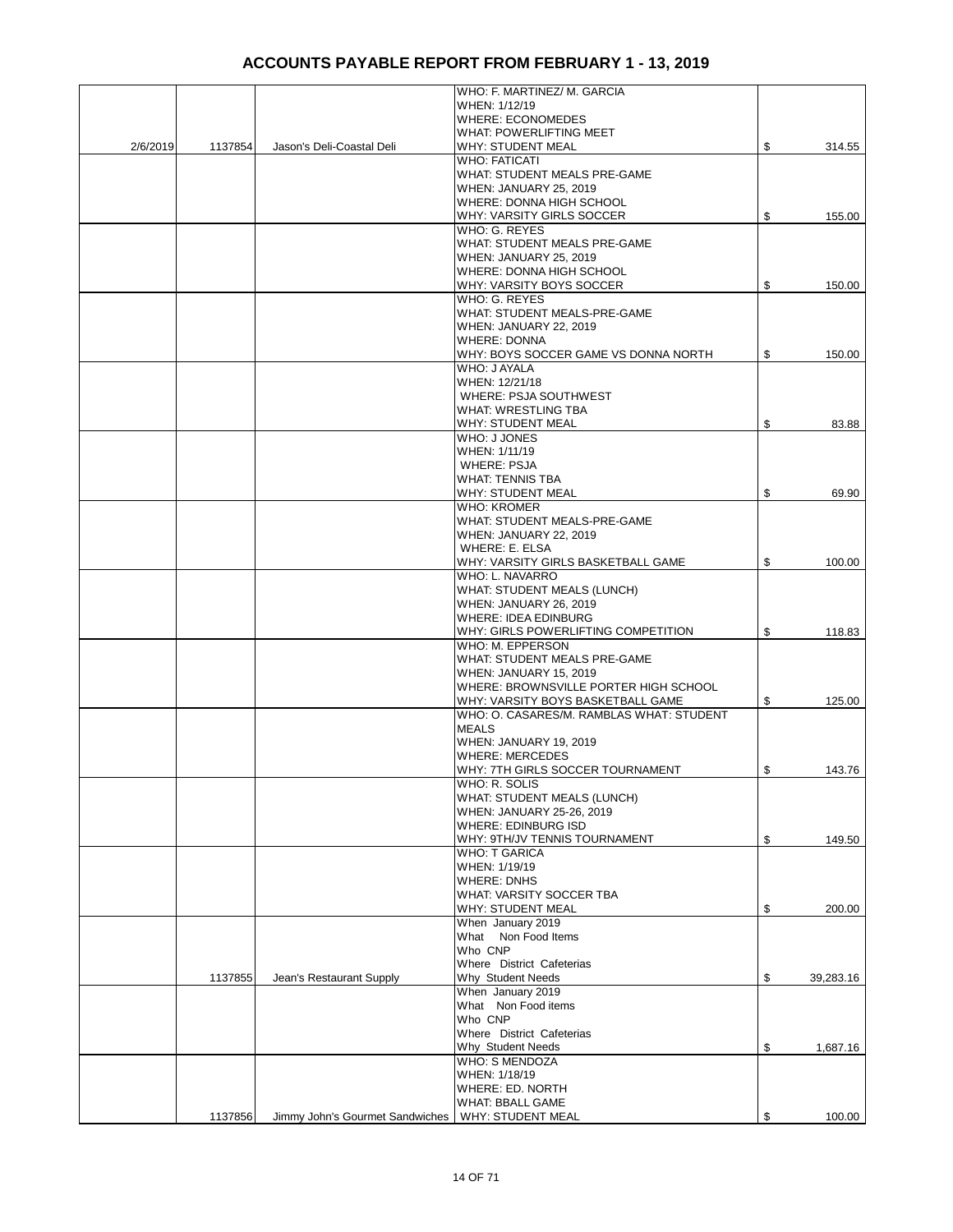|          |         |                                 | WHO: F. MARTINEZ/ M. GARCIA                                     |                 |
|----------|---------|---------------------------------|-----------------------------------------------------------------|-----------------|
|          |         |                                 | WHEN: 1/12/19                                                   |                 |
|          |         |                                 | <b>WHERE: ECONOMEDES</b>                                        |                 |
|          |         |                                 | WHAT: POWERLIFTING MEET                                         |                 |
| 2/6/2019 | 1137854 | Jason's Deli-Coastal Deli       | <b>WHY: STUDENT MEAL</b>                                        | \$<br>314.55    |
|          |         |                                 | <b>WHO: FATICATI</b>                                            |                 |
|          |         |                                 | WHAT: STUDENT MEALS PRE-GAME                                    |                 |
|          |         |                                 | WHEN: JANUARY 25, 2019                                          |                 |
|          |         |                                 | WHERE: DONNA HIGH SCHOOL<br>WHY: VARSITY GIRLS SOCCER           |                 |
|          |         |                                 | WHO: G. REYES                                                   | \$<br>155.00    |
|          |         |                                 | WHAT: STUDENT MEALS PRE-GAME                                    |                 |
|          |         |                                 | <b>WHEN: JANUARY 25, 2019</b>                                   |                 |
|          |         |                                 | WHERE: DONNA HIGH SCHOOL                                        |                 |
|          |         |                                 | WHY: VARSITY BOYS SOCCER                                        | \$<br>150.00    |
|          |         |                                 | WHO: G. REYES                                                   |                 |
|          |         |                                 | WHAT: STUDENT MEALS-PRE-GAME                                    |                 |
|          |         |                                 | WHEN: JANUARY 22, 2019                                          |                 |
|          |         |                                 | <b>WHERE: DONNA</b>                                             |                 |
|          |         |                                 | WHY: BOYS SOCCER GAME VS DONNA NORTH                            | \$<br>150.00    |
|          |         |                                 | WHO: J AYALA                                                    |                 |
|          |         |                                 | WHEN: 12/21/18                                                  |                 |
|          |         |                                 | WHERE: PSJA SOUTHWEST                                           |                 |
|          |         |                                 | <b>WHAT: WRESTLING TBA</b>                                      |                 |
|          |         |                                 | <b>WHY: STUDENT MEAL</b>                                        | \$<br>83.88     |
|          |         |                                 | WHO: J JONES                                                    |                 |
|          |         |                                 | WHEN: 1/11/19                                                   |                 |
|          |         |                                 | <b>WHERE: PSJA</b>                                              |                 |
|          |         |                                 | <b>WHAT: TENNIS TBA</b>                                         |                 |
|          |         |                                 | <b>WHY: STUDENT MEAL</b>                                        | \$<br>69.90     |
|          |         |                                 | <b>WHO: KROMER</b>                                              |                 |
|          |         |                                 | WHAT: STUDENT MEALS-PRE-GAME                                    |                 |
|          |         |                                 | <b>WHEN: JANUARY 22, 2019</b>                                   |                 |
|          |         |                                 | WHERE: E. ELSA                                                  |                 |
|          |         |                                 | WHY: VARSITY GIRLS BASKETBALL GAME                              | \$<br>100.00    |
|          |         |                                 | WHO: L. NAVARRO                                                 |                 |
|          |         |                                 | WHAT: STUDENT MEALS (LUNCH)                                     |                 |
|          |         |                                 | WHEN: JANUARY 26, 2019                                          |                 |
|          |         |                                 | WHERE: IDEA EDINBURG                                            |                 |
|          |         |                                 | WHY: GIRLS POWERLIFTING COMPETITION                             | \$<br>118.83    |
|          |         |                                 | WHO: M. EPPERSON                                                |                 |
|          |         |                                 | WHAT: STUDENT MEALS PRE-GAME                                    |                 |
|          |         |                                 | WHEN: JANUARY 15, 2019<br>WHERE: BROWNSVILLE PORTER HIGH SCHOOL |                 |
|          |         |                                 | WHY: VARSITY BOYS BASKETBALL GAME                               | \$<br>125.00    |
|          |         |                                 | WHO: O. CASARES/M. RAMBLAS WHAT: STUDENT                        |                 |
|          |         |                                 | <b>MEALS</b>                                                    |                 |
|          |         |                                 | WHEN: JANUARY 19, 2019                                          |                 |
|          |         |                                 | <b>WHERE: MERCEDES</b>                                          |                 |
|          |         |                                 | WHY: 7TH GIRLS SOCCER TOURNAMENT                                | \$<br>143.76    |
|          |         |                                 | WHO: R. SOLIS                                                   |                 |
|          |         |                                 | <b>WHAT: STUDENT MEALS (LUNCH)</b>                              |                 |
|          |         |                                 | WHEN: JANUARY 25-26, 2019                                       |                 |
|          |         |                                 | <b>WHERE: EDINBURG ISD</b>                                      |                 |
|          |         |                                 | WHY: 9TH/JV TENNIS TOURNAMENT                                   | \$<br>149.50    |
|          |         |                                 | <b>WHO: T GARICA</b>                                            |                 |
|          |         |                                 | WHEN: 1/19/19                                                   |                 |
|          |         |                                 | <b>WHERE: DNHS</b>                                              |                 |
|          |         |                                 | WHAT: VARSITY SOCCER TBA                                        |                 |
|          |         |                                 | WHY: STUDENT MEAL                                               | \$<br>200.00    |
|          |         |                                 | When January 2019                                               |                 |
|          |         |                                 | What Non Food Items                                             |                 |
|          |         |                                 | Who CNP                                                         |                 |
|          |         |                                 | Where District Cafeterias                                       |                 |
|          | 1137855 | Jean's Restaurant Supply        | Why Student Needs                                               | \$<br>39,283.16 |
|          |         |                                 | When January 2019                                               |                 |
|          |         |                                 | What Non Food items                                             |                 |
|          |         |                                 | Who CNP                                                         |                 |
|          |         |                                 | Where District Cafeterias                                       |                 |
|          |         |                                 | Why Student Needs                                               | \$<br>1,687.16  |
|          |         |                                 | WHO: S MENDOZA                                                  |                 |
|          |         |                                 | WHEN: 1/18/19                                                   |                 |
|          |         |                                 | WHERE: ED. NORTH                                                |                 |
|          |         |                                 | <b>WHAT: BBALL GAME</b>                                         |                 |
|          | 1137856 | Jimmy John's Gourmet Sandwiches | WHY: STUDENT MEAL                                               | \$<br>100.00    |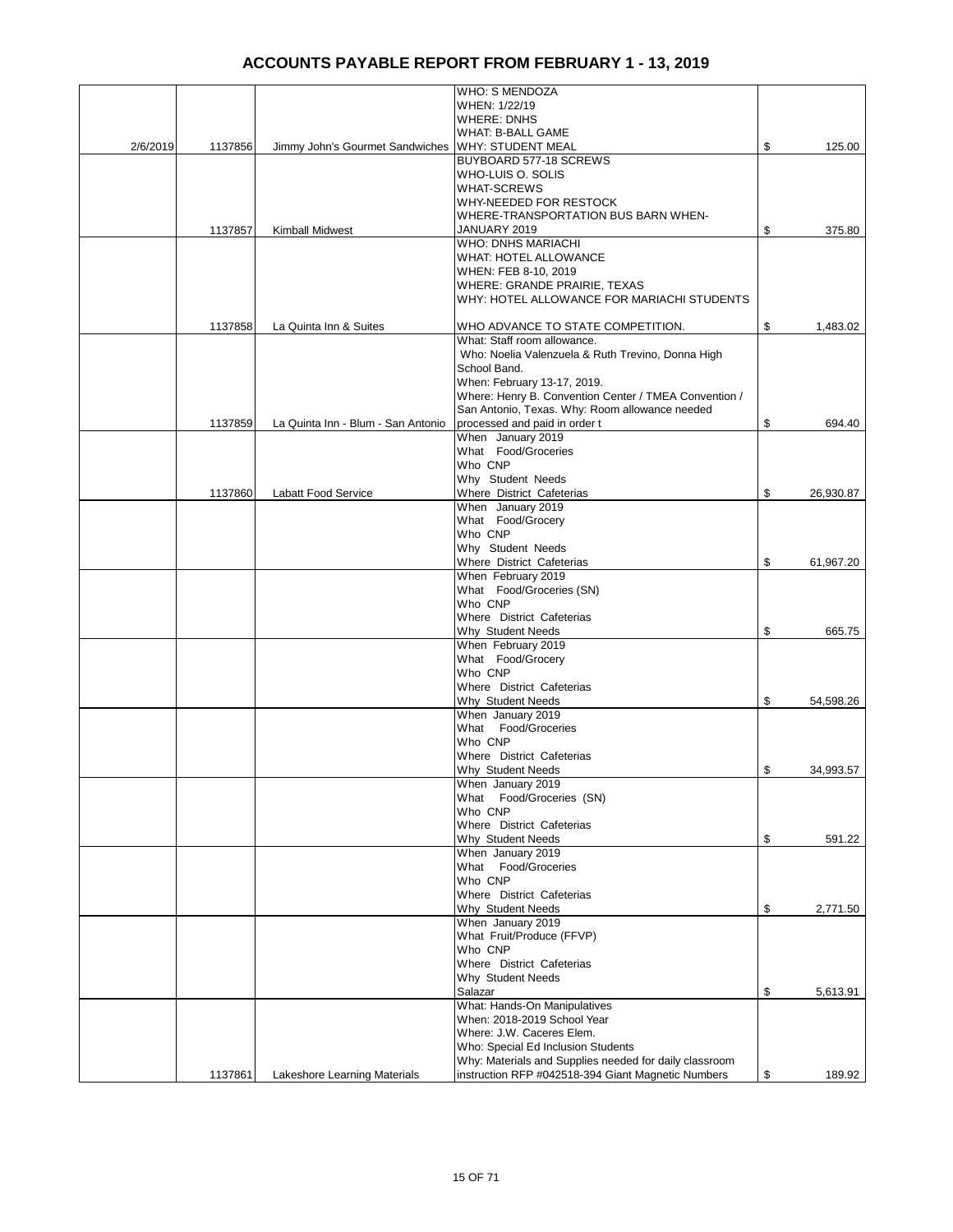|          |         |                                    | WHO: S MENDOZA                                                    |                 |
|----------|---------|------------------------------------|-------------------------------------------------------------------|-----------------|
|          |         |                                    | WHEN: 1/22/19                                                     |                 |
|          |         |                                    | <b>WHERE: DNHS</b>                                                |                 |
|          |         |                                    | WHAT: B-BALL GAME                                                 |                 |
| 2/6/2019 | 1137856 | Jimmy John's Gourmet Sandwiches    | <b>WHY: STUDENT MEAL</b>                                          | \$<br>125.00    |
|          |         |                                    | BUYBOARD 577-18 SCREWS                                            |                 |
|          |         |                                    | WHO-LUIS O. SOLIS                                                 |                 |
|          |         |                                    | <b>WHAT-SCREWS</b>                                                |                 |
|          |         |                                    | WHY-NEEDED FOR RESTOCK                                            |                 |
|          |         |                                    | WHERE-TRANSPORTATION BUS BARN WHEN-                               |                 |
|          | 1137857 | <b>Kimball Midwest</b>             | JANUARY 2019                                                      | \$<br>375.80    |
|          |         |                                    | <b>WHO: DNHS MARIACHI</b>                                         |                 |
|          |         |                                    | WHAT: HOTEL ALLOWANCE                                             |                 |
|          |         |                                    | WHEN: FEB 8-10, 2019                                              |                 |
|          |         |                                    | WHERE: GRANDE PRAIRIE, TEXAS                                      |                 |
|          |         |                                    | WHY: HOTEL ALLOWANCE FOR MARIACHI STUDENTS                        |                 |
|          |         |                                    |                                                                   |                 |
|          | 1137858 | La Quinta Inn & Suites             | WHO ADVANCE TO STATE COMPETITION.                                 | \$<br>1,483.02  |
|          |         |                                    | What: Staff room allowance.                                       |                 |
|          |         |                                    |                                                                   |                 |
|          |         |                                    | Who: Noelia Valenzuela & Ruth Trevino, Donna High<br>School Band. |                 |
|          |         |                                    |                                                                   |                 |
|          |         |                                    | When: February 13-17, 2019.                                       |                 |
|          |         |                                    | Where: Henry B. Convention Center / TMEA Convention /             |                 |
|          |         |                                    | San Antonio, Texas. Why: Room allowance needed                    |                 |
|          | 1137859 | La Quinta Inn - Blum - San Antonio | processed and paid in order t                                     | \$<br>694.40    |
|          |         |                                    | When January 2019                                                 |                 |
|          |         |                                    | What Food/Groceries                                               |                 |
|          |         |                                    | Who CNP                                                           |                 |
|          |         |                                    | Why Student Needs                                                 |                 |
|          | 1137860 | Labatt Food Service                | Where District Cafeterias                                         | \$<br>26,930.87 |
|          |         |                                    | When January 2019                                                 |                 |
|          |         |                                    | What Food/Grocery                                                 |                 |
|          |         |                                    | Who CNP                                                           |                 |
|          |         |                                    | Why Student Needs                                                 |                 |
|          |         |                                    | Where District Cafeterias                                         | \$<br>61,967.20 |
|          |         |                                    | When February 2019                                                |                 |
|          |         |                                    | What Food/Groceries (SN)                                          |                 |
|          |         |                                    | Who CNP                                                           |                 |
|          |         |                                    | Where District Cafeterias                                         |                 |
|          |         |                                    | Why Student Needs                                                 | \$<br>665.75    |
|          |         |                                    | When February 2019                                                |                 |
|          |         |                                    | What Food/Grocery                                                 |                 |
|          |         |                                    | Who CNP                                                           |                 |
|          |         |                                    | Where District Cafeterias                                         |                 |
|          |         |                                    | Why Student Needs                                                 | \$<br>54,598.26 |
|          |         |                                    | When January 2019                                                 |                 |
|          |         |                                    | What Food/Groceries                                               |                 |
|          |         |                                    | Who CNP                                                           |                 |
|          |         |                                    | Where District Cafeterias                                         |                 |
|          |         |                                    | Why Student Needs                                                 | \$<br>34,993.57 |
|          |         |                                    | When January 2019                                                 |                 |
|          |         |                                    | What Food/Groceries (SN)                                          |                 |
|          |         |                                    | Who CNP                                                           |                 |
|          |         |                                    | Where District Cafeterias                                         |                 |
|          |         |                                    | Why Student Needs                                                 | \$<br>591.22    |
|          |         |                                    | When January 2019                                                 |                 |
|          |         |                                    | What Food/Groceries                                               |                 |
|          |         |                                    | Who CNP                                                           |                 |
|          |         |                                    | Where District Cafeterias                                         |                 |
|          |         |                                    | Why Student Needs                                                 | \$<br>2,771.50  |
|          |         |                                    | When January 2019                                                 |                 |
|          |         |                                    | What Fruit/Produce (FFVP)                                         |                 |
|          |         |                                    | Who CNP                                                           |                 |
|          |         |                                    | Where District Cafeterias                                         |                 |
|          |         |                                    | Why Student Needs                                                 |                 |
|          |         |                                    | Salazar                                                           | \$<br>5,613.91  |
|          |         |                                    | What: Hands-On Manipulatives                                      |                 |
|          |         |                                    | When: 2018-2019 School Year                                       |                 |
|          |         |                                    | Where: J.W. Caceres Elem.                                         |                 |
|          |         |                                    | Who: Special Ed Inclusion Students                                |                 |
|          |         |                                    | Why: Materials and Supplies needed for daily classroom            |                 |
|          | 1137861 | Lakeshore Learning Materials       | instruction RFP #042518-394 Giant Magnetic Numbers                | \$<br>189.92    |
|          |         |                                    |                                                                   |                 |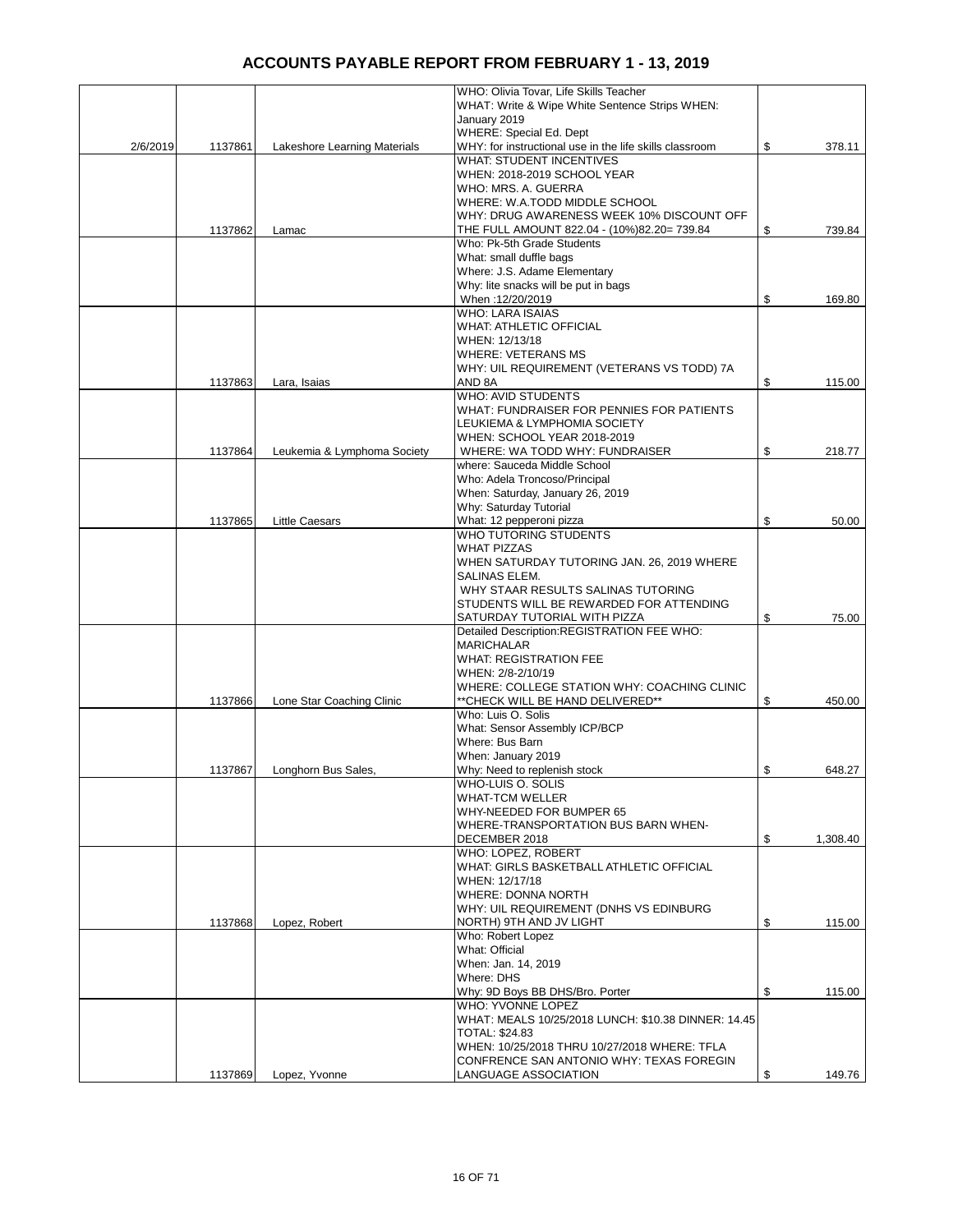|          |         |                              | WHO: Olivia Tovar, Life Skills Teacher                  |                |
|----------|---------|------------------------------|---------------------------------------------------------|----------------|
|          |         |                              | WHAT: Write & Wipe White Sentence Strips WHEN:          |                |
|          |         |                              | January 2019                                            |                |
|          |         |                              | WHERE: Special Ed. Dept                                 |                |
| 2/6/2019 | 1137861 | Lakeshore Learning Materials | WHY: for instructional use in the life skills classroom | \$<br>378.11   |
|          |         |                              | <b>WHAT: STUDENT INCENTIVES</b>                         |                |
|          |         |                              | WHEN: 2018-2019 SCHOOL YEAR                             |                |
|          |         |                              |                                                         |                |
|          |         |                              | WHO: MRS. A. GUERRA                                     |                |
|          |         |                              | WHERE: W.A.TODD MIDDLE SCHOOL                           |                |
|          |         |                              | WHY: DRUG AWARENESS WEEK 10% DISCOUNT OFF               |                |
|          | 1137862 | Lamac                        | THE FULL AMOUNT 822.04 - (10%)82.20= 739.84             | \$<br>739.84   |
|          |         |                              | Who: Pk-5th Grade Students                              |                |
|          |         |                              | What: small duffle bags                                 |                |
|          |         |                              | Where: J.S. Adame Elementary                            |                |
|          |         |                              | Why: lite snacks will be put in bags                    |                |
|          |         |                              | When: 12/20/2019                                        | \$<br>169.80   |
|          |         |                              | <b>WHO: LARA ISAIAS</b>                                 |                |
|          |         |                              | <b>WHAT: ATHLETIC OFFICIAL</b>                          |                |
|          |         |                              | WHEN: 12/13/18                                          |                |
|          |         |                              |                                                         |                |
|          |         |                              | <b>WHERE: VETERANS MS</b>                               |                |
|          |         |                              | WHY: UIL REQUIREMENT (VETERANS VS TODD) 7A              |                |
|          | 1137863 | Lara, Isaias                 | AND 8A                                                  | \$<br>115.00   |
|          |         |                              | <b>WHO: AVID STUDENTS</b>                               |                |
|          |         |                              | WHAT: FUNDRAISER FOR PENNIES FOR PATIENTS               |                |
|          |         |                              | LEUKIEMA & LYMPHOMIA SOCIETY                            |                |
|          |         |                              | WHEN: SCHOOL YEAR 2018-2019                             |                |
|          | 1137864 | Leukemia & Lymphoma Society  | WHERE: WA TODD WHY: FUNDRAISER                          | \$<br>218.77   |
|          |         |                              | where: Sauceda Middle School                            |                |
|          |         |                              | Who: Adela Troncoso/Principal                           |                |
|          |         |                              | When: Saturday, January 26, 2019                        |                |
|          |         |                              | Why: Saturday Tutorial                                  |                |
|          |         |                              |                                                         |                |
|          | 1137865 | <b>Little Caesars</b>        | What: 12 pepperoni pizza                                | \$<br>50.00    |
|          |         |                              | WHO TUTORING STUDENTS                                   |                |
|          |         |                              | <b>WHAT PIZZAS</b>                                      |                |
|          |         |                              | WHEN SATURDAY TUTORING JAN. 26, 2019 WHERE              |                |
|          |         |                              | SALINAS ELEM.                                           |                |
|          |         |                              | WHY STAAR RESULTS SALINAS TUTORING                      |                |
|          |         |                              | STUDENTS WILL BE REWARDED FOR ATTENDING                 |                |
|          |         |                              | SATURDAY TUTORIAL WITH PIZZA                            | \$<br>75.00    |
|          |         |                              | Detailed Description:REGISTRATION FEE WHO:              |                |
|          |         |                              | <b>MARICHALAR</b>                                       |                |
|          |         |                              | <b>WHAT: REGISTRATION FEE</b>                           |                |
|          |         |                              | WHEN: 2/8-2/10/19                                       |                |
|          |         |                              |                                                         |                |
|          |         |                              | WHERE: COLLEGE STATION WHY: COACHING CLINIC             |                |
|          | 1137866 | Lone Star Coaching Clinic    | ** CHECK WILL BE HAND DELIVERED**                       | \$<br>450.00   |
|          |         |                              | Who: Luis O. Solis                                      |                |
|          |         |                              | What: Sensor Assembly ICP/BCP                           |                |
|          |         |                              | Where: Bus Barn                                         |                |
|          |         |                              | When: January 2019                                      |                |
|          | 1137867 | Longhorn Bus Sales,          | Why: Need to replenish stock                            | \$<br>648.27   |
|          |         |                              | WHO-LUIS O. SOLIS                                       |                |
|          |         |                              | <b>WHAT-TCM WELLER</b>                                  |                |
|          |         |                              | WHY-NEEDED FOR BUMPER 65                                |                |
|          |         |                              | WHERE-TRANSPORTATION BUS BARN WHEN-                     |                |
|          |         |                              | DECEMBER 2018                                           | \$<br>1,308.40 |
|          |         |                              | WHO: LOPEZ, ROBERT                                      |                |
|          |         |                              | WHAT: GIRLS BASKETBALL ATHLETIC OFFICIAL                |                |
|          |         |                              |                                                         |                |
|          |         |                              | WHEN: 12/17/18                                          |                |
|          |         |                              | <b>WHERE: DONNA NORTH</b>                               |                |
|          |         |                              | WHY: UIL REQUIREMENT (DNHS VS EDINBURG                  |                |
|          | 1137868 | Lopez, Robert                | NORTH) 9TH AND JV LIGHT                                 | \$<br>115.00   |
|          |         |                              | Who: Robert Lopez                                       |                |
|          |         |                              | What: Official                                          |                |
|          |         |                              | When: Jan. 14, 2019                                     |                |
|          |         |                              | Where: DHS                                              |                |
|          |         |                              | Why: 9D Boys BB DHS/Bro. Porter                         | \$<br>115.00   |
|          |         |                              | WHO: YVONNE LOPEZ                                       |                |
|          |         |                              | WHAT: MEALS 10/25/2018 LUNCH: \$10.38 DINNER: 14.45     |                |
|          |         |                              | <b>TOTAL: \$24.83</b>                                   |                |
|          |         |                              |                                                         |                |
|          |         |                              | WHEN: 10/25/2018 THRU 10/27/2018 WHERE: TFLA            |                |
|          |         |                              | CONFRENCE SAN ANTONIO WHY: TEXAS FOREGIN                |                |
|          | 1137869 | Lopez, Yvonne                | LANGUAGE ASSOCIATION                                    | \$<br>149.76   |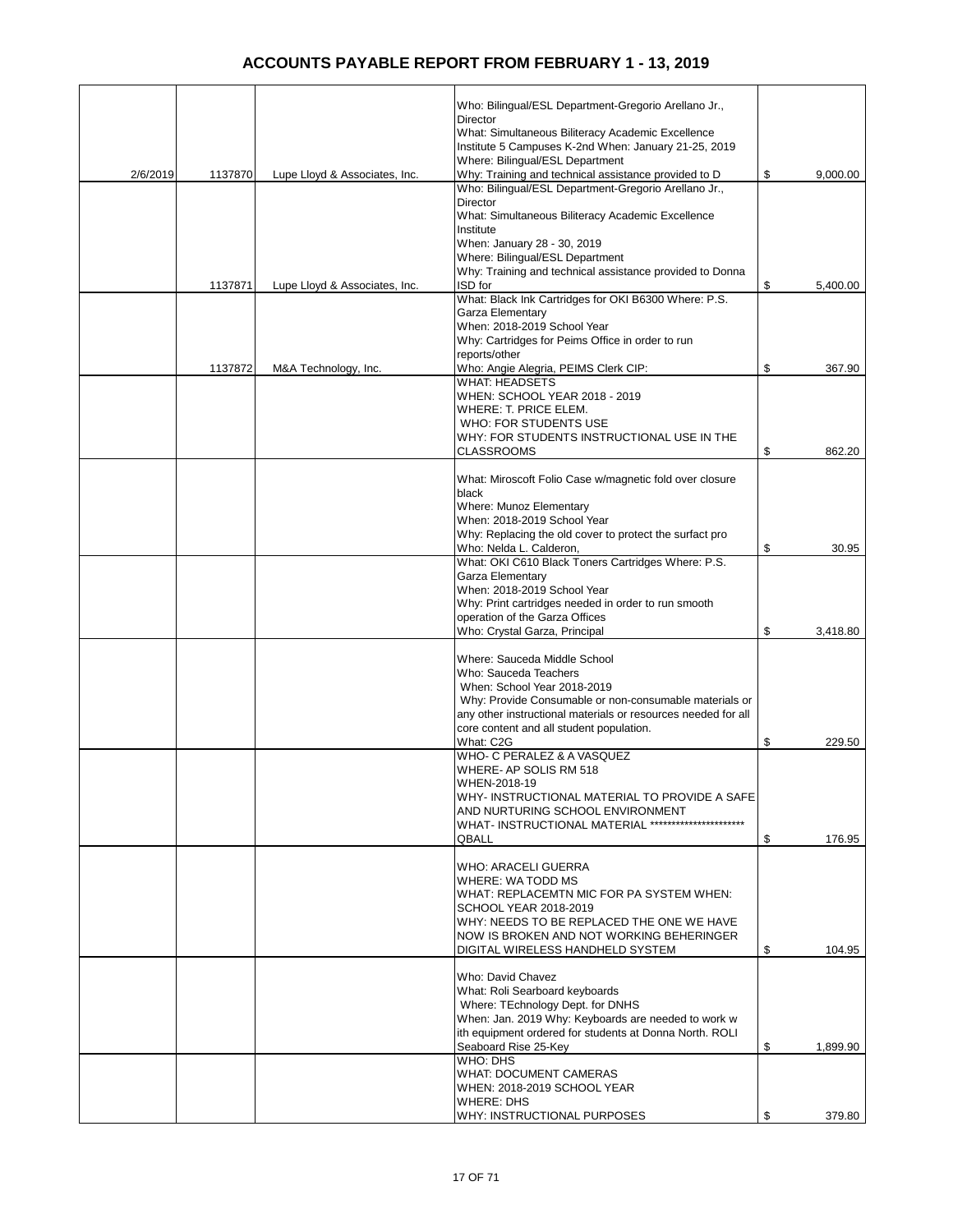|          |         |                               | Who: Bilingual/ESL Department-Gregorio Arellano Jr.,                                                      |                |
|----------|---------|-------------------------------|-----------------------------------------------------------------------------------------------------------|----------------|
|          |         |                               | Director                                                                                                  |                |
|          |         |                               | What: Simultaneous Biliteracy Academic Excellence<br>Institute 5 Campuses K-2nd When: January 21-25, 2019 |                |
|          |         |                               | Where: Bilingual/ESL Department                                                                           |                |
| 2/6/2019 | 1137870 | Lupe Lloyd & Associates, Inc. | Why: Training and technical assistance provided to D                                                      | \$<br>9,000.00 |
|          |         |                               | Who: Bilingual/ESL Department-Gregorio Arellano Jr.,<br><b>Director</b>                                   |                |
|          |         |                               | What: Simultaneous Biliteracy Academic Excellence                                                         |                |
|          |         |                               | Institute                                                                                                 |                |
|          |         |                               | When: January 28 - 30, 2019                                                                               |                |
|          |         |                               | Where: Bilingual/ESL Department<br>Why: Training and technical assistance provided to Donna               |                |
|          | 1137871 | Lupe Lloyd & Associates, Inc. | ISD for                                                                                                   | \$<br>5,400.00 |
|          |         |                               | What: Black Ink Cartridges for OKI B6300 Where: P.S.                                                      |                |
|          |         |                               | Garza Elementary<br>When: 2018-2019 School Year                                                           |                |
|          |         |                               | Why: Cartridges for Peims Office in order to run                                                          |                |
|          |         |                               | reports/other                                                                                             |                |
|          | 1137872 | M&A Technology, Inc.          | Who: Angie Alegria, PEIMS Clerk CIP:                                                                      | \$<br>367.90   |
|          |         |                               | <b>WHAT: HEADSETS</b><br>WHEN: SCHOOL YEAR 2018 - 2019                                                    |                |
|          |         |                               | WHERE: T. PRICE ELEM.                                                                                     |                |
|          |         |                               | <b>WHO: FOR STUDENTS USE</b>                                                                              |                |
|          |         |                               | WHY: FOR STUDENTS INSTRUCTIONAL USE IN THE<br><b>CLASSROOMS</b>                                           | \$<br>862.20   |
|          |         |                               |                                                                                                           |                |
|          |         |                               | What: Miroscoft Folio Case w/magnetic fold over closure                                                   |                |
|          |         |                               | black<br>Where: Munoz Elementary                                                                          |                |
|          |         |                               | When: 2018-2019 School Year                                                                               |                |
|          |         |                               | Why: Replacing the old cover to protect the surfact pro                                                   |                |
|          |         |                               | Who: Nelda L. Calderon,                                                                                   | \$<br>30.95    |
|          |         |                               | What: OKI C610 Black Toners Cartridges Where: P.S.<br>Garza Elementary                                    |                |
|          |         |                               | When: 2018-2019 School Year                                                                               |                |
|          |         |                               | Why: Print cartridges needed in order to run smooth                                                       |                |
|          |         |                               | operation of the Garza Offices<br>Who: Crystal Garza, Principal                                           | \$<br>3,418.80 |
|          |         |                               |                                                                                                           |                |
|          |         |                               | Where: Sauceda Middle School                                                                              |                |
|          |         |                               | Who: Sauceda Teachers<br>When: School Year 2018-2019                                                      |                |
|          |         |                               | Why: Provide Consumable or non-consumable materials or                                                    |                |
|          |         |                               | any other instructional materials or resources needed for all                                             |                |
|          |         |                               | core content and all student population.                                                                  |                |
|          |         |                               | What: C2G<br>WHO- C PERALEZ & A VASQUEZ                                                                   | \$<br>229.50   |
|          |         |                               | WHERE- AP SOLIS RM 518                                                                                    |                |
|          |         |                               | WHEN-2018-19                                                                                              |                |
|          |         |                               | WHY- INSTRUCTIONAL MATERIAL TO PROVIDE A SAFE<br>AND NURTURING SCHOOL ENVIRONMENT                         |                |
|          |         |                               | WHAT- INSTRUCTIONAL MATERIAL **********************                                                       |                |
|          |         |                               | <b>QBALL</b>                                                                                              | \$<br>176.95   |
|          |         |                               | WHO: ARACELI GUERRA                                                                                       |                |
|          |         |                               | WHERE: WA TODD MS                                                                                         |                |
|          |         |                               | WHAT: REPLACEMTN MIC FOR PA SYSTEM WHEN:                                                                  |                |
|          |         |                               | SCHOOL YEAR 2018-2019<br>WHY: NEEDS TO BE REPLACED THE ONE WE HAVE                                        |                |
|          |         |                               | NOW IS BROKEN AND NOT WORKING BEHERINGER                                                                  |                |
|          |         |                               | DIGITAL WIRELESS HANDHELD SYSTEM                                                                          | \$<br>104.95   |
|          |         |                               | Who: David Chavez                                                                                         |                |
|          |         |                               | What: Roli Searboard keyboards                                                                            |                |
|          |         |                               | Where: TEchnology Dept. for DNHS                                                                          |                |
|          |         |                               | When: Jan. 2019 Why: Keyboards are needed to work w                                                       |                |
|          |         |                               | ith equipment ordered for students at Donna North. ROLI<br>Seaboard Rise 25-Key                           | \$<br>1,899.90 |
|          |         |                               | WHO: DHS                                                                                                  |                |
|          |         |                               | <b>WHAT: DOCUMENT CAMERAS</b>                                                                             |                |
|          |         |                               | WHEN: 2018-2019 SCHOOL YEAR<br><b>WHERE: DHS</b>                                                          |                |
|          |         |                               | WHY: INSTRUCTIONAL PURPOSES                                                                               | \$<br>379.80   |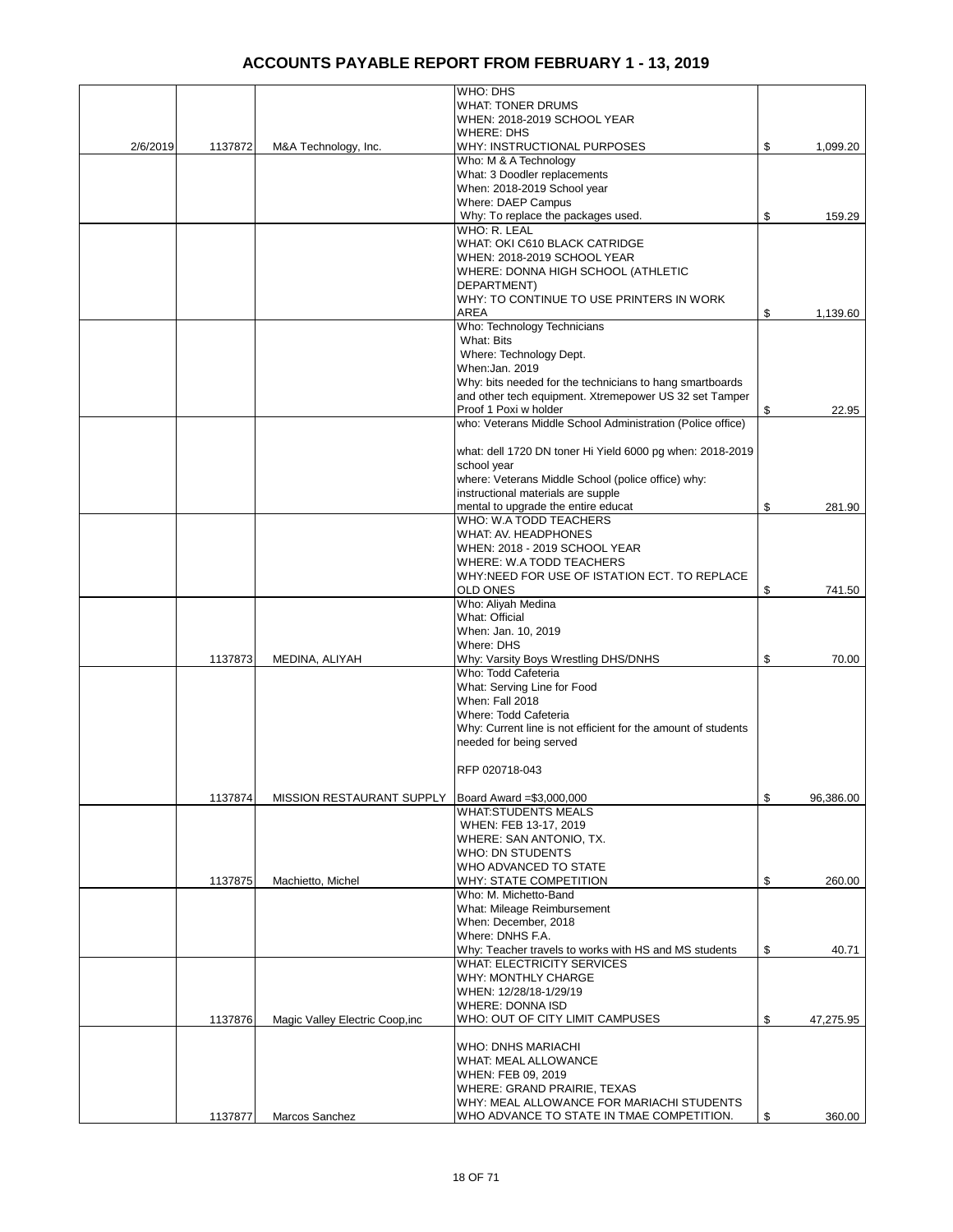|          |         |                                  | WHO: DHS                                                                        |                 |
|----------|---------|----------------------------------|---------------------------------------------------------------------------------|-----------------|
|          |         |                                  | <b>WHAT: TONER DRUMS</b>                                                        |                 |
|          |         |                                  | WHEN: 2018-2019 SCHOOL YEAR<br><b>WHERE: DHS</b>                                |                 |
| 2/6/2019 | 1137872 | M&A Technology, Inc.             | WHY: INSTRUCTIONAL PURPOSES                                                     | \$<br>1,099.20  |
|          |         |                                  | Who: M & A Technology                                                           |                 |
|          |         |                                  | What: 3 Doodler replacements                                                    |                 |
|          |         |                                  | When: 2018-2019 School year                                                     |                 |
|          |         |                                  | Where: DAEP Campus                                                              |                 |
|          |         |                                  | Why: To replace the packages used.                                              | \$<br>159.29    |
|          |         |                                  | WHO: R. LEAL                                                                    |                 |
|          |         |                                  | WHAT: OKI C610 BLACK CATRIDGE                                                   |                 |
|          |         |                                  | WHEN: 2018-2019 SCHOOL YEAR<br>WHERE: DONNA HIGH SCHOOL (ATHLETIC               |                 |
|          |         |                                  | DEPARTMENT)                                                                     |                 |
|          |         |                                  | WHY: TO CONTINUE TO USE PRINTERS IN WORK                                        |                 |
|          |         |                                  | AREA                                                                            | \$<br>1,139.60  |
|          |         |                                  | Who: Technology Technicians                                                     |                 |
|          |         |                                  | What: Bits                                                                      |                 |
|          |         |                                  | Where: Technology Dept.                                                         |                 |
|          |         |                                  | When:Jan. 2019                                                                  |                 |
|          |         |                                  | Why: bits needed for the technicians to hang smartboards                        |                 |
|          |         |                                  | and other tech equipment. Xtremepower US 32 set Tamper<br>Proof 1 Poxi w holder | \$<br>22.95     |
|          |         |                                  | who: Veterans Middle School Administration (Police office)                      |                 |
|          |         |                                  |                                                                                 |                 |
|          |         |                                  | what: dell 1720 DN toner Hi Yield 6000 pg when: 2018-2019                       |                 |
|          |         |                                  | school year                                                                     |                 |
|          |         |                                  | where: Veterans Middle School (police office) why:                              |                 |
|          |         |                                  | instructional materials are supple                                              |                 |
|          |         |                                  | mental to upgrade the entire educat                                             | \$<br>281.90    |
|          |         |                                  | WHO: W.A TODD TEACHERS<br>WHAT: AV. HEADPHONES                                  |                 |
|          |         |                                  | WHEN: 2018 - 2019 SCHOOL YEAR                                                   |                 |
|          |         |                                  | WHERE: W.A TODD TEACHERS                                                        |                 |
|          |         |                                  | WHY:NEED FOR USE OF ISTATION ECT. TO REPLACE                                    |                 |
|          |         |                                  | <b>OLD ONES</b>                                                                 | \$<br>741.50    |
|          |         |                                  | Who: Aliyah Medina                                                              |                 |
|          |         |                                  | What: Official                                                                  |                 |
|          |         |                                  | When: Jan. 10, 2019                                                             |                 |
|          |         |                                  | Where: DHS                                                                      | \$<br>70.00     |
|          | 1137873 | MEDINA, ALIYAH                   | Why: Varsity Boys Wrestling DHS/DNHS<br>Who: Todd Cafeteria                     |                 |
|          |         |                                  | What: Serving Line for Food                                                     |                 |
|          |         |                                  | When: Fall 2018                                                                 |                 |
|          |         |                                  | Where: Todd Cafeteria                                                           |                 |
|          |         |                                  | Why: Current line is not efficient for the amount of students                   |                 |
|          |         |                                  | needed for being served                                                         |                 |
|          |         |                                  |                                                                                 |                 |
|          |         |                                  | RFP 020718-043                                                                  |                 |
|          | 1137874 |                                  | Board Award = \$3,000,000                                                       | \$<br>96.386.00 |
|          |         | <b>MISSION RESTAURANT SUPPLY</b> | <b>WHAT:STUDENTS MEALS</b>                                                      |                 |
|          |         |                                  | WHEN: FEB 13-17, 2019                                                           |                 |
|          |         |                                  | WHERE: SAN ANTONIO, TX.                                                         |                 |
|          |         |                                  | WHO: DN STUDENTS                                                                |                 |
|          |         |                                  | WHO ADVANCED TO STATE                                                           |                 |
|          | 1137875 | Machietto, Michel                | WHY: STATE COMPETITION                                                          | \$<br>260.00    |
|          |         |                                  | Who: M. Michetto-Band                                                           |                 |
|          |         |                                  | What: Mileage Reimbursement                                                     |                 |
|          |         |                                  | When: December, 2018<br>Where: DNHS F.A.                                        |                 |
|          |         |                                  | Why: Teacher travels to works with HS and MS students                           | \$<br>40.71     |
|          |         |                                  | <b>WHAT: ELECTRICITY SERVICES</b>                                               |                 |
|          |         |                                  | WHY: MONTHLY CHARGE                                                             |                 |
|          |         |                                  | WHEN: 12/28/18-1/29/19                                                          |                 |
|          |         |                                  | <b>WHERE: DONNA ISD</b>                                                         |                 |
|          | 1137876 | Magic Valley Electric Coop, inc  | WHO: OUT OF CITY LIMIT CAMPUSES                                                 | \$<br>47,275.95 |
|          |         |                                  |                                                                                 |                 |
|          |         |                                  | <b>WHO: DNHS MARIACHI</b>                                                       |                 |
|          |         |                                  | <b>WHAT: MEAL ALLOWANCE</b><br>WHEN: FEB 09, 2019                               |                 |
|          |         |                                  | WHERE: GRAND PRAIRIE, TEXAS                                                     |                 |
|          |         |                                  | WHY: MEAL ALLOWANCE FOR MARIACHI STUDENTS                                       |                 |
|          | 1137877 | Marcos Sanchez                   | WHO ADVANCE TO STATE IN TMAE COMPETITION.                                       | \$<br>360.00    |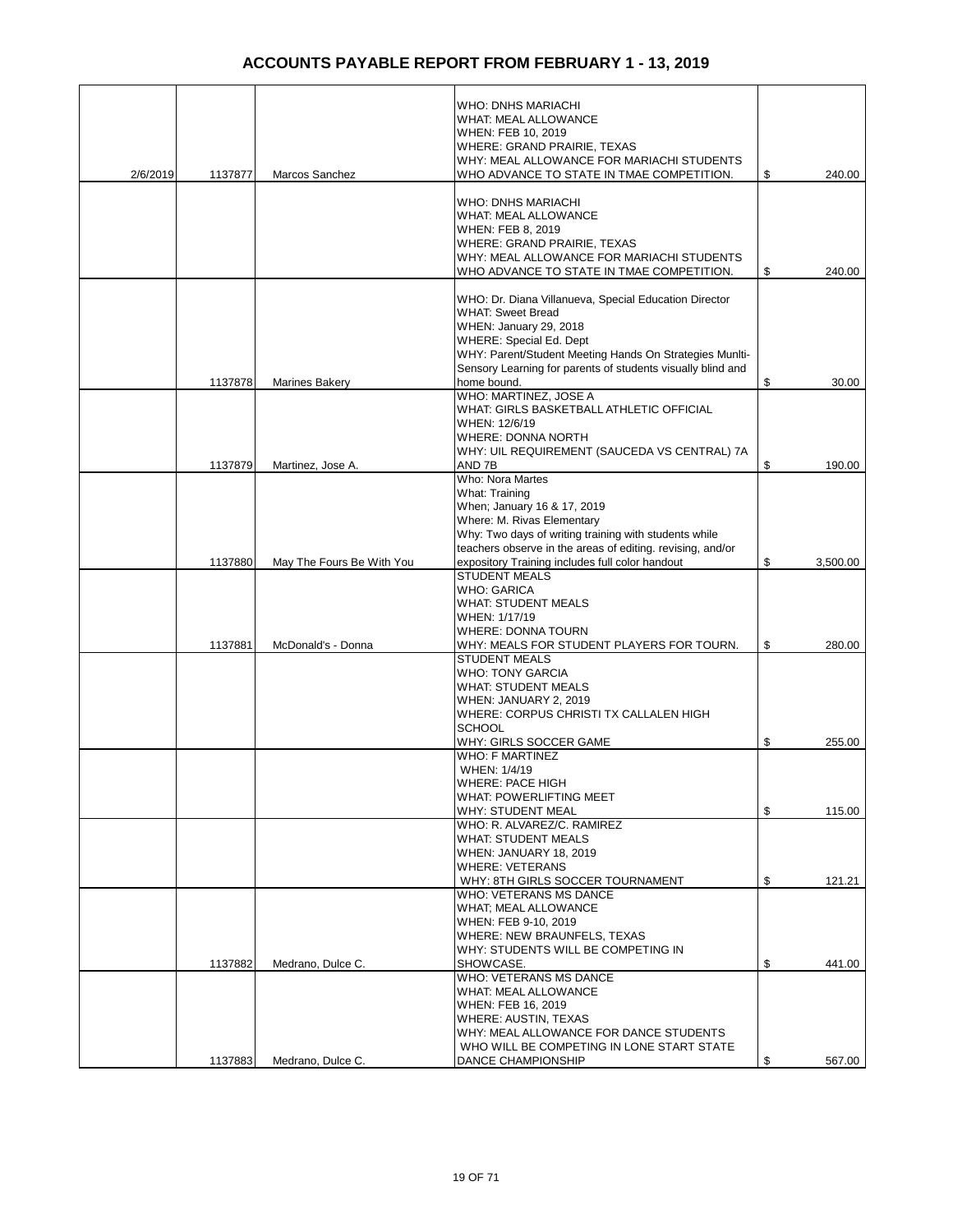|          |         |                           | <b>WHO: DNHS MARIACHI</b>                                                           |                |
|----------|---------|---------------------------|-------------------------------------------------------------------------------------|----------------|
|          |         |                           | WHAT: MEAL ALLOWANCE<br>WHEN: FEB 10, 2019                                          |                |
|          |         |                           | WHERE: GRAND PRAIRIE, TEXAS                                                         |                |
|          |         |                           | WHY: MEAL ALLOWANCE FOR MARIACHI STUDENTS                                           |                |
| 2/6/2019 | 1137877 | Marcos Sanchez            | WHO ADVANCE TO STATE IN TMAE COMPETITION.                                           | \$<br>240.00   |
|          |         |                           | <b>WHO: DNHS MARIACHI</b>                                                           |                |
|          |         |                           | <b>WHAT: MEAL ALLOWANCE</b>                                                         |                |
|          |         |                           | WHEN: FEB 8, 2019                                                                   |                |
|          |         |                           | WHERE: GRAND PRAIRIE, TEXAS<br>WHY: MEAL ALLOWANCE FOR MARIACHI STUDENTS            |                |
|          |         |                           | WHO ADVANCE TO STATE IN TMAE COMPETITION.                                           | \$<br>240.00   |
|          |         |                           |                                                                                     |                |
|          |         |                           | WHO: Dr. Diana Villanueva, Special Education Director                               |                |
|          |         |                           | <b>WHAT: Sweet Bread</b><br>WHEN: January 29, 2018                                  |                |
|          |         |                           | <b>WHERE: Special Ed. Dept</b>                                                      |                |
|          |         |                           | WHY: Parent/Student Meeting Hands On Strategies Muniti-                             |                |
|          |         |                           | Sensory Learning for parents of students visually blind and                         |                |
|          | 1137878 | Marines Bakery            | home bound.<br>WHO: MARTINEZ, JOSE A                                                | \$<br>30.00    |
|          |         |                           | WHAT: GIRLS BASKETBALL ATHLETIC OFFICIAL                                            |                |
|          |         |                           | WHEN: 12/6/19                                                                       |                |
|          |         |                           | <b>WHERE: DONNA NORTH</b>                                                           |                |
|          | 1137879 | Martinez, Jose A.         | WHY: UIL REQUIREMENT (SAUCEDA VS CENTRAL) 7A<br>AND 7B                              | \$<br>190.00   |
|          |         |                           | Who: Nora Martes                                                                    |                |
|          |         |                           | What: Training                                                                      |                |
|          |         |                           | When; January 16 & 17, 2019                                                         |                |
|          |         |                           | Where: M. Rivas Elementary<br>Why: Two days of writing training with students while |                |
|          |         |                           | teachers observe in the areas of editing, revising, and/or                          |                |
|          | 1137880 | May The Fours Be With You | expository Training includes full color handout                                     | \$<br>3,500.00 |
|          |         |                           | <b>STUDENT MEALS</b>                                                                |                |
|          |         |                           | <b>WHO: GARICA</b><br><b>WHAT: STUDENT MEALS</b>                                    |                |
|          |         |                           | WHEN: 1/17/19                                                                       |                |
|          |         |                           | <b>WHERE: DONNA TOURN</b>                                                           |                |
|          | 1137881 | McDonald's - Donna        | WHY: MEALS FOR STUDENT PLAYERS FOR TOURN.                                           | \$<br>280.00   |
|          |         |                           | <b>STUDENT MEALS</b><br><b>WHO: TONY GARCIA</b>                                     |                |
|          |         |                           | <b>WHAT: STUDENT MEALS</b>                                                          |                |
|          |         |                           | WHEN: JANUARY 2, 2019                                                               |                |
|          |         |                           | WHERE: CORPUS CHRISTI TX CALLALEN HIGH<br><b>SCHOOL</b>                             |                |
|          |         |                           | WHY: GIRLS SOCCER GAME                                                              | \$<br>255.00   |
|          |         |                           | <b>WHO: F MARTINEZ</b>                                                              |                |
|          |         |                           | WHEN: 1/4/19                                                                        |                |
|          |         |                           | WHERE: PACE HIGH<br><b>WHAT: POWERLIFTING MEET</b>                                  |                |
|          |         |                           | WHY: STUDENT MEAL                                                                   | \$<br>115.00   |
|          |         |                           | WHO: R. ALVAREZ/C. RAMIREZ                                                          |                |
|          |         |                           | <b>WHAT: STUDENT MEALS</b>                                                          |                |
|          |         |                           | WHEN: JANUARY 18, 2019<br><b>WHERE: VETERANS</b>                                    |                |
|          |         |                           | WHY: 8TH GIRLS SOCCER TOURNAMENT                                                    | \$<br>121.21   |
|          |         |                           | WHO: VETERANS MS DANCE                                                              |                |
|          |         |                           | WHAT; MEAL ALLOWANCE                                                                |                |
|          |         |                           | WHEN: FEB 9-10, 2019<br>WHERE: NEW BRAUNFELS, TEXAS                                 |                |
|          |         |                           | WHY: STUDENTS WILL BE COMPETING IN                                                  |                |
|          | 1137882 | Medrano, Dulce C.         | SHOWCASE.                                                                           | \$<br>441.00   |
|          |         |                           | WHO: VETERANS MS DANCE                                                              |                |
|          |         |                           | WHAT: MEAL ALLOWANCE<br>WHEN: FEB 16, 2019                                          |                |
|          |         |                           | WHERE: AUSTIN, TEXAS                                                                |                |
|          |         |                           | WHY: MEAL ALLOWANCE FOR DANCE STUDENTS                                              |                |
|          |         |                           | WHO WILL BE COMPETING IN LONE START STATE                                           |                |
|          | 1137883 | Medrano, Dulce C.         | DANCE CHAMPIONSHIP                                                                  | \$<br>567.00   |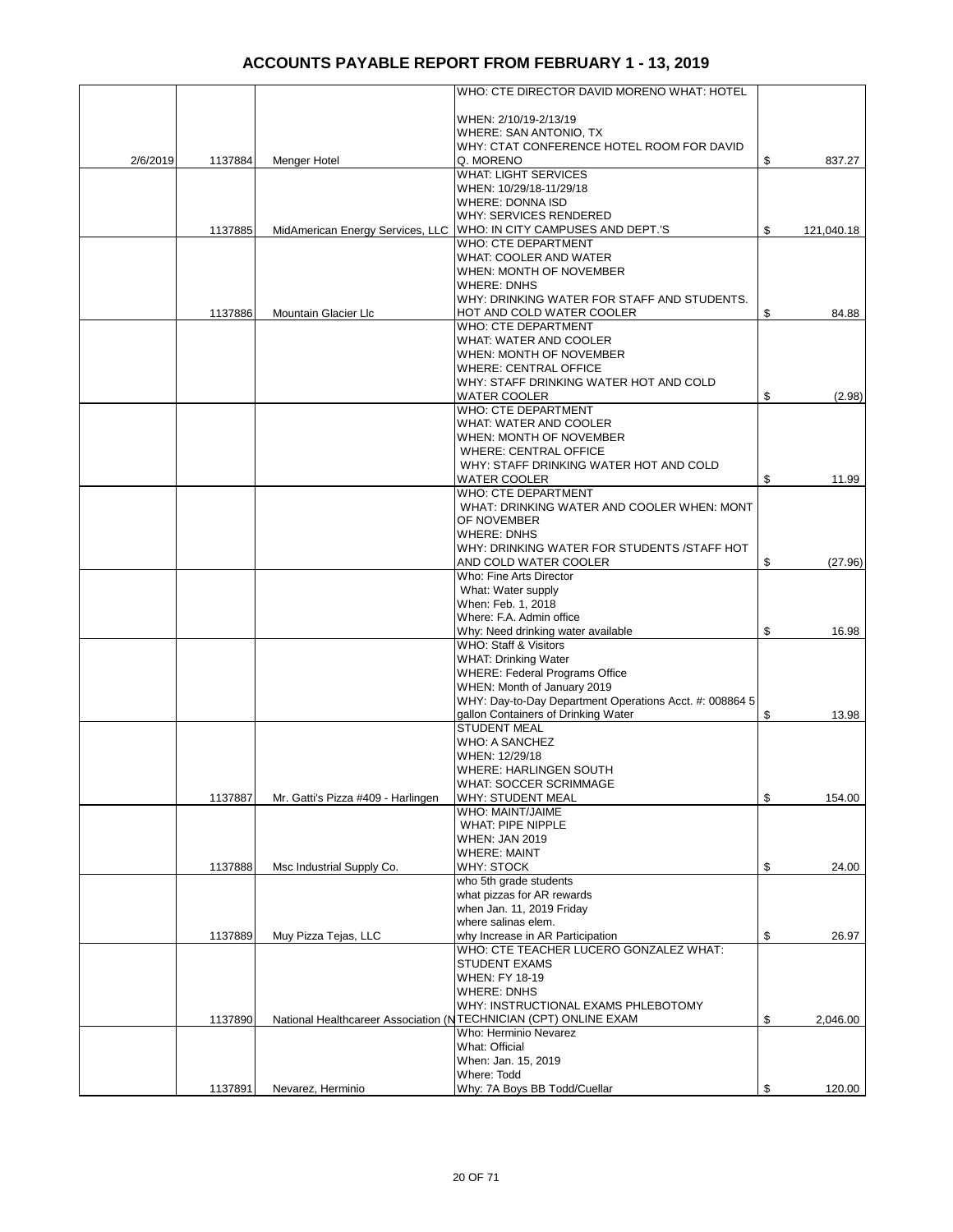|          |         |                                    | WHO: CTE DIRECTOR DAVID MORENO WHAT: HOTEL                                                |                  |
|----------|---------|------------------------------------|-------------------------------------------------------------------------------------------|------------------|
|          |         |                                    | WHEN: 2/10/19-2/13/19                                                                     |                  |
|          |         |                                    | WHERE: SAN ANTONIO, TX<br>WHY: CTAT CONFERENCE HOTEL ROOM FOR DAVID                       |                  |
| 2/6/2019 | 1137884 | Menger Hotel                       | Q. MORENO                                                                                 | \$<br>837.27     |
|          |         |                                    | <b>WHAT: LIGHT SERVICES</b>                                                               |                  |
|          |         |                                    | WHEN: 10/29/18-11/29/18<br><b>WHERE: DONNA ISD</b>                                        |                  |
|          |         |                                    | WHY: SERVICES RENDERED                                                                    |                  |
|          | 1137885 | MidAmerican Energy Services, LLC   | WHO: IN CITY CAMPUSES AND DEPT.'S                                                         | \$<br>121,040.18 |
|          |         |                                    | WHO: CTE DEPARTMENT                                                                       |                  |
|          |         |                                    | <b>WHAT: COOLER AND WATER</b><br>WHEN: MONTH OF NOVEMBER                                  |                  |
|          |         |                                    | <b>WHERE: DNHS</b>                                                                        |                  |
|          |         |                                    | WHY: DRINKING WATER FOR STAFF AND STUDENTS.                                               |                  |
|          | 1137886 | Mountain Glacier Llc               | HOT AND COLD WATER COOLER                                                                 | \$<br>84.88      |
|          |         |                                    | WHO: CTE DEPARTMENT<br>WHAT: WATER AND COOLER                                             |                  |
|          |         |                                    | WHEN: MONTH OF NOVEMBER                                                                   |                  |
|          |         |                                    | <b>WHERE: CENTRAL OFFICE</b>                                                              |                  |
|          |         |                                    | WHY: STAFF DRINKING WATER HOT AND COLD                                                    |                  |
|          |         |                                    | <b>WATER COOLER</b><br>WHO: CTE DEPARTMENT                                                | \$<br>(2.98)     |
|          |         |                                    | WHAT: WATER AND COOLER                                                                    |                  |
|          |         |                                    | WHEN: MONTH OF NOVEMBER                                                                   |                  |
|          |         |                                    | <b>WHERE: CENTRAL OFFICE</b>                                                              |                  |
|          |         |                                    | WHY: STAFF DRINKING WATER HOT AND COLD<br><b>WATER COOLER</b>                             | \$<br>11.99      |
|          |         |                                    | WHO: CTE DEPARTMENT                                                                       |                  |
|          |         |                                    | WHAT: DRINKING WATER AND COOLER WHEN: MONT                                                |                  |
|          |         |                                    | OF NOVEMBER                                                                               |                  |
|          |         |                                    | <b>WHERE: DNHS</b><br>WHY: DRINKING WATER FOR STUDENTS /STAFF HOT                         |                  |
|          |         |                                    | AND COLD WATER COOLER                                                                     | \$<br>(27.96)    |
|          |         |                                    | Who: Fine Arts Director                                                                   |                  |
|          |         |                                    | What: Water supply                                                                        |                  |
|          |         |                                    | When: Feb. 1, 2018                                                                        |                  |
|          |         |                                    | Where: F.A. Admin office<br>Why: Need drinking water available                            | \$<br>16.98      |
|          |         |                                    | WHO: Staff & Visitors                                                                     |                  |
|          |         |                                    | <b>WHAT: Drinking Water</b>                                                               |                  |
|          |         |                                    | <b>WHERE: Federal Programs Office</b><br>WHEN: Month of January 2019                      |                  |
|          |         |                                    | WHY: Day-to-Day Department Operations Acct. #: 008864 5                                   |                  |
|          |         |                                    | gallon Containers of Drinking Water                                                       | \$<br>13.98      |
|          |         |                                    | <b>STUDENT MEAL</b>                                                                       |                  |
|          |         |                                    | <b>WHO: A SANCHEZ</b><br>WHEN: 12/29/18                                                   |                  |
|          |         |                                    | <b>WHERE: HARLINGEN SOUTH</b>                                                             |                  |
|          |         |                                    | <b>WHAT: SOCCER SCRIMMAGE</b>                                                             |                  |
|          | 1137887 | Mr. Gatti's Pizza #409 - Harlingen | WHY: STUDENT MEAL                                                                         | \$<br>154.00     |
|          |         |                                    | <b>WHO: MAINT/JAIME</b><br>WHAT: PIPE NIPPLE                                              |                  |
|          |         |                                    | <b>WHEN: JAN 2019</b>                                                                     |                  |
|          |         |                                    | <b>WHERE: MAINT</b>                                                                       |                  |
|          | 1137888 | Msc Industrial Supply Co.          | WHY: STOCK                                                                                | \$<br>24.00      |
|          |         |                                    | who 5th grade students<br>what pizzas for AR rewards                                      |                  |
|          |         |                                    | when Jan. 11, 2019 Friday                                                                 |                  |
|          |         |                                    | where salinas elem.                                                                       |                  |
|          | 1137889 | Muy Pizza Tejas, LLC               | why Increase in AR Participation<br>WHO: CTE TEACHER LUCERO GONZALEZ WHAT:                | \$<br>26.97      |
|          |         |                                    | <b>STUDENT EXAMS</b>                                                                      |                  |
|          |         |                                    | <b>WHEN: FY 18-19</b>                                                                     |                  |
|          |         |                                    | <b>WHERE: DNHS</b>                                                                        |                  |
|          |         |                                    | WHY: INSTRUCTIONAL EXAMS PHLEBOTOMY                                                       |                  |
|          | 1137890 |                                    | National Healthcareer Association (NTECHNICIAN (CPT) ONLINE EXAM<br>Who: Herminio Nevarez | \$<br>2,046.00   |
|          |         |                                    | What: Official                                                                            |                  |
|          |         |                                    | When: Jan. 15, 2019                                                                       |                  |
|          |         |                                    | Where: Todd                                                                               |                  |
|          | 1137891 | Nevarez, Herminio                  | Why: 7A Boys BB Todd/Cuellar                                                              | \$<br>120.00     |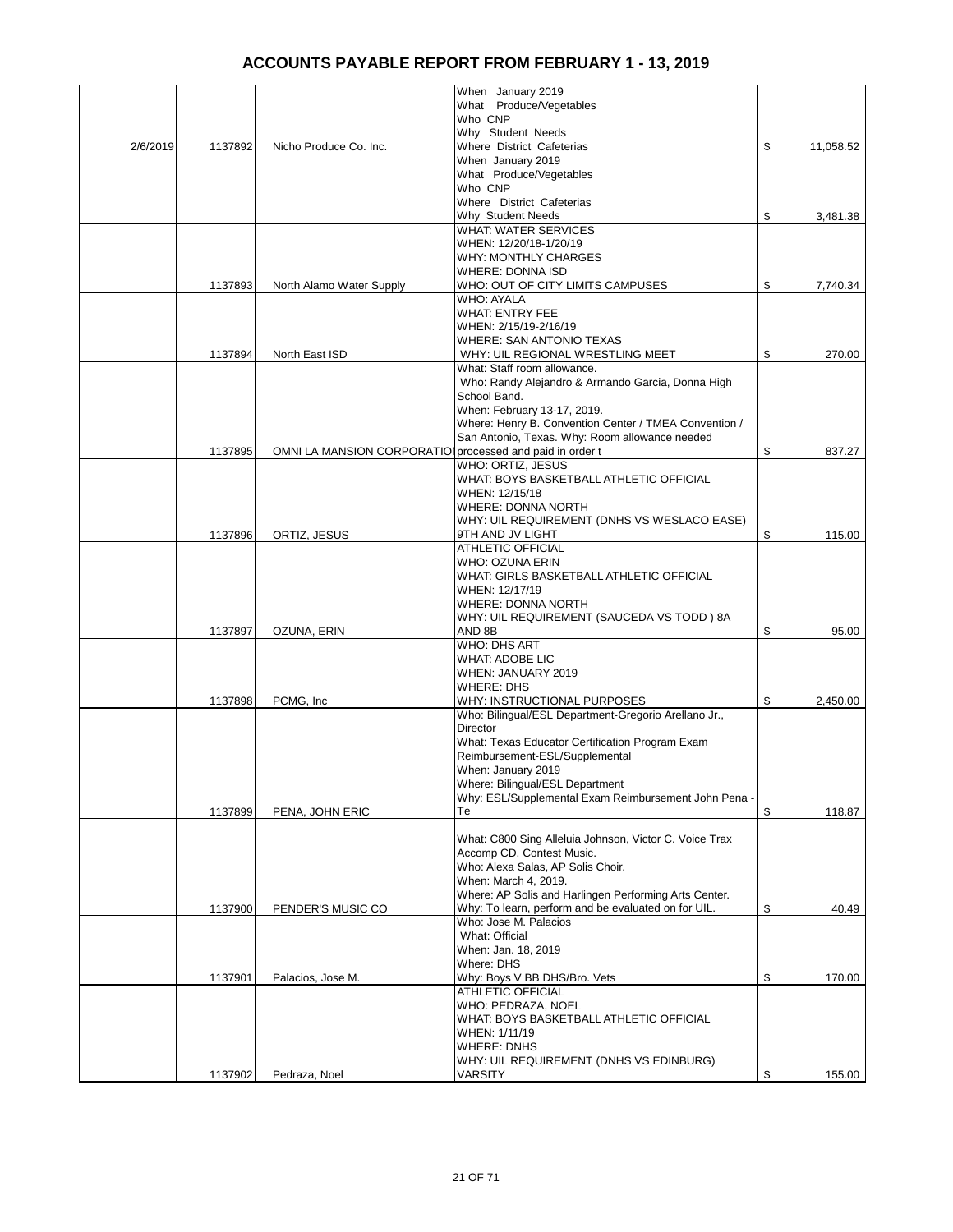|          |         |                                                          | When January 2019                                                                       |                 |
|----------|---------|----------------------------------------------------------|-----------------------------------------------------------------------------------------|-----------------|
|          |         |                                                          | What Produce/Vegetables<br>Who CNP                                                      |                 |
|          |         |                                                          | Why Student Needs                                                                       |                 |
| 2/6/2019 | 1137892 | Nicho Produce Co. Inc.                                   | Where District Cafeterias                                                               | \$<br>11,058.52 |
|          |         |                                                          | When January 2019<br>What Produce/Vegetables                                            |                 |
|          |         |                                                          | Who CNP                                                                                 |                 |
|          |         |                                                          | Where District Cafeterias                                                               |                 |
|          |         |                                                          | Why Student Needs                                                                       | \$<br>3,481.38  |
|          |         |                                                          | <b>WHAT: WATER SERVICES</b><br>WHEN: 12/20/18-1/20/19                                   |                 |
|          |         |                                                          | <b>WHY: MONTHLY CHARGES</b>                                                             |                 |
|          |         |                                                          | <b>WHERE: DONNA ISD</b>                                                                 |                 |
|          | 1137893 | North Alamo Water Supply                                 | WHO: OUT OF CITY LIMITS CAMPUSES<br>WHO: AYALA                                          | \$<br>7,740.34  |
|          |         |                                                          | <b>WHAT: ENTRY FEE</b>                                                                  |                 |
|          |         |                                                          | WHEN: 2/15/19-2/16/19                                                                   |                 |
|          |         |                                                          | <b>WHERE: SAN ANTONIO TEXAS</b>                                                         |                 |
|          | 1137894 | North East ISD                                           | WHY: UIL REGIONAL WRESTLING MEET<br>What: Staff room allowance.                         | \$<br>270.00    |
|          |         |                                                          | Who: Randy Alejandro & Armando Garcia, Donna High                                       |                 |
|          |         |                                                          | School Band.                                                                            |                 |
|          |         |                                                          | When: February 13-17, 2019.<br>Where: Henry B. Convention Center / TMEA Convention /    |                 |
|          |         |                                                          | San Antonio, Texas. Why: Room allowance needed                                          |                 |
|          | 1137895 | OMNI LA MANSION CORPORATIO processed and paid in order t |                                                                                         | \$<br>837.27    |
|          |         |                                                          | WHO: ORTIZ, JESUS                                                                       |                 |
|          |         |                                                          | WHAT: BOYS BASKETBALL ATHLETIC OFFICIAL<br>WHEN: 12/15/18                               |                 |
|          |         |                                                          | WHERE: DONNA NORTH                                                                      |                 |
|          |         |                                                          | WHY: UIL REQUIREMENT (DNHS VS WESLACO EASE)                                             |                 |
|          | 1137896 | ORTIZ, JESUS                                             | 9TH AND JV LIGHT<br><b>ATHLETIC OFFICIAL</b>                                            | \$<br>115.00    |
|          |         |                                                          | WHO: OZUNA ERIN                                                                         |                 |
|          |         |                                                          | WHAT: GIRLS BASKETBALL ATHLETIC OFFICIAL                                                |                 |
|          |         |                                                          | WHEN: 12/17/19                                                                          |                 |
|          |         |                                                          | <b>WHERE: DONNA NORTH</b><br>WHY: UIL REQUIREMENT (SAUCEDA VS TODD) 8A                  |                 |
|          | 1137897 | OZUNA, ERIN                                              | AND 8B                                                                                  | \$<br>95.00     |
|          |         |                                                          | <b>WHO: DHS ART</b>                                                                     |                 |
|          |         |                                                          | WHAT: ADOBE LIC<br>WHEN: JANUARY 2019                                                   |                 |
|          |         |                                                          | WHERE: DHS                                                                              |                 |
|          | 1137898 | PCMG, Inc.                                               | WHY: INSTRUCTIONAL PURPOSES                                                             | \$<br>2,450.00  |
|          |         |                                                          | Who: Bilingual/ESL Department-Gregorio Arellano Jr.,                                    |                 |
|          |         |                                                          | Director<br>What: Texas Educator Certification Program Exam                             |                 |
|          |         |                                                          | Reimbursement-ESL/Supplemental                                                          |                 |
|          |         |                                                          | When: January 2019                                                                      |                 |
|          |         |                                                          | Where: Bilingual/ESL Department<br>Why: ESL/Supplemental Exam Reimbursement John Pena - |                 |
|          | 1137899 | PENA, JOHN ERIC                                          | Тe                                                                                      | \$<br>118.87    |
|          |         |                                                          |                                                                                         |                 |
|          |         |                                                          | What: C800 Sing Alleluia Johnson, Victor C. Voice Trax<br>Accomp CD. Contest Music.     |                 |
|          |         |                                                          | Who: Alexa Salas, AP Solis Choir.                                                       |                 |
|          |         |                                                          | When: March 4, 2019.                                                                    |                 |
|          |         |                                                          | Where: AP Solis and Harlingen Performing Arts Center.                                   |                 |
|          | 1137900 | PENDER'S MUSIC CO                                        | Why: To learn, perform and be evaluated on for UIL.<br>Who: Jose M. Palacios            | \$<br>40.49     |
|          |         |                                                          | What: Official                                                                          |                 |
|          |         |                                                          | When: Jan. 18, 2019                                                                     |                 |
|          |         |                                                          | Where: DHS                                                                              |                 |
|          | 1137901 | Palacios, Jose M.                                        | Why: Boys V BB DHS/Bro. Vets<br><b>ATHLETIC OFFICIAL</b>                                | \$<br>170.00    |
|          |         |                                                          | WHO: PEDRAZA, NOEL                                                                      |                 |
|          |         |                                                          | WHAT: BOYS BASKETBALL ATHLETIC OFFICIAL                                                 |                 |
|          |         |                                                          | WHEN: 1/11/19<br><b>WHERE: DNHS</b>                                                     |                 |
|          |         |                                                          | WHY: UIL REQUIREMENT (DNHS VS EDINBURG)                                                 |                 |
|          | 1137902 | Pedraza, Noel                                            | VARSITY                                                                                 | \$<br>155.00    |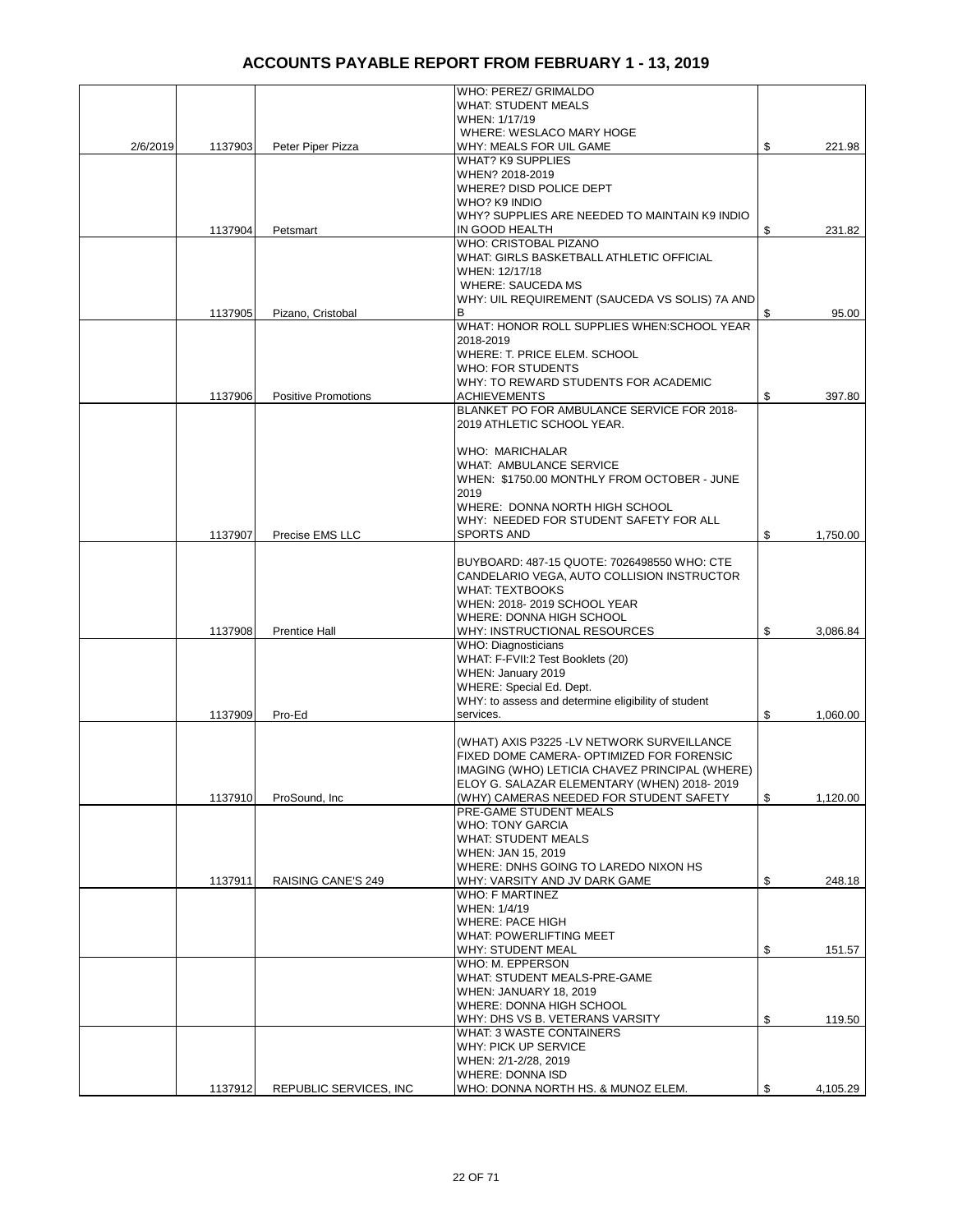|          |         |                            | WHO: PEREZ/ GRIMALDO                                                     |                |
|----------|---------|----------------------------|--------------------------------------------------------------------------|----------------|
|          |         |                            | <b>WHAT: STUDENT MEALS</b><br>WHEN: 1/17/19                              |                |
|          |         |                            | WHERE: WESLACO MARY HOGE                                                 |                |
| 2/6/2019 | 1137903 | Peter Piper Pizza          | WHY: MEALS FOR UIL GAME                                                  | \$<br>221.98   |
|          |         |                            | <b>WHAT? K9 SUPPLIES</b>                                                 |                |
|          |         |                            | WHEN? 2018-2019                                                          |                |
|          |         |                            | WHERE? DISD POLICE DEPT<br>WHO? K9 INDIO                                 |                |
|          |         |                            | WHY? SUPPLIES ARE NEEDED TO MAINTAIN K9 INDIO                            |                |
|          | 1137904 | Petsmart                   | IN GOOD HEALTH                                                           | \$<br>231.82   |
|          |         |                            | WHO: CRISTOBAL PIZANO                                                    |                |
|          |         |                            | WHAT: GIRLS BASKETBALL ATHLETIC OFFICIAL<br>WHEN: 12/17/18               |                |
|          |         |                            | <b>WHERE: SAUCEDA MS</b>                                                 |                |
|          |         |                            | WHY: UIL REQUIREMENT (SAUCEDA VS SOLIS) 7A AND                           |                |
|          | 1137905 | Pizano, Cristobal          |                                                                          | \$<br>95.00    |
|          |         |                            | WHAT: HONOR ROLL SUPPLIES WHEN: SCHOOL YEAR                              |                |
|          |         |                            | 2018-2019<br>WHERE: T. PRICE ELEM. SCHOOL                                |                |
|          |         |                            | <b>WHO: FOR STUDENTS</b>                                                 |                |
|          |         |                            | WHY: TO REWARD STUDENTS FOR ACADEMIC                                     |                |
|          | 1137906 | <b>Positive Promotions</b> | <b>ACHIEVEMENTS</b>                                                      | \$<br>397.80   |
|          |         |                            | BLANKET PO FOR AMBULANCE SERVICE FOR 2018-<br>2019 ATHLETIC SCHOOL YEAR. |                |
|          |         |                            |                                                                          |                |
|          |         |                            | WHO: MARICHALAR                                                          |                |
|          |         |                            | <b>WHAT: AMBULANCE SERVICE</b>                                           |                |
|          |         |                            | WHEN: \$1750.00 MONTHLY FROM OCTOBER - JUNE                              |                |
|          |         |                            | 2019<br>WHERE: DONNA NORTH HIGH SCHOOL                                   |                |
|          |         |                            | WHY: NEEDED FOR STUDENT SAFETY FOR ALL                                   |                |
|          | 1137907 | Precise EMS LLC            | <b>SPORTS AND</b>                                                        | \$<br>1,750.00 |
|          |         |                            |                                                                          |                |
|          |         |                            | BUYBOARD: 487-15 QUOTE: 7026498550 WHO: CTE                              |                |
|          |         |                            | CANDELARIO VEGA, AUTO COLLISION INSTRUCTOR<br><b>WHAT: TEXTBOOKS</b>     |                |
|          |         |                            | WHEN: 2018-2019 SCHOOL YEAR                                              |                |
|          |         |                            | WHERE: DONNA HIGH SCHOOL                                                 |                |
|          | 1137908 | <b>Prentice Hall</b>       | WHY: INSTRUCTIONAL RESOURCES                                             | \$<br>3,086.84 |
|          |         |                            | <b>WHO: Diagnosticians</b><br>WHAT: F-FVII:2 Test Booklets (20)          |                |
|          |         |                            | WHEN: January 2019                                                       |                |
|          |         |                            | WHERE: Special Ed. Dept.                                                 |                |
|          |         |                            | WHY: to assess and determine eligibility of student                      |                |
|          | 1137909 | Pro-Ed                     | services.                                                                | \$<br>1,060.00 |
|          |         |                            | (WHAT) AXIS P3225 -LV NETWORK SURVEILLANCE                               |                |
|          |         |                            | FIXED DOME CAMERA- OPTIMIZED FOR FORENSIC                                |                |
|          |         |                            | IMAGING (WHO) LETICIA CHAVEZ PRINCIPAL (WHERE)                           |                |
|          |         |                            | ELOY G. SALAZAR ELEMENTARY (WHEN) 2018-2019                              |                |
|          | 1137910 | ProSound, Inc.             | (WHY) CAMERAS NEEDED FOR STUDENT SAFETY<br>PRE-GAME STUDENT MEALS        | \$<br>1,120.00 |
|          |         |                            | <b>WHO: TONY GARCIA</b>                                                  |                |
|          |         |                            | <b>WHAT: STUDENT MEALS</b>                                               |                |
|          |         |                            | WHEN: JAN 15, 2019                                                       |                |
|          |         |                            | WHERE: DNHS GOING TO LAREDO NIXON HS                                     |                |
|          | 1137911 | RAISING CANE'S 249         | WHY: VARSITY AND JV DARK GAME<br><b>WHO: F MARTINEZ</b>                  | \$<br>248.18   |
|          |         |                            | WHEN: 1/4/19                                                             |                |
|          |         |                            | <b>WHERE: PACE HIGH</b>                                                  |                |
|          |         |                            | WHAT: POWERLIFTING MEET                                                  |                |
|          |         |                            | <b>WHY: STUDENT MEAL</b>                                                 | \$<br>151.57   |
|          |         |                            | WHO: M. EPPERSON<br>WHAT: STUDENT MEALS-PRE-GAME                         |                |
|          |         |                            | WHEN: JANUARY 18, 2019                                                   |                |
|          |         |                            | WHERE: DONNA HIGH SCHOOL                                                 |                |
|          |         |                            | WHY: DHS VS B. VETERANS VARSITY                                          | \$<br>119.50   |
|          |         |                            | <b>WHAT: 3 WASTE CONTAINERS</b>                                          |                |
|          |         |                            | WHY: PICK UP SERVICE<br>WHEN: 2/1-2/28, 2019                             |                |
|          |         |                            | <b>WHERE: DONNA ISD</b>                                                  |                |
|          | 1137912 | REPUBLIC SERVICES, INC     | WHO: DONNA NORTH HS. & MUNOZ ELEM.                                       | \$<br>4,105.29 |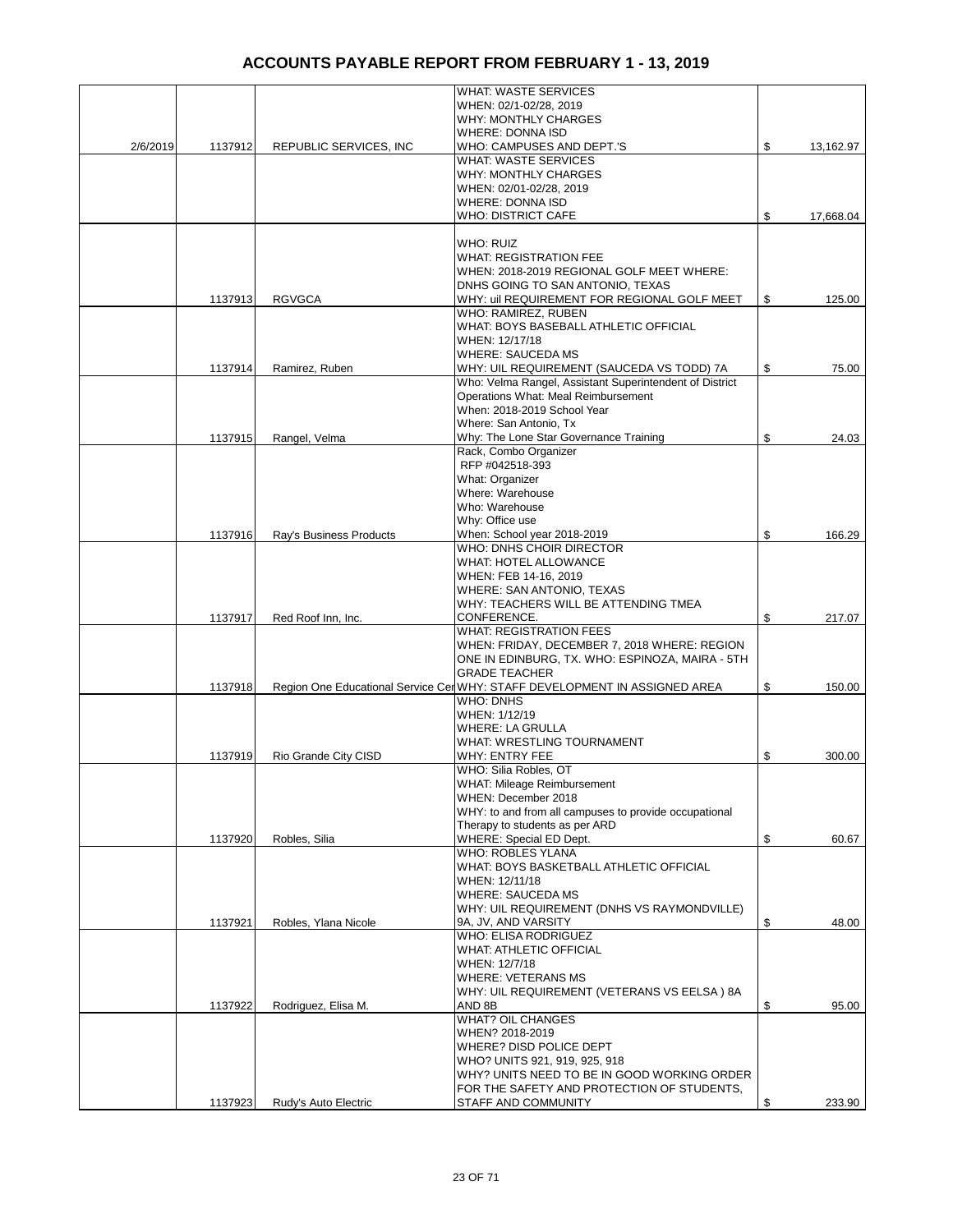|          |         |                         | <b>WHAT: WASTE SERVICES</b>                                                |                 |
|----------|---------|-------------------------|----------------------------------------------------------------------------|-----------------|
|          |         |                         | WHEN: 02/1-02/28, 2019                                                     |                 |
|          |         |                         | <b>WHY: MONTHLY CHARGES</b>                                                |                 |
|          |         |                         | <b>WHERE: DONNA ISD</b>                                                    |                 |
| 2/6/2019 | 1137912 | REPUBLIC SERVICES, INC  | WHO: CAMPUSES AND DEPT.'S                                                  | \$<br>13,162.97 |
|          |         |                         | <b>WHAT: WASTE SERVICES</b>                                                |                 |
|          |         |                         |                                                                            |                 |
|          |         |                         | <b>WHY: MONTHLY CHARGES</b>                                                |                 |
|          |         |                         | WHEN: 02/01-02/28, 2019                                                    |                 |
|          |         |                         | <b>WHERE: DONNA ISD</b>                                                    |                 |
|          |         |                         | <b>WHO: DISTRICT CAFE</b>                                                  | \$<br>17,668.04 |
|          |         |                         |                                                                            |                 |
|          |         |                         | WHO: RUIZ                                                                  |                 |
|          |         |                         | <b>WHAT: REGISTRATION FEE</b>                                              |                 |
|          |         |                         | WHEN: 2018-2019 REGIONAL GOLF MEET WHERE:                                  |                 |
|          |         |                         | DNHS GOING TO SAN ANTONIO, TEXAS                                           |                 |
|          | 1137913 | <b>RGVGCA</b>           | WHY: uil REQUIREMENT FOR REGIONAL GOLF MEET                                | \$<br>125.00    |
|          |         |                         | WHO: RAMIREZ, RUBEN                                                        |                 |
|          |         |                         | WHAT: BOYS BASEBALL ATHLETIC OFFICIAL                                      |                 |
|          |         |                         | WHEN: 12/17/18                                                             |                 |
|          |         |                         | <b>WHERE: SAUCEDA MS</b>                                                   |                 |
|          | 1137914 | Ramirez, Ruben          | WHY: UIL REQUIREMENT (SAUCEDA VS TODD) 7A                                  | \$<br>75.00     |
|          |         |                         | Who: Velma Rangel, Assistant Superintendent of District                    |                 |
|          |         |                         | Operations What: Meal Reimbursement                                        |                 |
|          |         |                         | When: 2018-2019 School Year                                                |                 |
|          |         |                         | Where: San Antonio, Tx                                                     |                 |
|          | 1137915 | Rangel, Velma           | Why: The Lone Star Governance Training                                     | \$<br>24.03     |
|          |         |                         | Rack, Combo Organizer                                                      |                 |
|          |         |                         | RFP #042518-393                                                            |                 |
|          |         |                         | What: Organizer                                                            |                 |
|          |         |                         | Where: Warehouse                                                           |                 |
|          |         |                         | Who: Warehouse                                                             |                 |
|          |         |                         | Why: Office use                                                            |                 |
|          | 1137916 | Ray's Business Products | When: School year 2018-2019                                                | \$<br>166.29    |
|          |         |                         | WHO: DNHS CHOIR DIRECTOR                                                   |                 |
|          |         |                         | WHAT: HOTEL ALLOWANCE                                                      |                 |
|          |         |                         |                                                                            |                 |
|          |         |                         | WHEN: FEB 14-16, 2019                                                      |                 |
|          |         |                         | WHERE: SAN ANTONIO, TEXAS                                                  |                 |
|          |         |                         | WHY: TEACHERS WILL BE ATTENDING TMEA                                       |                 |
|          | 1137917 | Red Roof Inn, Inc.      | CONFERENCE.                                                                | \$<br>217.07    |
|          |         |                         | <b>WHAT: REGISTRATION FEES</b>                                             |                 |
|          |         |                         | WHEN: FRIDAY, DECEMBER 7, 2018 WHERE: REGION                               |                 |
|          |         |                         | ONE IN EDINBURG, TX. WHO: ESPINOZA, MAIRA - 5TH                            |                 |
|          |         |                         | <b>GRADE TEACHER</b>                                                       |                 |
|          | 1137918 |                         | Region One Educational Service Cer WHY: STAFF DEVELOPMENT IN ASSIGNED AREA | \$<br>150.00    |
|          |         |                         | <b>WHO: DNHS</b>                                                           |                 |
|          |         |                         | WHEN: 1/12/19                                                              |                 |
|          |         |                         | <b>WHERE: LA GRULLA</b>                                                    |                 |
|          |         |                         | WHAT: WRESTLING TOURNAMENT                                                 |                 |
|          | 1137919 | Rio Grande City CISD    | WHY: ENTRY FEE                                                             | \$<br>300.00    |
|          |         |                         | WHO: Silia Robles, OT                                                      |                 |
|          |         |                         | <b>WHAT: Mileage Reimbursement</b>                                         |                 |
|          |         |                         | WHEN: December 2018                                                        |                 |
|          |         |                         | WHY: to and from all campuses to provide occupational                      |                 |
|          |         |                         | Therapy to students as per ARD                                             |                 |
|          | 1137920 | Robles, Silia           | WHERE: Special ED Dept.                                                    | \$<br>60.67     |
|          |         |                         | <b>WHO: ROBLES YLANA</b>                                                   |                 |
|          |         |                         | WHAT: BOYS BASKETBALL ATHLETIC OFFICIAL                                    |                 |
|          |         |                         | WHEN: 12/11/18                                                             |                 |
|          |         |                         | <b>WHERE: SAUCEDA MS</b>                                                   |                 |
|          |         |                         | WHY: UIL REQUIREMENT (DNHS VS RAYMONDVILLE)                                |                 |
|          | 1137921 | Robles, Ylana Nicole    | 9A, JV, AND VARSITY                                                        | \$<br>48.00     |
|          |         |                         | WHO: ELISA RODRIGUEZ                                                       |                 |
|          |         |                         | <b>WHAT: ATHLETIC OFFICIAL</b>                                             |                 |
|          |         |                         | WHEN: 12/7/18                                                              |                 |
|          |         |                         | <b>WHERE: VETERANS MS</b>                                                  |                 |
|          |         |                         | WHY: UIL REQUIREMENT (VETERANS VS EELSA) 8A                                |                 |
|          | 1137922 | Rodriguez, Elisa M.     | AND 8B                                                                     | \$<br>95.00     |
|          |         |                         | <b>WHAT? OIL CHANGES</b>                                                   |                 |
|          |         |                         | WHEN? 2018-2019                                                            |                 |
|          |         |                         | WHERE? DISD POLICE DEPT                                                    |                 |
|          |         |                         | WHO? UNITS 921, 919, 925, 918                                              |                 |
|          |         |                         | WHY? UNITS NEED TO BE IN GOOD WORKING ORDER                                |                 |
|          |         |                         | FOR THE SAFETY AND PROTECTION OF STUDENTS,                                 |                 |
|          | 1137923 | Rudy's Auto Electric    | STAFF AND COMMUNITY                                                        | \$<br>233.90    |
|          |         |                         |                                                                            |                 |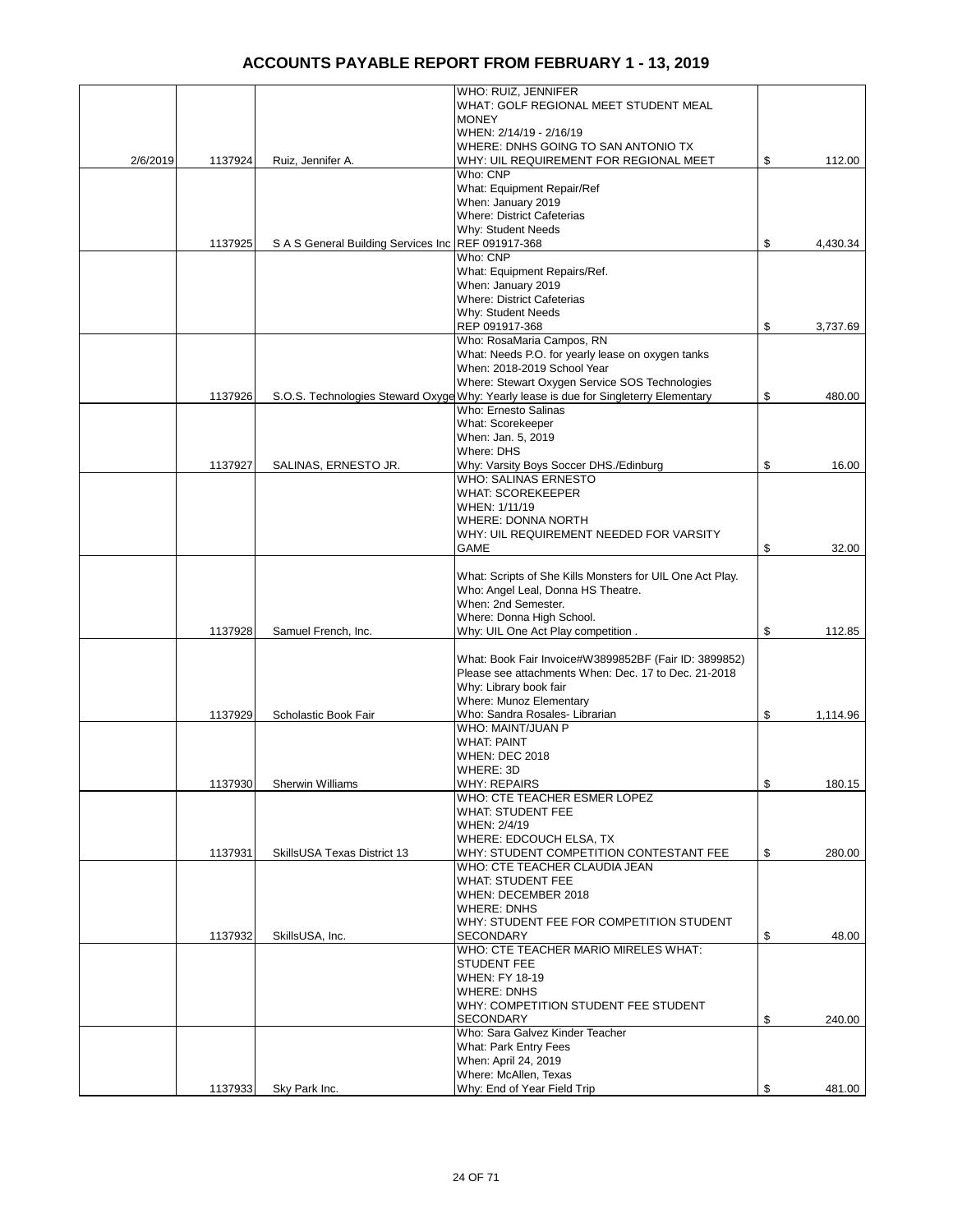|          |         |                                                    | WHO: RUIZ, JENNIFER                                                                   |                |
|----------|---------|----------------------------------------------------|---------------------------------------------------------------------------------------|----------------|
|          |         |                                                    | WHAT: GOLF REGIONAL MEET STUDENT MEAL                                                 |                |
|          |         |                                                    | <b>MONEY</b>                                                                          |                |
|          |         |                                                    | WHEN: 2/14/19 - 2/16/19                                                               |                |
|          |         |                                                    | WHERE: DNHS GOING TO SAN ANTONIO TX                                                   |                |
| 2/6/2019 | 1137924 | Ruiz, Jennifer A.                                  | WHY: UIL REQUIREMENT FOR REGIONAL MEET                                                | \$<br>112.00   |
|          |         |                                                    | Who: CNP                                                                              |                |
|          |         |                                                    | What: Equipment Repair/Ref                                                            |                |
|          |         |                                                    | When: January 2019                                                                    |                |
|          |         |                                                    | <b>Where: District Cafeterias</b>                                                     |                |
|          |         | S A S General Building Services Inc REF 091917-368 | Why: Student Needs                                                                    |                |
|          | 1137925 |                                                    | Who: CNP                                                                              | \$<br>4,430.34 |
|          |         |                                                    | What: Equipment Repairs/Ref.                                                          |                |
|          |         |                                                    | When: January 2019                                                                    |                |
|          |         |                                                    | <b>Where: District Cafeterias</b>                                                     |                |
|          |         |                                                    | Why: Student Needs                                                                    |                |
|          |         |                                                    | REP 091917-368                                                                        | \$<br>3,737.69 |
|          |         |                                                    | Who: RosaMaria Campos, RN                                                             |                |
|          |         |                                                    | What: Needs P.O. for yearly lease on oxygen tanks                                     |                |
|          |         |                                                    | When: 2018-2019 School Year                                                           |                |
|          |         |                                                    | Where: Stewart Oxygen Service SOS Technologies                                        |                |
|          | 1137926 |                                                    | S.O.S. Technologies Steward Oxyge Why: Yearly lease is due for Singleterry Elementary | \$<br>480.00   |
|          |         |                                                    | Who: Ernesto Salinas                                                                  |                |
|          |         |                                                    | What: Scorekeeper                                                                     |                |
|          |         |                                                    | When: Jan. 5, 2019                                                                    |                |
|          |         |                                                    | Where: DHS                                                                            |                |
|          | 1137927 | SALINAS, ERNESTO JR.                               | Why: Varsity Boys Soccer DHS./Edinburg                                                | \$<br>16.00    |
|          |         |                                                    | <b>WHO: SALINAS ERNESTO</b>                                                           |                |
|          |         |                                                    | <b>WHAT: SCOREKEEPER</b>                                                              |                |
|          |         |                                                    | WHEN: 1/11/19                                                                         |                |
|          |         |                                                    | <b>WHERE: DONNA NORTH</b>                                                             |                |
|          |         |                                                    | WHY: UIL REQUIREMENT NEEDED FOR VARSITY                                               |                |
|          |         |                                                    | GAME                                                                                  | \$<br>32.00    |
|          |         |                                                    |                                                                                       |                |
|          |         |                                                    | What: Scripts of She Kills Monsters for UIL One Act Play.                             |                |
|          |         |                                                    | Who: Angel Leal, Donna HS Theatre.                                                    |                |
|          |         |                                                    | When: 2nd Semester.                                                                   |                |
|          |         |                                                    | Where: Donna High School.                                                             |                |
|          | 1137928 | Samuel French, Inc.                                | Why: UIL One Act Play competition.                                                    | \$<br>112.85   |
|          |         |                                                    | What: Book Fair Invoice#W3899852BF (Fair ID: 3899852)                                 |                |
|          |         |                                                    | Please see attachments When: Dec. 17 to Dec. 21-2018                                  |                |
|          |         |                                                    | Why: Library book fair                                                                |                |
|          |         |                                                    | Where: Munoz Elementary                                                               |                |
|          | 1137929 | Scholastic Book Fair                               | Who: Sandra Rosales- Librarian                                                        | \$<br>1,114.96 |
|          |         |                                                    | WHO: MAINT/JUAN P                                                                     |                |
|          |         |                                                    | <b>WHAT: PAINT</b>                                                                    |                |
|          |         |                                                    | <b>WHEN: DEC 2018</b>                                                                 |                |
|          |         |                                                    | WHERE: 3D                                                                             |                |
|          | 1137930 | Sherwin Williams                                   | <b>WHY: REPAIRS</b>                                                                   | \$<br>180.15   |
|          |         |                                                    | WHO: CTE TEACHER ESMER LOPEZ                                                          |                |
|          |         |                                                    | <b>WHAT: STUDENT FEE</b>                                                              |                |
|          |         |                                                    | WHEN: 2/4/19                                                                          |                |
|          |         |                                                    | WHERE: EDCOUCH ELSA, TX                                                               |                |
|          | 1137931 | SkillsUSA Texas District 13                        | WHY: STUDENT COMPETITION CONTESTANT FEE                                               | \$<br>280.00   |
|          |         |                                                    | WHO: CTE TEACHER CLAUDIA JEAN                                                         |                |
|          |         |                                                    | <b>WHAT: STUDENT FEE</b>                                                              |                |
|          |         |                                                    | WHEN: DECEMBER 2018                                                                   |                |
|          |         |                                                    | <b>WHERE: DNHS</b>                                                                    |                |
|          |         |                                                    | WHY: STUDENT FEE FOR COMPETITION STUDENT                                              |                |
|          | 1137932 | SkillsUSA, Inc.                                    | <b>SECONDARY</b>                                                                      | \$<br>48.00    |
|          |         |                                                    | WHO: CTE TEACHER MARIO MIRELES WHAT:                                                  |                |
|          |         |                                                    | <b>STUDENT FEE</b>                                                                    |                |
|          |         |                                                    | <b>WHEN: FY 18-19</b>                                                                 |                |
|          |         |                                                    | <b>WHERE: DNHS</b>                                                                    |                |
|          |         |                                                    | WHY: COMPETITION STUDENT FEE STUDENT<br><b>SECONDARY</b>                              |                |
|          |         |                                                    | Who: Sara Galvez Kinder Teacher                                                       | \$<br>240.00   |
|          |         |                                                    | <b>What: Park Entry Fees</b>                                                          |                |
|          |         |                                                    | When: April 24, 2019                                                                  |                |
|          |         |                                                    | Where: McAllen, Texas                                                                 |                |
|          | 1137933 | Sky Park Inc.                                      | Why: End of Year Field Trip                                                           | \$<br>481.00   |
|          |         |                                                    |                                                                                       |                |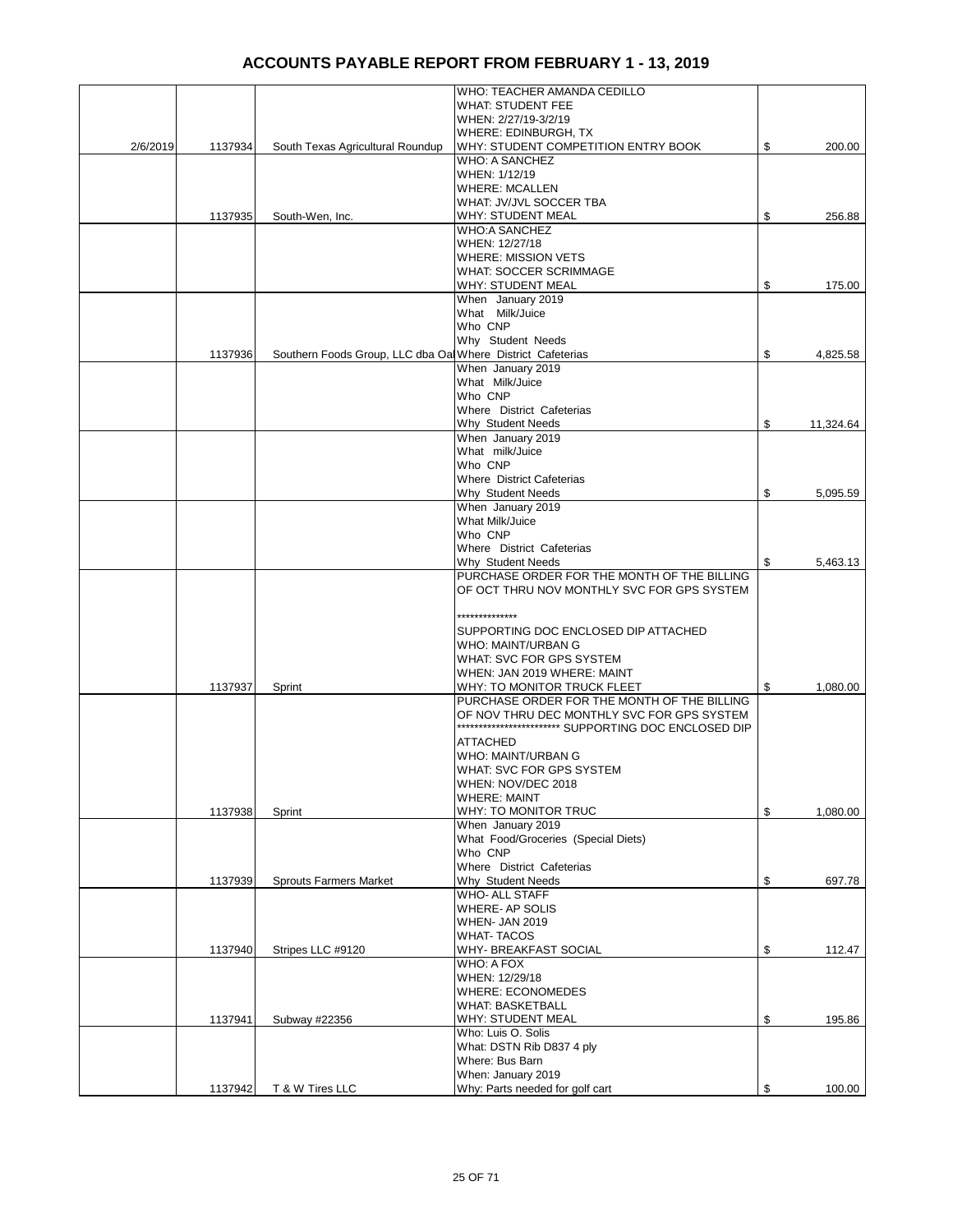|          |         |                                                             | WHO: TEACHER AMANDA CEDILLO                          |                 |
|----------|---------|-------------------------------------------------------------|------------------------------------------------------|-----------------|
|          |         |                                                             | <b>WHAT: STUDENT FEE</b>                             |                 |
|          |         |                                                             | WHEN: 2/27/19-3/2/19                                 |                 |
|          |         |                                                             | WHERE: EDINBURGH, TX                                 |                 |
| 2/6/2019 | 1137934 | South Texas Agricultural Roundup                            | WHY: STUDENT COMPETITION ENTRY BOOK                  | \$<br>200.00    |
|          |         |                                                             | <b>WHO: A SANCHEZ</b>                                |                 |
|          |         |                                                             | WHEN: 1/12/19                                        |                 |
|          |         |                                                             | <b>WHERE: MCALLEN</b>                                |                 |
|          |         |                                                             | WHAT: JV/JVL SOCCER TBA                              |                 |
|          | 1137935 | South-Wen, Inc.                                             | <b>WHY: STUDENT MEAL</b>                             | \$<br>256.88    |
|          |         |                                                             | <b>WHO:A SANCHEZ</b>                                 |                 |
|          |         |                                                             | WHEN: 12/27/18                                       |                 |
|          |         |                                                             |                                                      |                 |
|          |         |                                                             | <b>WHERE: MISSION VETS</b>                           |                 |
|          |         |                                                             | <b>WHAT: SOCCER SCRIMMAGE</b>                        |                 |
|          |         |                                                             | <b>WHY: STUDENT MEAL</b>                             | \$<br>175.00    |
|          |         |                                                             | When January 2019                                    |                 |
|          |         |                                                             | What Milk/Juice                                      |                 |
|          |         |                                                             | Who CNP                                              |                 |
|          |         |                                                             | Why Student Needs                                    |                 |
|          | 1137936 | Southern Foods Group, LLC dba Oal Where District Cafeterias |                                                      | \$<br>4,825.58  |
|          |         |                                                             | When January 2019                                    |                 |
|          |         |                                                             | What Milk/Juice                                      |                 |
|          |         |                                                             | Who CNP                                              |                 |
|          |         |                                                             | Where District Cafeterias                            |                 |
|          |         |                                                             | Why Student Needs                                    | \$<br>11,324.64 |
|          |         |                                                             | When January 2019                                    |                 |
|          |         |                                                             | What milk/Juice                                      |                 |
|          |         |                                                             | Who CNP                                              |                 |
|          |         |                                                             |                                                      |                 |
|          |         |                                                             | Where District Cafeterias                            |                 |
|          |         |                                                             | Why Student Needs                                    | \$<br>5,095.59  |
|          |         |                                                             | When January 2019                                    |                 |
|          |         |                                                             | What Milk/Juice                                      |                 |
|          |         |                                                             | Who CNP                                              |                 |
|          |         |                                                             | Where District Cafeterias                            |                 |
|          |         |                                                             | Why Student Needs                                    | \$<br>5,463.13  |
|          |         |                                                             | PURCHASE ORDER FOR THE MONTH OF THE BILLING          |                 |
|          |         |                                                             | OF OCT THRU NOV MONTHLY SVC FOR GPS SYSTEM           |                 |
|          |         |                                                             |                                                      |                 |
|          |         |                                                             | **************                                       |                 |
|          |         |                                                             | SUPPORTING DOC ENCLOSED DIP ATTACHED                 |                 |
|          |         |                                                             | WHO: MAINT/URBAN G                                   |                 |
|          |         |                                                             | WHAT: SVC FOR GPS SYSTEM                             |                 |
|          |         |                                                             |                                                      |                 |
|          |         |                                                             | WHEN: JAN 2019 WHERE: MAINT                          |                 |
|          | 1137937 | Sprint                                                      | WHY: TO MONITOR TRUCK FLEET                          | \$<br>1,080.00  |
|          |         |                                                             | PURCHASE ORDER FOR THE MONTH OF THE BILLING          |                 |
|          |         |                                                             | OF NOV THRU DEC MONTHLY SVC FOR GPS SYSTEM           |                 |
|          |         |                                                             | ************************ SUPPORTING DOC ENCLOSED DIP |                 |
|          |         |                                                             | <b>ATTACHED</b>                                      |                 |
|          |         |                                                             | WHO: MAINT/URBAN G                                   |                 |
|          |         |                                                             | WHAT: SVC FOR GPS SYSTEM                             |                 |
|          |         |                                                             | WHEN: NOV/DEC 2018                                   |                 |
|          |         |                                                             | <b>WHERE: MAINT</b>                                  |                 |
|          | 1137938 | Sprint                                                      | WHY: TO MONITOR TRUC                                 | \$<br>1,080.00  |
|          |         |                                                             | When January 2019                                    |                 |
|          |         |                                                             | What Food/Groceries (Special Diets)                  |                 |
|          |         |                                                             | Who CNP                                              |                 |
|          |         |                                                             | Where District Cafeterias                            |                 |
|          |         |                                                             |                                                      |                 |
|          | 1137939 | <b>Sprouts Farmers Market</b>                               | Why Student Needs                                    | \$<br>697.78    |
|          |         |                                                             | <b>WHO- ALL STAFF</b>                                |                 |
|          |         |                                                             | WHERE- AP SOLIS                                      |                 |
|          |         |                                                             | <b>WHEN- JAN 2019</b>                                |                 |
|          |         |                                                             | <b>WHAT-TACOS</b>                                    |                 |
|          | 1137940 | Stripes LLC #9120                                           | WHY- BREAKFAST SOCIAL                                | \$<br>112.47    |
|          |         |                                                             | WHO: A FOX                                           |                 |
|          |         |                                                             | WHEN: 12/29/18                                       |                 |
|          |         |                                                             | <b>WHERE: ECONOMEDES</b>                             |                 |
|          |         |                                                             | <b>WHAT: BASKETBALL</b>                              |                 |
|          | 1137941 | Subway #22356                                               | <b>WHY: STUDENT MEAL</b>                             | \$<br>195.86    |
|          |         |                                                             | Who: Luis O. Solis                                   |                 |
|          |         |                                                             | What: DSTN Rib D837 4 ply                            |                 |
|          |         |                                                             | Where: Bus Barn                                      |                 |
|          |         |                                                             |                                                      |                 |
|          |         |                                                             | When: January 2019                                   |                 |
|          | 1137942 | T & W Tires LLC                                             | Why: Parts needed for golf cart                      | \$<br>100.00    |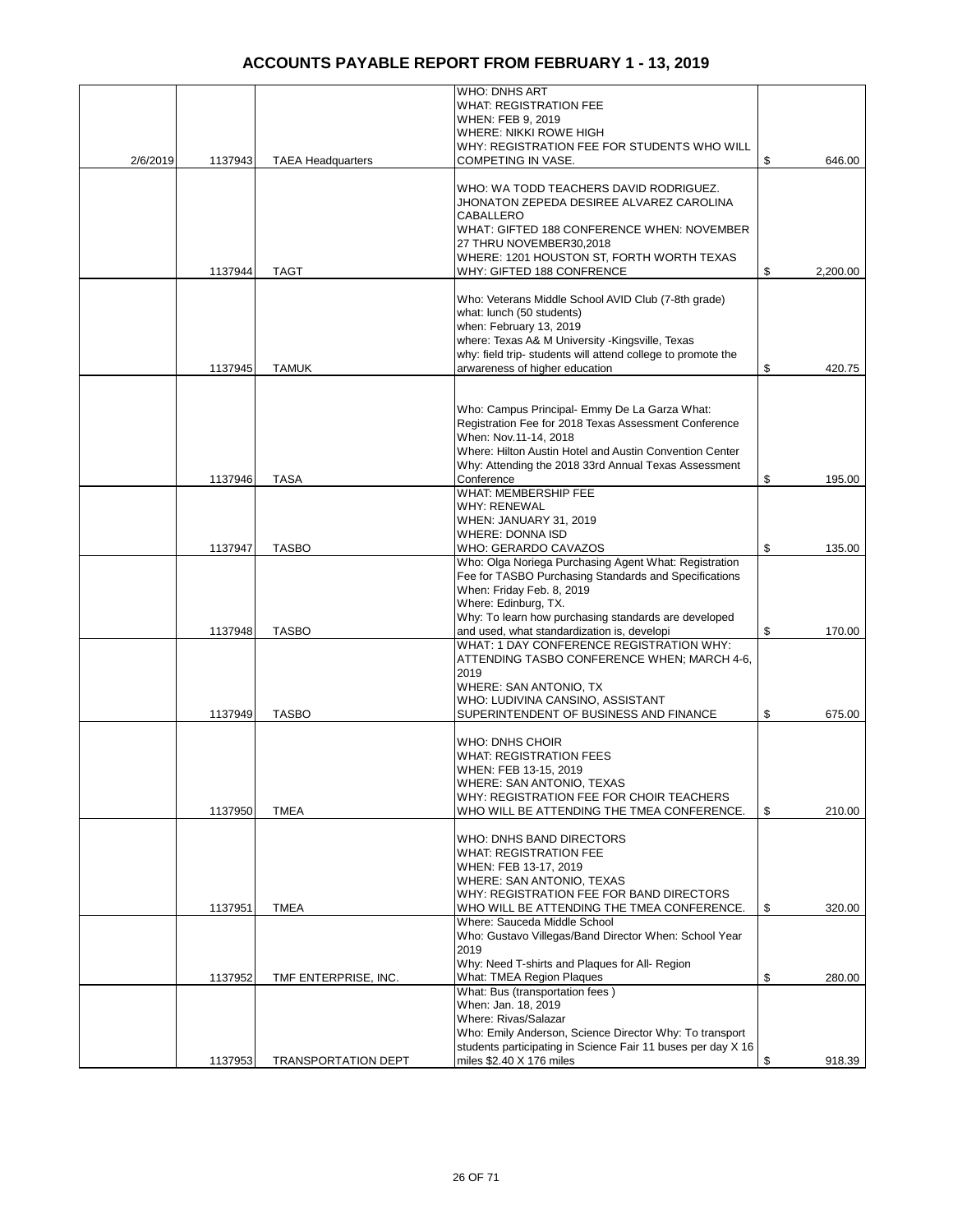|          |         |                            | WHO: DNHS ART                                                                                                    |                |
|----------|---------|----------------------------|------------------------------------------------------------------------------------------------------------------|----------------|
|          |         |                            | <b>WHAT: REGISTRATION FEE</b><br>WHEN: FEB 9, 2019                                                               |                |
|          |         |                            | WHERE: NIKKI ROWE HIGH                                                                                           |                |
|          |         |                            | WHY: REGISTRATION FEE FOR STUDENTS WHO WILL                                                                      |                |
| 2/6/2019 | 1137943 | <b>TAEA Headquarters</b>   | COMPETING IN VASE.                                                                                               | \$<br>646.00   |
|          |         |                            | WHO: WA TODD TEACHERS DAVID RODRIGUEZ.                                                                           |                |
|          |         |                            | JHONATON ZEPEDA DESIREE ALVAREZ CAROLINA                                                                         |                |
|          |         |                            | CABALLERO                                                                                                        |                |
|          |         |                            | WHAT: GIFTED 188 CONFERENCE WHEN: NOVEMBER<br>27 THRU NOVEMBER30,2018                                            |                |
|          |         |                            | WHERE: 1201 HOUSTON ST, FORTH WORTH TEXAS                                                                        |                |
|          | 1137944 | <b>TAGT</b>                | WHY: GIFTED 188 CONFRENCE                                                                                        | \$<br>2,200.00 |
|          |         |                            | Who: Veterans Middle School AVID Club (7-8th grade)                                                              |                |
|          |         |                            | what: lunch (50 students)                                                                                        |                |
|          |         |                            | when: February 13, 2019                                                                                          |                |
|          |         |                            | where: Texas A& M University - Kingsville, Texas<br>why: field trip- students will attend college to promote the |                |
|          | 1137945 | <b>TAMUK</b>               | arwareness of higher education                                                                                   | \$<br>420.75   |
|          |         |                            |                                                                                                                  |                |
|          |         |                            | Who: Campus Principal- Emmy De La Garza What:                                                                    |                |
|          |         |                            | Registration Fee for 2018 Texas Assessment Conference                                                            |                |
|          |         |                            | When: Nov.11-14, 2018                                                                                            |                |
|          |         |                            | Where: Hilton Austin Hotel and Austin Convention Center                                                          |                |
|          | 1137946 | <b>TASA</b>                | Why: Attending the 2018 33rd Annual Texas Assessment<br>Conference                                               | \$<br>195.00   |
|          |         |                            | WHAT: MEMBERSHIP FEE                                                                                             |                |
|          |         |                            | WHY: RENEWAL                                                                                                     |                |
|          |         |                            | WHEN: JANUARY 31, 2019<br><b>WHERE: DONNA ISD</b>                                                                |                |
|          | 1137947 | <b>TASBO</b>               | WHO: GERARDO CAVAZOS                                                                                             | \$<br>135.00   |
|          |         |                            | Who: Olga Noriega Purchasing Agent What: Registration                                                            |                |
|          |         |                            | Fee for TASBO Purchasing Standards and Specifications<br>When: Friday Feb. 8, 2019                               |                |
|          |         |                            | Where: Edinburg, TX.                                                                                             |                |
|          |         |                            | Why: To learn how purchasing standards are developed                                                             |                |
|          | 1137948 | <b>TASBO</b>               | and used, what standardization is, developi<br>WHAT: 1 DAY CONFERENCE REGISTRATION WHY:                          | \$<br>170.00   |
|          |         |                            | ATTENDING TASBO CONFERENCE WHEN; MARCH 4-6,                                                                      |                |
|          |         |                            | 2019                                                                                                             |                |
|          |         |                            | WHERE: SAN ANTONIO, TX                                                                                           |                |
|          | 1137949 | <b>TASBO</b>               | WHO: LUDIVINA CANSINO, ASSISTANT<br>SUPERINTENDENT OF BUSINESS AND FINANCE                                       | \$<br>675.00   |
|          |         |                            |                                                                                                                  |                |
|          |         |                            | WHO: DNHS CHOIR                                                                                                  |                |
|          |         |                            | <b>WHAT: REGISTRATION FEES</b><br>WHEN: FEB 13-15, 2019                                                          |                |
|          |         |                            | WHERE: SAN ANTONIO, TEXAS                                                                                        |                |
|          |         |                            | WHY: REGISTRATION FEE FOR CHOIR TEACHERS                                                                         |                |
|          | 1137950 | <b>TMEA</b>                | WHO WILL BE ATTENDING THE TMEA CONFERENCE.                                                                       | \$<br>210.00   |
|          |         |                            | WHO: DNHS BAND DIRECTORS                                                                                         |                |
|          |         |                            | <b>WHAT: REGISTRATION FEE</b>                                                                                    |                |
|          |         |                            | WHEN: FEB 13-17, 2019<br>WHERE: SAN ANTONIO, TEXAS                                                               |                |
|          |         |                            | WHY: REGISTRATION FEE FOR BAND DIRECTORS                                                                         |                |
|          | 1137951 | <b>TMEA</b>                | WHO WILL BE ATTENDING THE TMEA CONFERENCE.                                                                       | \$<br>320.00   |
|          |         |                            | Where: Sauceda Middle School<br>Who: Gustavo Villegas/Band Director When: School Year                            |                |
|          |         |                            | 2019                                                                                                             |                |
|          |         |                            | Why: Need T-shirts and Plaques for All- Region                                                                   |                |
|          | 1137952 | TMF ENTERPRISE, INC.       | What: TMEA Region Plaques<br>What: Bus (transportation fees)                                                     | \$<br>280.00   |
|          |         |                            | When: Jan. 18, 2019                                                                                              |                |
|          |         |                            | Where: Rivas/Salazar                                                                                             |                |
|          |         |                            | Who: Emily Anderson, Science Director Why: To transport                                                          |                |
|          | 1137953 | <b>TRANSPORTATION DEPT</b> | students participating in Science Fair 11 buses per day X 16<br>miles \$2.40 X 176 miles                         | \$<br>918.39   |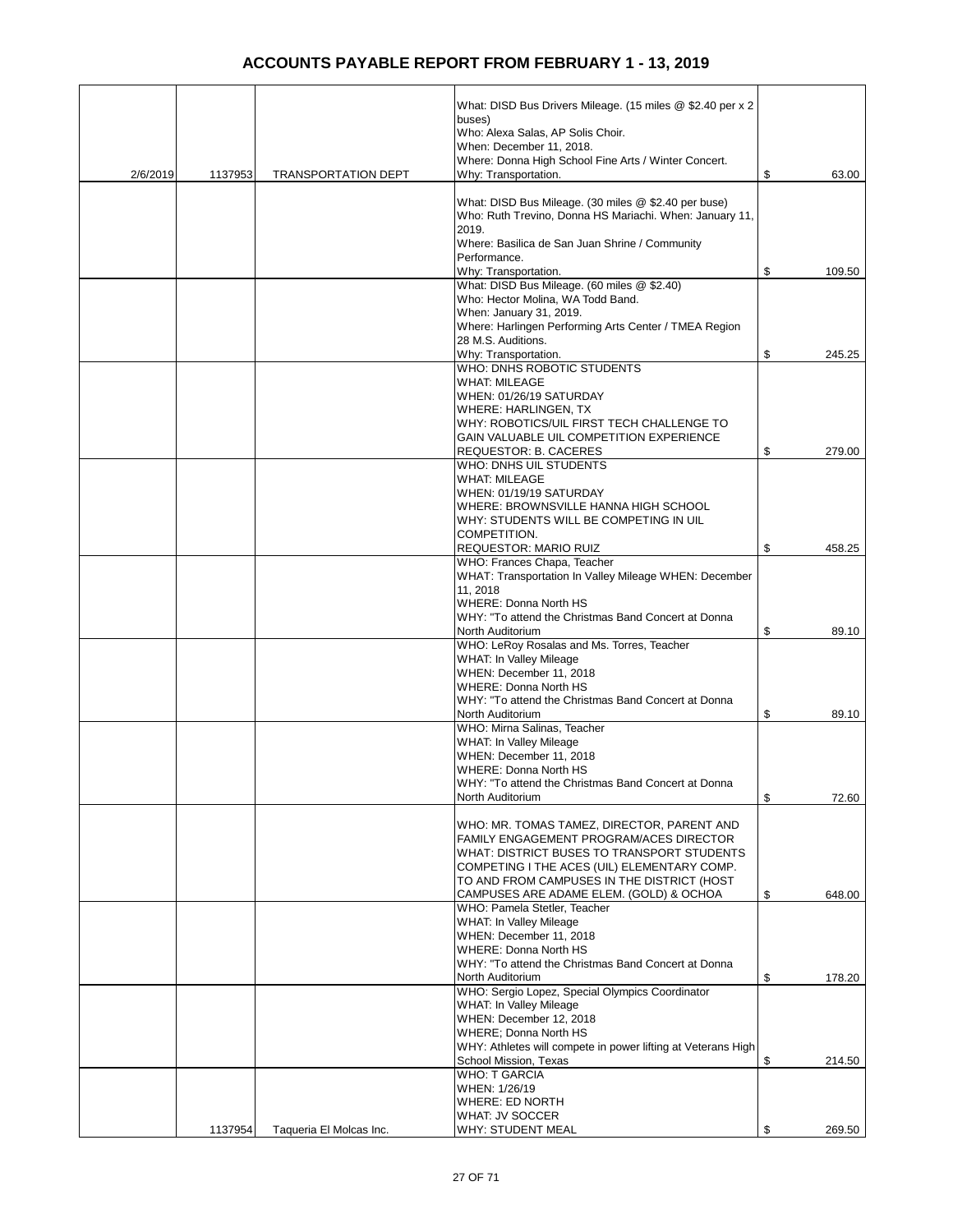|          |         |                            | What: DISD Bus Drivers Mileage. (15 miles @ \$2.40 per x 2                                |              |
|----------|---------|----------------------------|-------------------------------------------------------------------------------------------|--------------|
|          |         |                            | buses)                                                                                    |              |
|          |         |                            | Who: Alexa Salas, AP Solis Choir.<br>When: December 11, 2018.                             |              |
|          |         |                            | Where: Donna High School Fine Arts / Winter Concert.                                      |              |
| 2/6/2019 | 1137953 | <b>TRANSPORTATION DEPT</b> | Why: Transportation.                                                                      | \$<br>63.00  |
|          |         |                            | What: DISD Bus Mileage. (30 miles @ \$2.40 per buse)                                      |              |
|          |         |                            | Who: Ruth Trevino, Donna HS Mariachi. When: January 11,                                   |              |
|          |         |                            | 2019.<br>Where: Basilica de San Juan Shrine / Community                                   |              |
|          |         |                            | Performance.                                                                              |              |
|          |         |                            | Why: Transportation.                                                                      | \$<br>109.50 |
|          |         |                            | What: DISD Bus Mileage. (60 miles @ \$2.40)<br>Who: Hector Molina, WA Todd Band.          |              |
|          |         |                            | When: January 31, 2019.                                                                   |              |
|          |         |                            | Where: Harlingen Performing Arts Center / TMEA Region<br>28 M.S. Auditions.               |              |
|          |         |                            | Why: Transportation.                                                                      | \$<br>245.25 |
|          |         |                            | WHO: DNHS ROBOTIC STUDENTS                                                                |              |
|          |         |                            | <b>WHAT: MILEAGE</b><br>WHEN: 01/26/19 SATURDAY                                           |              |
|          |         |                            | WHERE: HARLINGEN, TX                                                                      |              |
|          |         |                            | WHY: ROBOTICS/UIL FIRST TECH CHALLENGE TO                                                 |              |
|          |         |                            | GAIN VALUABLE UIL COMPETITION EXPERIENCE<br>REQUESTOR: B. CACERES                         | \$<br>279.00 |
|          |         |                            | WHO: DNHS UIL STUDENTS                                                                    |              |
|          |         |                            | <b>WHAT: MILEAGE</b>                                                                      |              |
|          |         |                            | WHEN: 01/19/19 SATURDAY<br>WHERE: BROWNSVILLE HANNA HIGH SCHOOL                           |              |
|          |         |                            | WHY: STUDENTS WILL BE COMPETING IN UIL                                                    |              |
|          |         |                            | COMPETITION.                                                                              |              |
|          |         |                            | REQUESTOR: MARIO RUIZ<br>WHO: Frances Chapa, Teacher                                      | \$<br>458.25 |
|          |         |                            | WHAT: Transportation In Valley Mileage WHEN: December                                     |              |
|          |         |                            | 11, 2018                                                                                  |              |
|          |         |                            | <b>WHERE: Donna North HS</b><br>WHY: "To attend the Christmas Band Concert at Donna       |              |
|          |         |                            | North Auditorium                                                                          | \$<br>89.10  |
|          |         |                            | WHO: LeRoy Rosalas and Ms. Torres, Teacher                                                |              |
|          |         |                            | WHAT: In Valley Mileage<br>WHEN: December 11, 2018                                        |              |
|          |         |                            | <b>WHERE: Donna North HS</b>                                                              |              |
|          |         |                            | WHY: "To attend the Christmas Band Concert at Donna                                       |              |
|          |         |                            | North Auditorium<br>WHO: Mirna Salinas, Teacher                                           | \$<br>89.10  |
|          |         |                            | <b>WHAT: In Valley Mileage</b>                                                            |              |
|          |         |                            | WHEN: December 11, 2018<br>WHERE: Donna North HS                                          |              |
|          |         |                            | WHY: "To attend the Christmas Band Concert at Donna                                       |              |
|          |         |                            | North Auditorium                                                                          | \$<br>72.60  |
|          |         |                            | WHO: MR. TOMAS TAMEZ, DIRECTOR, PARENT AND                                                |              |
|          |         |                            | FAMILY ENGAGEMENT PROGRAM/ACES DIRECTOR                                                   |              |
|          |         |                            | WHAT: DISTRICT BUSES TO TRANSPORT STUDENTS                                                |              |
|          |         |                            | COMPETING I THE ACES (UIL) ELEMENTARY COMP.<br>TO AND FROM CAMPUSES IN THE DISTRICT (HOST |              |
|          |         |                            | CAMPUSES ARE ADAME ELEM. (GOLD) & OCHOA                                                   | \$<br>648.00 |
|          |         |                            | WHO: Pamela Stetler, Teacher                                                              |              |
|          |         |                            | WHAT: In Valley Mileage<br>WHEN: December 11, 2018                                        |              |
|          |         |                            | <b>WHERE: Donna North HS</b>                                                              |              |
|          |         |                            | WHY: "To attend the Christmas Band Concert at Donna<br>North Auditorium                   | \$<br>178.20 |
|          |         |                            | WHO: Sergio Lopez, Special Olympics Coordinator                                           |              |
|          |         |                            | WHAT: In Valley Mileage                                                                   |              |
|          |         |                            | WHEN: December 12, 2018<br><b>WHERE: Donna North HS</b>                                   |              |
|          |         |                            | WHY: Athletes will compete in power lifting at Veterans High                              |              |
|          |         |                            | School Mission, Texas                                                                     | \$<br>214.50 |
|          |         |                            | <b>WHO: T GARCIA</b><br>WHEN: 1/26/19                                                     |              |
|          |         |                            | <b>WHERE: ED NORTH</b>                                                                    |              |
|          |         |                            | <b>WHAT: JV SOCCER</b>                                                                    |              |
|          | 1137954 | Taqueria El Molcas Inc.    | <b>WHY: STUDENT MEAL</b>                                                                  | \$<br>269.50 |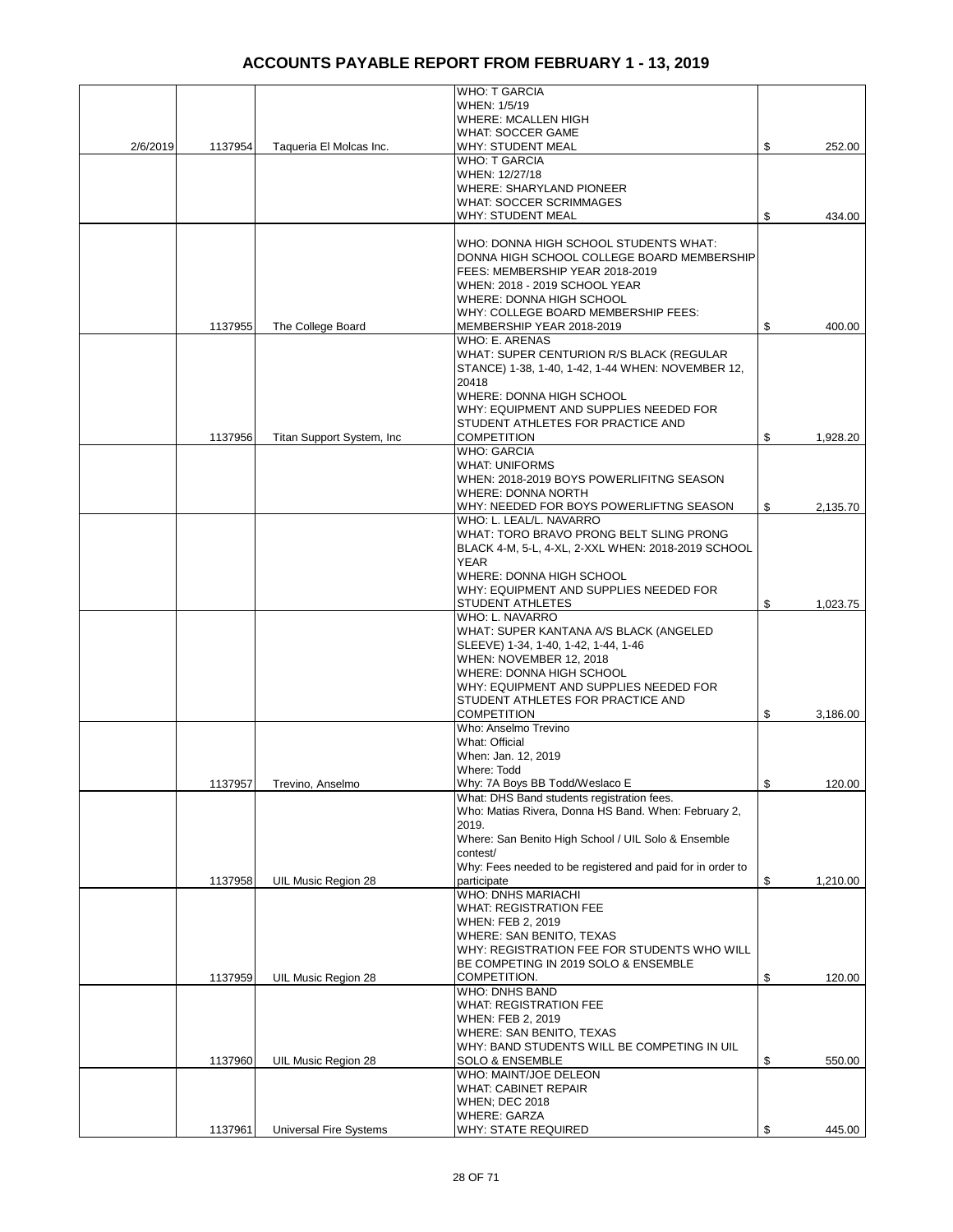|          |         |                               | <b>WHO: T GARCIA</b>                                                          |                |
|----------|---------|-------------------------------|-------------------------------------------------------------------------------|----------------|
|          |         |                               | WHEN: 1/5/19                                                                  |                |
|          |         |                               | <b>WHERE: MCALLEN HIGH</b>                                                    |                |
|          |         |                               | <b>WHAT: SOCCER GAME</b>                                                      |                |
| 2/6/2019 | 1137954 | Taqueria El Molcas Inc.       | WHY: STUDENT MEAL                                                             | \$<br>252.00   |
|          |         |                               | WHO: T GARCIA<br>WHEN: 12/27/18                                               |                |
|          |         |                               | <b>WHERE: SHARYLAND PIONEER</b>                                               |                |
|          |         |                               | <b>WHAT: SOCCER SCRIMMAGES</b>                                                |                |
|          |         |                               | <b>WHY: STUDENT MEAL</b>                                                      | \$<br>434.00   |
|          |         |                               |                                                                               |                |
|          |         |                               | WHO: DONNA HIGH SCHOOL STUDENTS WHAT:                                         |                |
|          |         |                               | DONNA HIGH SCHOOL COLLEGE BOARD MEMBERSHIP<br>FEES: MEMBERSHIP YEAR 2018-2019 |                |
|          |         |                               | WHEN: 2018 - 2019 SCHOOL YEAR                                                 |                |
|          |         |                               | WHERE: DONNA HIGH SCHOOL                                                      |                |
|          |         |                               | WHY: COLLEGE BOARD MEMBERSHIP FEES:                                           |                |
|          | 1137955 | The College Board             | MEMBERSHIP YEAR 2018-2019                                                     | \$<br>400.00   |
|          |         |                               | WHO: E. ARENAS                                                                |                |
|          |         |                               | WHAT: SUPER CENTURION R/S BLACK (REGULAR                                      |                |
|          |         |                               | STANCE) 1-38, 1-40, 1-42, 1-44 WHEN: NOVEMBER 12,<br>20418                    |                |
|          |         |                               | WHERE: DONNA HIGH SCHOOL                                                      |                |
|          |         |                               | WHY: EQUIPMENT AND SUPPLIES NEEDED FOR                                        |                |
|          |         |                               | STUDENT ATHLETES FOR PRACTICE AND                                             |                |
|          | 1137956 | Titan Support System, Inc.    | <b>COMPETITION</b>                                                            | \$<br>1,928.20 |
|          |         |                               | <b>WHO: GARCIA</b>                                                            |                |
|          |         |                               | <b>WHAT: UNIFORMS</b>                                                         |                |
|          |         |                               | WHEN: 2018-2019 BOYS POWERLIFITNG SEASON<br><b>WHERE: DONNA NORTH</b>         |                |
|          |         |                               | WHY: NEEDED FOR BOYS POWERLIFTNG SEASON                                       | \$<br>2,135.70 |
|          |         |                               | WHO: L. LEAL/L. NAVARRO                                                       |                |
|          |         |                               | WHAT: TORO BRAVO PRONG BELT SLING PRONG                                       |                |
|          |         |                               | BLACK 4-M, 5-L, 4-XL, 2-XXL WHEN: 2018-2019 SCHOOL                            |                |
|          |         |                               | YEAR                                                                          |                |
|          |         |                               | WHERE: DONNA HIGH SCHOOL<br>WHY: EQUIPMENT AND SUPPLIES NEEDED FOR            |                |
|          |         |                               | STUDENT ATHLETES                                                              | \$<br>1,023.75 |
|          |         |                               | WHO: L. NAVARRO                                                               |                |
|          |         |                               | WHAT: SUPER KANTANA A/S BLACK (ANGELED                                        |                |
|          |         |                               | SLEEVE) 1-34, 1-40, 1-42, 1-44, 1-46                                          |                |
|          |         |                               | WHEN: NOVEMBER 12, 2018                                                       |                |
|          |         |                               | WHERE: DONNA HIGH SCHOOL<br>WHY: EQUIPMENT AND SUPPLIES NEEDED FOR            |                |
|          |         |                               | STUDENT ATHLETES FOR PRACTICE AND                                             |                |
|          |         |                               | <b>COMPETITION</b>                                                            | \$<br>3,186.00 |
|          |         |                               | Who: Anselmo Trevino                                                          |                |
|          |         |                               | What: Official                                                                |                |
|          |         |                               | When: Jan. 12, 2019                                                           |                |
|          |         |                               | Where: Todd<br>Why: 7A Boys BB Todd/Weslaco E                                 | 120.00         |
|          | 1137957 | Trevino, Anselmo              | What: DHS Band students registration fees.                                    | \$             |
|          |         |                               | Who: Matias Rivera, Donna HS Band. When: February 2,                          |                |
|          |         |                               | 2019.                                                                         |                |
|          |         |                               | Where: San Benito High School / UIL Solo & Ensemble                           |                |
|          |         |                               | contest/                                                                      |                |
|          |         |                               | Why: Fees needed to be registered and paid for in order to<br>participate     |                |
|          | 1137958 | UIL Music Region 28           | WHO: DNHS MARIACHI                                                            | \$<br>1,210.00 |
|          |         |                               | <b>WHAT: REGISTRATION FEE</b>                                                 |                |
|          |         |                               | WHEN: FEB 2, 2019                                                             |                |
|          |         |                               | WHERE: SAN BENITO, TEXAS                                                      |                |
|          |         |                               | WHY: REGISTRATION FEE FOR STUDENTS WHO WILL                                   |                |
|          | 1137959 | UIL Music Region 28           | BE COMPETING IN 2019 SOLO & ENSEMBLE<br>COMPETITION.                          | \$             |
|          |         |                               | <b>WHO: DNHS BAND</b>                                                         | 120.00         |
|          |         |                               | WHAT: REGISTRATION FEE                                                        |                |
|          |         |                               | WHEN: FEB 2, 2019                                                             |                |
|          |         |                               | WHERE: SAN BENITO, TEXAS                                                      |                |
|          |         |                               | WHY: BAND STUDENTS WILL BE COMPETING IN UIL                                   |                |
|          | 1137960 | UIL Music Region 28           | <b>SOLO &amp; ENSEMBLE</b>                                                    | \$<br>550.00   |
|          |         |                               | WHO: MAINT/JOE DELEON<br>WHAT: CABINET REPAIR                                 |                |
|          |         |                               | <b>WHEN; DEC 2018</b>                                                         |                |
|          |         |                               | <b>WHERE: GARZA</b>                                                           |                |
|          | 1137961 | <b>Universal Fire Systems</b> | <b>WHY: STATE REQUIRED</b>                                                    | \$<br>445.00   |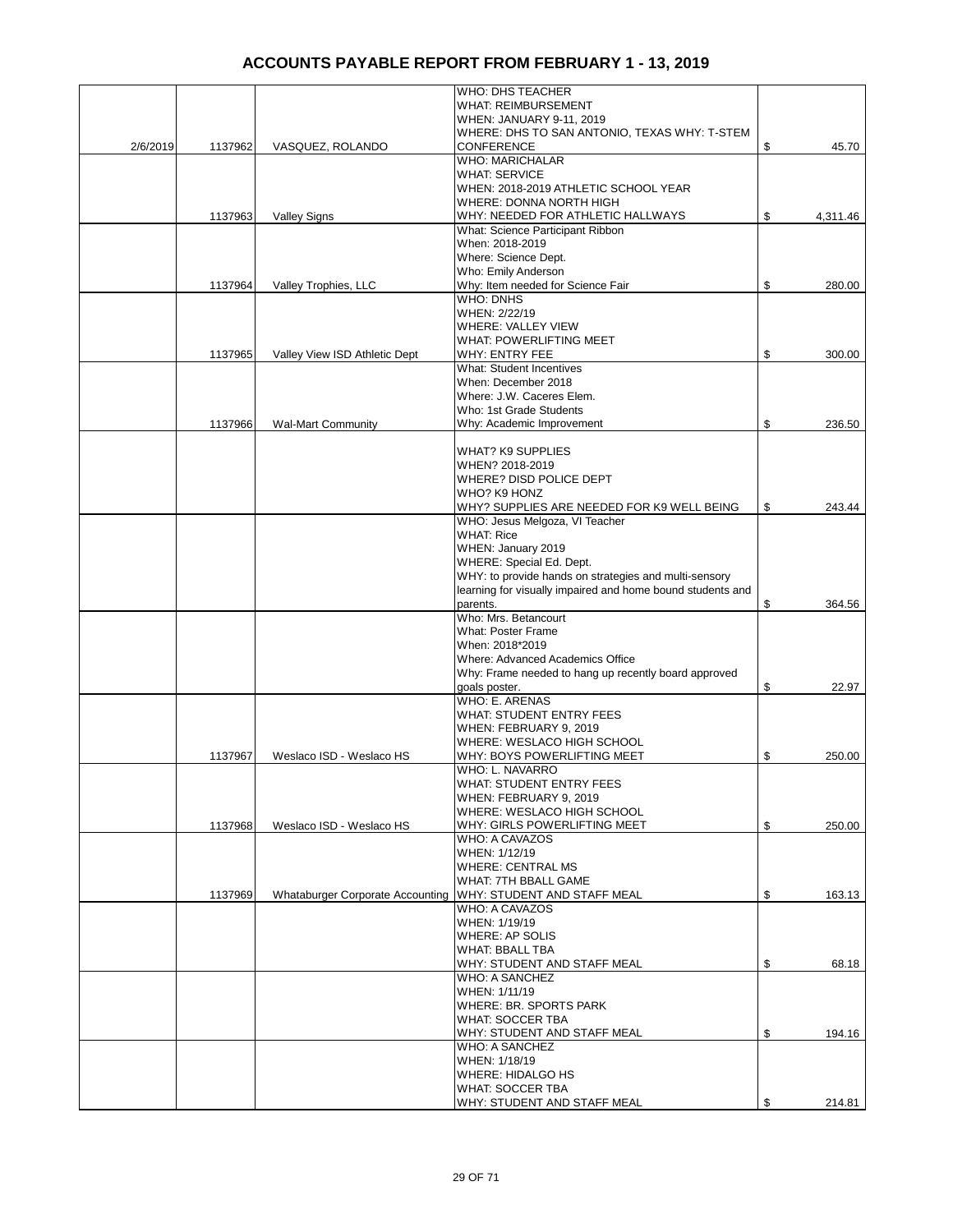|          |         |                                  | WHO: DHS TEACHER                                                      |                |
|----------|---------|----------------------------------|-----------------------------------------------------------------------|----------------|
|          |         |                                  | <b>WHAT: REIMBURSEMENT</b>                                            |                |
|          |         |                                  | WHEN: JANUARY 9-11, 2019                                              |                |
|          |         |                                  | WHERE: DHS TO SAN ANTONIO, TEXAS WHY: T-STEM                          |                |
| 2/6/2019 | 1137962 | VASQUEZ, ROLANDO                 | <b>CONFERENCE</b>                                                     | \$<br>45.70    |
|          |         |                                  | <b>WHO: MARICHALAR</b>                                                |                |
|          |         |                                  | <b>WHAT: SERVICE</b>                                                  |                |
|          |         |                                  | WHEN: 2018-2019 ATHLETIC SCHOOL YEAR                                  |                |
|          |         |                                  | WHERE: DONNA NORTH HIGH                                               |                |
|          | 1137963 | <b>Valley Signs</b>              | WHY: NEEDED FOR ATHLETIC HALLWAYS<br>What: Science Participant Ribbon | \$<br>4,311.46 |
|          |         |                                  | When: 2018-2019                                                       |                |
|          |         |                                  | Where: Science Dept.                                                  |                |
|          |         |                                  | Who: Emily Anderson                                                   |                |
|          | 1137964 | Valley Trophies, LLC             | Why: Item needed for Science Fair                                     | \$<br>280.00   |
|          |         |                                  | <b>WHO: DNHS</b>                                                      |                |
|          |         |                                  | WHEN: 2/22/19                                                         |                |
|          |         |                                  | WHERE: VALLEY VIEW                                                    |                |
|          |         |                                  | <b>WHAT: POWERLIFTING MEET</b>                                        |                |
|          | 1137965 | Valley View ISD Athletic Dept    | WHY: ENTRY FEE                                                        | \$<br>300.00   |
|          |         |                                  | <b>What: Student Incentives</b>                                       |                |
|          |         |                                  | When: December 2018                                                   |                |
|          |         |                                  | Where: J.W. Caceres Elem.                                             |                |
|          |         |                                  | Who: 1st Grade Students                                               |                |
|          | 1137966 | <b>Wal-Mart Community</b>        | Why: Academic Improvement                                             | \$<br>236.50   |
|          |         |                                  |                                                                       |                |
|          |         |                                  | <b>WHAT? K9 SUPPLIES</b>                                              |                |
|          |         |                                  | WHEN? 2018-2019                                                       |                |
|          |         |                                  | WHERE? DISD POLICE DEPT                                               |                |
|          |         |                                  | WHO? K9 HONZ                                                          |                |
|          |         |                                  | WHY? SUPPLIES ARE NEEDED FOR K9 WELL BEING                            | \$<br>243.44   |
|          |         |                                  | WHO: Jesus Melgoza, VI Teacher                                        |                |
|          |         |                                  | <b>WHAT: Rice</b><br>WHEN: January 2019                               |                |
|          |         |                                  | WHERE: Special Ed. Dept.                                              |                |
|          |         |                                  | WHY: to provide hands on strategies and multi-sensory                 |                |
|          |         |                                  | learning for visually impaired and home bound students and            |                |
|          |         |                                  | parents.                                                              | \$<br>364.56   |
|          |         |                                  | Who: Mrs. Betancourt                                                  |                |
|          |         |                                  | <b>What: Poster Frame</b>                                             |                |
|          |         |                                  | When: 2018*2019                                                       |                |
|          |         |                                  | Where: Advanced Academics Office                                      |                |
|          |         |                                  | Why: Frame needed to hang up recently board approved                  |                |
|          |         |                                  | goals poster.                                                         | \$<br>22.97    |
|          |         |                                  | <b>WHO: E. ARENAS</b>                                                 |                |
|          |         |                                  | <b>WHAT: STUDENT ENTRY FEES</b>                                       |                |
|          |         |                                  | WHEN: FEBRUARY 9, 2019                                                |                |
|          |         |                                  | WHERE: WESLACO HIGH SCHOOL                                            |                |
|          | 1137967 | Weslaco ISD - Weslaco HS         | WHY: BOYS POWERLIFTING MEET                                           | \$<br>250.00   |
|          |         |                                  | WHO: L. NAVARRO                                                       |                |
|          |         |                                  | <b>WHAT: STUDENT ENTRY FEES</b>                                       |                |
|          |         |                                  | WHEN: FEBRUARY 9, 2019                                                |                |
|          |         |                                  | WHERE: WESLACO HIGH SCHOOL                                            |                |
|          | 1137968 | Weslaco ISD - Weslaco HS         | WHY: GIRLS POWERLIFTING MEET                                          | \$<br>250.00   |
|          |         |                                  | WHO: A CAVAZOS                                                        |                |
|          |         |                                  | WHEN: 1/12/19<br><b>WHERE: CENTRAL MS</b>                             |                |
|          |         |                                  | WHAT: 7TH BBALL GAME                                                  |                |
|          | 1137969 | Whataburger Corporate Accounting | WHY: STUDENT AND STAFF MEAL                                           | \$<br>163.13   |
|          |         |                                  | WHO: A CAVAZOS                                                        |                |
|          |         |                                  | WHEN: 1/19/19                                                         |                |
|          |         |                                  | WHERE: AP SOLIS                                                       |                |
|          |         |                                  | <b>WHAT: BBALL TBA</b>                                                |                |
|          |         |                                  | WHY: STUDENT AND STAFF MEAL                                           | \$<br>68.18    |
|          |         |                                  | WHO: A SANCHEZ                                                        |                |
|          |         |                                  | WHEN: 1/11/19                                                         |                |
|          |         |                                  | WHERE: BR. SPORTS PARK                                                |                |
|          |         |                                  | <b>WHAT: SOCCER TBA</b>                                               |                |
|          |         |                                  | WHY: STUDENT AND STAFF MEAL                                           | \$<br>194.16   |
|          |         |                                  | WHO: A SANCHEZ                                                        |                |
|          |         |                                  | WHEN: 1/18/19                                                         |                |
|          |         |                                  | <b>WHERE: HIDALGO HS</b>                                              |                |
|          |         |                                  | <b>WHAT: SOCCER TBA</b>                                               |                |
|          |         |                                  | WHY: STUDENT AND STAFF MEAL                                           | \$<br>214.81   |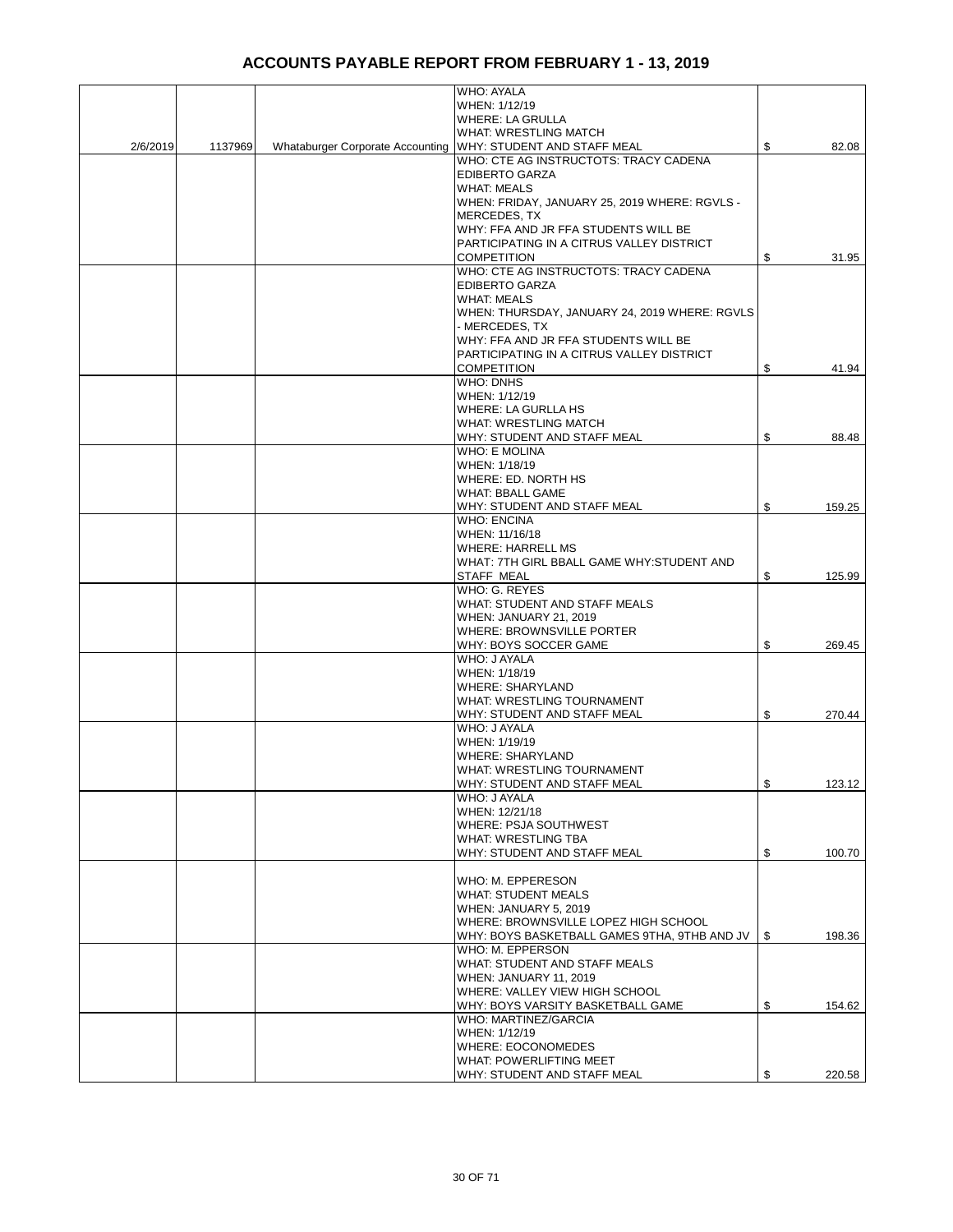|          |         |                                  | <b>WHO: AYALA</b>                                               |              |
|----------|---------|----------------------------------|-----------------------------------------------------------------|--------------|
|          |         |                                  | WHEN: 1/12/19                                                   |              |
|          |         |                                  | <b>WHERE: LA GRULLA</b>                                         |              |
|          |         |                                  | WHAT: WRESTLING MATCH                                           |              |
| 2/6/2019 | 1137969 | Whataburger Corporate Accounting | <b>WHY: STUDENT AND STAFF MEAL</b>                              | \$<br>82.08  |
|          |         |                                  | WHO: CTE AG INSTRUCTOTS: TRACY CADENA                           |              |
|          |         |                                  | <b>EDIBERTO GARZA</b>                                           |              |
|          |         |                                  | <b>WHAT: MEALS</b>                                              |              |
|          |         |                                  | WHEN: FRIDAY, JANUARY 25, 2019 WHERE: RGVLS -                   |              |
|          |         |                                  | MERCEDES, TX                                                    |              |
|          |         |                                  | WHY: FFA AND JR FFA STUDENTS WILL BE                            |              |
|          |         |                                  | PARTICIPATING IN A CITRUS VALLEY DISTRICT                       |              |
|          |         |                                  | <b>COMPETITION</b>                                              | \$<br>31.95  |
|          |         |                                  | WHO: CTE AG INSTRUCTOTS: TRACY CADENA                           |              |
|          |         |                                  | <b>EDIBERTO GARZA</b>                                           |              |
|          |         |                                  | <b>WHAT: MEALS</b>                                              |              |
|          |         |                                  | WHEN: THURSDAY, JANUARY 24, 2019 WHERE: RGVLS<br>- MERCEDES, TX |              |
|          |         |                                  | WHY: FFA AND JR FFA STUDENTS WILL BE                            |              |
|          |         |                                  | PARTICIPATING IN A CITRUS VALLEY DISTRICT                       |              |
|          |         |                                  | <b>COMPETITION</b>                                              | \$<br>41.94  |
|          |         |                                  | <b>WHO: DNHS</b>                                                |              |
|          |         |                                  | WHEN: 1/12/19                                                   |              |
|          |         |                                  | <b>WHERE: LA GURLLA HS</b>                                      |              |
|          |         |                                  | <b>WHAT: WRESTLING MATCH</b>                                    |              |
|          |         |                                  | WHY: STUDENT AND STAFF MEAL                                     | \$<br>88.48  |
|          |         |                                  | <b>WHO: E MOLINA</b>                                            |              |
|          |         |                                  | WHEN: 1/18/19                                                   |              |
|          |         |                                  | WHERE: ED. NORTH HS                                             |              |
|          |         |                                  | <b>WHAT: BBALL GAME</b>                                         |              |
|          |         |                                  | WHY: STUDENT AND STAFF MEAL                                     | \$<br>159.25 |
|          |         |                                  | <b>WHO: ENCINA</b>                                              |              |
|          |         |                                  | WHEN: 11/16/18                                                  |              |
|          |         |                                  | <b>WHERE: HARRELL MS</b>                                        |              |
|          |         |                                  | WHAT: 7TH GIRL BBALL GAME WHY: STUDENT AND                      |              |
|          |         |                                  | STAFF MEAL                                                      | \$<br>125.99 |
|          |         |                                  | WHO: G. REYES                                                   |              |
|          |         |                                  | WHAT: STUDENT AND STAFF MEALS                                   |              |
|          |         |                                  | <b>WHEN: JANUARY 21, 2019</b><br>WHERE: BROWNSVILLE PORTER      |              |
|          |         |                                  | WHY: BOYS SOCCER GAME                                           | \$<br>269.45 |
|          |         |                                  | WHO: J AYALA                                                    |              |
|          |         |                                  | WHEN: 1/18/19                                                   |              |
|          |         |                                  | <b>WHERE: SHARYLAND</b>                                         |              |
|          |         |                                  | WHAT: WRESTLING TOURNAMENT                                      |              |
|          |         |                                  | WHY: STUDENT AND STAFF MEAL                                     | \$<br>270.44 |
|          |         |                                  | WHO: J AYALA                                                    |              |
|          |         |                                  | WHEN: 1/19/19                                                   |              |
|          |         |                                  | <b>WHERE: SHARYLAND</b>                                         |              |
|          |         |                                  | <b>WHAT: WRESTLING TOURNAMENT</b>                               |              |
|          |         |                                  | WHY: STUDENT AND STAFF MEAL                                     | \$<br>123.12 |
|          |         |                                  | WHO: J AYALA                                                    |              |
|          |         |                                  | WHEN: 12/21/18                                                  |              |
|          |         |                                  | WHERE: PSJA SOUTHWEST                                           |              |
|          |         |                                  | WHAT: WRESTLING TBA                                             |              |
|          |         |                                  | WHY: STUDENT AND STAFF MEAL                                     | \$<br>100.70 |
|          |         |                                  |                                                                 |              |
|          |         |                                  | WHO: M. EPPERESON<br><b>WHAT: STUDENT MEALS</b>                 |              |
|          |         |                                  | WHEN: JANUARY 5, 2019                                           |              |
|          |         |                                  | WHERE: BROWNSVILLE LOPEZ HIGH SCHOOL                            |              |
|          |         |                                  | WHY: BOYS BASKETBALL GAMES 9THA, 9THB AND JV                    | \$<br>198.36 |
|          |         |                                  | WHO: M. EPPERSON                                                |              |
|          |         |                                  | WHAT: STUDENT AND STAFF MEALS                                   |              |
|          |         |                                  | WHEN: JANUARY 11, 2019                                          |              |
|          |         |                                  | WHERE: VALLEY VIEW HIGH SCHOOL                                  |              |
|          |         |                                  | WHY: BOYS VARSITY BASKETBALL GAME                               | \$<br>154.62 |
|          |         |                                  | WHO: MARTINEZ/GARCIA                                            |              |
|          |         |                                  | WHEN: 1/12/19                                                   |              |
|          |         |                                  | WHERE: EOCONOMEDES                                              |              |
|          |         |                                  | WHAT: POWERLIFTING MEET                                         |              |
|          |         |                                  | WHY: STUDENT AND STAFF MEAL                                     | \$<br>220.58 |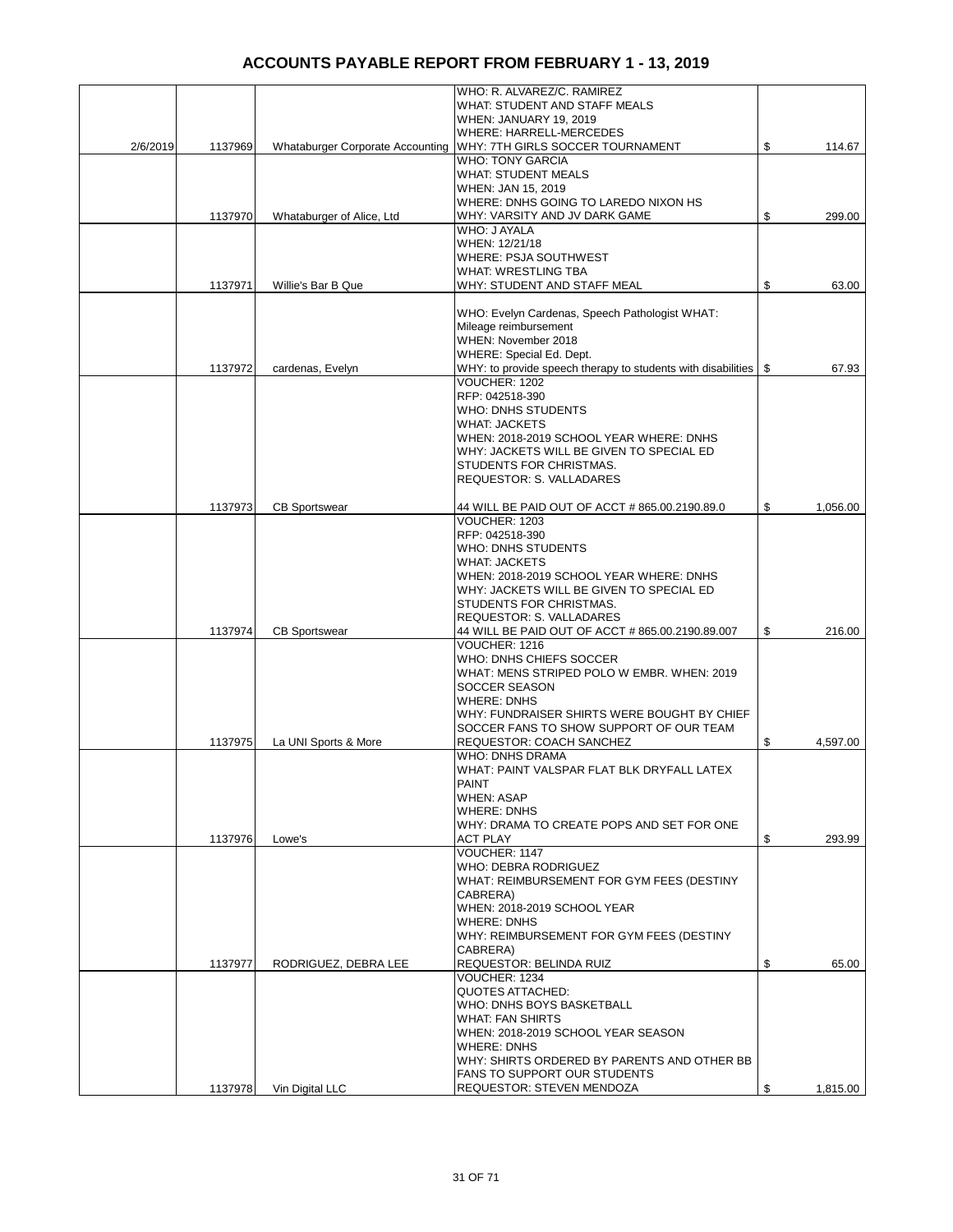|          |         |                                         | WHO: R. ALVAREZ/C. RAMIREZ                                                         |                |
|----------|---------|-----------------------------------------|------------------------------------------------------------------------------------|----------------|
|          |         |                                         | WHAT: STUDENT AND STAFF MEALS                                                      |                |
|          |         |                                         | WHEN: JANUARY 19, 2019                                                             |                |
|          |         |                                         | WHERE: HARRELL-MERCEDES                                                            |                |
| 2/6/2019 | 1137969 | <b>Whataburger Corporate Accounting</b> | WHY: 7TH GIRLS SOCCER TOURNAMENT                                                   | \$<br>114.67   |
|          |         |                                         | <b>WHO: TONY GARCIA</b>                                                            |                |
|          |         |                                         | <b>WHAT: STUDENT MEALS</b>                                                         |                |
|          |         |                                         | WHEN: JAN 15, 2019                                                                 |                |
|          | 1137970 | Whataburger of Alice, Ltd               | WHERE: DNHS GOING TO LAREDO NIXON HS<br>WHY: VARSITY AND JV DARK GAME              | \$<br>299.00   |
|          |         |                                         | WHO: J AYALA                                                                       |                |
|          |         |                                         | WHEN: 12/21/18                                                                     |                |
|          |         |                                         | WHERE: PSJA SOUTHWEST                                                              |                |
|          |         |                                         | WHAT: WRESTLING TBA                                                                |                |
|          | 1137971 | Willie's Bar B Que                      | WHY: STUDENT AND STAFF MEAL                                                        | \$<br>63.00    |
|          |         |                                         |                                                                                    |                |
|          |         |                                         | WHO: Evelyn Cardenas, Speech Pathologist WHAT:                                     |                |
|          |         |                                         | Mileage reimbursement                                                              |                |
|          |         |                                         | WHEN: November 2018                                                                |                |
|          |         |                                         | WHERE: Special Ed. Dept.                                                           |                |
|          | 1137972 | cardenas, Evelyn                        | WHY: to provide speech therapy to students with disabilities   \$<br>VOUCHER: 1202 | 67.93          |
|          |         |                                         | RFP: 042518-390                                                                    |                |
|          |         |                                         | WHO: DNHS STUDENTS                                                                 |                |
|          |         |                                         | <b>WHAT: JACKETS</b>                                                               |                |
|          |         |                                         | WHEN: 2018-2019 SCHOOL YEAR WHERE: DNHS                                            |                |
|          |         |                                         | WHY: JACKETS WILL BE GIVEN TO SPECIAL ED                                           |                |
|          |         |                                         | STUDENTS FOR CHRISTMAS.                                                            |                |
|          |         |                                         | <b>REQUESTOR: S. VALLADARES</b>                                                    |                |
|          |         |                                         |                                                                                    |                |
|          | 1137973 | <b>CB Sportswear</b>                    | 44 WILL BE PAID OUT OF ACCT # 865.00.2190.89.0<br>VOUCHER: 1203                    | \$<br>1,056.00 |
|          |         |                                         | RFP: 042518-390                                                                    |                |
|          |         |                                         | WHO: DNHS STUDENTS                                                                 |                |
|          |         |                                         | <b>WHAT: JACKETS</b>                                                               |                |
|          |         |                                         | WHEN: 2018-2019 SCHOOL YEAR WHERE: DNHS                                            |                |
|          |         |                                         | WHY: JACKETS WILL BE GIVEN TO SPECIAL ED                                           |                |
|          |         |                                         | STUDENTS FOR CHRISTMAS.                                                            |                |
|          |         |                                         | REQUESTOR: S. VALLADARES                                                           |                |
|          | 1137974 | <b>CB Sportswear</b>                    | 44 WILL BE PAID OUT OF ACCT # 865.00.2190.89.007                                   | \$<br>216.00   |
|          |         |                                         | VOUCHER: 1216                                                                      |                |
|          |         |                                         | WHO: DNHS CHIEFS SOCCER                                                            |                |
|          |         |                                         | WHAT: MENS STRIPED POLO W EMBR. WHEN: 2019                                         |                |
|          |         |                                         | SOCCER SEASON                                                                      |                |
|          |         |                                         | <b>WHERE: DNHS</b><br>WHY: FUNDRAISER SHIRTS WERE BOUGHT BY CHIEF                  |                |
|          |         |                                         | SOCCER FANS TO SHOW SUPPORT OF OUR TEAM                                            |                |
|          | 1137975 | La UNI Sports & More                    | <b>REQUESTOR: COACH SANCHEZ</b>                                                    | \$<br>4,597.00 |
|          |         |                                         | <b>WHO: DNHS DRAMA</b>                                                             |                |
|          |         |                                         | WHAT: PAINT VALSPAR FLAT BLK DRYFALL LATEX                                         |                |
|          |         |                                         | <b>PAINT</b>                                                                       |                |
|          |         |                                         | <b>WHEN: ASAP</b>                                                                  |                |
|          |         |                                         | <b>WHERE: DNHS</b>                                                                 |                |
|          |         |                                         | WHY: DRAMA TO CREATE POPS AND SET FOR ONE                                          |                |
|          | 1137976 | Lowe's                                  | <b>ACT PLAY</b>                                                                    | \$<br>293.99   |
|          |         |                                         | VOUCHER: 1147                                                                      |                |
|          |         |                                         | WHO: DEBRA RODRIGUEZ                                                               |                |
|          |         |                                         | WHAT: REIMBURSEMENT FOR GYM FEES (DESTINY<br>CABRERA)                              |                |
|          |         |                                         | WHEN: 2018-2019 SCHOOL YEAR                                                        |                |
|          |         |                                         | <b>WHERE: DNHS</b>                                                                 |                |
|          |         |                                         | WHY: REIMBURSEMENT FOR GYM FEES (DESTINY                                           |                |
|          |         |                                         | CABRERA)                                                                           |                |
|          | 1137977 | RODRIGUEZ, DEBRA LEE                    | REQUESTOR: BELINDA RUIZ                                                            | \$<br>65.00    |
|          |         |                                         | VOUCHER: 1234                                                                      |                |
|          |         |                                         | QUOTES ATTACHED:                                                                   |                |
|          |         |                                         | WHO: DNHS BOYS BASKETBALL                                                          |                |
|          |         |                                         | <b>WHAT: FAN SHIRTS</b>                                                            |                |
|          |         |                                         | WHEN: 2018-2019 SCHOOL YEAR SEASON<br><b>WHERE: DNHS</b>                           |                |
|          |         |                                         | WHY: SHIRTS ORDERED BY PARENTS AND OTHER BB                                        |                |
|          |         |                                         | <b>FANS TO SUPPORT OUR STUDENTS</b>                                                |                |
|          | 1137978 | Vin Digital LLC                         | REQUESTOR: STEVEN MENDOZA                                                          | \$<br>1,815.00 |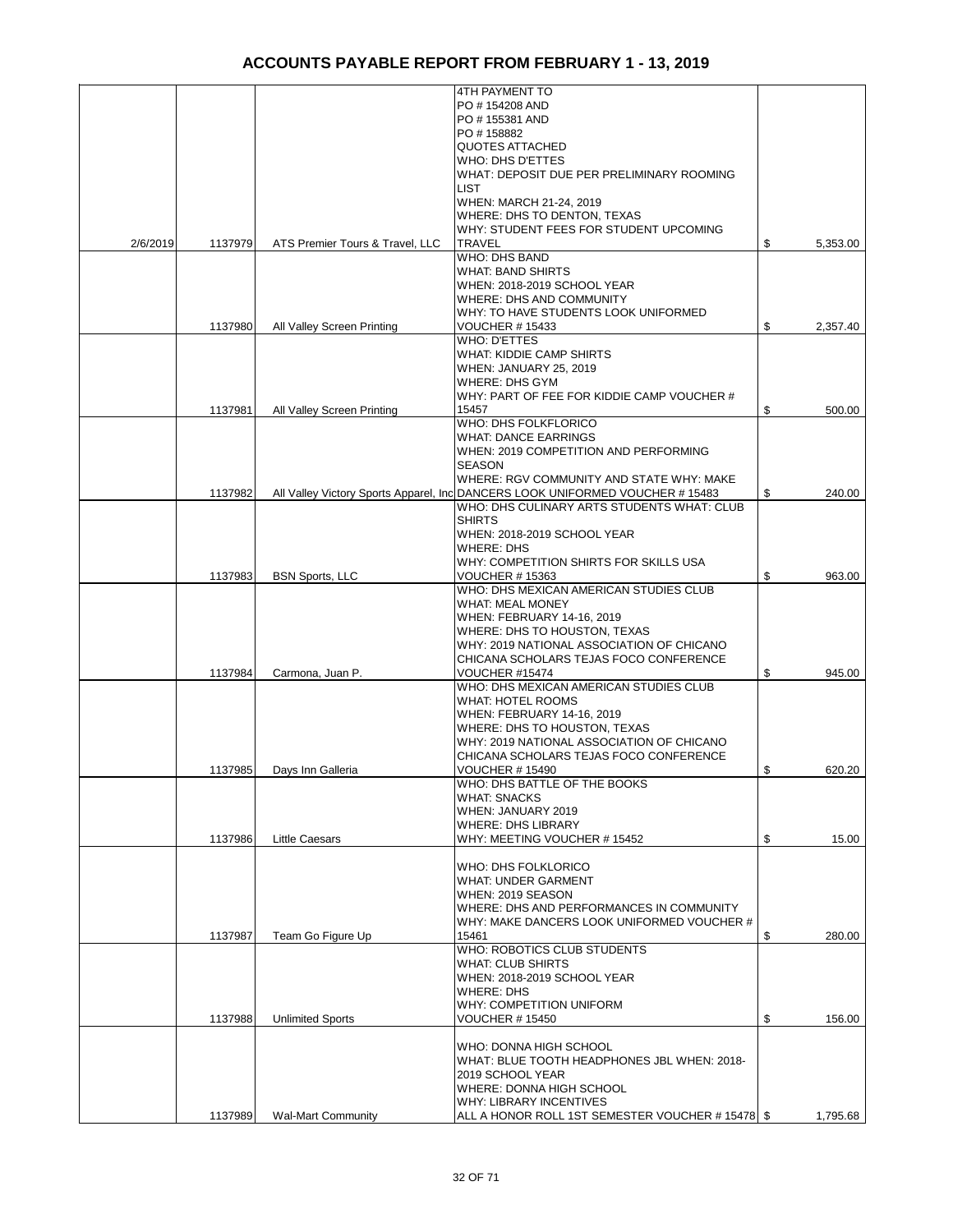|          |         |                                 | 4TH PAYMENT TO                                                                                                              |                |
|----------|---------|---------------------------------|-----------------------------------------------------------------------------------------------------------------------------|----------------|
|          |         |                                 | PO #154208 AND                                                                                                              |                |
|          |         |                                 | PO #155381 AND                                                                                                              |                |
|          |         |                                 | PO #158882<br><b>QUOTES ATTACHED</b>                                                                                        |                |
|          |         |                                 | WHO: DHS D'ETTES                                                                                                            |                |
|          |         |                                 | WHAT: DEPOSIT DUE PER PRELIMINARY ROOMING                                                                                   |                |
|          |         |                                 | <b>LIST</b>                                                                                                                 |                |
|          |         |                                 | WHEN: MARCH 21-24, 2019                                                                                                     |                |
|          |         |                                 | WHERE: DHS TO DENTON, TEXAS                                                                                                 |                |
|          |         |                                 | WHY: STUDENT FEES FOR STUDENT UPCOMING<br><b>TRAVEL</b>                                                                     |                |
| 2/6/2019 | 1137979 | ATS Premier Tours & Travel, LLC | <b>WHO: DHS BAND</b>                                                                                                        | \$<br>5,353.00 |
|          |         |                                 | <b>WHAT: BAND SHIRTS</b>                                                                                                    |                |
|          |         |                                 | WHEN: 2018-2019 SCHOOL YEAR                                                                                                 |                |
|          |         |                                 | <b>WHERE: DHS AND COMMUNITY</b>                                                                                             |                |
|          |         |                                 | WHY: TO HAVE STUDENTS LOOK UNIFORMED                                                                                        |                |
|          | 1137980 | All Valley Screen Printing      | <b>VOUCHER #15433</b>                                                                                                       | \$<br>2,357.40 |
|          |         |                                 | WHO: D'ETTES                                                                                                                |                |
|          |         |                                 | <b>WHAT: KIDDIE CAMP SHIRTS</b>                                                                                             |                |
|          |         |                                 | WHEN: JANUARY 25, 2019<br>WHERE: DHS GYM                                                                                    |                |
|          |         |                                 | WHY: PART OF FEE FOR KIDDIE CAMP VOUCHER #                                                                                  |                |
|          | 1137981 | All Valley Screen Printing      | 15457                                                                                                                       | \$<br>500.00   |
|          |         |                                 | WHO: DHS FOLKFLORICO                                                                                                        |                |
|          |         |                                 | <b>WHAT: DANCE EARRINGS</b>                                                                                                 |                |
|          |         |                                 | WHEN: 2019 COMPETITION AND PERFORMING                                                                                       |                |
|          |         |                                 | <b>SEASON</b>                                                                                                               |                |
|          |         |                                 | WHERE: RGV COMMUNITY AND STATE WHY: MAKE                                                                                    |                |
|          | 1137982 |                                 | All Valley Victory Sports Apparel, Inc DANCERS LOOK UNIFORMED VOUCHER # 15483<br>WHO: DHS CULINARY ARTS STUDENTS WHAT: CLUB | \$<br>240.00   |
|          |         |                                 | <b>SHIRTS</b>                                                                                                               |                |
|          |         |                                 | WHEN: 2018-2019 SCHOOL YEAR                                                                                                 |                |
|          |         |                                 | <b>WHERE: DHS</b>                                                                                                           |                |
|          |         |                                 | WHY: COMPETITION SHIRTS FOR SKILLS USA                                                                                      |                |
|          | 1137983 | <b>BSN Sports, LLC</b>          | <b>VOUCHER # 15363</b>                                                                                                      | \$<br>963.00   |
|          |         |                                 | WHO: DHS MEXICAN AMERICAN STUDIES CLUB                                                                                      |                |
|          |         |                                 | <b>WHAT: MEAL MONEY</b>                                                                                                     |                |
|          |         |                                 | WHEN: FEBRUARY 14-16, 2019                                                                                                  |                |
|          |         |                                 | WHERE: DHS TO HOUSTON, TEXAS<br>WHY: 2019 NATIONAL ASSOCIATION OF CHICANO                                                   |                |
|          |         |                                 | CHICANA SCHOLARS TEJAS FOCO CONFERENCE                                                                                      |                |
|          | 1137984 | Carmona, Juan P.                | VOUCHER #15474                                                                                                              | \$<br>945.00   |
|          |         |                                 | WHO: DHS MEXICAN AMERICAN STUDIES CLUB                                                                                      |                |
|          |         |                                 | <b>WHAT: HOTEL ROOMS</b>                                                                                                    |                |
|          |         |                                 | WHEN: FEBRUARY 14-16, 2019                                                                                                  |                |
|          |         |                                 | WHERE: DHS TO HOUSTON, TEXAS                                                                                                |                |
|          |         |                                 | WHY: 2019 NATIONAL ASSOCIATION OF CHICANO                                                                                   |                |
|          |         |                                 | CHICANA SCHOLARS TEJAS FOCO CONFERENCE                                                                                      | \$<br>620.20   |
|          | 1137985 | Days Inn Galleria               | <b>VOUCHER #15490</b><br>WHO: DHS BATTLE OF THE BOOKS                                                                       |                |
|          |         |                                 | <b>WHAT: SNACKS</b>                                                                                                         |                |
|          |         |                                 | WHEN: JANUARY 2019                                                                                                          |                |
|          |         |                                 | <b>WHERE: DHS LIBRARY</b>                                                                                                   |                |
|          | 1137986 | <b>Little Caesars</b>           | WHY: MEETING VOUCHER #15452                                                                                                 | \$<br>15.00    |
|          |         |                                 |                                                                                                                             |                |
|          |         |                                 | WHO: DHS FOLKLORICO                                                                                                         |                |
|          |         |                                 | <b>WHAT: UNDER GARMENT</b><br>WHEN: 2019 SEASON                                                                             |                |
|          |         |                                 | WHERE: DHS AND PERFORMANCES IN COMMUNITY                                                                                    |                |
|          |         |                                 | WHY: MAKE DANCERS LOOK UNIFORMED VOUCHER #                                                                                  |                |
|          | 1137987 | Team Go Figure Up               | 15461                                                                                                                       | \$<br>280.00   |
|          |         |                                 | WHO: ROBOTICS CLUB STUDENTS                                                                                                 |                |
|          |         |                                 | <b>WHAT: CLUB SHIRTS</b>                                                                                                    |                |
|          |         |                                 | WHEN: 2018-2019 SCHOOL YEAR                                                                                                 |                |
|          |         |                                 | <b>WHERE: DHS</b>                                                                                                           |                |
|          | 1137988 | <b>Unlimited Sports</b>         | WHY: COMPETITION UNIFORM<br><b>VOUCHER #15450</b>                                                                           | \$<br>156.00   |
|          |         |                                 |                                                                                                                             |                |
|          |         |                                 | WHO: DONNA HIGH SCHOOL                                                                                                      |                |
|          |         |                                 | WHAT: BLUE TOOTH HEADPHONES JBL WHEN: 2018-                                                                                 |                |
|          |         |                                 | 2019 SCHOOL YEAR                                                                                                            |                |
|          |         |                                 | WHERE: DONNA HIGH SCHOOL                                                                                                    |                |
|          |         |                                 | WHY: LIBRARY INCENTIVES                                                                                                     |                |
|          | 1137989 | <b>Wal-Mart Community</b>       | ALL A HONOR ROLL 1ST SEMESTER VOUCHER # 15478   \$                                                                          | 1,795.68       |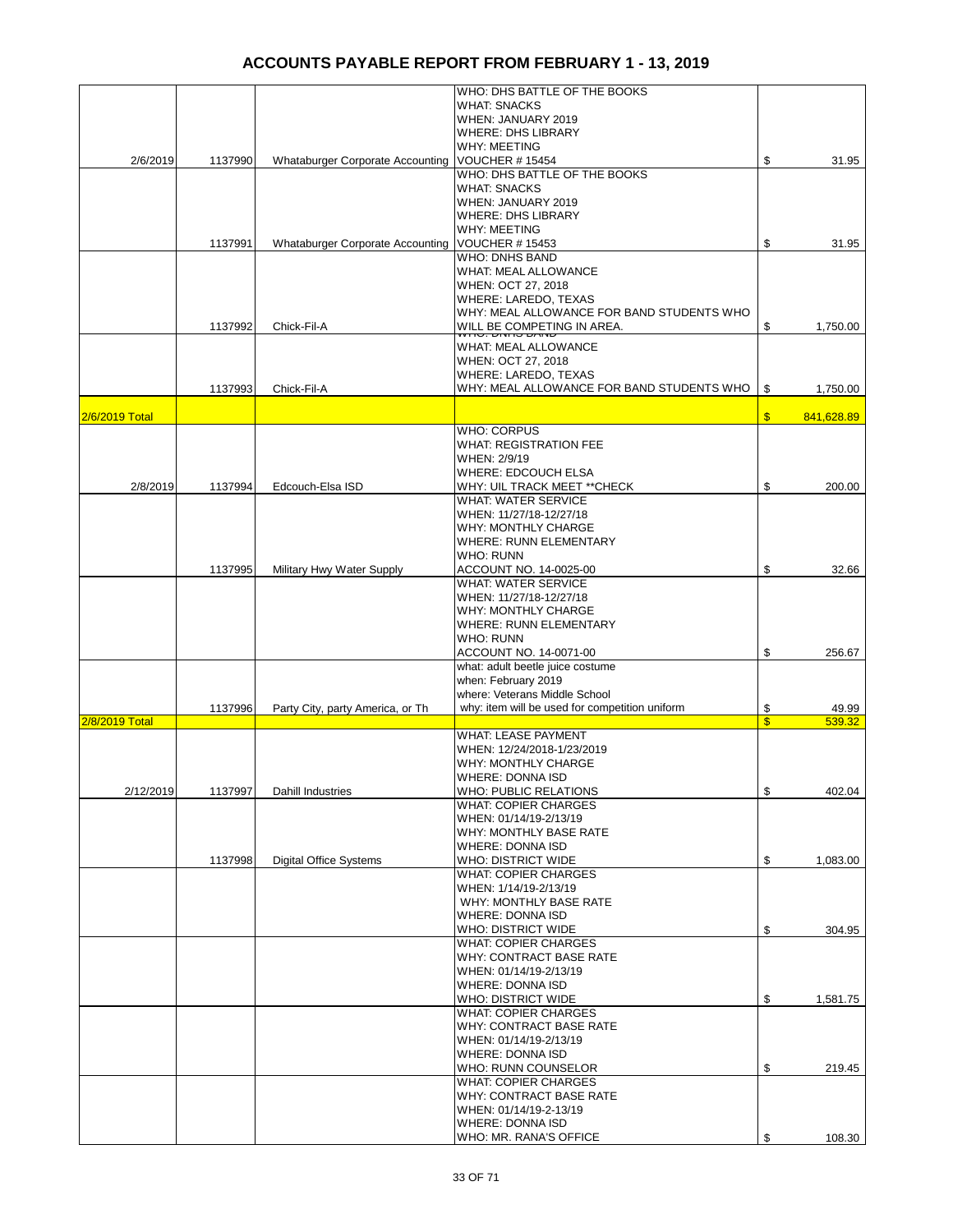|                |         |                                         | WHO: DHS BATTLE OF THE BOOKS                                |               |            |
|----------------|---------|-----------------------------------------|-------------------------------------------------------------|---------------|------------|
|                |         |                                         | <b>WHAT: SNACKS</b>                                         |               |            |
|                |         |                                         | WHEN: JANUARY 2019                                          |               |            |
|                |         |                                         | <b>WHERE: DHS LIBRARY</b>                                   |               |            |
|                |         |                                         | <b>WHY: MEETING</b>                                         |               |            |
| 2/6/2019       | 1137990 | <b>Whataburger Corporate Accounting</b> | VOUCHER #15454<br>WHO: DHS BATTLE OF THE BOOKS              | \$            | 31.95      |
|                |         |                                         | <b>WHAT: SNACKS</b>                                         |               |            |
|                |         |                                         | WHEN: JANUARY 2019                                          |               |            |
|                |         |                                         | <b>WHERE: DHS LIBRARY</b>                                   |               |            |
|                |         |                                         | <b>WHY: MEETING</b>                                         |               |            |
|                | 1137991 | <b>Whataburger Corporate Accounting</b> | <b>VOUCHER #15453</b>                                       | \$            | 31.95      |
|                |         |                                         | <b>WHO: DNHS BAND</b>                                       |               |            |
|                |         |                                         | WHAT: MEAL ALLOWANCE                                        |               |            |
|                |         |                                         | WHEN: OCT 27, 2018                                          |               |            |
|                |         |                                         | WHERE: LAREDO, TEXAS                                        |               |            |
|                |         |                                         | WHY: MEAL ALLOWANCE FOR BAND STUDENTS WHO                   |               |            |
|                | 1137992 | Chick-Fil-A                             | WILL BE COMPETING IN AREA.                                  | \$            | 1,750.00   |
|                |         |                                         | WHAT: MEAL ALLOWANCE                                        |               |            |
|                |         |                                         | WHEN: OCT 27, 2018                                          |               |            |
|                |         |                                         | WHERE: LAREDO, TEXAS                                        |               |            |
|                | 1137993 | Chick-Fil-A                             | WHY: MEAL ALLOWANCE FOR BAND STUDENTS WHO                   | \$            | 1,750.00   |
| 2/6/2019 Total |         |                                         |                                                             | $\sqrt[6]{3}$ | 841,628.89 |
|                |         |                                         | <b>WHO: CORPUS</b>                                          |               |            |
|                |         |                                         | <b>WHAT: REGISTRATION FEE</b>                               |               |            |
|                |         |                                         | WHEN: 2/9/19                                                |               |            |
|                |         |                                         | WHERE: EDCOUCH ELSA                                         |               |            |
| 2/8/2019       | 1137994 | Edcouch-Elsa ISD                        | WHY: UIL TRACK MEET ** CHECK                                | \$            | 200.00     |
|                |         |                                         | <b>WHAT: WATER SERVICE</b>                                  |               |            |
|                |         |                                         | WHEN: 11/27/18-12/27/18                                     |               |            |
|                |         |                                         | <b>WHY: MONTHLY CHARGE</b><br><b>WHERE: RUNN ELEMENTARY</b> |               |            |
|                |         |                                         | WHO: RUNN                                                   |               |            |
|                | 1137995 | Military Hwy Water Supply               | ACCOUNT NO. 14-0025-00                                      | \$            | 32.66      |
|                |         |                                         | <b>WHAT: WATER SERVICE</b>                                  |               |            |
|                |         |                                         | WHEN: 11/27/18-12/27/18                                     |               |            |
|                |         |                                         | WHY: MONTHLY CHARGE                                         |               |            |
|                |         |                                         | <b>WHERE: RUNN ELEMENTARY</b>                               |               |            |
|                |         |                                         | <b>WHO: RUNN</b>                                            |               |            |
|                |         |                                         | ACCOUNT NO. 14-0071-00                                      | \$            | 256.67     |
|                |         |                                         | what: adult beetle juice costume                            |               |            |
|                |         |                                         | when: February 2019<br>where: Veterans Middle School        |               |            |
|                | 1137996 | Party City, party America, or Th        | why: item will be used for competition uniform              | \$            | 49.99      |
| 2/8/2019 Total |         |                                         |                                                             | $\mathbf{\$}$ | 539.32     |
|                |         |                                         | <b>WHAT: LEASE PAYMENT</b>                                  |               |            |
|                |         |                                         | WHEN: 12/24/2018-1/23/2019                                  |               |            |
|                |         |                                         | <b>WHY: MONTHLY CHARGE</b>                                  |               |            |
|                |         | Dahill Industries                       | WHERE: DONNA ISD<br><b>WHO: PUBLIC RELATIONS</b>            | \$            | 402.04     |
| 2/12/2019      | 1137997 |                                         | <b>WHAT: COPIER CHARGES</b>                                 |               |            |
|                |         |                                         | WHEN: 01/14/19-2/13/19                                      |               |            |
|                |         |                                         | WHY: MONTHLY BASE RATE                                      |               |            |
|                |         |                                         | WHERE: DONNA ISD                                            |               |            |
|                | 1137998 | <b>Digital Office Systems</b>           | WHO: DISTRICT WIDE                                          | \$            | 1,083.00   |
|                |         |                                         | <b>WHAT: COPIER CHARGES</b>                                 |               |            |
|                |         |                                         | WHEN: 1/14/19-2/13/19                                       |               |            |
|                |         |                                         | WHY: MONTHLY BASE RATE                                      |               |            |
|                |         |                                         | <b>WHERE: DONNA ISD</b>                                     |               |            |
|                |         |                                         | WHO: DISTRICT WIDE                                          | \$            | 304.95     |
|                |         |                                         | <b>WHAT: COPIER CHARGES</b><br>WHY: CONTRACT BASE RATE      |               |            |
|                |         |                                         | WHEN: 01/14/19-2/13/19                                      |               |            |
|                |         |                                         | WHERE: DONNA ISD                                            |               |            |
|                |         |                                         | WHO: DISTRICT WIDE                                          | \$            | 1,581.75   |
|                |         |                                         | <b>WHAT: COPIER CHARGES</b>                                 |               |            |
|                |         |                                         | WHY: CONTRACT BASE RATE                                     |               |            |
|                |         |                                         | WHEN: 01/14/19-2/13/19                                      |               |            |
|                |         |                                         | WHERE: DONNA ISD                                            |               |            |
|                |         |                                         | WHO: RUNN COUNSELOR                                         | \$            | 219.45     |
|                |         |                                         | <b>WHAT: COPIER CHARGES</b>                                 |               |            |
|                |         |                                         | WHY: CONTRACT BASE RATE<br>WHEN: 01/14/19-2-13/19           |               |            |
|                |         |                                         | <b>WHERE: DONNA ISD</b>                                     |               |            |
|                |         |                                         | WHO: MR. RANA'S OFFICE                                      | \$            | 108.30     |
|                |         |                                         |                                                             |               |            |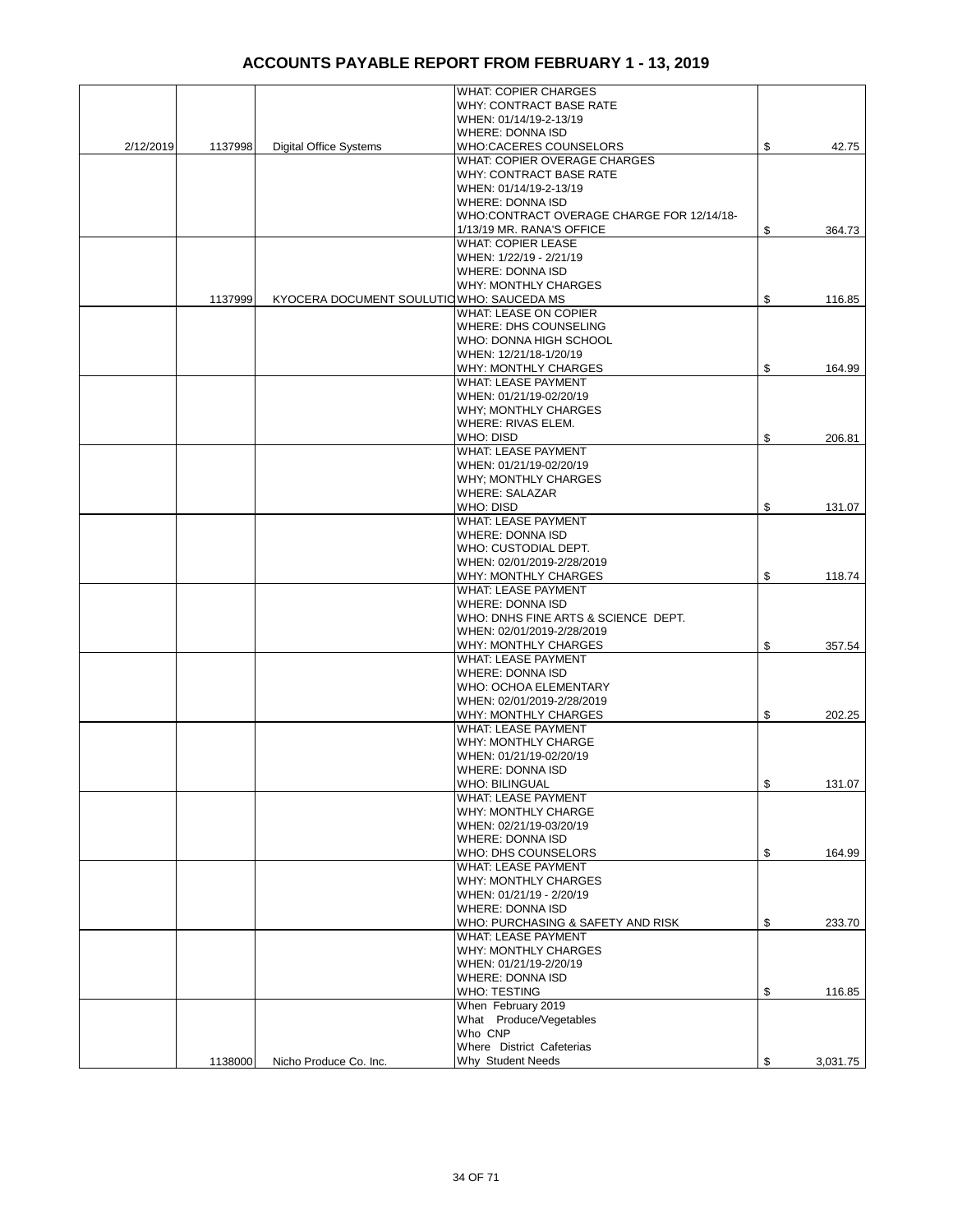|           |         |                                           | <b>WHAT: COPIER CHARGES</b>               |                |
|-----------|---------|-------------------------------------------|-------------------------------------------|----------------|
|           |         |                                           | <b>WHY: CONTRACT BASE RATE</b>            |                |
|           |         |                                           | WHEN: 01/14/19-2-13/19                    |                |
|           |         |                                           | WHERE: DONNA ISD                          |                |
| 2/12/2019 | 1137998 | <b>Digital Office Systems</b>             | WHO:CACERES COUNSELORS                    | \$<br>42.75    |
|           |         |                                           | WHAT: COPIER OVERAGE CHARGES              |                |
|           |         |                                           |                                           |                |
|           |         |                                           | <b>WHY: CONTRACT BASE RATE</b>            |                |
|           |         |                                           | WHEN: 01/14/19-2-13/19                    |                |
|           |         |                                           | <b>WHERE: DONNA ISD</b>                   |                |
|           |         |                                           | WHO:CONTRACT OVERAGE CHARGE FOR 12/14/18- |                |
|           |         |                                           | 1/13/19 MR. RANA'S OFFICE                 | \$<br>364.73   |
|           |         |                                           | <b>WHAT: COPIER LEASE</b>                 |                |
|           |         |                                           | WHEN: 1/22/19 - 2/21/19                   |                |
|           |         |                                           |                                           |                |
|           |         |                                           | WHERE: DONNA ISD                          |                |
|           |         |                                           | <b>WHY: MONTHLY CHARGES</b>               |                |
|           | 1137999 | KYOCERA DOCUMENT SOULUTIO WHO: SAUCEDA MS |                                           | \$<br>116.85   |
|           |         |                                           | <b>WHAT: LEASE ON COPIER</b>              |                |
|           |         |                                           | WHERE: DHS COUNSELING                     |                |
|           |         |                                           | WHO: DONNA HIGH SCHOOL                    |                |
|           |         |                                           | WHEN: 12/21/18-1/20/19                    |                |
|           |         |                                           |                                           |                |
|           |         |                                           | WHY: MONTHLY CHARGES                      | \$<br>164.99   |
|           |         |                                           | <b>WHAT: LEASE PAYMENT</b>                |                |
|           |         |                                           | WHEN: 01/21/19-02/20/19                   |                |
|           |         |                                           | WHY; MONTHLY CHARGES                      |                |
|           |         |                                           | WHERE: RIVAS ELEM.                        |                |
|           |         |                                           | <b>WHO: DISD</b>                          | \$<br>206.81   |
|           |         |                                           | <b>WHAT: LEASE PAYMENT</b>                |                |
|           |         |                                           |                                           |                |
|           |         |                                           | WHEN: 01/21/19-02/20/19                   |                |
|           |         |                                           | <b>WHY: MONTHLY CHARGES</b>               |                |
|           |         |                                           | <b>WHERE: SALAZAR</b>                     |                |
|           |         |                                           | WHO: DISD                                 | \$<br>131.07   |
|           |         |                                           | <b>WHAT: LEASE PAYMENT</b>                |                |
|           |         |                                           | <b>WHERE: DONNA ISD</b>                   |                |
|           |         |                                           |                                           |                |
|           |         |                                           | WHO: CUSTODIAL DEPT.                      |                |
|           |         |                                           | WHEN: 02/01/2019-2/28/2019                |                |
|           |         |                                           | WHY: MONTHLY CHARGES                      | \$<br>118.74   |
|           |         |                                           | <b>WHAT: LEASE PAYMENT</b>                |                |
|           |         |                                           | WHERE: DONNA ISD                          |                |
|           |         |                                           | WHO: DNHS FINE ARTS & SCIENCE DEPT.       |                |
|           |         |                                           | WHEN: 02/01/2019-2/28/2019                |                |
|           |         |                                           | WHY: MONTHLY CHARGES                      |                |
|           |         |                                           |                                           | \$<br>357.54   |
|           |         |                                           | <b>WHAT: LEASE PAYMENT</b>                |                |
|           |         |                                           | WHERE: DONNA ISD                          |                |
|           |         |                                           | WHO: OCHOA ELEMENTARY                     |                |
|           |         |                                           | WHEN: 02/01/2019-2/28/2019                |                |
|           |         |                                           | <b>WHY: MONTHLY CHARGES</b>               | \$<br>202.25   |
|           |         |                                           | <b>WHAT: LEASE PAYMENT</b>                |                |
|           |         |                                           | WHY: MONTHLY CHARGE                       |                |
|           |         |                                           |                                           |                |
|           |         |                                           | WHEN: 01/21/19-02/20/19                   |                |
|           |         |                                           | WHERE: DONNA ISD                          |                |
|           |         |                                           | <b>WHO: BILINGUAL</b>                     | \$<br>131.07   |
|           |         |                                           | <b>WHAT: LEASE PAYMENT</b>                |                |
|           |         |                                           | WHY: MONTHLY CHARGE                       |                |
|           |         |                                           | WHEN: 02/21/19-03/20/19                   |                |
|           |         |                                           | <b>WHERE: DONNA ISD</b>                   |                |
|           |         |                                           | WHO: DHS COUNSELORS                       | \$<br>164.99   |
|           |         |                                           |                                           |                |
|           |         |                                           | <b>WHAT: LEASE PAYMENT</b>                |                |
|           |         |                                           | WHY: MONTHLY CHARGES                      |                |
|           |         |                                           | WHEN: 01/21/19 - 2/20/19                  |                |
|           |         |                                           | <b>WHERE: DONNA ISD</b>                   |                |
|           |         |                                           | WHO: PURCHASING & SAFETY AND RISK         | \$<br>233.70   |
|           |         |                                           | <b>WHAT: LEASE PAYMENT</b>                |                |
|           |         |                                           | <b>WHY: MONTHLY CHARGES</b>               |                |
|           |         |                                           |                                           |                |
|           |         |                                           | WHEN: 01/21/19-2/20/19                    |                |
|           |         |                                           | WHERE: DONNA ISD                          |                |
|           |         |                                           | <b>WHO: TESTING</b>                       | \$<br>116.85   |
|           |         |                                           | When February 2019                        |                |
|           |         |                                           | What Produce/Vegetables                   |                |
|           |         |                                           | Who CNP                                   |                |
|           |         |                                           | Where District Cafeterias                 |                |
|           | 1138000 |                                           | Why Student Needs                         | \$<br>3,031.75 |
|           |         | Nicho Produce Co. Inc.                    |                                           |                |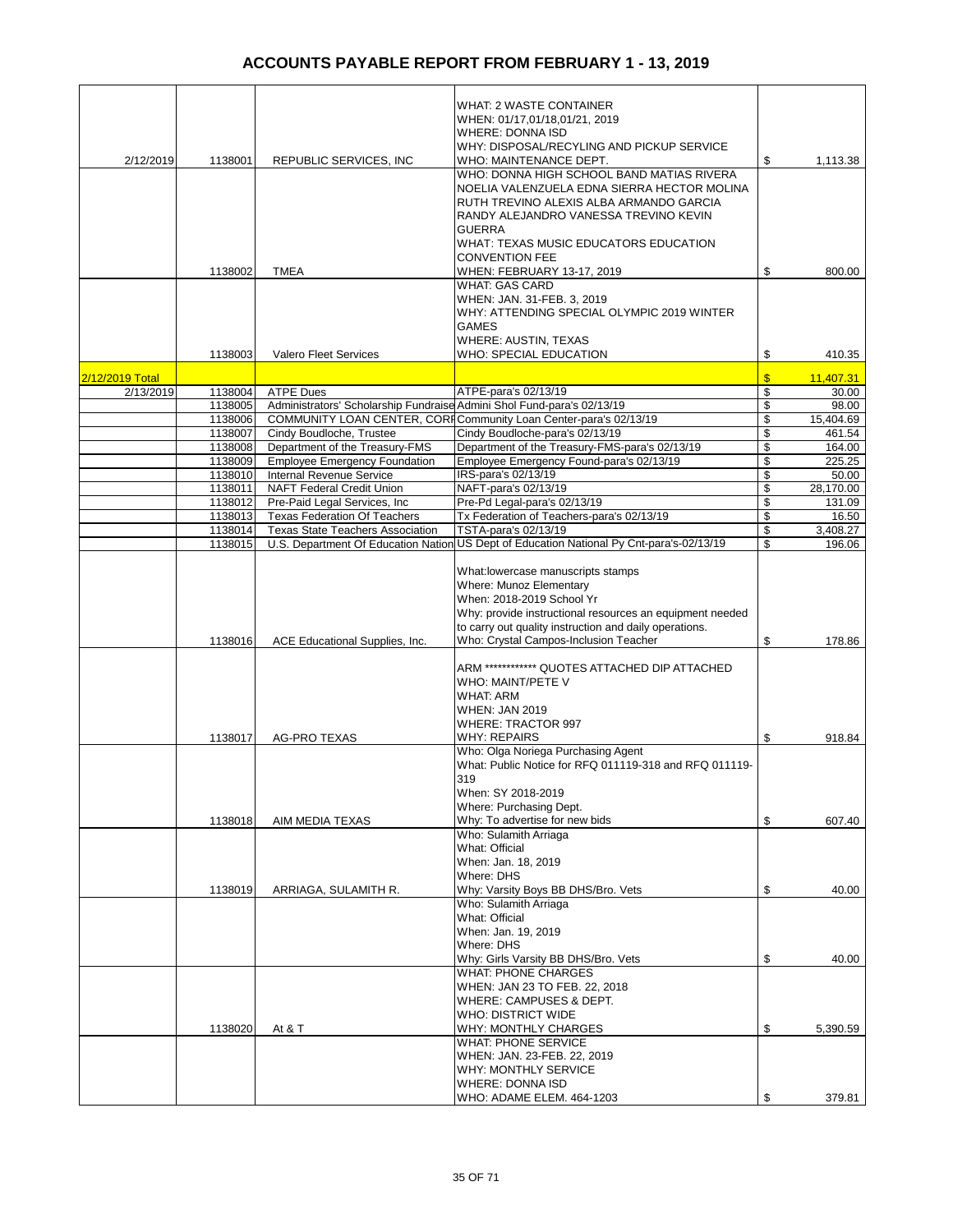|                 |         |                                                                        | WHAT: 2 WASTE CONTAINER                                                                  |               |           |
|-----------------|---------|------------------------------------------------------------------------|------------------------------------------------------------------------------------------|---------------|-----------|
|                 |         |                                                                        | WHEN: 01/17,01/18,01/21, 2019                                                            |               |           |
|                 |         |                                                                        | <b>WHERE: DONNA ISD</b>                                                                  |               |           |
|                 |         |                                                                        |                                                                                          |               |           |
|                 |         |                                                                        | WHY: DISPOSAL/RECYLING AND PICKUP SERVICE                                                |               |           |
| 2/12/2019       | 1138001 | REPUBLIC SERVICES, INC                                                 | WHO: MAINTENANCE DEPT.                                                                   | \$            | 1,113.38  |
|                 |         |                                                                        | WHO: DONNA HIGH SCHOOL BAND MATIAS RIVERA                                                |               |           |
|                 |         |                                                                        | NOELIA VALENZUELA EDNA SIERRA HECTOR MOLINA                                              |               |           |
|                 |         |                                                                        | RUTH TREVINO ALEXIS ALBA ARMANDO GARCIA                                                  |               |           |
|                 |         |                                                                        | RANDY ALEJANDRO VANESSA TREVINO KEVIN                                                    |               |           |
|                 |         |                                                                        | <b>GUERRA</b>                                                                            |               |           |
|                 |         |                                                                        | WHAT: TEXAS MUSIC EDUCATORS EDUCATION                                                    |               |           |
|                 |         |                                                                        | <b>CONVENTION FEE</b>                                                                    |               |           |
|                 | 1138002 | <b>TMEA</b>                                                            | WHEN: FEBRUARY 13-17, 2019                                                               | \$            | 800.00    |
|                 |         |                                                                        | <b>WHAT: GAS CARD</b>                                                                    |               |           |
|                 |         |                                                                        | WHEN: JAN. 31-FEB. 3, 2019                                                               |               |           |
|                 |         |                                                                        | WHY: ATTENDING SPECIAL OLYMPIC 2019 WINTER                                               |               |           |
|                 |         |                                                                        | <b>GAMES</b>                                                                             |               |           |
|                 |         |                                                                        | <b>WHERE: AUSTIN, TEXAS</b>                                                              |               |           |
|                 | 1138003 | Valero Fleet Services                                                  | WHO: SPECIAL EDUCATION                                                                   | \$            | 410.35    |
|                 |         |                                                                        |                                                                                          |               |           |
| 2/12/2019 Total |         |                                                                        |                                                                                          | $\sqrt[3]{2}$ | 11,407.31 |
| 2/13/2019       | 1138004 | <b>ATPE Dues</b>                                                       | ATPE-para's 02/13/19                                                                     | \$            | 30.00     |
|                 | 1138005 | Administrators' Scholarship Fundraise Admini Shol Fund-para's 02/13/19 |                                                                                          | \$            | 98.00     |
|                 | 1138006 |                                                                        | COMMUNITY LOAN CENTER, CORI Community Loan Center-para's 02/13/19                        | \$            | 15,404.69 |
|                 | 1138007 | Cindy Boudloche, Trustee                                               | Cindy Boudloche-para's 02/13/19                                                          | \$            | 461.54    |
|                 | 1138008 | Department of the Treasury-FMS                                         | Department of the Treasury-FMS-para's 02/13/19                                           | \$            | 164.00    |
|                 | 1138009 | <b>Employee Emergency Foundation</b>                                   | Employee Emergency Found-para's 02/13/19                                                 | \$            | 225.25    |
|                 | 1138010 | Internal Revenue Service                                               | IRS-para's 02/13/19                                                                      | \$            | 50.00     |
|                 | 1138011 | NAFT Federal Credit Union                                              | NAFT-para's 02/13/19                                                                     | \$            | 28,170.00 |
|                 | 1138012 | Pre-Paid Legal Services, Inc.                                          | Pre-Pd Legal-para's 02/13/19                                                             | \$            | 131.09    |
|                 | 1138013 | <b>Texas Federation Of Teachers</b>                                    | Tx Federation of Teachers-para's 02/13/19                                                | \$            | 16.50     |
|                 | 1138014 | <b>Texas State Teachers Association</b>                                | TSTA-para's 02/13/19                                                                     | \$            | 3,408.27  |
|                 | 1138015 |                                                                        | U.S. Department Of Education Nation US Dept of Education National Py Cnt-para's-02/13/19 | \$            | 196.06    |
|                 |         |                                                                        |                                                                                          |               |           |
|                 |         |                                                                        | What: lowercase manuscripts stamps                                                       |               |           |
|                 |         |                                                                        | Where: Munoz Elementary                                                                  |               |           |
|                 |         |                                                                        | When: 2018-2019 School Yr                                                                |               |           |
|                 |         |                                                                        | Why: provide instructional resources an equipment needed                                 |               |           |
|                 |         |                                                                        | to carry out quality instruction and daily operations.                                   |               |           |
|                 | 1138016 | ACE Educational Supplies, Inc.                                         | Who: Crystal Campos-Inclusion Teacher                                                    | \$            | 178.86    |
|                 |         |                                                                        |                                                                                          |               |           |
|                 |         |                                                                        | ARM ************ QUOTES ATTACHED DIP ATTACHED                                            |               |           |
|                 |         |                                                                        | WHO: MAINT/PETE V                                                                        |               |           |
|                 |         |                                                                        | <b>WHAT: ARM</b>                                                                         |               |           |
|                 |         |                                                                        | <b>WHEN: JAN 2019</b>                                                                    |               |           |
|                 |         |                                                                        | WHERE: TRACTOR 997                                                                       |               |           |
|                 | 1138017 | <b>AG-PRO TEXAS</b>                                                    | <b>WHY: REPAIRS</b>                                                                      | \$            | 918.84    |
|                 |         |                                                                        | Who: Olga Noriega Purchasing Agent                                                       |               |           |
|                 |         |                                                                        | What: Public Notice for RFQ 011119-318 and RFQ 011119-                                   |               |           |
|                 |         |                                                                        |                                                                                          |               |           |
|                 |         |                                                                        | 319                                                                                      |               |           |
|                 |         |                                                                        | When: SY 2018-2019                                                                       |               |           |
|                 |         |                                                                        | Where: Purchasing Dept.                                                                  |               |           |
|                 | 1138018 | AIM MEDIA TEXAS                                                        | Why: To advertise for new bids                                                           | \$            | 607.40    |
|                 |         |                                                                        | Who: Sulamith Arriaga                                                                    |               |           |
|                 |         |                                                                        | What: Official                                                                           |               |           |
|                 |         |                                                                        | When: Jan. 18, 2019                                                                      |               |           |
|                 |         |                                                                        | Where: DHS                                                                               |               |           |
|                 | 1138019 | ARRIAGA, SULAMITH R.                                                   | Why: Varsity Boys BB DHS/Bro. Vets                                                       | \$            | 40.00     |
|                 |         |                                                                        | Who: Sulamith Arriaga                                                                    |               |           |
|                 |         |                                                                        | What: Official                                                                           |               |           |
|                 |         |                                                                        | When: Jan. 19, 2019                                                                      |               |           |
|                 |         |                                                                        | Where: DHS                                                                               |               |           |
|                 |         |                                                                        | Why: Girls Varsity BB DHS/Bro. Vets                                                      | \$            | 40.00     |
|                 |         |                                                                        | <b>WHAT: PHONE CHARGES</b>                                                               |               |           |
|                 |         |                                                                        | WHEN: JAN 23 TO FEB. 22, 2018                                                            |               |           |
|                 |         |                                                                        | WHERE: CAMPUSES & DEPT.                                                                  |               |           |
|                 |         |                                                                        | <b>WHO: DISTRICT WIDE</b>                                                                |               |           |
|                 | 1138020 | At & T                                                                 | <b>WHY: MONTHLY CHARGES</b>                                                              | \$            | 5,390.59  |
|                 |         |                                                                        | <b>WHAT: PHONE SERVICE</b>                                                               |               |           |
|                 |         |                                                                        | WHEN: JAN. 23-FEB. 22, 2019                                                              |               |           |
|                 |         |                                                                        | WHY: MONTHLY SERVICE                                                                     |               |           |
|                 |         |                                                                        | WHERE: DONNA ISD                                                                         |               |           |
|                 |         |                                                                        | WHO: ADAME ELEM. 464-1203                                                                | \$            | 379.81    |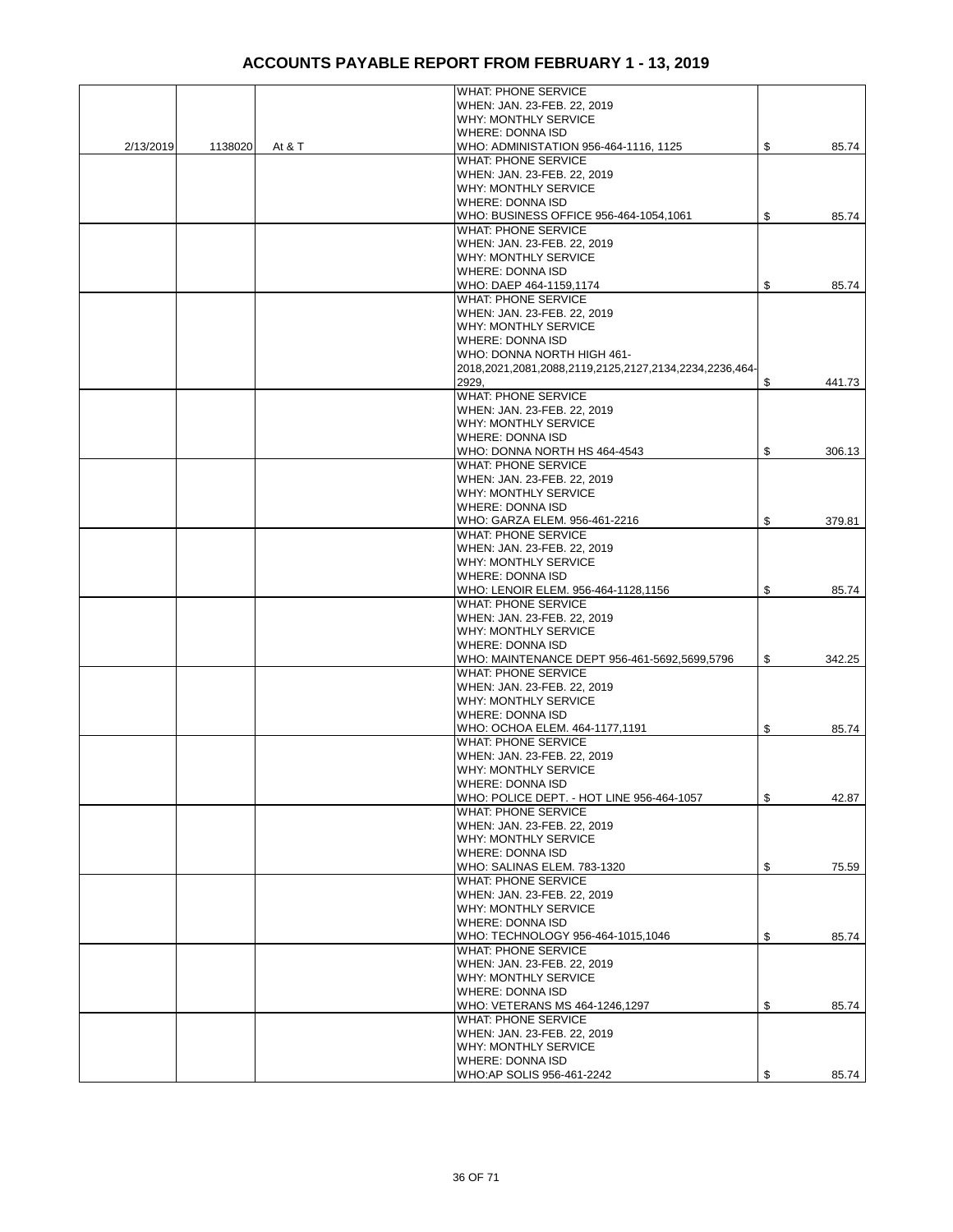|           |         |        | <b>WHAT: PHONE SERVICE</b>                             |              |
|-----------|---------|--------|--------------------------------------------------------|--------------|
|           |         |        | WHEN: JAN. 23-FEB. 22, 2019                            |              |
|           |         |        | WHY: MONTHLY SERVICE                                   |              |
|           |         |        | <b>WHERE: DONNA ISD</b>                                |              |
| 2/13/2019 | 1138020 | At & T | WHO: ADMINISTATION 956-464-1116, 1125                  | \$<br>85.74  |
|           |         |        | <b>WHAT: PHONE SERVICE</b>                             |              |
|           |         |        | WHEN: JAN. 23-FEB. 22, 2019                            |              |
|           |         |        |                                                        |              |
|           |         |        | <b>WHY: MONTHLY SERVICE</b>                            |              |
|           |         |        | <b>WHERE: DONNA ISD</b>                                |              |
|           |         |        | WHO: BUSINESS OFFICE 956-464-1054,1061                 | \$<br>85.74  |
|           |         |        | <b>WHAT: PHONE SERVICE</b>                             |              |
|           |         |        | WHEN: JAN. 23-FEB. 22, 2019                            |              |
|           |         |        | <b>WHY: MONTHLY SERVICE</b>                            |              |
|           |         |        | <b>WHERE: DONNA ISD</b>                                |              |
|           |         |        | WHO: DAEP 464-1159,1174                                | \$<br>85.74  |
|           |         |        | <b>WHAT: PHONE SERVICE</b>                             |              |
|           |         |        |                                                        |              |
|           |         |        | WHEN: JAN. 23-FEB. 22, 2019                            |              |
|           |         |        | <b>WHY: MONTHLY SERVICE</b>                            |              |
|           |         |        | <b>WHERE: DONNA ISD</b>                                |              |
|           |         |        | WHO: DONNA NORTH HIGH 461-                             |              |
|           |         |        | 2018,2021,2081,2088,2119,2125,2127,2134,2234,2236,464- |              |
|           |         |        | 2929,                                                  | \$<br>441.73 |
|           |         |        | <b>WHAT: PHONE SERVICE</b>                             |              |
|           |         |        |                                                        |              |
|           |         |        | WHEN: JAN. 23-FEB. 22, 2019                            |              |
|           |         |        | <b>WHY: MONTHLY SERVICE</b>                            |              |
|           |         |        | <b>WHERE: DONNA ISD</b>                                |              |
|           |         |        | WHO: DONNA NORTH HS 464-4543                           | \$<br>306.13 |
|           |         |        | <b>WHAT: PHONE SERVICE</b>                             |              |
|           |         |        | WHEN: JAN. 23-FEB. 22, 2019                            |              |
|           |         |        | <b>WHY: MONTHLY SERVICE</b>                            |              |
|           |         |        | <b>WHERE: DONNA ISD</b>                                |              |
|           |         |        | WHO: GARZA ELEM. 956-461-2216                          | \$<br>379.81 |
|           |         |        |                                                        |              |
|           |         |        | <b>WHAT: PHONE SERVICE</b>                             |              |
|           |         |        | WHEN: JAN. 23-FEB. 22, 2019                            |              |
|           |         |        | <b>WHY: MONTHLY SERVICE</b>                            |              |
|           |         |        | <b>WHERE: DONNA ISD</b>                                |              |
|           |         |        | WHO: LENOIR ELEM. 956-464-1128,1156                    | \$<br>85.74  |
|           |         |        | <b>WHAT: PHONE SERVICE</b>                             |              |
|           |         |        | WHEN: JAN. 23-FEB. 22, 2019                            |              |
|           |         |        | <b>WHY: MONTHLY SERVICE</b>                            |              |
|           |         |        | <b>WHERE: DONNA ISD</b>                                |              |
|           |         |        |                                                        |              |
|           |         |        | WHO: MAINTENANCE DEPT 956-461-5692,5699,5796           | \$<br>342.25 |
|           |         |        | <b>WHAT: PHONE SERVICE</b>                             |              |
|           |         |        | WHEN: JAN. 23-FEB. 22, 2019                            |              |
|           |         |        | <b>WHY: MONTHLY SERVICE</b>                            |              |
|           |         |        | <b>WHERE: DONNA ISD</b>                                |              |
|           |         |        | WHO: OCHOA ELEM. 464-1177,1191                         | \$<br>85.74  |
|           |         |        | <b>WHAT: PHONE SERVICE</b>                             |              |
|           |         |        | WHEN: JAN. 23-FEB. 22, 2019                            |              |
|           |         |        | WHY: MONTHLY SERVICE                                   |              |
|           |         |        |                                                        |              |
|           |         |        | <b>WHERE: DONNA ISD</b>                                |              |
|           |         |        | WHO: POLICE DEPT. - HOT LINE 956-464-1057              | \$<br>42.87  |
|           |         |        | <b>WHAT: PHONE SERVICE</b>                             |              |
|           |         |        | WHEN: JAN. 23-FEB. 22, 2019                            |              |
|           |         |        | WHY: MONTHLY SERVICE                                   |              |
|           |         |        | <b>WHERE: DONNA ISD</b>                                |              |
|           |         |        | WHO: SALINAS ELEM. 783-1320                            | \$<br>75.59  |
|           |         |        | <b>WHAT: PHONE SERVICE</b>                             |              |
|           |         |        | WHEN: JAN. 23-FEB. 22, 2019                            |              |
|           |         |        | WHY: MONTHLY SERVICE                                   |              |
|           |         |        |                                                        |              |
|           |         |        | <b>WHERE: DONNA ISD</b>                                |              |
|           |         |        | WHO: TECHNOLOGY 956-464-1015,1046                      | \$<br>85.74  |
|           |         |        | <b>WHAT: PHONE SERVICE</b>                             |              |
|           |         |        | WHEN: JAN. 23-FEB. 22, 2019                            |              |
|           |         |        | WHY: MONTHLY SERVICE                                   |              |
|           |         |        | <b>WHERE: DONNA ISD</b>                                |              |
|           |         |        | WHO: VETERANS MS 464-1246,1297                         | \$<br>85.74  |
|           |         |        | <b>WHAT: PHONE SERVICE</b>                             |              |
|           |         |        | WHEN: JAN. 23-FEB. 22, 2019                            |              |
|           |         |        |                                                        |              |
|           |         |        | WHY: MONTHLY SERVICE                                   |              |
|           |         |        | <b>WHERE: DONNA ISD</b>                                |              |
|           |         |        | WHO:AP SOLIS 956-461-2242                              | \$<br>85.74  |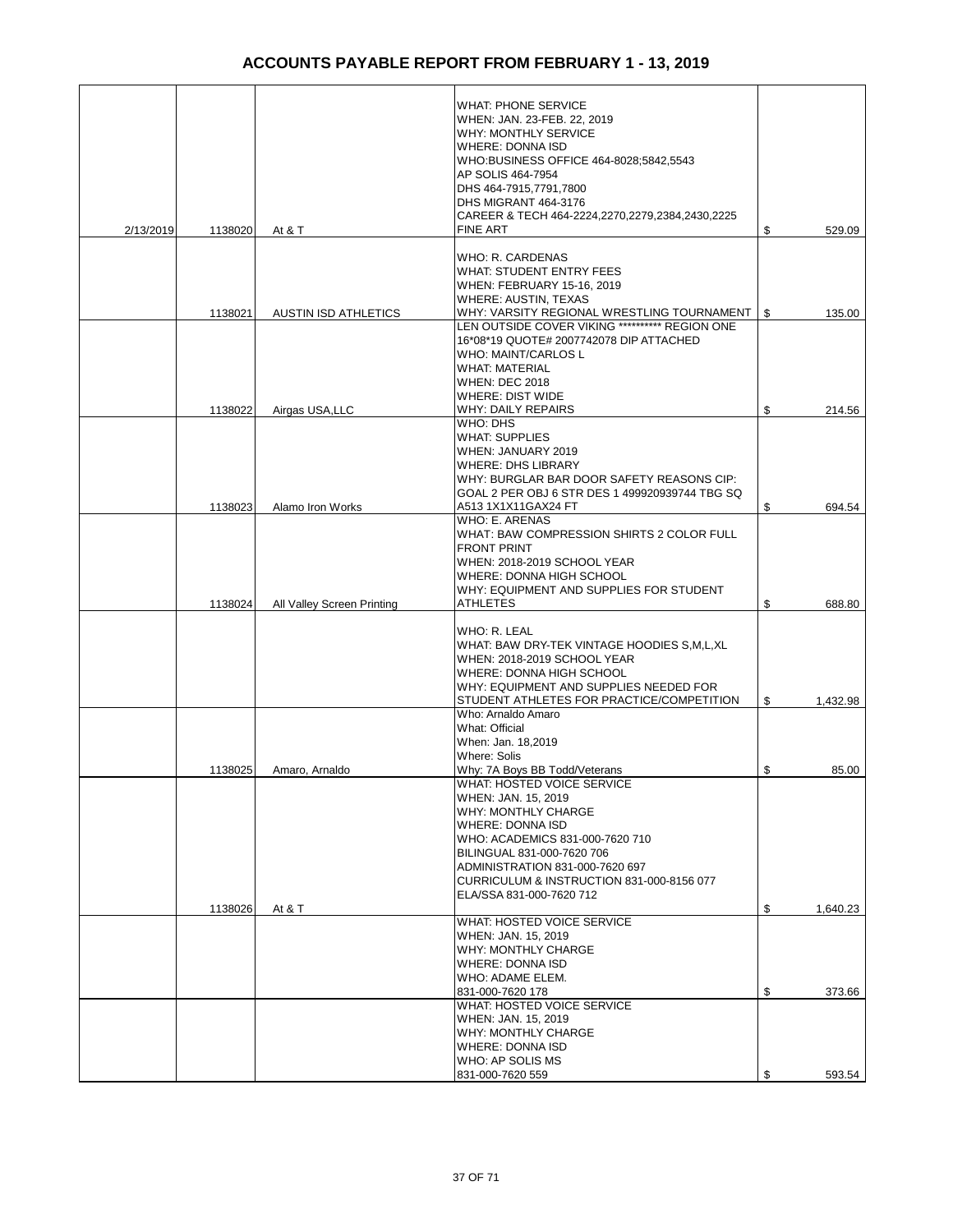|           |         |                             | <b>WHAT: PHONE SERVICE</b>                      |                |
|-----------|---------|-----------------------------|-------------------------------------------------|----------------|
|           |         |                             | WHEN: JAN. 23-FEB. 22, 2019                     |                |
|           |         |                             | WHY: MONTHLY SERVICE                            |                |
|           |         |                             | <b>WHERE: DONNA ISD</b>                         |                |
|           |         |                             | WHO:BUSINESS OFFICE 464-8028;5842,5543          |                |
|           |         |                             | AP SOLIS 464-7954                               |                |
|           |         |                             | DHS 464-7915.7791.7800                          |                |
|           |         |                             |                                                 |                |
|           |         |                             | DHS MIGRANT 464-3176                            |                |
|           |         |                             | CAREER & TECH 464-2224,2270,2279,2384,2430,2225 |                |
| 2/13/2019 | 1138020 | At & T                      | <b>FINE ART</b>                                 | \$<br>529.09   |
|           |         |                             |                                                 |                |
|           |         |                             | WHO: R. CARDENAS                                |                |
|           |         |                             | <b>WHAT: STUDENT ENTRY FEES</b>                 |                |
|           |         |                             | WHEN: FEBRUARY 15-16, 2019                      |                |
|           |         |                             | WHERE: AUSTIN, TEXAS                            |                |
|           |         |                             | WHY: VARSITY REGIONAL WRESTLING TOURNAMENT      |                |
|           | 1138021 | <b>AUSTIN ISD ATHLETICS</b> |                                                 | \$<br>135.00   |
|           |         |                             | LEN OUTSIDE COVER VIKING *********** REGION ONE |                |
|           |         |                             | 16*08*19 QUOTE# 2007742078 DIP ATTACHED         |                |
|           |         |                             | <b>WHO: MAINT/CARLOS L</b>                      |                |
|           |         |                             | <b>WHAT: MATERIAL</b>                           |                |
|           |         |                             | <b>WHEN: DEC 2018</b>                           |                |
|           |         |                             | <b>WHERE: DIST WIDE</b>                         |                |
|           | 1138022 | Airgas USA, LLC             | WHY: DAILY REPAIRS                              | \$<br>214.56   |
|           |         |                             | WHO: DHS                                        |                |
|           |         |                             | <b>WHAT: SUPPLIES</b>                           |                |
|           |         |                             |                                                 |                |
|           |         |                             | WHEN: JANUARY 2019                              |                |
|           |         |                             | <b>WHERE: DHS LIBRARY</b>                       |                |
|           |         |                             | WHY: BURGLAR BAR DOOR SAFETY REASONS CIP:       |                |
|           |         |                             | GOAL 2 PER OBJ 6 STR DES 1 499920939744 TBG SQ  |                |
|           | 1138023 | Alamo Iron Works            | A513 1X1X11GAX24 FT                             | \$<br>694.54   |
|           |         |                             | WHO: E. ARENAS                                  |                |
|           |         |                             | WHAT: BAW COMPRESSION SHIRTS 2 COLOR FULL       |                |
|           |         |                             | <b>FRONT PRINT</b>                              |                |
|           |         |                             |                                                 |                |
|           |         |                             | WHEN: 2018-2019 SCHOOL YEAR                     |                |
|           |         |                             | WHERE: DONNA HIGH SCHOOL                        |                |
|           |         |                             | WHY: EQUIPMENT AND SUPPLIES FOR STUDENT         |                |
|           | 1138024 | All Valley Screen Printing  | <b>ATHLETES</b>                                 | \$<br>688.80   |
|           |         |                             |                                                 |                |
|           |         |                             | WHO: R. LEAL                                    |                |
|           |         |                             | WHAT: BAW DRY-TEK VINTAGE HOODIES S, M, L, XL   |                |
|           |         |                             | WHEN: 2018-2019 SCHOOL YEAR                     |                |
|           |         |                             | WHERE: DONNA HIGH SCHOOL                        |                |
|           |         |                             | WHY: EQUIPMENT AND SUPPLIES NEEDED FOR          |                |
|           |         |                             |                                                 |                |
|           |         |                             | STUDENT ATHLETES FOR PRACTICE/COMPETITION       | \$<br>1,432.98 |
|           |         |                             | Who: Arnaldo Amaro                              |                |
|           |         |                             | What: Official                                  |                |
|           |         |                             | When: Jan. 18,2019                              |                |
|           |         |                             | Where: Solis                                    |                |
|           | 1138025 | Amaro, Arnaldo              | Why: 7A Boys BB Todd/Veterans                   | \$<br>85.00    |
|           |         |                             | WHAI: HOSTED VOICE SERVICE                      |                |
|           |         |                             | WHEN: JAN. 15, 2019                             |                |
|           |         |                             | WHY: MONTHLY CHARGE                             |                |
|           |         |                             |                                                 |                |
|           |         |                             | WHERE: DONNA ISD                                |                |
|           |         |                             | WHO: ACADEMICS 831-000-7620 710                 |                |
|           |         |                             | BILINGUAL 831-000-7620 706                      |                |
|           |         |                             | ADMINISTRATION 831-000-7620 697                 |                |
|           |         |                             | CURRICULUM & INSTRUCTION 831-000-8156 077       |                |
|           |         |                             | ELA/SSA 831-000-7620 712                        |                |
|           | 1138026 | At & T                      |                                                 | \$<br>1,640.23 |
|           |         |                             | WHAT: HOSTED VOICE SERVICE                      |                |
|           |         |                             | WHEN: JAN. 15, 2019                             |                |
|           |         |                             | WHY: MONTHLY CHARGE                             |                |
|           |         |                             |                                                 |                |
|           |         |                             | <b>WHERE: DONNA ISD</b>                         |                |
|           |         |                             | WHO: ADAME ELEM.                                |                |
|           |         |                             | 831-000-7620 178                                | \$<br>373.66   |
|           |         |                             | WHAT: HOSTED VOICE SERVICE                      |                |
|           |         |                             | WHEN: JAN. 15, 2019                             |                |
|           |         |                             | WHY: MONTHLY CHARGE                             |                |
|           |         |                             | WHERE: DONNA ISD                                |                |
|           |         |                             | WHO: AP SOLIS MS                                |                |
|           |         |                             |                                                 |                |
|           |         |                             | 831-000-7620 559                                | \$<br>593.54   |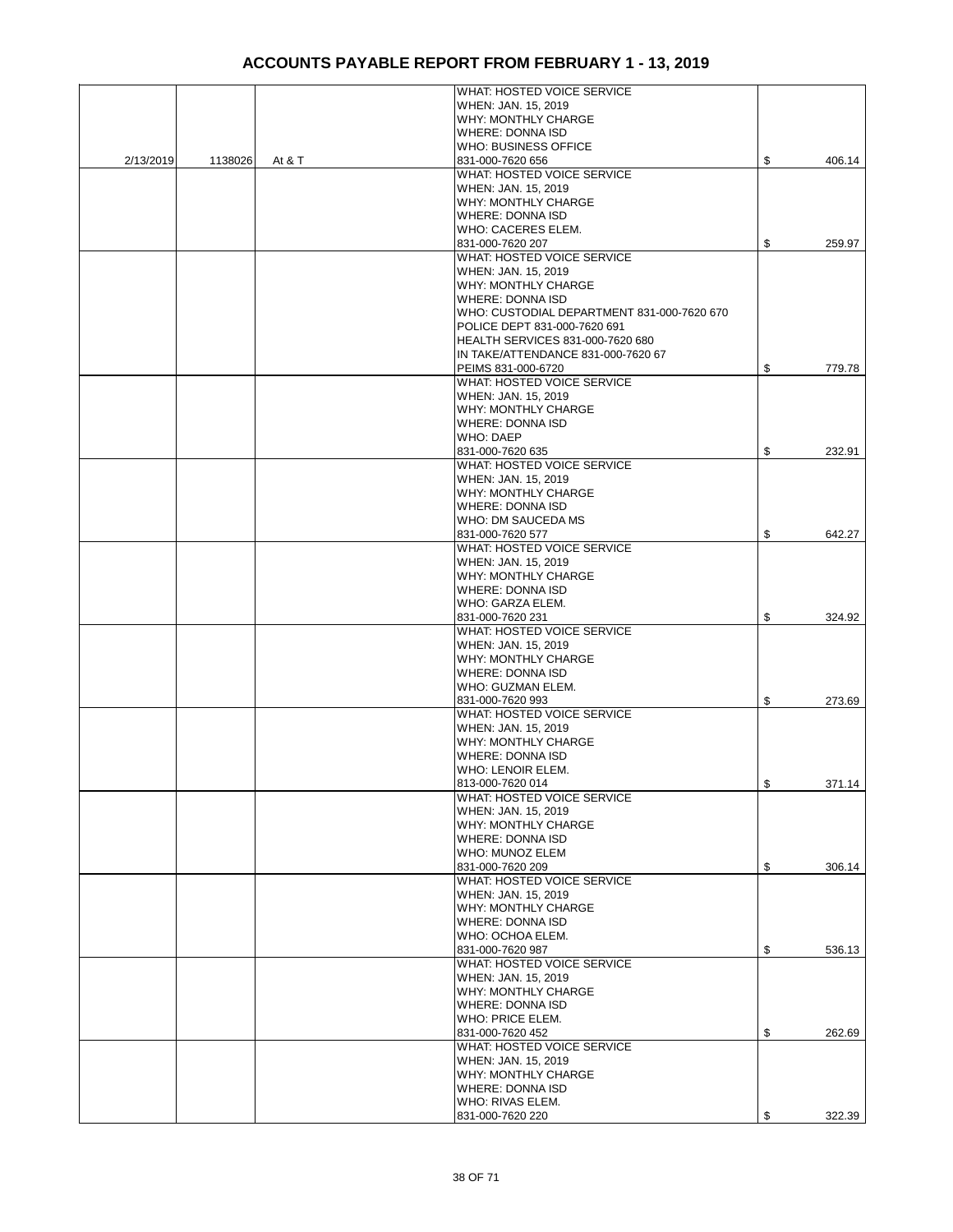|           |         |        | WHAT: HOSTED VOICE SERVICE                 |              |
|-----------|---------|--------|--------------------------------------------|--------------|
|           |         |        | WHEN: JAN. 15, 2019                        |              |
|           |         |        | WHY: MONTHLY CHARGE                        |              |
|           |         |        | <b>WHERE: DONNA ISD</b>                    |              |
|           |         |        | <b>WHO: BUSINESS OFFICE</b>                |              |
| 2/13/2019 | 1138026 | At & T | 831-000-7620 656                           | \$<br>406.14 |
|           |         |        | WHAT: HOSTED VOICE SERVICE                 |              |
|           |         |        | WHEN: JAN. 15, 2019                        |              |
|           |         |        | WHY: MONTHLY CHARGE                        |              |
|           |         |        | <b>WHERE: DONNA ISD</b>                    |              |
|           |         |        | WHO: CACERES ELEM.                         |              |
|           |         |        | 831-000-7620 207                           | \$<br>259.97 |
|           |         |        | WHAT: HOSTED VOICE SERVICE                 |              |
|           |         |        | WHEN: JAN. 15, 2019                        |              |
|           |         |        | <b>WHY: MONTHLY CHARGE</b>                 |              |
|           |         |        | <b>WHERE: DONNA ISD</b>                    |              |
|           |         |        | WHO: CUSTODIAL DEPARTMENT 831-000-7620 670 |              |
|           |         |        | POLICE DEPT 831-000-7620 691               |              |
|           |         |        | <b>HEALTH SERVICES 831-000-7620 680</b>    |              |
|           |         |        | IN TAKE/ATTENDANCE 831-000-7620 67         |              |
|           |         |        | PEIMS 831-000-6720                         | \$<br>779.78 |
|           |         |        | WHAT: HOSTED VOICE SERVICE                 |              |
|           |         |        | WHEN: JAN. 15, 2019                        |              |
|           |         |        | <b>WHY: MONTHLY CHARGE</b>                 |              |
|           |         |        | <b>WHERE: DONNA ISD</b>                    |              |
|           |         |        | <b>WHO: DAEP</b>                           |              |
|           |         |        | 831-000-7620 635                           | \$<br>232.91 |
|           |         |        | WHAT: HOSTED VOICE SERVICE                 |              |
|           |         |        | WHEN: JAN. 15, 2019                        |              |
|           |         |        | <b>WHY: MONTHLY CHARGE</b>                 |              |
|           |         |        | <b>WHERE: DONNA ISD</b>                    |              |
|           |         |        | WHO: DM SAUCEDA MS                         |              |
|           |         |        | 831-000-7620 577                           | \$<br>642.27 |
|           |         |        | WHAT: HOSTED VOICE SERVICE                 |              |
|           |         |        | WHEN: JAN. 15, 2019                        |              |
|           |         |        | WHY: MONTHLY CHARGE                        |              |
|           |         |        | <b>WHERE: DONNA ISD</b>                    |              |
|           |         |        | WHO: GARZA ELEM.<br>831-000-7620 231       | \$<br>324.92 |
|           |         |        | WHAT: HOSTED VOICE SERVICE                 |              |
|           |         |        | WHEN: JAN. 15, 2019                        |              |
|           |         |        | <b>WHY: MONTHLY CHARGE</b>                 |              |
|           |         |        | <b>WHERE: DONNA ISD</b>                    |              |
|           |         |        | WHO: GUZMAN ELEM.                          |              |
|           |         |        | 831-000-7620 993                           | \$<br>273.69 |
|           |         |        | WHAT: HOSTED VOICE SERVICE                 |              |
|           |         |        | WHEN: JAN. 15, 2019                        |              |
|           |         |        | <b>WHY: MONTHLY CHARGE</b>                 |              |
|           |         |        | <b>WHERE: DONNA ISD</b>                    |              |
|           |         |        | WHO: LENOIR ELEM.                          |              |
|           |         |        | 813-000-7620 014                           | \$<br>371.14 |
|           |         |        | WHAT: HOSTED VOICE SERVICE                 |              |
|           |         |        | WHEN: JAN. 15, 2019                        |              |
|           |         |        | WHY: MONTHLY CHARGE                        |              |
|           |         |        | WHERE: DONNA ISD                           |              |
|           |         |        | WHO: MUNOZ ELEM                            |              |
|           |         |        | 831-000-7620 209                           | \$<br>306.14 |
|           |         |        | WHAT: HOSTED VOICE SERVICE                 |              |
|           |         |        | WHEN: JAN. 15, 2019                        |              |
|           |         |        | WHY: MONTHLY CHARGE                        |              |
|           |         |        | <b>WHERE: DONNA ISD</b>                    |              |
|           |         |        | WHO: OCHOA ELEM.                           |              |
|           |         |        | 831-000-7620 987                           | \$<br>536.13 |
|           |         |        | WHAT: HOSTED VOICE SERVICE                 |              |
|           |         |        | WHEN: JAN. 15, 2019                        |              |
|           |         |        | WHY: MONTHLY CHARGE                        |              |
|           |         |        | WHERE: DONNA ISD                           |              |
|           |         |        | WHO: PRICE ELEM.                           |              |
|           |         |        | 831-000-7620 452                           | \$<br>262.69 |
|           |         |        | WHAT: HOSTED VOICE SERVICE                 |              |
|           |         |        | WHEN: JAN. 15, 2019                        |              |
|           |         |        | WHY: MONTHLY CHARGE                        |              |
|           |         |        | <b>WHERE: DONNA ISD</b>                    |              |
|           |         |        | WHO: RIVAS ELEM.                           |              |
|           |         |        | 831-000-7620 220                           | \$<br>322.39 |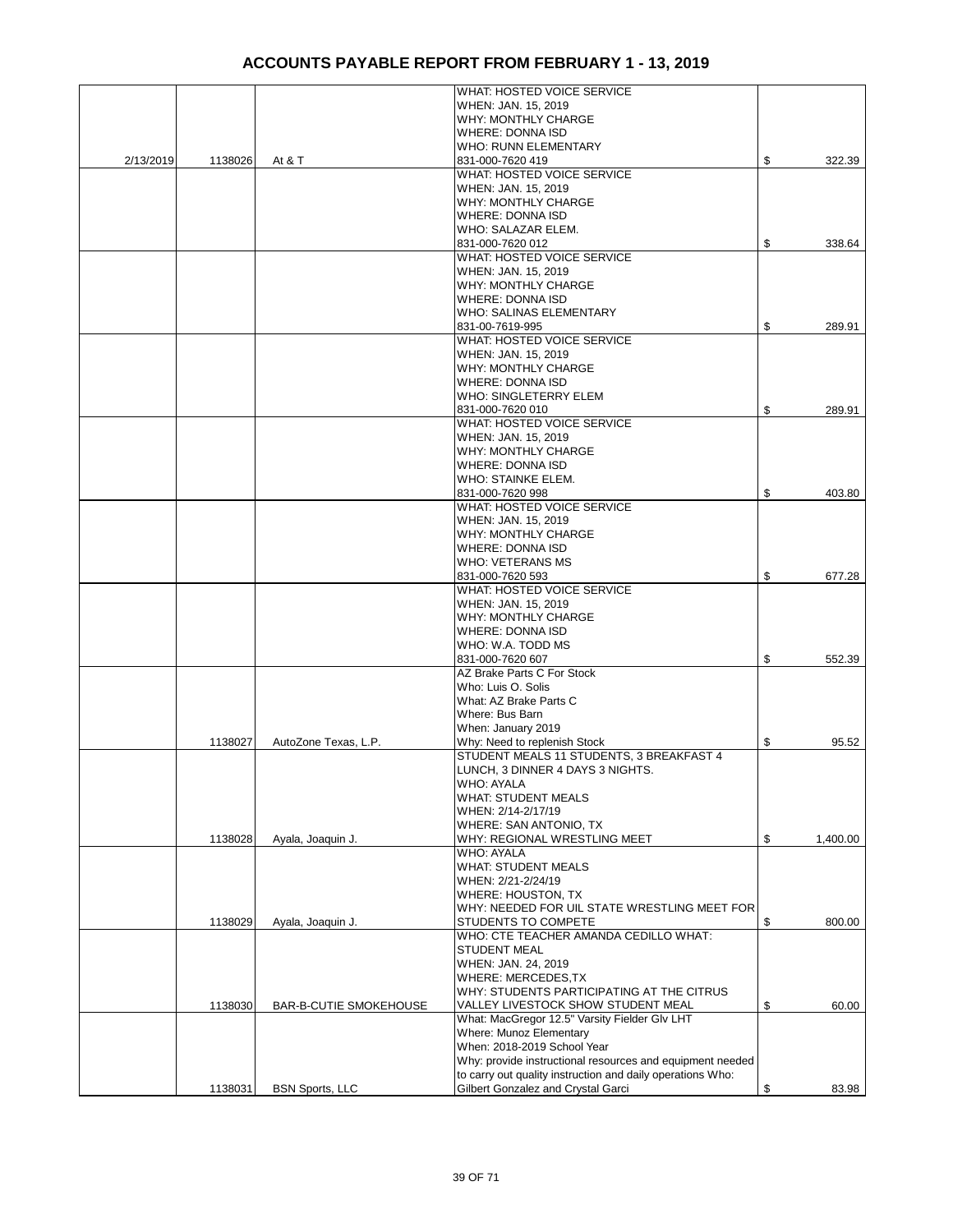|           |         |                               | WHAT: HOSTED VOICE SERVICE                                 |                |
|-----------|---------|-------------------------------|------------------------------------------------------------|----------------|
|           |         |                               | WHEN: JAN. 15, 2019                                        |                |
|           |         |                               | WHY: MONTHLY CHARGE                                        |                |
|           |         |                               | <b>WHERE: DONNA ISD</b>                                    |                |
|           |         |                               | <b>WHO: RUNN ELEMENTARY</b>                                |                |
| 2/13/2019 | 1138026 | At & T                        | 831-000-7620 419                                           | \$<br>322.39   |
|           |         |                               | WHAT: HOSTED VOICE SERVICE                                 |                |
|           |         |                               | WHEN: JAN. 15, 2019                                        |                |
|           |         |                               | WHY: MONTHLY CHARGE                                        |                |
|           |         |                               | WHERE: DONNA ISD                                           |                |
|           |         |                               | WHO: SALAZAR ELEM.                                         |                |
|           |         |                               |                                                            |                |
|           |         |                               | 831-000-7620 012                                           | \$<br>338.64   |
|           |         |                               | WHAT: HOSTED VOICE SERVICE                                 |                |
|           |         |                               | WHEN: JAN. 15, 2019                                        |                |
|           |         |                               | WHY: MONTHLY CHARGE                                        |                |
|           |         |                               | <b>WHERE: DONNA ISD</b>                                    |                |
|           |         |                               | WHO: SALINAS ELEMENTARY                                    |                |
|           |         |                               | 831-00-7619-995                                            | \$<br>289.91   |
|           |         |                               | WHAT: HOSTED VOICE SERVICE                                 |                |
|           |         |                               | WHEN: JAN. 15, 2019                                        |                |
|           |         |                               | WHY: MONTHLY CHARGE                                        |                |
|           |         |                               | <b>WHERE: DONNA ISD</b>                                    |                |
|           |         |                               | WHO: SINGLETERRY ELEM                                      |                |
|           |         |                               | 831-000-7620 010                                           | \$<br>289.91   |
|           |         |                               | WHAT: HOSTED VOICE SERVICE                                 |                |
|           |         |                               | WHEN: JAN. 15, 2019                                        |                |
|           |         |                               | <b>WHY: MONTHLY CHARGE</b>                                 |                |
|           |         |                               |                                                            |                |
|           |         |                               | <b>WHERE: DONNA ISD</b>                                    |                |
|           |         |                               | WHO: STAINKE ELEM.                                         |                |
|           |         |                               | 831-000-7620 998                                           | \$<br>403.80   |
|           |         |                               | WHAT: HOSTED VOICE SERVICE                                 |                |
|           |         |                               | WHEN: JAN. 15, 2019                                        |                |
|           |         |                               | WHY: MONTHLY CHARGE                                        |                |
|           |         |                               | <b>WHERE: DONNA ISD</b>                                    |                |
|           |         |                               | <b>WHO: VETERANS MS</b>                                    |                |
|           |         |                               | 831-000-7620 593                                           | \$<br>677.28   |
|           |         |                               | WHAT: HOSTED VOICE SERVICE                                 |                |
|           |         |                               | WHEN: JAN. 15, 2019                                        |                |
|           |         |                               | WHY: MONTHLY CHARGE                                        |                |
|           |         |                               | <b>WHERE: DONNA ISD</b>                                    |                |
|           |         |                               | WHO: W.A. TODD MS                                          |                |
|           |         |                               | 831-000-7620 607                                           | \$<br>552.39   |
|           |         |                               | AZ Brake Parts C For Stock                                 |                |
|           |         |                               | Who: Luis O. Solis                                         |                |
|           |         |                               | What: AZ Brake Parts C                                     |                |
|           |         |                               | Where: Bus Barn                                            |                |
|           |         |                               |                                                            |                |
|           |         |                               | When: January 2019                                         |                |
|           | 1138027 | AutoZone Texas, L.P.          | Why: Need to replenish Stock                               | \$<br>95.52    |
|           |         |                               | STUDENT MEALS 11 STUDENTS, 3 BREAKFAST 4                   |                |
|           |         |                               | LUNCH, 3 DINNER 4 DAYS 3 NIGHTS.                           |                |
|           |         |                               | <b>WHO: AYALA</b>                                          |                |
|           |         |                               | <b>WHAT: STUDENT MEALS</b>                                 |                |
|           |         |                               | WHEN: 2/14-2/17/19                                         |                |
|           |         |                               | WHERE: SAN ANTONIO, TX                                     |                |
|           | 1138028 | Ayala, Joaquin J.             | WHY: REGIONAL WRESTLING MEET                               | \$<br>1,400.00 |
|           |         |                               | <b>WHO: AYALA</b>                                          |                |
|           |         |                               | <b>WHAT: STUDENT MEALS</b>                                 |                |
|           |         |                               | WHEN: 2/21-2/24/19                                         |                |
|           |         |                               | WHERE: HOUSTON, TX                                         |                |
|           |         |                               | WHY: NEEDED FOR UIL STATE WRESTLING MEET FOR               |                |
|           | 1138029 | Ayala, Joaquin J.             | STUDENTS TO COMPETE                                        | \$<br>800.00   |
|           |         |                               | WHO: CTE TEACHER AMANDA CEDILLO WHAT:                      |                |
|           |         |                               | <b>STUDENT MEAL</b>                                        |                |
|           |         |                               | WHEN: JAN. 24, 2019                                        |                |
|           |         |                               | WHERE: MERCEDES, TX                                        |                |
|           |         |                               |                                                            |                |
|           |         |                               | WHY: STUDENTS PARTICIPATING AT THE CITRUS                  |                |
|           | 1138030 | <b>BAR-B-CUTIE SMOKEHOUSE</b> | VALLEY LIVESTOCK SHOW STUDENT MEAL                         | \$<br>60.00    |
|           |         |                               | What: MacGregor 12.5" Varsity Fielder Glv LHT              |                |
|           |         |                               | Where: Munoz Elementary                                    |                |
|           |         |                               | When: 2018-2019 School Year                                |                |
|           |         |                               | Why: provide instructional resources and equipment needed  |                |
|           |         |                               | to carry out quality instruction and daily operations Who: |                |
|           | 1138031 | <b>BSN Sports, LLC</b>        | Gilbert Gonzalez and Crystal Garci                         | \$<br>83.98    |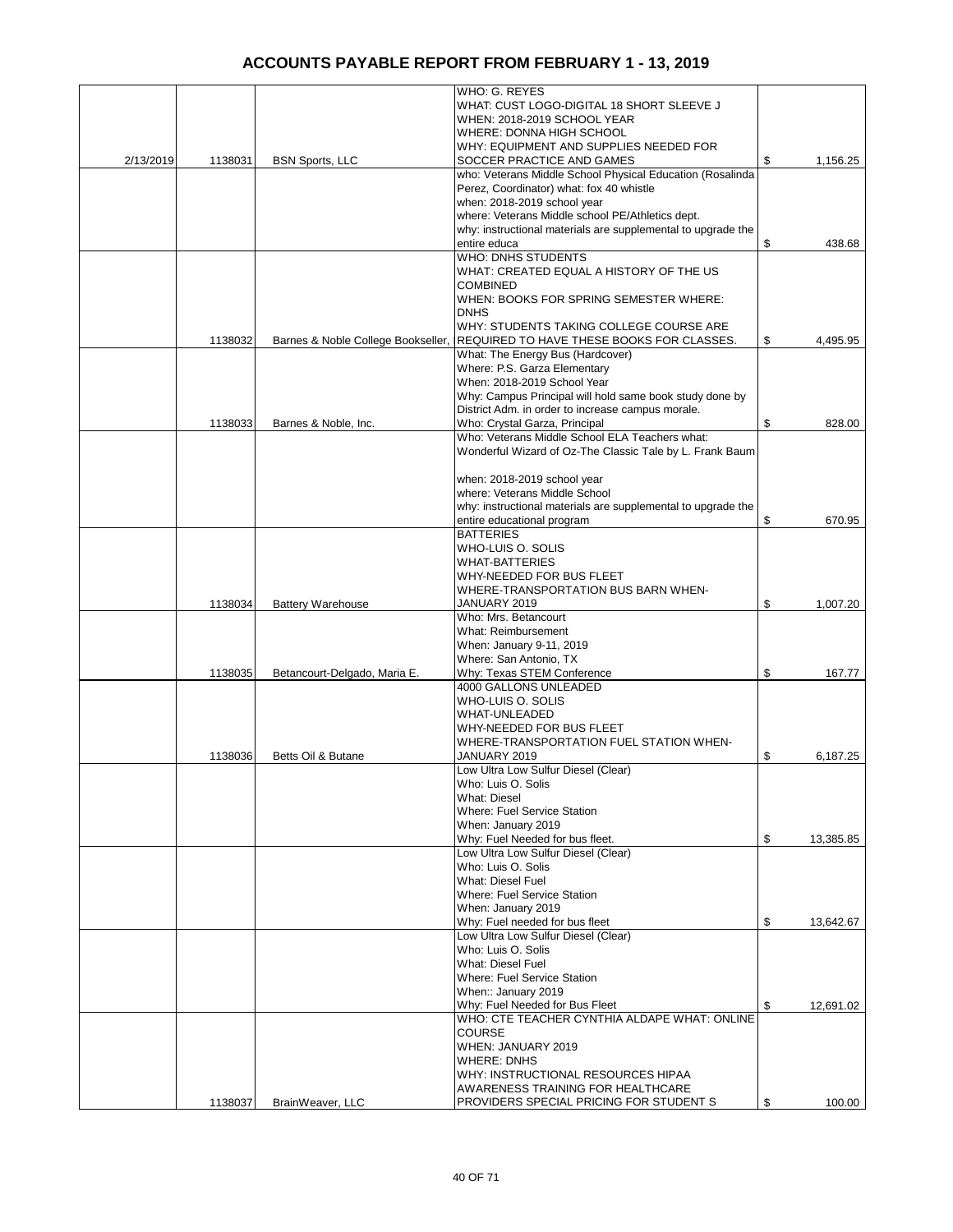|           |         |                                    | WHO: G. REYES                                                |                 |
|-----------|---------|------------------------------------|--------------------------------------------------------------|-----------------|
|           |         |                                    | WHAT: CUST LOGO-DIGITAL 18 SHORT SLEEVE J                    |                 |
|           |         |                                    | WHEN: 2018-2019 SCHOOL YEAR                                  |                 |
|           |         |                                    | WHERE: DONNA HIGH SCHOOL                                     |                 |
|           |         |                                    |                                                              |                 |
|           |         |                                    | WHY: EQUIPMENT AND SUPPLIES NEEDED FOR                       |                 |
| 2/13/2019 | 1138031 | <b>BSN Sports, LLC</b>             | SOCCER PRACTICE AND GAMES                                    | \$<br>1,156.25  |
|           |         |                                    | who: Veterans Middle School Physical Education (Rosalinda    |                 |
|           |         |                                    | Perez, Coordinator) what: fox 40 whistle                     |                 |
|           |         |                                    | when: 2018-2019 school year                                  |                 |
|           |         |                                    | where: Veterans Middle school PE/Athletics dept.             |                 |
|           |         |                                    | why: instructional materials are supplemental to upgrade the |                 |
|           |         |                                    |                                                              |                 |
|           |         |                                    | entire educa                                                 | \$<br>438.68    |
|           |         |                                    | <b>WHO: DNHS STUDENTS</b>                                    |                 |
|           |         |                                    | WHAT: CREATED EQUAL A HISTORY OF THE US                      |                 |
|           |         |                                    | <b>COMBINED</b>                                              |                 |
|           |         |                                    | WHEN: BOOKS FOR SPRING SEMESTER WHERE:                       |                 |
|           |         |                                    | <b>DNHS</b>                                                  |                 |
|           |         |                                    | WHY: STUDENTS TAKING COLLEGE COURSE ARE                      |                 |
|           |         |                                    |                                                              |                 |
|           | 1138032 | Barnes & Noble College Bookseller, | REQUIRED TO HAVE THESE BOOKS FOR CLASSES.                    | \$<br>4,495.95  |
|           |         |                                    | What: The Energy Bus (Hardcover)                             |                 |
|           |         |                                    | Where: P.S. Garza Elementary                                 |                 |
|           |         |                                    | When: 2018-2019 School Year                                  |                 |
|           |         |                                    | Why: Campus Principal will hold same book study done by      |                 |
|           |         |                                    | District Adm. in order to increase campus morale.            |                 |
|           |         |                                    | Who: Crystal Garza, Principal                                | \$              |
|           | 1138033 | Barnes & Noble, Inc.               |                                                              | 828.00          |
|           |         |                                    | Who: Veterans Middle School ELA Teachers what:               |                 |
|           |         |                                    | Wonderful Wizard of Oz-The Classic Tale by L. Frank Baum     |                 |
|           |         |                                    |                                                              |                 |
|           |         |                                    | when: 2018-2019 school year                                  |                 |
|           |         |                                    | where: Veterans Middle School                                |                 |
|           |         |                                    | why: instructional materials are supplemental to upgrade the |                 |
|           |         |                                    |                                                              |                 |
|           |         |                                    | entire educational program                                   | \$<br>670.95    |
|           |         |                                    | <b>BATTERIES</b>                                             |                 |
|           |         |                                    | WHO-LUIS O. SOLIS                                            |                 |
|           |         |                                    | <b>WHAT-BATTERIES</b>                                        |                 |
|           |         |                                    | WHY-NEEDED FOR BUS FLEET                                     |                 |
|           |         |                                    | WHERE-TRANSPORTATION BUS BARN WHEN-                          |                 |
|           | 1138034 | <b>Battery Warehouse</b>           | JANUARY 2019                                                 | \$<br>1,007.20  |
|           |         |                                    | Who: Mrs. Betancourt                                         |                 |
|           |         |                                    |                                                              |                 |
|           |         |                                    | What: Reimbursement                                          |                 |
|           |         |                                    | When: January 9-11, 2019                                     |                 |
|           |         |                                    | Where: San Antonio, TX                                       |                 |
|           | 1138035 | Betancourt-Delgado, Maria E.       | Why: Texas STEM Conference                                   | \$<br>167.77    |
|           |         |                                    | 4000 GALLONS UNLEADED                                        |                 |
|           |         |                                    | WHO-LUIS O. SOLIS                                            |                 |
|           |         |                                    | <b>WHAT-UNLEADED</b>                                         |                 |
|           |         |                                    |                                                              |                 |
|           |         |                                    | WHY-NEEDED FOR BUS FLEET                                     |                 |
|           |         |                                    | WHERE-TRANSPORTATION FUEL STATION WHEN-                      |                 |
|           | 1138036 | Betts Oil & Butane                 | JANUARY 2019                                                 | \$<br>6,187.25  |
|           |         |                                    | Low Ultra Low Sulfur Diesel (Clear)                          |                 |
|           |         |                                    | Who: Luis O. Solis                                           |                 |
|           |         |                                    | <b>What: Diesel</b>                                          |                 |
|           |         |                                    | Where: Fuel Service Station                                  |                 |
|           |         |                                    |                                                              |                 |
|           |         |                                    | When: January 2019                                           |                 |
|           |         |                                    | Why: Fuel Needed for bus fleet.                              | \$<br>13,385.85 |
|           |         |                                    | Low Ultra Low Sulfur Diesel (Clear)                          |                 |
|           |         |                                    | Who: Luis O. Solis                                           |                 |
|           |         |                                    | <b>What: Diesel Fuel</b>                                     |                 |
|           |         |                                    | Where: Fuel Service Station                                  |                 |
|           |         |                                    | When: January 2019                                           |                 |
|           |         |                                    |                                                              |                 |
|           |         |                                    | Why: Fuel needed for bus fleet                               | \$<br>13,642.67 |
|           |         |                                    | Low Ultra Low Sulfur Diesel (Clear)                          |                 |
|           |         |                                    | Who: Luis O. Solis                                           |                 |
|           |         |                                    | What: Diesel Fuel                                            |                 |
|           |         |                                    | Where: Fuel Service Station                                  |                 |
|           |         |                                    | When:: January 2019                                          |                 |
|           |         |                                    | Why: Fuel Needed for Bus Fleet                               | \$<br>12,691.02 |
|           |         |                                    | WHO: CTE TEACHER CYNTHIA ALDAPE WHAT: ONLINE                 |                 |
|           |         |                                    |                                                              |                 |
|           |         |                                    | <b>COURSE</b>                                                |                 |
|           |         |                                    | WHEN: JANUARY 2019                                           |                 |
|           |         |                                    | <b>WHERE: DNHS</b>                                           |                 |
|           |         |                                    | WHY: INSTRUCTIONAL RESOURCES HIPAA                           |                 |
|           |         |                                    | AWARENESS TRAINING FOR HEALTHCARE                            |                 |
|           | 1138037 | BrainWeaver, LLC                   | PROVIDERS SPECIAL PRICING FOR STUDENT S                      | \$<br>100.00    |
|           |         |                                    |                                                              |                 |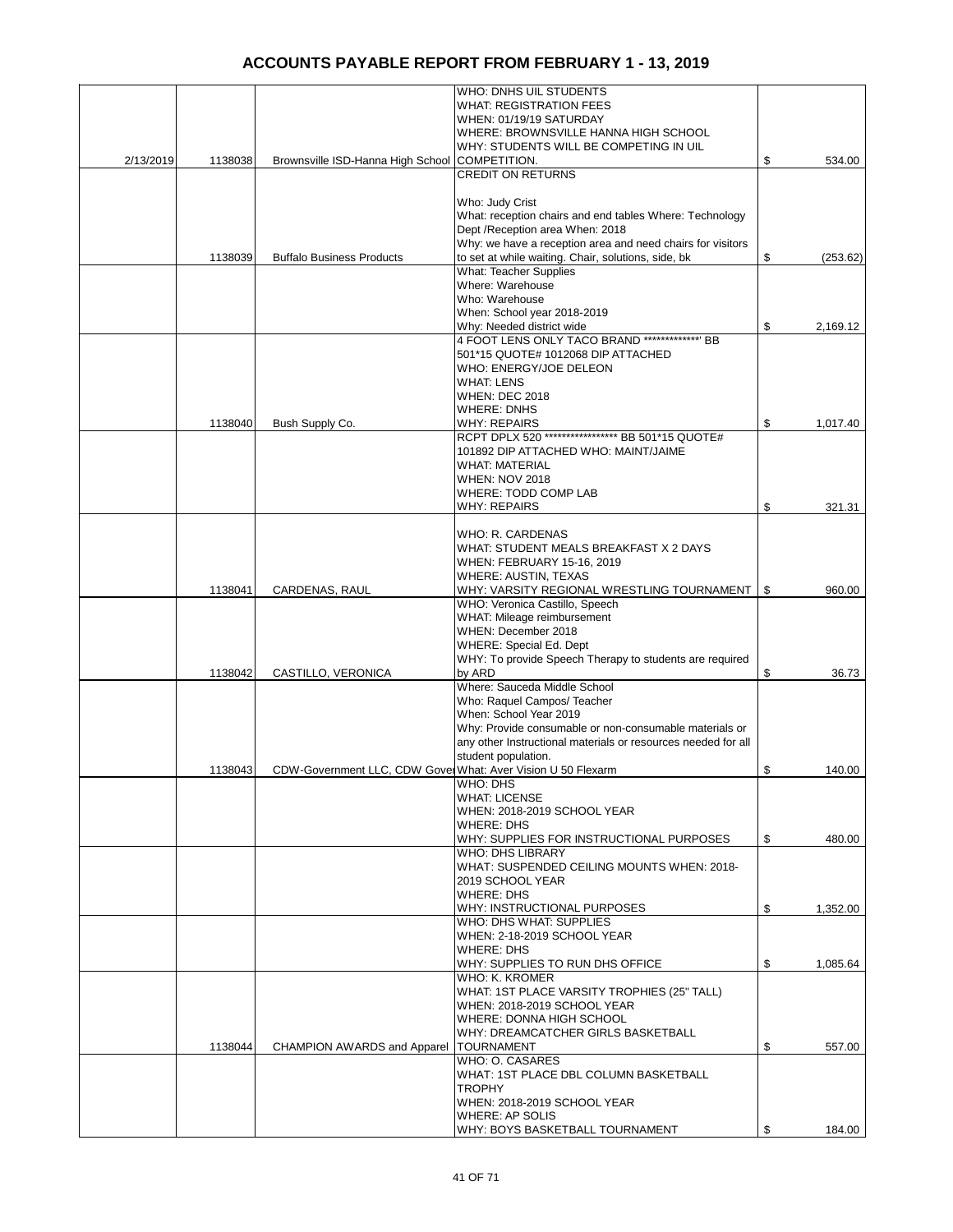|           |         |                                                              | <b>WHO: DNHS UIL STUDENTS</b>                                 |                |
|-----------|---------|--------------------------------------------------------------|---------------------------------------------------------------|----------------|
|           |         |                                                              | <b>WHAT: REGISTRATION FEES</b>                                |                |
|           |         |                                                              | WHEN: 01/19/19 SATURDAY                                       |                |
|           |         |                                                              | WHERE: BROWNSVILLE HANNA HIGH SCHOOL                          |                |
|           |         |                                                              | WHY: STUDENTS WILL BE COMPETING IN UIL                        |                |
| 2/13/2019 | 1138038 | Brownsville ISD-Hanna High School                            | COMPETITION.                                                  | \$<br>534.00   |
|           |         |                                                              | <b>CREDIT ON RETURNS</b>                                      |                |
|           |         |                                                              |                                                               |                |
|           |         |                                                              | Who: Judy Crist                                               |                |
|           |         |                                                              | What: reception chairs and end tables Where: Technology       |                |
|           |         |                                                              | Dept / Reception area When: 2018                              |                |
|           |         |                                                              | Why: we have a reception area and need chairs for visitors    |                |
|           |         |                                                              |                                                               |                |
|           | 1138039 | <b>Buffalo Business Products</b>                             | to set at while waiting. Chair, solutions, side, bk           | \$<br>(253.62) |
|           |         |                                                              | <b>What: Teacher Supplies</b>                                 |                |
|           |         |                                                              | Where: Warehouse                                              |                |
|           |         |                                                              | Who: Warehouse                                                |                |
|           |         |                                                              | When: School year 2018-2019                                   |                |
|           |         |                                                              | Why: Needed district wide                                     | \$<br>2,169.12 |
|           |         |                                                              | 4 FOOT LENS ONLY TACO BRAND *************** BB                |                |
|           |         |                                                              | 501*15 QUOTE# 1012068 DIP ATTACHED                            |                |
|           |         |                                                              | WHO: ENERGY/JOE DELEON                                        |                |
|           |         |                                                              | <b>WHAT: LENS</b>                                             |                |
|           |         |                                                              | <b>WHEN: DEC 2018</b>                                         |                |
|           |         |                                                              | <b>WHERE: DNHS</b>                                            |                |
|           | 1138040 | Bush Supply Co.                                              | <b>WHY: REPAIRS</b>                                           | \$<br>1,017.40 |
|           |         |                                                              | RCPT DPLX 520 ***************** BB 501*15 QUOTE#              |                |
|           |         |                                                              | 101892 DIP ATTACHED WHO: MAINT/JAIME                          |                |
|           |         |                                                              | <b>WHAT: MATERIAL</b>                                         |                |
|           |         |                                                              |                                                               |                |
|           |         |                                                              | <b>WHEN: NOV 2018</b>                                         |                |
|           |         |                                                              | WHERE: TODD COMP LAB                                          |                |
|           |         |                                                              | <b>WHY: REPAIRS</b>                                           | \$<br>321.31   |
|           |         |                                                              |                                                               |                |
|           |         |                                                              | WHO: R. CARDENAS                                              |                |
|           |         |                                                              | WHAT: STUDENT MEALS BREAKFAST X 2 DAYS                        |                |
|           |         |                                                              | WHEN: FEBRUARY 15-16, 2019                                    |                |
|           |         |                                                              | WHERE: AUSTIN, TEXAS                                          |                |
|           | 1138041 | CARDENAS, RAUL                                               | WHY: VARSITY REGIONAL WRESTLING TOURNAMENT                    | \$<br>960.00   |
|           |         |                                                              | WHO: Veronica Castillo, Speech                                |                |
|           |         |                                                              | WHAT: Mileage reimbursement                                   |                |
|           |         |                                                              | WHEN: December 2018                                           |                |
|           |         |                                                              | WHERE: Special Ed. Dept                                       |                |
|           |         |                                                              | WHY: To provide Speech Therapy to students are required       |                |
|           | 1138042 | CASTILLO, VERONICA                                           | by ARD                                                        | \$<br>36.73    |
|           |         |                                                              | Where: Sauceda Middle School                                  |                |
|           |         |                                                              | Who: Raquel Campos/ Teacher                                   |                |
|           |         |                                                              | When: School Year 2019                                        |                |
|           |         |                                                              |                                                               |                |
|           |         |                                                              | Why: Provide consumable or non-consumable materials or        |                |
|           |         |                                                              | any other Instructional materials or resources needed for all |                |
|           |         |                                                              | student population.                                           |                |
|           | 1138043 | CDW-Government LLC, CDW Gover What: Aver Vision U 50 Flexarm |                                                               | \$<br>140.00   |
|           |         |                                                              | WHO: DHS                                                      |                |
|           |         |                                                              | <b>WHAT: LICENSE</b>                                          |                |
|           |         |                                                              | WHEN: 2018-2019 SCHOOL YEAR                                   |                |
|           |         |                                                              | <b>WHERE: DHS</b>                                             |                |
|           |         |                                                              | WHY: SUPPLIES FOR INSTRUCTIONAL PURPOSES                      | \$<br>480.00   |
|           |         |                                                              | <b>WHO: DHS LIBRARY</b>                                       |                |
|           |         |                                                              | WHAT: SUSPENDED CEILING MOUNTS WHEN: 2018-                    |                |
|           |         |                                                              | 2019 SCHOOL YEAR                                              |                |
|           |         |                                                              | <b>WHERE: DHS</b>                                             |                |
|           |         |                                                              | WHY: INSTRUCTIONAL PURPOSES                                   | \$<br>1,352.00 |
|           |         |                                                              | WHO: DHS WHAT: SUPPLIES                                       |                |
|           |         |                                                              | WHEN: 2-18-2019 SCHOOL YEAR                                   |                |
|           |         |                                                              | <b>WHERE: DHS</b>                                             |                |
|           |         |                                                              | WHY: SUPPLIES TO RUN DHS OFFICE                               | \$<br>1,085.64 |
|           |         |                                                              | WHO: K. KROMER                                                |                |
|           |         |                                                              | WHAT: 1ST PLACE VARSITY TROPHIES (25" TALL)                   |                |
|           |         |                                                              | WHEN: 2018-2019 SCHOOL YEAR                                   |                |
|           |         |                                                              |                                                               |                |
|           |         |                                                              | WHERE: DONNA HIGH SCHOOL                                      |                |
|           |         |                                                              | WHY: DREAMCATCHER GIRLS BASKETBALL                            |                |
|           | 1138044 | <b>CHAMPION AWARDS and Apparel</b>                           | <b>TOURNAMENT</b>                                             | \$<br>557.00   |
|           |         |                                                              | WHO: O. CASARES                                               |                |
|           |         |                                                              | WHAT: 1ST PLACE DBL COLUMN BASKETBALL                         |                |
|           |         |                                                              | <b>TROPHY</b>                                                 |                |
|           |         |                                                              | WHEN: 2018-2019 SCHOOL YEAR                                   |                |
|           |         |                                                              | <b>WHERE: AP SOLIS</b>                                        |                |
|           |         |                                                              | WHY: BOYS BASKETBALL TOURNAMENT                               | \$<br>184.00   |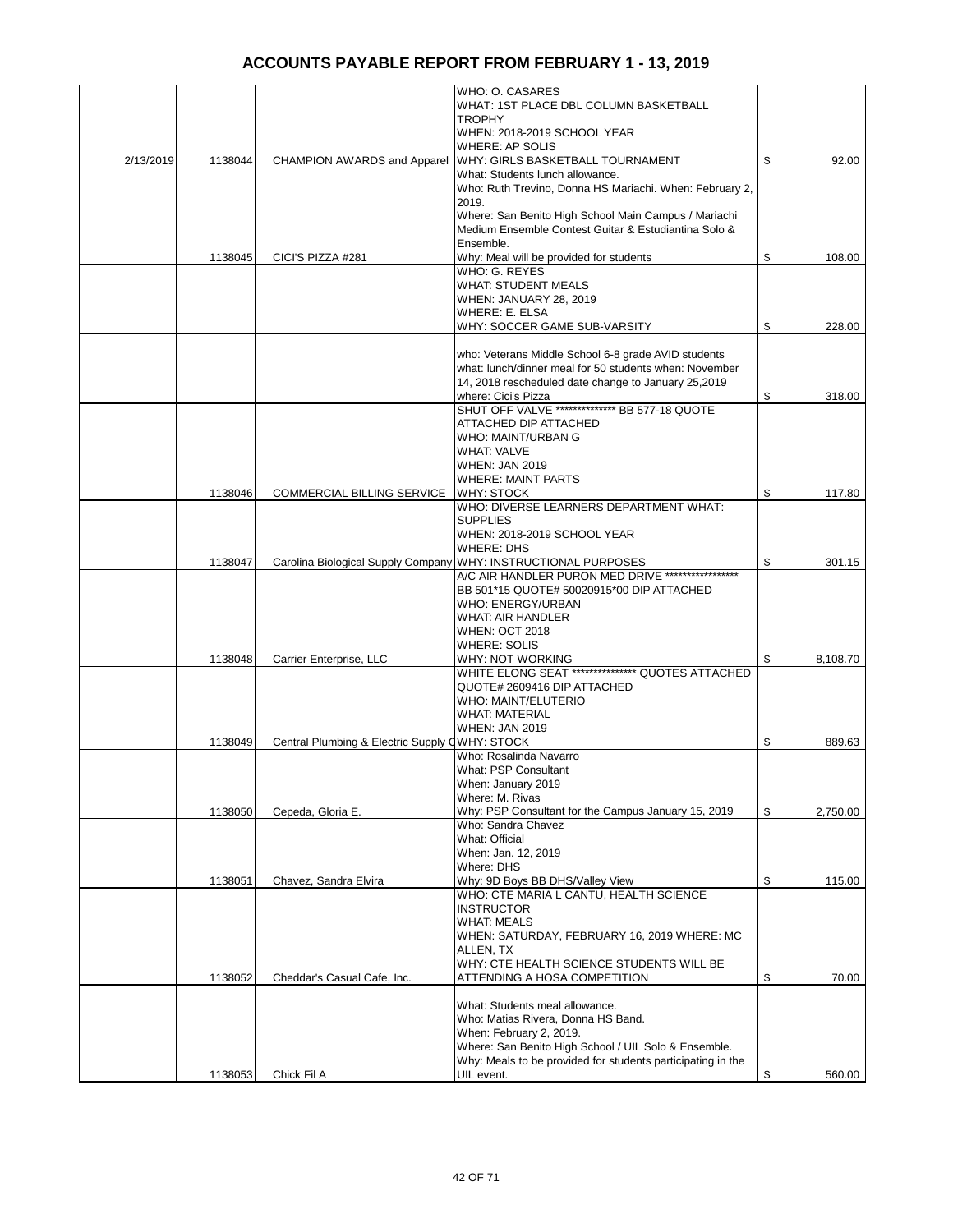|           |         |                                                | WHO: O. CASARES                                                                                                     |                |
|-----------|---------|------------------------------------------------|---------------------------------------------------------------------------------------------------------------------|----------------|
|           |         |                                                | WHAT: 1ST PLACE DBL COLUMN BASKETBALL<br>TROPHY                                                                     |                |
|           |         |                                                | WHEN: 2018-2019 SCHOOL YEAR                                                                                         |                |
| 2/13/2019 | 1138044 |                                                | <b>WHERE: AP SOLIS</b><br>WHY: GIRLS BASKETBALL TOURNAMENT                                                          | \$<br>92.00    |
|           |         | <b>CHAMPION AWARDS and Apparel</b>             | What: Students lunch allowance.                                                                                     |                |
|           |         |                                                | Who: Ruth Trevino, Donna HS Mariachi. When: February 2,                                                             |                |
|           |         |                                                | 2019.                                                                                                               |                |
|           |         |                                                | Where: San Benito High School Main Campus / Mariachi<br>Medium Ensemble Contest Guitar & Estudiantina Solo &        |                |
|           |         |                                                | Ensemble.                                                                                                           |                |
|           | 1138045 | CICI'S PIZZA #281                              | Why: Meal will be provided for students<br>WHO: G. REYES                                                            | \$<br>108.00   |
|           |         |                                                | WHAT: STUDENT MEALS                                                                                                 |                |
|           |         |                                                | WHEN: JANUARY 28, 2019                                                                                              |                |
|           |         |                                                | WHERE: E. ELSA<br>WHY: SOCCER GAME SUB-VARSITY                                                                      | \$<br>228.00   |
|           |         |                                                |                                                                                                                     |                |
|           |         |                                                | who: Veterans Middle School 6-8 grade AVID students                                                                 |                |
|           |         |                                                | what: lunch/dinner meal for 50 students when: November<br>14, 2018 rescheduled date change to January 25,2019       |                |
|           |         |                                                | where: Cici's Pizza                                                                                                 | \$<br>318.00   |
|           |         |                                                | SHUT OFF VALVE ************** BB 577-18 QUOTE                                                                       |                |
|           |         |                                                | ATTACHED DIP ATTACHED                                                                                               |                |
|           |         |                                                | WHO: MAINT/URBAN G<br>WHAT: VALVE                                                                                   |                |
|           |         |                                                | <b>WHEN: JAN 2019</b>                                                                                               |                |
|           |         |                                                | <b>WHERE: MAINT PARTS</b>                                                                                           |                |
|           | 1138046 | COMMERCIAL BILLING SERVICE                     | <b>WHY: STOCK</b><br>WHO: DIVERSE LEARNERS DEPARTMENT WHAT:                                                         | \$<br>117.80   |
|           |         |                                                | <b>SUPPLIES</b>                                                                                                     |                |
|           |         |                                                | WHEN: 2018-2019 SCHOOL YEAR                                                                                         |                |
|           | 1138047 |                                                | <b>WHERE: DHS</b><br>Carolina Biological Supply Company WHY: INSTRUCTIONAL PURPOSES                                 | \$<br>301.15   |
|           |         |                                                | A/C AIR HANDLER PURON MED DRIVE ******************                                                                  |                |
|           |         |                                                | BB 501*15 QUOTE# 50020915*00 DIP ATTACHED                                                                           |                |
|           |         |                                                | WHO: ENERGY/URBAN<br>WHAT: AIR HANDLER                                                                              |                |
|           |         |                                                | WHEN: OCT 2018                                                                                                      |                |
|           |         |                                                | WHERE: SOLIS                                                                                                        |                |
|           | 1138048 | Carrier Enterprise, LLC                        | WHY: NOT WORKING<br>WHITE ELONG SEAT *************** QUOTES ATTACHED                                                | \$<br>8,108.70 |
|           |         |                                                | QUOTE# 2609416 DIP ATTACHED                                                                                         |                |
|           |         |                                                | <b>WHO: MAINT/ELUTERIO</b>                                                                                          |                |
|           |         |                                                | WHAT: MATERIAL                                                                                                      |                |
|           | 1138049 | Central Plumbing & Electric Supply QWHY: STOCK | <b>WHEN: JAN 2019</b>                                                                                               | \$<br>889.63   |
|           |         |                                                | Who: Rosalinda Navarro                                                                                              |                |
|           |         |                                                | What: PSP Consultant<br>When: January 2019                                                                          |                |
|           |         |                                                | Where: M. Rivas                                                                                                     |                |
|           | 1138050 | Cepeda, Gloria E.                              | Why: PSP Consultant for the Campus January 15, 2019                                                                 | \$<br>2,750.00 |
|           |         |                                                | Who: Sandra Chavez<br>What: Official                                                                                |                |
|           |         |                                                | When: Jan. 12, 2019                                                                                                 |                |
|           |         |                                                | Where: DHS                                                                                                          |                |
|           | 1138051 | Chavez, Sandra Elvira                          | Why: 9D Boys BB DHS/Valley View                                                                                     | \$<br>115.00   |
|           |         |                                                | WHO: CTE MARIA L CANTU, HEALTH SCIENCE<br><b>INSTRUCTOR</b>                                                         |                |
|           |         |                                                | <b>WHAT: MEALS</b>                                                                                                  |                |
|           |         |                                                | WHEN: SATURDAY, FEBRUARY 16, 2019 WHERE: MC<br>ALLEN, TX                                                            |                |
|           |         |                                                | WHY: CTE HEALTH SCIENCE STUDENTS WILL BE                                                                            |                |
|           | 1138052 | Cheddar's Casual Cafe, Inc.                    | ATTENDING A HOSA COMPETITION                                                                                        | \$<br>70.00    |
|           |         |                                                |                                                                                                                     |                |
|           |         |                                                | What: Students meal allowance.<br>Who: Matias Rivera, Donna HS Band.                                                |                |
|           |         |                                                | When: February 2, 2019.                                                                                             |                |
|           |         |                                                | Where: San Benito High School / UIL Solo & Ensemble.<br>Why: Meals to be provided for students participating in the |                |
|           | 1138053 | Chick Fil A                                    | UIL event.                                                                                                          | \$<br>560.00   |
|           |         |                                                |                                                                                                                     |                |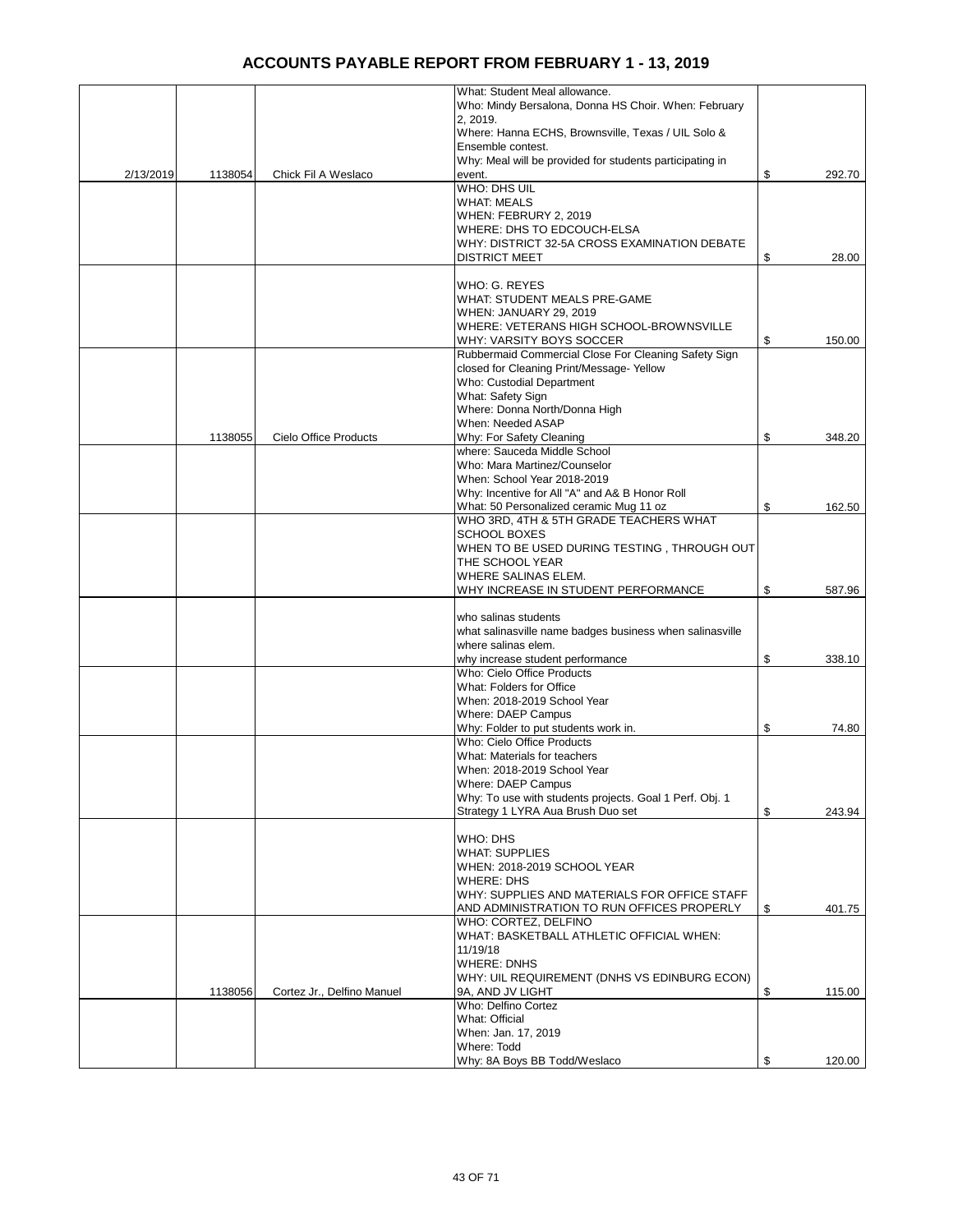|           |         |                              | What: Student Meal allowance.<br>Who: Mindy Bersalona, Donna HS Choir. When: February |              |
|-----------|---------|------------------------------|---------------------------------------------------------------------------------------|--------------|
|           |         |                              | 2, 2019.                                                                              |              |
|           |         |                              | Where: Hanna ECHS, Brownsville, Texas / UIL Solo &                                    |              |
|           |         |                              | Ensemble contest.<br>Why: Meal will be provided for students participating in         |              |
| 2/13/2019 | 1138054 | Chick Fil A Weslaco          | event.                                                                                | \$<br>292.70 |
|           |         |                              | WHO: DHS UIL                                                                          |              |
|           |         |                              | <b>WHAT: MEALS</b>                                                                    |              |
|           |         |                              | WHEN: FEBRURY 2, 2019                                                                 |              |
|           |         |                              | WHERE: DHS TO EDCOUCH-ELSA<br>WHY: DISTRICT 32-5A CROSS EXAMINATION DEBATE            |              |
|           |         |                              | <b>DISTRICT MEET</b>                                                                  | \$<br>28.00  |
|           |         |                              |                                                                                       |              |
|           |         |                              | WHO: G. REYES                                                                         |              |
|           |         |                              | WHAT: STUDENT MEALS PRE-GAME                                                          |              |
|           |         |                              | <b>WHEN: JANUARY 29, 2019</b>                                                         |              |
|           |         |                              | WHERE: VETERANS HIGH SCHOOL-BROWNSVILLE<br>WHY: VARSITY BOYS SOCCER                   | \$<br>150.00 |
|           |         |                              | Rubbermaid Commercial Close For Cleaning Safety Sign                                  |              |
|           |         |                              | closed for Cleaning Print/Message-Yellow                                              |              |
|           |         |                              | Who: Custodial Department                                                             |              |
|           |         |                              | What: Safety Sign                                                                     |              |
|           |         |                              | Where: Donna North/Donna High                                                         |              |
|           | 1138055 | <b>Cielo Office Products</b> | When: Needed ASAP<br>Why: For Safety Cleaning                                         | \$<br>348.20 |
|           |         |                              | where: Sauceda Middle School                                                          |              |
|           |         |                              | Who: Mara Martinez/Counselor                                                          |              |
|           |         |                              | When: School Year 2018-2019                                                           |              |
|           |         |                              | Why: Incentive for All "A" and A& B Honor Roll                                        |              |
|           |         |                              | What: 50 Personalized ceramic Mug 11 oz                                               | \$<br>162.50 |
|           |         |                              | WHO 3RD, 4TH & 5TH GRADE TEACHERS WHAT                                                |              |
|           |         |                              | <b>SCHOOL BOXES</b><br>WHEN TO BE USED DURING TESTING, THROUGH OUT                    |              |
|           |         |                              | THE SCHOOL YEAR                                                                       |              |
|           |         |                              | WHERE SALINAS ELEM.                                                                   |              |
|           |         |                              | WHY INCREASE IN STUDENT PERFORMANCE                                                   | \$<br>587.96 |
|           |         |                              |                                                                                       |              |
|           |         |                              | who salinas students                                                                  |              |
|           |         |                              | what salinasville name badges business when salinasville<br>where salinas elem.       |              |
|           |         |                              | why increase student performance                                                      | \$<br>338.10 |
|           |         |                              | Who: Cielo Office Products                                                            |              |
|           |         |                              | What: Folders for Office                                                              |              |
|           |         |                              | When: 2018-2019 School Year                                                           |              |
|           |         |                              | Where: DAEP Campus                                                                    |              |
|           |         |                              | Why: Folder to put students work in.<br>Who: Cielo Office Products                    | \$<br>74.80  |
|           |         |                              | What: Materials for teachers                                                          |              |
|           |         |                              | When: 2018-2019 School Year                                                           |              |
|           |         |                              | Where: DAEP Campus                                                                    |              |
|           |         |                              | Why: To use with students projects. Goal 1 Perf. Obj. 1                               |              |
|           |         |                              | Strategy 1 LYRA Aua Brush Duo set                                                     | \$<br>243.94 |
|           |         |                              | WHO: DHS                                                                              |              |
|           |         |                              | <b>WHAT: SUPPLIES</b>                                                                 |              |
|           |         |                              | WHEN: 2018-2019 SCHOOL YEAR                                                           |              |
|           |         |                              | <b>WHERE: DHS</b>                                                                     |              |
|           |         |                              | WHY: SUPPLIES AND MATERIALS FOR OFFICE STAFF                                          |              |
|           |         |                              | AND ADMINISTRATION TO RUN OFFICES PROPERLY<br>WHO: CORTEZ, DELFINO                    | \$<br>401.75 |
|           |         |                              | WHAT: BASKETBALL ATHLETIC OFFICIAL WHEN:                                              |              |
|           |         |                              | 11/19/18                                                                              |              |
|           |         |                              | <b>WHERE: DNHS</b>                                                                    |              |
|           |         |                              | WHY: UIL REQUIREMENT (DNHS VS EDINBURG ECON)                                          |              |
|           | 1138056 | Cortez Jr., Delfino Manuel   | 9A, AND JV LIGHT                                                                      | \$<br>115.00 |
|           |         |                              | Who: Delfino Cortez                                                                   |              |
|           |         |                              | What: Official<br>When: Jan. 17, 2019                                                 |              |
|           |         |                              | Where: Todd                                                                           |              |
|           |         |                              | Why: 8A Boys BB Todd/Weslaco                                                          | \$<br>120.00 |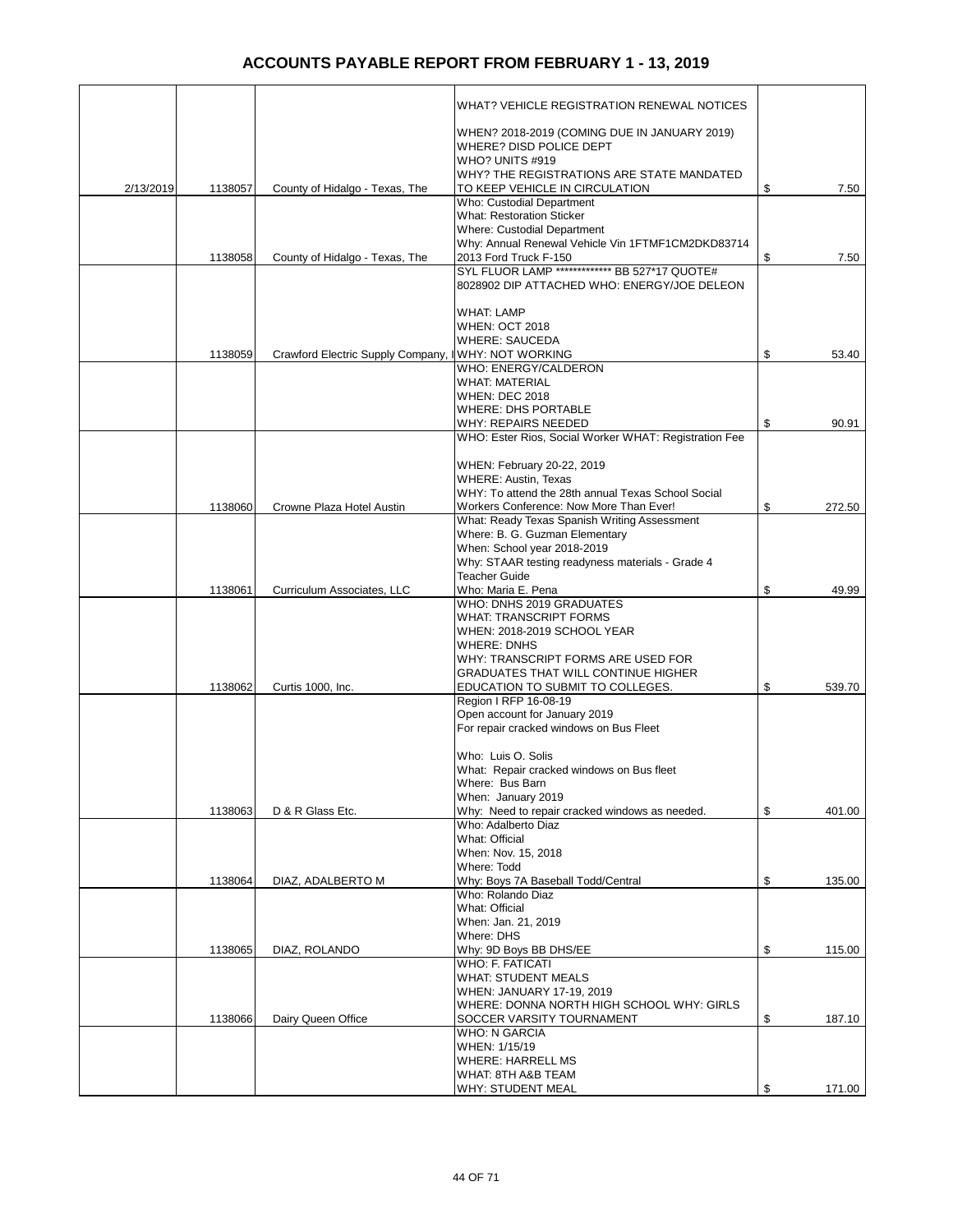|           |         |                                   | WHAT? VEHICLE REGISTRATION RENEWAL NOTICES                                                   |              |
|-----------|---------|-----------------------------------|----------------------------------------------------------------------------------------------|--------------|
|           |         |                                   |                                                                                              |              |
|           |         |                                   | WHEN? 2018-2019 (COMING DUE IN JANUARY 2019)<br>WHERE? DISD POLICE DEPT                      |              |
|           |         |                                   | WHO? UNITS #919                                                                              |              |
| 2/13/2019 | 1138057 | County of Hidalgo - Texas, The    | WHY? THE REGISTRATIONS ARE STATE MANDATED<br>TO KEEP VEHICLE IN CIRCULATION                  | \$<br>7.50   |
|           |         |                                   | Who: Custodial Department                                                                    |              |
|           |         |                                   | <b>What: Restoration Sticker</b><br>Where: Custodial Department                              |              |
|           |         |                                   | Why: Annual Renewal Vehicle Vin 1FTMF1CM2DKD83714                                            |              |
|           | 1138058 | County of Hidalgo - Texas, The    | 2013 Ford Truck F-150                                                                        | \$<br>7.50   |
|           |         |                                   | SYL FLUOR LAMP ************* BB 527*17 QUOTE#<br>8028902 DIP ATTACHED WHO: ENERGY/JOE DELEON |              |
|           |         |                                   |                                                                                              |              |
|           |         |                                   | <b>WHAT: LAMP</b>                                                                            |              |
|           |         |                                   | <b>WHEN: OCT 2018</b><br><b>WHERE: SAUCEDA</b>                                               |              |
|           | 1138059 | Crawford Electric Supply Company, | <b>WHY: NOT WORKING</b>                                                                      | \$<br>53.40  |
|           |         |                                   | WHO: ENERGY/CALDERON                                                                         |              |
|           |         |                                   | <b>WHAT: MATERIAL</b><br><b>WHEN: DEC 2018</b>                                               |              |
|           |         |                                   | <b>WHERE: DHS PORTABLE</b>                                                                   |              |
|           |         |                                   | <b>WHY: REPAIRS NEEDED</b>                                                                   | \$<br>90.91  |
|           |         |                                   | WHO: Ester Rios, Social Worker WHAT: Registration Fee                                        |              |
|           |         |                                   | WHEN: February 20-22, 2019                                                                   |              |
|           |         |                                   | <b>WHERE: Austin, Texas</b>                                                                  |              |
|           |         |                                   | WHY: To attend the 28th annual Texas School Social                                           |              |
|           | 1138060 | Crowne Plaza Hotel Austin         | Workers Conference: Now More Than Ever!<br>What: Ready Texas Spanish Writing Assessment      | \$<br>272.50 |
|           |         |                                   | Where: B. G. Guzman Elementary                                                               |              |
|           |         |                                   | When: School year 2018-2019                                                                  |              |
|           |         |                                   | Why: STAAR testing readyness materials - Grade 4<br><b>Teacher Guide</b>                     |              |
|           | 1138061 | Curriculum Associates, LLC        | Who: Maria E. Pena                                                                           | \$<br>49.99  |
|           |         |                                   | WHO: DNHS 2019 GRADUATES                                                                     |              |
|           |         |                                   | <b>WHAT: TRANSCRIPT FORMS</b><br>WHEN: 2018-2019 SCHOOL YEAR                                 |              |
|           |         |                                   | <b>WHERE: DNHS</b>                                                                           |              |
|           |         |                                   | WHY: TRANSCRIPT FORMS ARE USED FOR                                                           |              |
|           |         |                                   | <b>GRADUATES THAT WILL CONTINUE HIGHER</b>                                                   |              |
|           | 1138062 | Curtis 1000, Inc.                 | EDUCATION TO SUBMIT TO COLLEGES.<br>Region I RFP 16-08-19                                    | \$<br>539.70 |
|           |         |                                   | Open account for January 2019                                                                |              |
|           |         |                                   | For repair cracked windows on Bus Fleet                                                      |              |
|           |         |                                   | Who: Luis O. Solis                                                                           |              |
|           |         |                                   | What: Repair cracked windows on Bus fleet                                                    |              |
|           |         |                                   | Where: Bus Barn                                                                              |              |
|           | 1138063 | D & R Glass Etc.                  | When: January 2019<br>Why: Need to repair cracked windows as needed.                         | \$<br>401.00 |
|           |         |                                   | Who: Adalberto Diaz                                                                          |              |
|           |         |                                   | What: Official                                                                               |              |
|           |         |                                   | When: Nov. 15, 2018<br>Where: Todd                                                           |              |
|           | 1138064 | DIAZ, ADALBERTO M                 | Why: Boys 7A Baseball Todd/Central                                                           | \$<br>135.00 |
|           |         |                                   | Who: Rolando Diaz                                                                            |              |
|           |         |                                   | What: Official<br>When: Jan. 21, 2019                                                        |              |
|           |         |                                   | Where: DHS                                                                                   |              |
|           | 1138065 | DIAZ, ROLANDO                     | Why: 9D Boys BB DHS/EE                                                                       | \$<br>115.00 |
|           |         |                                   | WHO: F. FATICATI<br><b>WHAT: STUDENT MEALS</b>                                               |              |
|           |         |                                   | WHEN: JANUARY 17-19, 2019                                                                    |              |
|           |         |                                   | WHERE: DONNA NORTH HIGH SCHOOL WHY: GIRLS                                                    |              |
|           | 1138066 | Dairy Queen Office                | SOCCER VARSITY TOURNAMENT<br><b>WHO: N GARCIA</b>                                            | \$<br>187.10 |
|           |         |                                   | WHEN: 1/15/19                                                                                |              |
|           |         |                                   | <b>WHERE: HARRELL MS</b>                                                                     |              |
|           |         |                                   | WHAT: 8TH A&B TEAM                                                                           |              |
|           |         |                                   | WHY: STUDENT MEAL                                                                            | \$<br>171.00 |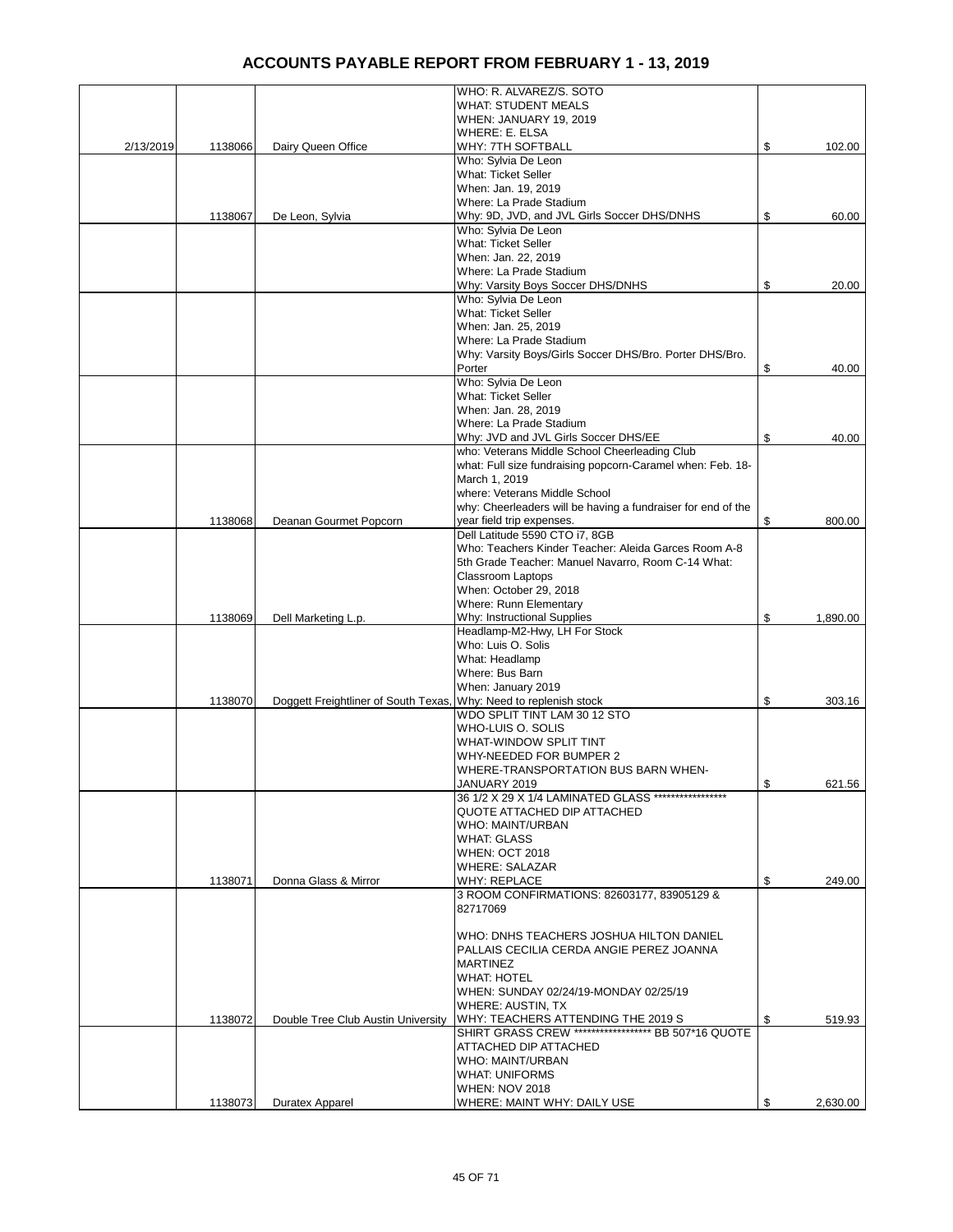|           |         |                                      | WHO: R. ALVAREZ/S. SOTO                                      |                |
|-----------|---------|--------------------------------------|--------------------------------------------------------------|----------------|
|           |         |                                      | <b>WHAT: STUDENT MEALS</b>                                   |                |
|           |         |                                      | WHEN: JANUARY 19, 2019                                       |                |
|           |         |                                      | WHERE: E. ELSA                                               |                |
| 2/13/2019 | 1138066 | Dairy Queen Office                   | WHY: 7TH SOFTBALL                                            | \$<br>102.00   |
|           |         |                                      | Who: Sylvia De Leon                                          |                |
|           |         |                                      | <b>What: Ticket Seller</b>                                   |                |
|           |         |                                      | When: Jan. 19, 2019                                          |                |
|           |         |                                      | Where: La Prade Stadium                                      |                |
|           | 1138067 | De Leon, Sylvia                      | Why: 9D, JVD, and JVL Girls Soccer DHS/DNHS                  | \$<br>60.00    |
|           |         |                                      | Who: Sylvia De Leon                                          |                |
|           |         |                                      | <b>What: Ticket Seller</b>                                   |                |
|           |         |                                      | When: Jan. 22, 2019                                          |                |
|           |         |                                      | Where: La Prade Stadium                                      |                |
|           |         |                                      | Why: Varsity Boys Soccer DHS/DNHS                            | \$<br>20.00    |
|           |         |                                      | Who: Sylvia De Leon                                          |                |
|           |         |                                      | <b>What: Ticket Seller</b>                                   |                |
|           |         |                                      | When: Jan. 25, 2019                                          |                |
|           |         |                                      | Where: La Prade Stadium                                      |                |
|           |         |                                      | Why: Varsity Boys/Girls Soccer DHS/Bro. Porter DHS/Bro.      |                |
|           |         |                                      | Porter                                                       | \$<br>40.00    |
|           |         |                                      | Who: Sylvia De Leon                                          |                |
|           |         |                                      | <b>What: Ticket Seller</b>                                   |                |
|           |         |                                      | When: Jan. 28, 2019                                          |                |
|           |         |                                      | Where: La Prade Stadium                                      |                |
|           |         |                                      | Why: JVD and JVL Girls Soccer DHS/EE                         | \$<br>40.00    |
|           |         |                                      | who: Veterans Middle School Cheerleading Club                |                |
|           |         |                                      | what: Full size fundraising popcorn-Caramel when: Feb. 18-   |                |
|           |         |                                      | March 1, 2019                                                |                |
|           |         |                                      | where: Veterans Middle School                                |                |
|           |         |                                      | why: Cheerleaders will be having a fundraiser for end of the |                |
|           | 1138068 | Deanan Gourmet Popcorn               | year field trip expenses.                                    | \$<br>800.00   |
|           |         |                                      | Dell Latitude 5590 CTO i7, 8GB                               |                |
|           |         |                                      | Who: Teachers Kinder Teacher: Aleida Garces Room A-8         |                |
|           |         |                                      | 5th Grade Teacher: Manuel Navarro, Room C-14 What:           |                |
|           |         |                                      |                                                              |                |
|           |         |                                      | Classroom Laptops                                            |                |
|           |         |                                      | When: October 29, 2018                                       |                |
|           |         |                                      | Where: Runn Elementary                                       |                |
|           | 1138069 | Dell Marketing L.p.                  | Why: Instructional Supplies                                  | \$<br>1,890.00 |
|           |         |                                      | Headlamp-M2-Hwy, LH For Stock                                |                |
|           |         |                                      | Who: Luis O. Solis                                           |                |
|           |         |                                      | What: Headlamp                                               |                |
|           |         |                                      | Where: Bus Barn                                              |                |
|           |         |                                      | When: January 2019                                           |                |
|           | 1138070 | Doggett Freightliner of South Texas, | Why: Need to replenish stock                                 | \$<br>303.16   |
|           |         |                                      | WDO SPLIT TINT LAM 30 12 STO                                 |                |
|           |         |                                      | WHO-LUIS O. SOLIS                                            |                |
|           |         |                                      | <b>WHAT-WINDOW SPLIT TINT</b>                                |                |
|           |         |                                      | WHY-NEEDED FOR BUMPER 2                                      |                |
|           |         |                                      | WHERE-TRANSPORTATION BUS BARN WHEN-                          |                |
|           |         |                                      | JANUARY 2019                                                 | \$<br>621.56   |
|           |         |                                      | 36 1/2 X 29 X 1/4 LAMINATED GLASS ******************         |                |
|           |         |                                      | QUOTE ATTACHED DIP ATTACHED                                  |                |
|           |         |                                      | WHO: MAINT/URBAN                                             |                |
|           |         |                                      | <b>WHAT: GLASS</b>                                           |                |
|           |         |                                      | <b>WHEN: OCT 2018</b>                                        |                |
|           |         |                                      | <b>WHERE: SALAZAR</b>                                        |                |
|           | 1138071 | Donna Glass & Mirror                 | <b>WHY: REPLACE</b>                                          | \$<br>249.00   |
|           |         |                                      | 3 ROOM CONFIRMATIONS: 82603177, 83905129 &                   |                |
|           |         |                                      | 82717069                                                     |                |
|           |         |                                      |                                                              |                |
|           |         |                                      | WHO: DNHS TEACHERS JOSHUA HILTON DANIEL                      |                |
|           |         |                                      | PALLAIS CECILIA CERDA ANGIE PEREZ JOANNA                     |                |
|           |         |                                      | <b>MARTINEZ</b>                                              |                |
|           |         |                                      | <b>WHAT: HOTEL</b>                                           |                |
|           |         |                                      | WHEN: SUNDAY 02/24/19-MONDAY 02/25/19                        |                |
|           |         |                                      | WHERE: AUSTIN, TX                                            |                |
|           | 1138072 | Double Tree Club Austin University   | WHY: TEACHERS ATTENDING THE 2019 S                           | \$<br>519.93   |
|           |         |                                      | SHIRT GRASS CREW ****************** BB 507*16 QUOTE          |                |
|           |         |                                      | ATTACHED DIP ATTACHED                                        |                |
|           |         |                                      | WHO: MAINT/URBAN                                             |                |
|           |         |                                      | <b>WHAT: UNIFORMS</b>                                        |                |
|           |         |                                      | <b>WHEN: NOV 2018</b>                                        |                |
|           | 1138073 | Duratex Apparel                      | WHERE: MAINT WHY: DAILY USE                                  | \$<br>2,630.00 |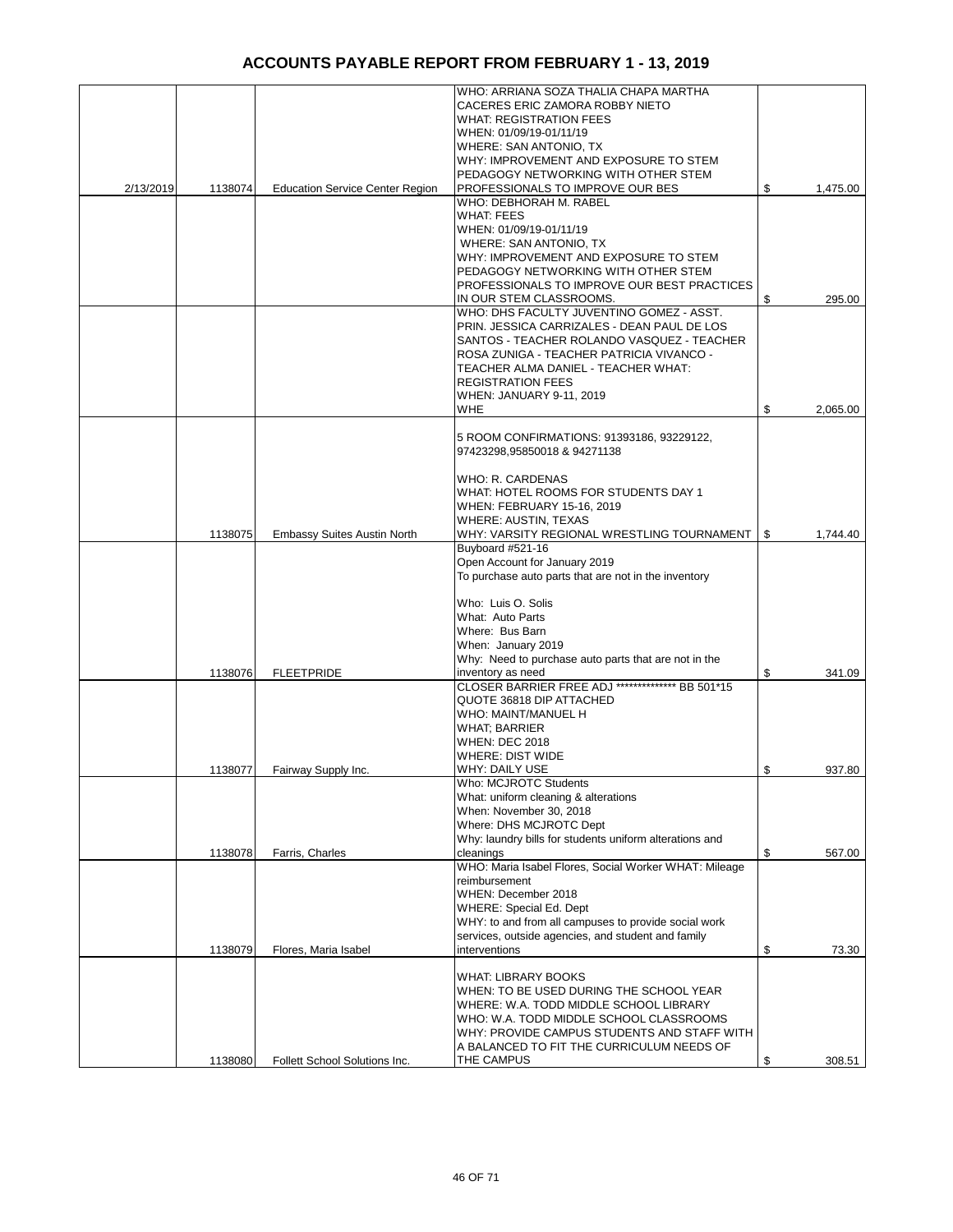|           |         |                                        | WHO: ARRIANA SOZA THALIA CHAPA MARTHA                   |                |
|-----------|---------|----------------------------------------|---------------------------------------------------------|----------------|
|           |         |                                        | CACERES ERIC ZAMORA ROBBY NIETO                         |                |
|           |         |                                        | <b>WHAT: REGISTRATION FEES</b>                          |                |
|           |         |                                        | WHEN: 01/09/19-01/11/19                                 |                |
|           |         |                                        | WHERE: SAN ANTONIO, TX                                  |                |
|           |         |                                        | WHY: IMPROVEMENT AND EXPOSURE TO STEM                   |                |
|           |         |                                        | PEDAGOGY NETWORKING WITH OTHER STEM                     |                |
| 2/13/2019 | 1138074 | <b>Education Service Center Region</b> | PROFESSIONALS TO IMPROVE OUR BES                        | \$<br>1,475.00 |
|           |         |                                        | WHO: DEBHORAH M. RABEL                                  |                |
|           |         |                                        |                                                         |                |
|           |         |                                        | <b>WHAT: FEES</b>                                       |                |
|           |         |                                        | WHEN: 01/09/19-01/11/19                                 |                |
|           |         |                                        | WHERE: SAN ANTONIO, TX                                  |                |
|           |         |                                        | WHY: IMPROVEMENT AND EXPOSURE TO STEM                   |                |
|           |         |                                        | PEDAGOGY NETWORKING WITH OTHER STEM                     |                |
|           |         |                                        | PROFESSIONALS TO IMPROVE OUR BEST PRACTICES             |                |
|           |         |                                        | IN OUR STEM CLASSROOMS.                                 | \$<br>295.00   |
|           |         |                                        | WHO: DHS FACULTY JUVENTINO GOMEZ - ASST.                |                |
|           |         |                                        | PRIN. JESSICA CARRIZALES - DEAN PAUL DE LOS             |                |
|           |         |                                        | SANTOS - TEACHER ROLANDO VASQUEZ - TEACHER              |                |
|           |         |                                        |                                                         |                |
|           |         |                                        | ROSA ZUNIGA - TEACHER PATRICIA VIVANCO -                |                |
|           |         |                                        | TEACHER ALMA DANIEL - TEACHER WHAT:                     |                |
|           |         |                                        | <b>REGISTRATION FEES</b>                                |                |
|           |         |                                        | WHEN: JANUARY 9-11, 2019                                |                |
|           |         |                                        | <b>WHE</b>                                              | \$<br>2,065.00 |
|           |         |                                        |                                                         |                |
|           |         |                                        | 5 ROOM CONFIRMATIONS: 91393186, 93229122,               |                |
|           |         |                                        | 97423298,95850018 & 94271138                            |                |
|           |         |                                        |                                                         |                |
|           |         |                                        | <b>WHO: R. CARDENAS</b>                                 |                |
|           |         |                                        |                                                         |                |
|           |         |                                        | WHAT: HOTEL ROOMS FOR STUDENTS DAY 1                    |                |
|           |         |                                        | WHEN: FEBRUARY 15-16, 2019                              |                |
|           |         |                                        | <b>WHERE: AUSTIN, TEXAS</b>                             |                |
|           | 1138075 | <b>Embassy Suites Austin North</b>     | WHY: VARSITY REGIONAL WRESTLING TOURNAMENT   \$         | 1,744.40       |
|           |         |                                        | Buyboard #521-16                                        |                |
|           |         |                                        | Open Account for January 2019                           |                |
|           |         |                                        | To purchase auto parts that are not in the inventory    |                |
|           |         |                                        |                                                         |                |
|           |         |                                        | Who: Luis O. Solis                                      |                |
|           |         |                                        | What: Auto Parts                                        |                |
|           |         |                                        |                                                         |                |
|           |         |                                        | Where: Bus Barn                                         |                |
|           |         |                                        | When: January 2019                                      |                |
|           |         |                                        | Why: Need to purchase auto parts that are not in the    |                |
|           | 1138076 | <b>FLEETPRIDE</b>                      | inventory as need                                       | \$<br>341.09   |
|           |         |                                        | CLOSER BARRIER FREE ADJ ************** BB 501*15        |                |
|           |         |                                        | QUOTE 36818 DIP ATTACHED                                |                |
|           |         |                                        | WHO: MAINT/MANUEL H                                     |                |
|           |         |                                        | <b>WHAT; BARRIER</b>                                    |                |
|           |         |                                        |                                                         |                |
|           |         |                                        | <b>WHEN: DEC 2018</b>                                   |                |
|           |         |                                        | <b>WHERE: DIST WIDE</b>                                 |                |
|           | 1138077 | Fairway Supply Inc.                    | WHY: DAILY USE                                          | \$<br>937.80   |
|           |         |                                        | Who: MCJROTC Students                                   |                |
|           |         |                                        | What: uniform cleaning & alterations                    |                |
|           |         |                                        | When: November 30, 2018                                 |                |
|           |         |                                        | Where: DHS MCJROTC Dept                                 |                |
|           |         |                                        | Why: laundry bills for students uniform alterations and |                |
|           | 1138078 | Farris, Charles                        | cleanings                                               | \$<br>567.00   |
|           |         |                                        | WHO: Maria Isabel Flores, Social Worker WHAT: Mileage   |                |
|           |         |                                        | reimbursement                                           |                |
|           |         |                                        | WHEN: December 2018                                     |                |
|           |         |                                        |                                                         |                |
|           |         |                                        | <b>WHERE: Special Ed. Dept</b>                          |                |
|           |         |                                        | WHY: to and from all campuses to provide social work    |                |
|           |         |                                        | services, outside agencies, and student and family      |                |
|           | 1138079 | Flores, Maria Isabel                   | interventions                                           | \$<br>73.30    |
|           |         |                                        |                                                         |                |
|           |         |                                        | <b>WHAT: LIBRARY BOOKS</b>                              |                |
|           |         |                                        | WHEN: TO BE USED DURING THE SCHOOL YEAR                 |                |
|           |         |                                        | WHERE: W.A. TODD MIDDLE SCHOOL LIBRARY                  |                |
|           |         |                                        |                                                         |                |
|           |         |                                        | WHO: W.A. TODD MIDDLE SCHOOL CLASSROOMS                 |                |
|           |         |                                        | WHY: PROVIDE CAMPUS STUDENTS AND STAFF WITH             |                |
|           |         |                                        | A BALANCED TO FIT THE CURRICULUM NEEDS OF               |                |
|           | 1138080 | Follett School Solutions Inc.          | THE CAMPUS                                              | \$<br>308.51   |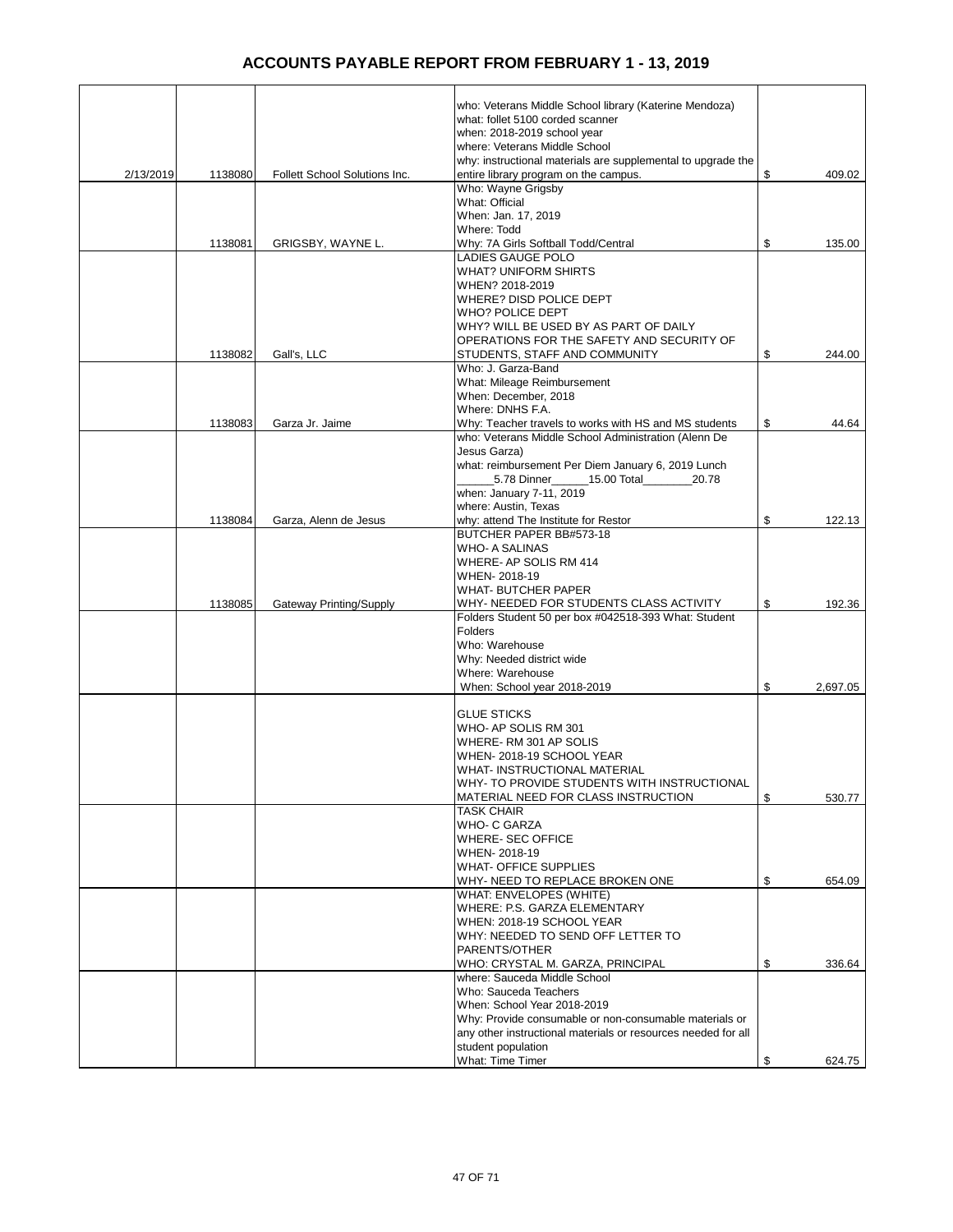|           |         |                               | who: Veterans Middle School library (Katerine Mendoza)                              |                |
|-----------|---------|-------------------------------|-------------------------------------------------------------------------------------|----------------|
|           |         |                               | what: follet 5100 corded scanner                                                    |                |
|           |         |                               | when: 2018-2019 school year                                                         |                |
|           |         |                               | where: Veterans Middle School                                                       |                |
|           |         |                               | why: instructional materials are supplemental to upgrade the                        |                |
| 2/13/2019 | 1138080 | Follett School Solutions Inc. | entire library program on the campus.<br>Who: Wayne Grigsby                         | \$<br>409.02   |
|           |         |                               | What: Official                                                                      |                |
|           |         |                               | When: Jan. 17, 2019                                                                 |                |
|           |         |                               | Where: Todd                                                                         |                |
|           | 1138081 | GRIGSBY, WAYNE L.             | Why: 7A Girls Softball Todd/Central                                                 | \$<br>135.00   |
|           |         |                               | <b>LADIES GAUGE POLO</b>                                                            |                |
|           |         |                               | <b>WHAT? UNIFORM SHIRTS</b>                                                         |                |
|           |         |                               | WHEN? 2018-2019                                                                     |                |
|           |         |                               | <b>WHERE? DISD POLICE DEPT</b>                                                      |                |
|           |         |                               | <b>WHO? POLICE DEPT</b>                                                             |                |
|           |         |                               | WHY? WILL BE USED BY AS PART OF DAILY                                               |                |
|           |         |                               | OPERATIONS FOR THE SAFETY AND SECURITY OF                                           | \$             |
|           | 1138082 | Gall's, LLC                   | STUDENTS, STAFF AND COMMUNITY<br>Who: J. Garza-Band                                 | 244.00         |
|           |         |                               | What: Mileage Reimbursement                                                         |                |
|           |         |                               | When: December, 2018                                                                |                |
|           |         |                               | Where: DNHS F.A.                                                                    |                |
|           | 1138083 | Garza Jr. Jaime               | Why: Teacher travels to works with HS and MS students                               | \$<br>44.64    |
|           |         |                               | who: Veterans Middle School Administration (Alenn De                                |                |
|           |         |                               | Jesus Garza)                                                                        |                |
|           |         |                               | what: reimbursement Per Diem January 6, 2019 Lunch                                  |                |
|           |         |                               | 5.78 Dinner 15.00 Total<br>20.78                                                    |                |
|           |         |                               | when: January 7-11, 2019                                                            |                |
|           |         |                               | where: Austin, Texas                                                                |                |
|           | 1138084 | Garza, Alenn de Jesus         | why: attend The Institute for Restor                                                | \$<br>122.13   |
|           |         |                               | BUTCHER PAPER BB#573-18<br><b>WHO- A SALINAS</b>                                    |                |
|           |         |                               | WHERE- AP SOLIS RM 414                                                              |                |
|           |         |                               | WHEN-2018-19                                                                        |                |
|           |         |                               | <b>WHAT- BUTCHER PAPER</b>                                                          |                |
|           | 1138085 | Gateway Printing/Supply       | WHY- NEEDED FOR STUDENTS CLASS ACTIVITY                                             | \$<br>192.36   |
|           |         |                               | Folders Student 50 per box #042518-393 What: Student                                |                |
|           |         |                               | Folders                                                                             |                |
|           |         |                               | Who: Warehouse                                                                      |                |
|           |         |                               | Why: Needed district wide                                                           |                |
|           |         |                               | Where: Warehouse                                                                    |                |
|           |         |                               | When: School year 2018-2019                                                         | \$<br>2,697.05 |
|           |         |                               | <b>GLUE STICKS</b>                                                                  |                |
|           |         |                               | WHO- AP SOLIS RM 301                                                                |                |
|           |         |                               | WHERE-RM 301 AP SOLIS                                                               |                |
|           |         |                               | WHEN-2018-19 SCHOOL YEAR                                                            |                |
|           |         |                               | WHAT-INSTRUCTIONAL MATERIAL                                                         |                |
|           |         |                               | WHY- TO PROVIDE STUDENTS WITH INSTRUCTIONAL                                         |                |
|           |         |                               | MATERIAL NEED FOR CLASS INSTRUCTION                                                 | \$<br>530.77   |
|           |         |                               | <b>TASK CHAIR</b>                                                                   |                |
|           |         |                               | WHO- C GARZA                                                                        |                |
|           |         |                               | <b>WHERE-SEC OFFICE</b>                                                             |                |
|           |         |                               | WHEN-2018-19<br><b>WHAT- OFFICE SUPPLIES</b>                                        |                |
|           |         |                               | WHY- NEED TO REPLACE BROKEN ONE                                                     | \$<br>654.09   |
|           |         |                               | WHAT: ENVELOPES (WHITE)                                                             |                |
|           |         |                               | WHERE: P.S. GARZA ELEMENTARY                                                        |                |
|           |         |                               | WHEN: 2018-19 SCHOOL YEAR                                                           |                |
|           |         |                               | WHY: NEEDED TO SEND OFF LETTER TO                                                   |                |
|           |         |                               | PARENTS/OTHER                                                                       |                |
|           |         |                               | WHO: CRYSTAL M. GARZA, PRINCIPAL                                                    | \$<br>336.64   |
|           |         |                               | where: Sauceda Middle School                                                        |                |
|           |         |                               | Who: Sauceda Teachers                                                               |                |
|           |         |                               | When: School Year 2018-2019                                                         |                |
|           |         |                               | Why: Provide consumable or non-consumable materials or                              |                |
|           |         |                               | any other instructional materials or resources needed for all<br>student population |                |
|           |         |                               | What: Time Timer                                                                    | \$<br>624.75   |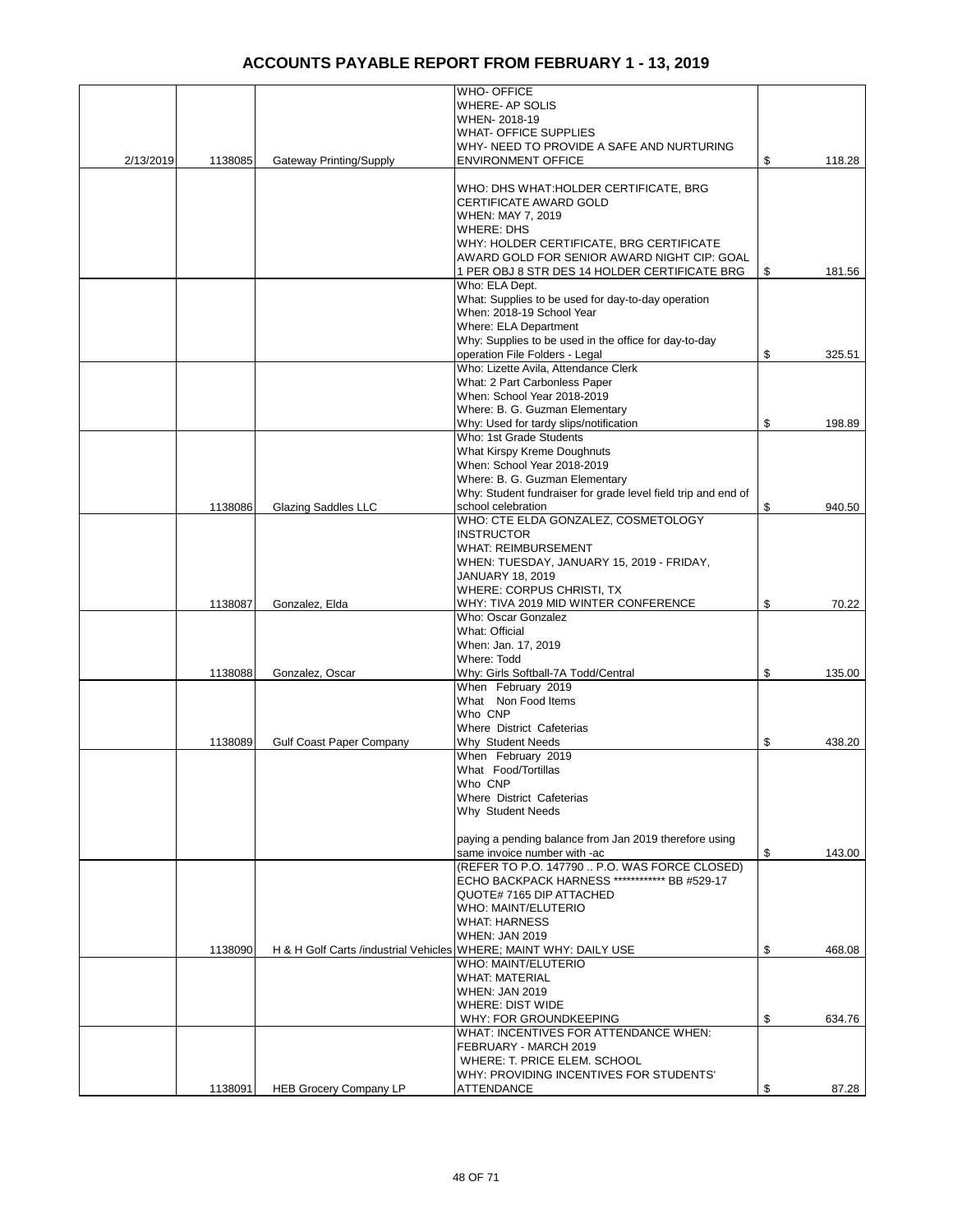|           |         |                                 | <b>WHO- OFFICE</b>                                                                     |              |
|-----------|---------|---------------------------------|----------------------------------------------------------------------------------------|--------------|
|           |         |                                 | WHERE- AP SOLIS                                                                        |              |
|           |         |                                 | WHEN-2018-19                                                                           |              |
|           |         |                                 | <b>WHAT- OFFICE SUPPLIES</b>                                                           |              |
|           |         |                                 | WHY- NEED TO PROVIDE A SAFE AND NURTURING                                              |              |
| 2/13/2019 | 1138085 | Gateway Printing/Supply         | <b>ENVIRONMENT OFFICE</b>                                                              | \$<br>118.28 |
|           |         |                                 |                                                                                        |              |
|           |         |                                 | WHO: DHS WHAT: HOLDER CERTIFICATE, BRG                                                 |              |
|           |         |                                 | CERTIFICATE AWARD GOLD                                                                 |              |
|           |         |                                 | WHEN: MAY 7, 2019                                                                      |              |
|           |         |                                 | WHERE: DHS                                                                             |              |
|           |         |                                 | WHY: HOLDER CERTIFICATE, BRG CERTIFICATE                                               |              |
|           |         |                                 | AWARD GOLD FOR SENIOR AWARD NIGHT CIP: GOAL                                            | \$<br>181.56 |
|           |         |                                 | 1 PER OBJ 8 STR DES 14 HOLDER CERTIFICATE BRG<br>Who: ELA Dept.                        |              |
|           |         |                                 | What: Supplies to be used for day-to-day operation                                     |              |
|           |         |                                 | When: 2018-19 School Year                                                              |              |
|           |         |                                 | Where: ELA Department                                                                  |              |
|           |         |                                 | Why: Supplies to be used in the office for day-to-day                                  |              |
|           |         |                                 | operation File Folders - Legal                                                         | \$<br>325.51 |
|           |         |                                 | Who: Lizette Avila, Attendance Clerk                                                   |              |
|           |         |                                 | What: 2 Part Carbonless Paper                                                          |              |
|           |         |                                 | When: School Year 2018-2019                                                            |              |
|           |         |                                 | Where: B. G. Guzman Elementary                                                         |              |
|           |         |                                 | Why: Used for tardy slips/notification                                                 | \$<br>198.89 |
|           |         |                                 | Who: 1st Grade Students                                                                |              |
|           |         |                                 | What Kirspy Kreme Doughnuts                                                            |              |
|           |         |                                 | When: School Year 2018-2019                                                            |              |
|           |         |                                 | Where: B. G. Guzman Elementary                                                         |              |
|           |         |                                 | Why: Student fundraiser for grade level field trip and end of                          |              |
|           | 1138086 | Glazing Saddles LLC             | school celebration                                                                     | \$<br>940.50 |
|           |         |                                 | WHO: CTE ELDA GONZALEZ, COSMETOLOGY                                                    |              |
|           |         |                                 | <b>INSTRUCTOR</b>                                                                      |              |
|           |         |                                 | <b>WHAT: REIMBURSEMENT</b>                                                             |              |
|           |         |                                 | WHEN: TUESDAY, JANUARY 15, 2019 - FRIDAY,                                              |              |
|           |         |                                 | <b>JANUARY 18, 2019</b>                                                                |              |
|           |         |                                 | WHERE: CORPUS CHRISTI, TX                                                              |              |
|           | 1138087 | Gonzalez, Elda                  | WHY: TIVA 2019 MID WINTER CONFERENCE                                                   | \$<br>70.22  |
|           |         |                                 | Who: Oscar Gonzalez                                                                    |              |
|           |         |                                 | What: Official                                                                         |              |
|           |         |                                 | When: Jan. 17, 2019                                                                    |              |
|           |         |                                 | Where: Todd                                                                            |              |
|           | 1138088 | Gonzalez, Oscar                 | Why: Girls Softball-7A Todd/Central                                                    | \$<br>135.00 |
|           |         |                                 | When February 2019                                                                     |              |
|           |         |                                 | What Non Food Items                                                                    |              |
|           |         |                                 | Who CNP                                                                                |              |
|           |         |                                 | Where District Cafeterias                                                              |              |
|           | 1138089 | <b>Gulf Coast Paper Company</b> | Why Student Needs                                                                      | \$<br>438.20 |
|           |         |                                 | When February 2019                                                                     |              |
|           |         |                                 | What Food/Tortillas                                                                    |              |
|           |         |                                 | Who CNP                                                                                |              |
|           |         |                                 | Where District Cafeterias                                                              |              |
|           |         |                                 | Why Student Needs                                                                      |              |
|           |         |                                 |                                                                                        |              |
|           |         |                                 | paying a pending balance from Jan 2019 therefore using<br>same invoice number with -ac | \$           |
|           |         |                                 | (REFER TO P.O. 147790  P.O. WAS FORCE CLOSED)                                          | 143.00       |
|           |         |                                 | ECHO BACKPACK HARNESS ************* BB #529-17                                         |              |
|           |         |                                 | QUOTE# 7165 DIP ATTACHED                                                               |              |
|           |         |                                 | WHO: MAINT/ELUTERIO                                                                    |              |
|           |         |                                 | <b>WHAT: HARNESS</b>                                                                   |              |
|           |         |                                 | <b>WHEN: JAN 2019</b>                                                                  |              |
|           | 1138090 |                                 | H & H Golf Carts /industrial Vehicles WHERE; MAINT WHY: DAILY USE                      | \$<br>468.08 |
|           |         |                                 | WHO: MAINT/ELUTERIO                                                                    |              |
|           |         |                                 | <b>WHAT: MATERIAL</b>                                                                  |              |
|           |         |                                 | <b>WHEN: JAN 2019</b>                                                                  |              |
|           |         |                                 | <b>WHERE: DIST WIDE</b>                                                                |              |
|           |         |                                 | WHY: FOR GROUNDKEEPING                                                                 | \$<br>634.76 |
|           |         |                                 | WHAT: INCENTIVES FOR ATTENDANCE WHEN:                                                  |              |
|           |         |                                 | FEBRUARY - MARCH 2019                                                                  |              |
|           |         |                                 | WHERE: T. PRICE ELEM. SCHOOL                                                           |              |
|           |         |                                 | WHY: PROVIDING INCENTIVES FOR STUDENTS'                                                |              |
|           | 1138091 | <b>HEB Grocery Company LP</b>   | <b>ATTENDANCE</b>                                                                      | \$<br>87.28  |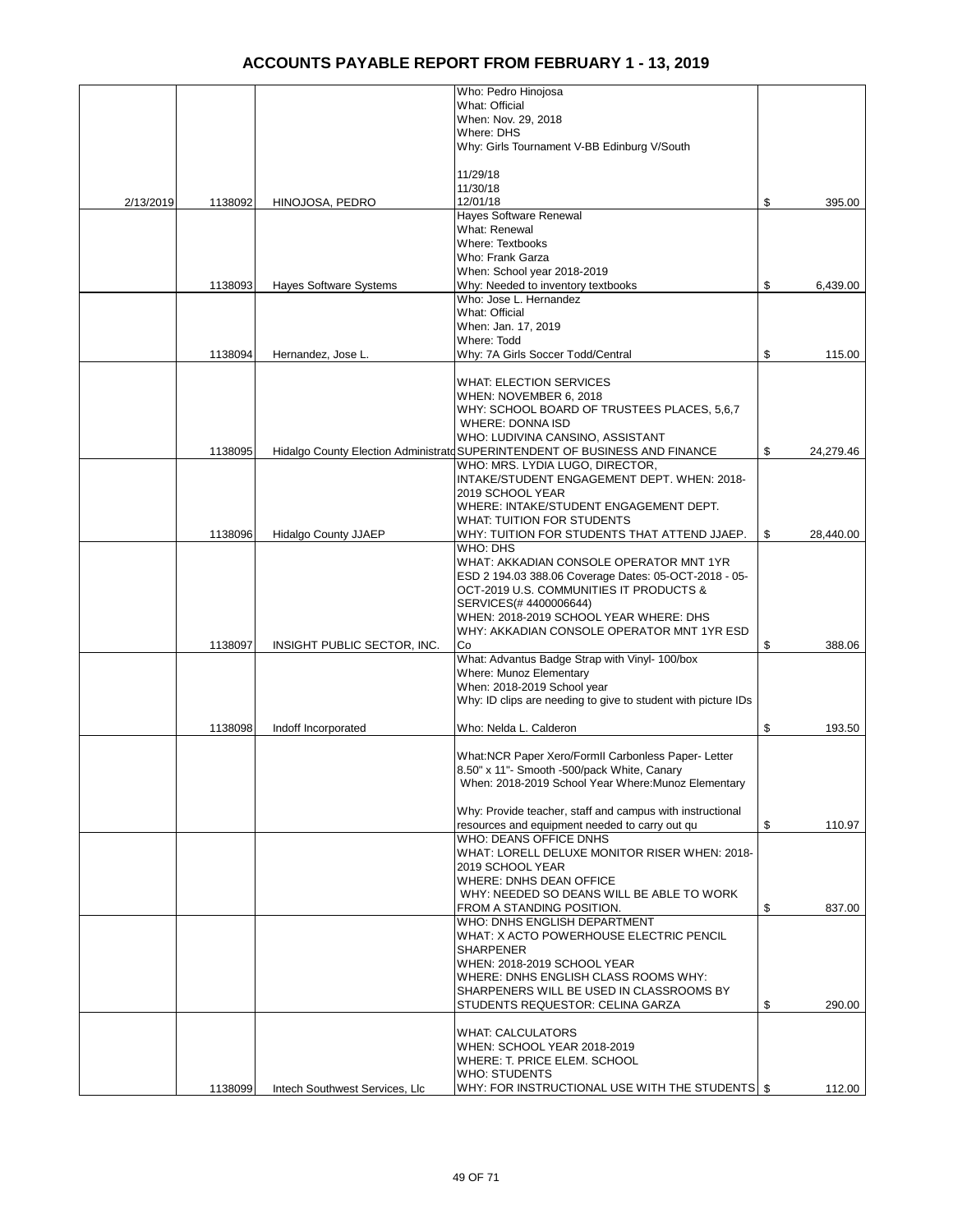|           |         |                                | Who: Pedro Hinojosa                                                                               |                 |
|-----------|---------|--------------------------------|---------------------------------------------------------------------------------------------------|-----------------|
|           |         |                                | What: Official                                                                                    |                 |
|           |         |                                | When: Nov. 29, 2018                                                                               |                 |
|           |         |                                | Where: DHS                                                                                        |                 |
|           |         |                                | Why: Girls Tournament V-BB Edinburg V/South                                                       |                 |
|           |         |                                | 11/29/18                                                                                          |                 |
|           |         |                                | 11/30/18                                                                                          |                 |
| 2/13/2019 | 1138092 | HINOJOSA, PEDRO                | 12/01/18                                                                                          | \$<br>395.00    |
|           |         |                                | Hayes Software Renewal<br>What: Renewal                                                           |                 |
|           |         |                                | Where: Textbooks                                                                                  |                 |
|           |         |                                | Who: Frank Garza                                                                                  |                 |
|           |         |                                | When: School year 2018-2019                                                                       |                 |
|           | 1138093 | <b>Hayes Software Systems</b>  | Why: Needed to inventory textbooks                                                                | \$<br>6,439.00  |
|           |         |                                | Who: Jose L. Hernandez                                                                            |                 |
|           |         |                                | What: Official                                                                                    |                 |
|           |         |                                | When: Jan. 17, 2019                                                                               |                 |
|           |         |                                | Where: Todd                                                                                       |                 |
|           | 1138094 | Hernandez, Jose L.             | Why: 7A Girls Soccer Todd/Central                                                                 | \$<br>115.00    |
|           |         |                                | <b>WHAT: ELECTION SERVICES</b>                                                                    |                 |
|           |         |                                | WHEN: NOVEMBER 6, 2018                                                                            |                 |
|           |         |                                | WHY: SCHOOL BOARD OF TRUSTEES PLACES, 5,6,7                                                       |                 |
|           |         |                                | <b>WHERE: DONNA ISD</b>                                                                           |                 |
|           |         |                                | WHO: LUDIVINA CANSINO, ASSISTANT                                                                  |                 |
|           | 1138095 |                                | Hidalgo County Election Administratd SUPERINTENDENT OF BUSINESS AND FINANCE                       | \$<br>24,279.46 |
|           |         |                                | WHO: MRS. LYDIA LUGO, DIRECTOR,<br>INTAKE/STUDENT ENGAGEMENT DEPT. WHEN: 2018-                    |                 |
|           |         |                                | 2019 SCHOOL YEAR                                                                                  |                 |
|           |         |                                | WHERE: INTAKE/STUDENT ENGAGEMENT DEPT.                                                            |                 |
|           |         |                                | WHAT: TUITION FOR STUDENTS                                                                        |                 |
|           | 1138096 | <b>Hidalgo County JJAEP</b>    | WHY: TUITION FOR STUDENTS THAT ATTEND JJAEP.                                                      | \$<br>28,440.00 |
|           |         |                                | WHO: DHS                                                                                          |                 |
|           |         |                                | WHAT: AKKADIAN CONSOLE OPERATOR MNT 1YR                                                           |                 |
|           |         |                                | ESD 2 194.03 388.06 Coverage Dates: 05-OCT-2018 - 05-                                             |                 |
|           |         |                                | OCT-2019 U.S. COMMUNITIES IT PRODUCTS &                                                           |                 |
|           |         |                                | SERVICES(#4400006644)<br>WHEN: 2018-2019 SCHOOL YEAR WHERE: DHS                                   |                 |
|           |         |                                | WHY: AKKADIAN CONSOLE OPERATOR MNT 1YR ESD                                                        |                 |
|           | 1138097 | INSIGHT PUBLIC SECTOR, INC.    | Co                                                                                                | \$<br>388.06    |
|           |         |                                | What: Advantus Badge Strap with Vinyl- 100/box                                                    |                 |
|           |         |                                | <b>Where: Munoz Elementary</b>                                                                    |                 |
|           |         |                                | When: 2018-2019 School year                                                                       |                 |
|           |         |                                | Why: ID clips are needing to give to student with picture IDs                                     |                 |
|           | 1138098 | Indoff Incorporated            | Who: Nelda L. Calderon                                                                            | \$<br>193.50    |
|           |         |                                |                                                                                                   |                 |
|           |         |                                | What:NCR Paper Xero/FormII Carbonless Paper-Letter<br>8.50" x 11"- Smooth -500/pack White, Canary |                 |
|           |         |                                | When: 2018-2019 School Year Where: Munoz Elementary                                               |                 |
|           |         |                                |                                                                                                   |                 |
|           |         |                                | Why: Provide teacher, staff and campus with instructional                                         |                 |
|           |         |                                | resources and equipment needed to carry out qu                                                    | \$<br>110.97    |
|           |         |                                | WHO: DEANS OFFICE DNHS                                                                            |                 |
|           |         |                                | WHAT: LORELL DELUXE MONITOR RISER WHEN: 2018-                                                     |                 |
|           |         |                                | 2019 SCHOOL YEAR<br><b>WHERE: DNHS DEAN OFFICE</b>                                                |                 |
|           |         |                                | WHY: NEEDED SO DEANS WILL BE ABLE TO WORK                                                         |                 |
|           |         |                                | FROM A STANDING POSITION.                                                                         | \$<br>837.00    |
|           |         |                                | WHO: DNHS ENGLISH DEPARTMENT                                                                      |                 |
|           |         |                                | WHAT: X ACTO POWERHOUSE ELECTRIC PENCIL                                                           |                 |
|           |         |                                | <b>SHARPENER</b>                                                                                  |                 |
|           |         |                                | WHEN: 2018-2019 SCHOOL YEAR                                                                       |                 |
|           |         |                                | WHERE: DNHS ENGLISH CLASS ROOMS WHY:<br>SHARPENERS WILL BE USED IN CLASSROOMS BY                  |                 |
|           |         |                                | STUDENTS REQUESTOR: CELINA GARZA                                                                  | \$<br>290.00    |
|           |         |                                |                                                                                                   |                 |
|           |         |                                | WHAT: CALCULATORS                                                                                 |                 |
|           |         |                                | WHEN: SCHOOL YEAR 2018-2019                                                                       |                 |
|           |         |                                | WHERE: T. PRICE ELEM. SCHOOL                                                                      |                 |
|           |         |                                | <b>WHO: STUDENTS</b>                                                                              |                 |
|           | 1138099 | Intech Southwest Services, Llc | WHY: FOR INSTRUCTIONAL USE WITH THE STUDENTS   \$                                                 | 112.00          |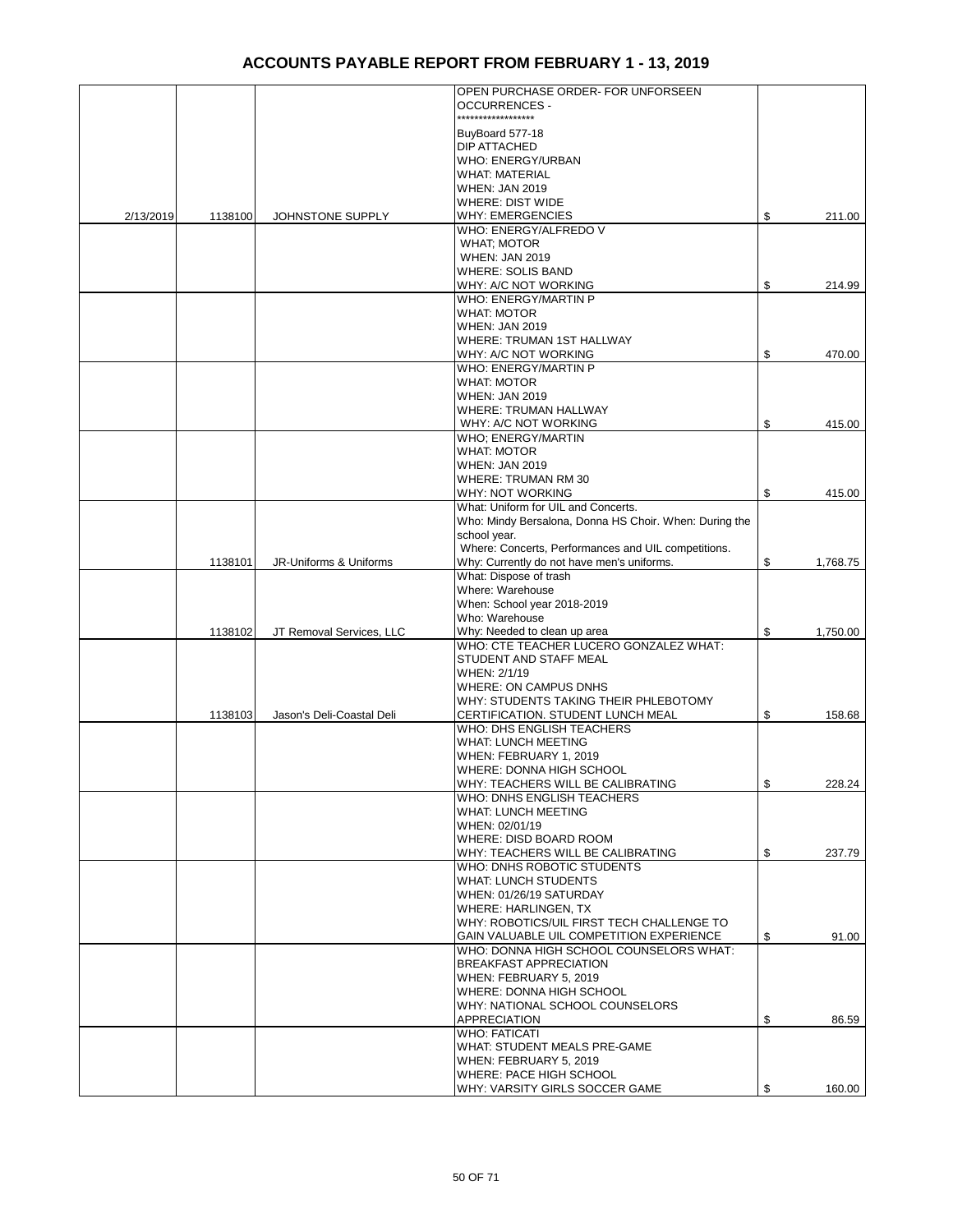|           |         |                           | OPEN PURCHASE ORDER- FOR UNFORSEEN                                                            |                |
|-----------|---------|---------------------------|-----------------------------------------------------------------------------------------------|----------------|
|           |         |                           | <b>OCCURRENCES -</b><br>******************                                                    |                |
|           |         |                           |                                                                                               |                |
|           |         |                           | BuyBoard 577-18<br>DIP ATTACHED                                                               |                |
|           |         |                           | <b>WHO: ENERGY/URBAN</b>                                                                      |                |
|           |         |                           | <b>WHAT: MATERIAL</b>                                                                         |                |
|           |         |                           | <b>WHEN: JAN 2019</b>                                                                         |                |
|           |         |                           | <b>WHERE: DIST WIDE</b>                                                                       |                |
| 2/13/2019 | 1138100 | JOHNSTONE SUPPLY          | <b>WHY: EMERGENCIES</b>                                                                       | \$<br>211.00   |
|           |         |                           | WHO: ENERGY/ALFREDO V                                                                         |                |
|           |         |                           | <b>WHAT: MOTOR</b>                                                                            |                |
|           |         |                           | <b>WHEN: JAN 2019</b><br><b>WHERE: SOLIS BAND</b>                                             |                |
|           |         |                           | WHY: A/C NOT WORKING                                                                          | \$<br>214.99   |
|           |         |                           | WHO: ENERGY/MARTIN P                                                                          |                |
|           |         |                           | <b>WHAT: MOTOR</b>                                                                            |                |
|           |         |                           | <b>WHEN: JAN 2019</b>                                                                         |                |
|           |         |                           | WHERE: TRUMAN 1ST HALLWAY                                                                     |                |
|           |         |                           | WHY: A/C NOT WORKING                                                                          | \$<br>470.00   |
|           |         |                           | WHO: ENERGY/MARTIN P<br><b>WHAT: MOTOR</b>                                                    |                |
|           |         |                           | <b>WHEN: JAN 2019</b>                                                                         |                |
|           |         |                           | WHERE: TRUMAN HALLWAY                                                                         |                |
|           |         |                           | WHY: A/C NOT WORKING                                                                          | \$<br>415.00   |
|           |         |                           | WHO; ENERGY/MARTIN                                                                            |                |
|           |         |                           | <b>WHAT: MOTOR</b>                                                                            |                |
|           |         |                           | <b>WHEN: JAN 2019</b>                                                                         |                |
|           |         |                           | <b>WHERE: TRUMAN RM 30</b>                                                                    |                |
|           |         |                           | WHY: NOT WORKING                                                                              | \$<br>415.00   |
|           |         |                           | What: Uniform for UIL and Concerts.<br>Who: Mindy Bersalona, Donna HS Choir. When: During the |                |
|           |         |                           | school year.                                                                                  |                |
|           |         |                           | Where: Concerts, Performances and UIL competitions.                                           |                |
|           | 1138101 | JR-Uniforms & Uniforms    | Why: Currently do not have men's uniforms.                                                    | \$<br>1,768.75 |
|           |         |                           | What: Dispose of trash                                                                        |                |
|           |         |                           | Where: Warehouse                                                                              |                |
|           |         |                           | When: School year 2018-2019                                                                   |                |
|           | 1138102 | JT Removal Services, LLC  | Who: Warehouse<br>Why: Needed to clean up area                                                | \$<br>1,750.00 |
|           |         |                           | WHO: CTE TEACHER LUCERO GONZALEZ WHAT:                                                        |                |
|           |         |                           | STUDENT AND STAFF MEAL                                                                        |                |
|           |         |                           | WHEN: 2/1/19                                                                                  |                |
|           |         |                           | <b>WHERE: ON CAMPUS DNHS</b>                                                                  |                |
|           |         |                           | WHY: STUDENTS TAKING THEIR PHLEBOTOMY                                                         |                |
|           | 1138103 | Jason's Deli-Coastal Deli | CERTIFICATION. STUDENT LUNCH MEAL                                                             | \$<br>158.68   |
|           |         |                           | WHO: DHS ENGLISH TEACHERS<br><b>WHAT: LUNCH MEETING</b>                                       |                |
|           |         |                           | WHEN: FEBRUARY 1, 2019                                                                        |                |
|           |         |                           | WHERE: DONNA HIGH SCHOOL                                                                      |                |
|           |         |                           | WHY: TEACHERS WILL BE CALIBRATING                                                             | \$<br>228.24   |
|           |         |                           | WHO: DNHS ENGLISH TEACHERS                                                                    |                |
|           |         |                           | <b>WHAT: LUNCH MEETING</b>                                                                    |                |
|           |         |                           | WHEN: 02/01/19                                                                                |                |
|           |         |                           | WHERE: DISD BOARD ROOM<br>WHY: TEACHERS WILL BE CALIBRATING                                   | \$<br>237.79   |
|           |         |                           | WHO: DNHS ROBOTIC STUDENTS                                                                    |                |
|           |         |                           | <b>WHAT: LUNCH STUDENTS</b>                                                                   |                |
|           |         |                           | WHEN: 01/26/19 SATURDAY                                                                       |                |
|           |         |                           | WHERE: HARLINGEN, TX                                                                          |                |
|           |         |                           | WHY: ROBOTICS/UIL FIRST TECH CHALLENGE TO                                                     |                |
|           |         |                           | <b>GAIN VALUABLE UIL COMPETITION EXPERIENCE</b>                                               | \$<br>91.00    |
|           |         |                           | WHO: DONNA HIGH SCHOOL COUNSELORS WHAT:<br><b>BREAKFAST APPRECIATION</b>                      |                |
|           |         |                           | WHEN: FEBRUARY 5, 2019                                                                        |                |
|           |         |                           | WHERE: DONNA HIGH SCHOOL                                                                      |                |
|           |         |                           | WHY: NATIONAL SCHOOL COUNSELORS                                                               |                |
|           |         |                           | APPRECIATION                                                                                  | \$<br>86.59    |
|           |         |                           | <b>WHO: FATICATI</b>                                                                          |                |
|           |         |                           | WHAT: STUDENT MEALS PRE-GAME                                                                  |                |
|           |         |                           | WHEN: FEBRUARY 5, 2019                                                                        |                |
|           |         |                           | WHERE: PACE HIGH SCHOOL<br>WHY: VARSITY GIRLS SOCCER GAME                                     | \$<br>160.00   |
|           |         |                           |                                                                                               |                |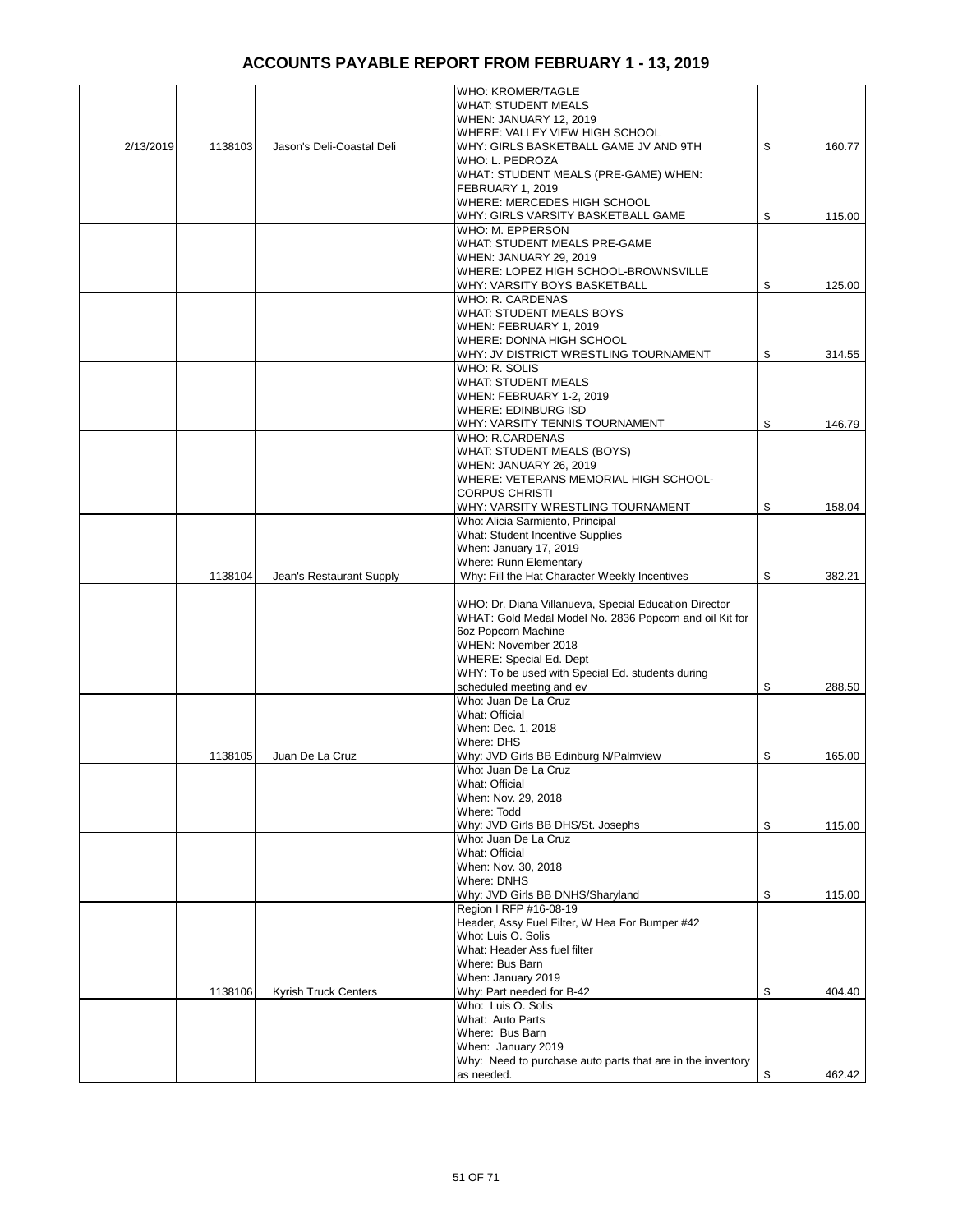|           |         |                           | WHO: KROMER/TAGLE                                          |              |
|-----------|---------|---------------------------|------------------------------------------------------------|--------------|
|           |         |                           | <b>WHAT: STUDENT MEALS</b>                                 |              |
|           |         |                           | <b>WHEN: JANUARY 12, 2019</b>                              |              |
|           |         |                           | WHERE: VALLEY VIEW HIGH SCHOOL                             |              |
| 2/13/2019 | 1138103 | Jason's Deli-Coastal Deli | WHY: GIRLS BASKETBALL GAME JV AND 9TH                      | \$<br>160.77 |
|           |         |                           | WHO: L. PEDROZA                                            |              |
|           |         |                           | WHAT: STUDENT MEALS (PRE-GAME) WHEN:                       |              |
|           |         |                           | FEBRUARY 1, 2019                                           |              |
|           |         |                           |                                                            |              |
|           |         |                           | WHERE: MERCEDES HIGH SCHOOL                                |              |
|           |         |                           | WHY: GIRLS VARSITY BASKETBALL GAME                         | \$<br>115.00 |
|           |         |                           | WHO: M. EPPERSON                                           |              |
|           |         |                           | WHAT: STUDENT MEALS PRE-GAME                               |              |
|           |         |                           | WHEN: JANUARY 29, 2019                                     |              |
|           |         |                           | WHERE: LOPEZ HIGH SCHOOL-BROWNSVILLE                       |              |
|           |         |                           | WHY: VARSITY BOYS BASKETBALL                               | \$<br>125.00 |
|           |         |                           | WHO: R. CARDENAS                                           |              |
|           |         |                           | <b>WHAT: STUDENT MEALS BOYS</b>                            |              |
|           |         |                           | WHEN: FEBRUARY 1, 2019                                     |              |
|           |         |                           | WHERE: DONNA HIGH SCHOOL                                   |              |
|           |         |                           | WHY: JV DISTRICT WRESTLING TOURNAMENT                      | \$<br>314.55 |
|           |         |                           |                                                            |              |
|           |         |                           | WHO: R. SOLIS                                              |              |
|           |         |                           | <b>WHAT: STUDENT MEALS</b>                                 |              |
|           |         |                           | <b>WHEN: FEBRUARY 1-2, 2019</b>                            |              |
|           |         |                           | WHERE: EDINBURG ISD                                        |              |
|           |         |                           | WHY: VARSITY TENNIS TOURNAMENT                             | \$<br>146.79 |
|           |         |                           | <b>WHO: R.CARDENAS</b>                                     |              |
|           |         |                           | WHAT: STUDENT MEALS (BOYS)                                 |              |
|           |         |                           | WHEN: JANUARY 26, 2019                                     |              |
|           |         |                           | WHERE: VETERANS MEMORIAL HIGH SCHOOL-                      |              |
|           |         |                           | <b>CORPUS CHRISTI</b>                                      |              |
|           |         |                           | WHY: VARSITY WRESTLING TOURNAMENT                          | \$<br>158.04 |
|           |         |                           | Who: Alicia Sarmiento, Principal                           |              |
|           |         |                           |                                                            |              |
|           |         |                           | What: Student Incentive Supplies                           |              |
|           |         |                           | When: January 17, 2019                                     |              |
|           |         |                           | Where: Runn Elementary                                     |              |
|           | 1138104 | Jean's Restaurant Supply  | Why: Fill the Hat Character Weekly Incentives              | \$<br>382.21 |
|           |         |                           |                                                            |              |
|           |         |                           | WHO: Dr. Diana Villanueva, Special Education Director      |              |
|           |         |                           | WHAT: Gold Medal Model No. 2836 Popcorn and oil Kit for    |              |
|           |         |                           | 6oz Popcorn Machine                                        |              |
|           |         |                           | WHEN: November 2018                                        |              |
|           |         |                           | WHERE: Special Ed. Dept                                    |              |
|           |         |                           | WHY: To be used with Special Ed. students during           |              |
|           |         |                           |                                                            |              |
|           |         |                           | scheduled meeting and ev                                   | \$<br>288.50 |
|           |         |                           | Who: Juan De La Cruz                                       |              |
|           |         |                           | What: Official                                             |              |
|           |         |                           | When: Dec. 1, 2018                                         |              |
|           |         |                           | Where: DHS                                                 |              |
|           | 1138105 | Juan De La Cruz           | Why: JVD Girls BB Edinburg N/Palmview                      | \$<br>165.00 |
|           |         |                           | Who: Juan De La Cruz                                       |              |
|           |         |                           | What: Official                                             |              |
|           |         |                           | When: Nov. 29, 2018                                        |              |
|           |         |                           | Where: Todd                                                |              |
|           |         |                           | Why: JVD Girls BB DHS/St. Josephs                          | \$<br>115.00 |
|           |         |                           | Who: Juan De La Cruz                                       |              |
|           |         |                           | What: Official                                             |              |
|           |         |                           |                                                            |              |
|           |         |                           | When: Nov. 30, 2018                                        |              |
|           |         |                           | Where: DNHS                                                |              |
|           |         |                           | Why: JVD Girls BB DNHS/Sharyland                           | \$<br>115.00 |
|           |         |                           | Region I RFP #16-08-19                                     |              |
|           |         |                           | Header, Assy Fuel Filter, W Hea For Bumper #42             |              |
|           |         |                           | Who: Luis O. Solis                                         |              |
|           |         |                           | What: Header Ass fuel filter                               |              |
|           |         |                           | Where: Bus Barn                                            |              |
|           |         |                           | When: January 2019                                         |              |
|           | 1138106 | Kyrish Truck Centers      | Why: Part needed for B-42                                  | \$<br>404.40 |
|           |         |                           | Who: Luis O. Solis                                         |              |
|           |         |                           |                                                            |              |
|           |         |                           | What: Auto Parts                                           |              |
|           |         |                           | Where: Bus Barn                                            |              |
|           |         |                           | When: January 2019                                         |              |
|           |         |                           | Why: Need to purchase auto parts that are in the inventory |              |
|           |         |                           | as needed.                                                 | \$<br>462.42 |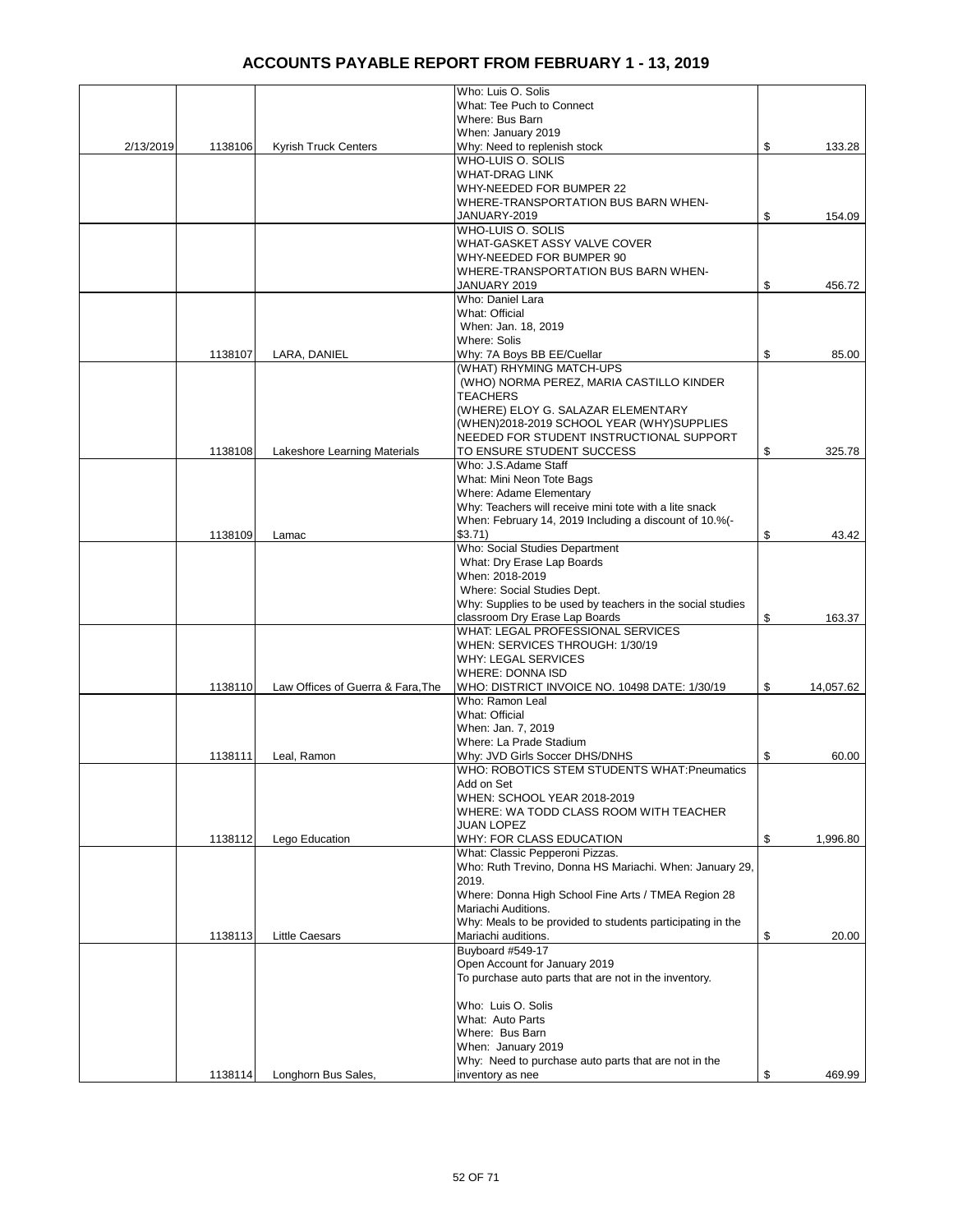|           |         |                                   | Who: Luis O. Solis                                                  |                 |
|-----------|---------|-----------------------------------|---------------------------------------------------------------------|-----------------|
|           |         |                                   | What: Tee Puch to Connect                                           |                 |
|           |         |                                   | Where: Bus Barn                                                     |                 |
|           |         |                                   | When: January 2019                                                  | \$              |
| 2/13/2019 | 1138106 | <b>Kyrish Truck Centers</b>       | Why: Need to replenish stock<br>WHO-LUIS O. SOLIS                   | 133.28          |
|           |         |                                   | <b>WHAT-DRAG LINK</b>                                               |                 |
|           |         |                                   | WHY-NEEDED FOR BUMPER 22                                            |                 |
|           |         |                                   | WHERE-TRANSPORTATION BUS BARN WHEN-                                 |                 |
|           |         |                                   | JANUARY-2019                                                        | \$<br>154.09    |
|           |         |                                   | WHO-LUIS O. SOLIS                                                   |                 |
|           |         |                                   | WHAT-GASKET ASSY VALVE COVER                                        |                 |
|           |         |                                   | WHY-NEEDED FOR BUMPER 90                                            |                 |
|           |         |                                   | WHERE-TRANSPORTATION BUS BARN WHEN-                                 |                 |
|           |         |                                   | JANUARY 2019                                                        | \$<br>456.72    |
|           |         |                                   | Who: Daniel Lara                                                    |                 |
|           |         |                                   | What: Official                                                      |                 |
|           |         |                                   | When: Jan. 18, 2019                                                 |                 |
|           |         |                                   | Where: Solis                                                        |                 |
|           | 1138107 | LARA, DANIEL                      | Why: 7A Boys BB EE/Cuellar<br>(WHAT) RHYMING MATCH-UPS              | \$<br>85.00     |
|           |         |                                   | (WHO) NORMA PEREZ, MARIA CASTILLO KINDER                            |                 |
|           |         |                                   | <b>TEACHERS</b>                                                     |                 |
|           |         |                                   | (WHERE) ELOY G. SALAZAR ELEMENTARY                                  |                 |
|           |         |                                   | (WHEN)2018-2019 SCHOOL YEAR (WHY)SUPPLIES                           |                 |
|           |         |                                   | NEEDED FOR STUDENT INSTRUCTIONAL SUPPORT                            |                 |
|           | 1138108 | Lakeshore Learning Materials      | TO ENSURE STUDENT SUCCESS                                           | \$<br>325.78    |
|           |         |                                   | Who: J.S.Adame Staff                                                |                 |
|           |         |                                   | What: Mini Neon Tote Bags                                           |                 |
|           |         |                                   | Where: Adame Elementary                                             |                 |
|           |         |                                   | Why: Teachers will receive mini tote with a lite snack              |                 |
|           |         |                                   | When: February 14, 2019 Including a discount of 10.%(-              |                 |
|           | 1138109 | Lamac                             | \$3.71)                                                             | \$<br>43.42     |
|           |         |                                   | Who: Social Studies Department                                      |                 |
|           |         |                                   | What: Dry Erase Lap Boards                                          |                 |
|           |         |                                   | When: 2018-2019                                                     |                 |
|           |         |                                   | Where: Social Studies Dept.                                         |                 |
|           |         |                                   | Why: Supplies to be used by teachers in the social studies          | \$              |
|           |         |                                   | classroom Dry Erase Lap Boards<br>WHAT: LEGAL PROFESSIONAL SERVICES | 163.37          |
|           |         |                                   | WHEN: SERVICES THROUGH: 1/30/19                                     |                 |
|           |         |                                   | WHY: LEGAL SERVICES                                                 |                 |
|           |         |                                   | <b>WHERE: DONNA ISD</b>                                             |                 |
|           | 1138110 | Law Offices of Guerra & Fara, The | WHO: DISTRICT INVOICE NO. 10498 DATE: 1/30/19                       | \$<br>14,057.62 |
|           |         |                                   | Who: Ramon Leal                                                     |                 |
|           |         |                                   | What: Official                                                      |                 |
|           |         |                                   | When: Jan. 7, 2019                                                  |                 |
|           |         |                                   | Where: La Prade Stadium                                             |                 |
|           | 1138111 | Leal, Ramon                       | Why: JVD Girls Soccer DHS/DNHS                                      | \$<br>60.00     |
|           |         |                                   | WHO: ROBOTICS STEM STUDENTS WHAT: Pneumatics                        |                 |
|           |         |                                   | Add on Set                                                          |                 |
|           |         |                                   | WHEN: SCHOOL YEAR 2018-2019                                         |                 |
|           |         |                                   | WHERE: WA TODD CLASS ROOM WITH TEACHER                              |                 |
|           |         |                                   | <b>JUAN LOPEZ</b>                                                   |                 |
|           | 1138112 | Lego Education                    | WHY: FOR CLASS EDUCATION<br>What: Classic Pepperoni Pizzas.         | \$<br>1,996.80  |
|           |         |                                   | Who: Ruth Trevino, Donna HS Mariachi. When: January 29,             |                 |
|           |         |                                   | 2019.                                                               |                 |
|           |         |                                   | Where: Donna High School Fine Arts / TMEA Region 28                 |                 |
|           |         |                                   | Mariachi Auditions.                                                 |                 |
|           |         |                                   | Why: Meals to be provided to students participating in the          |                 |
|           | 1138113 | <b>Little Caesars</b>             | Mariachi auditions.                                                 | \$<br>20.00     |
|           |         |                                   | Buyboard #549-17                                                    |                 |
|           |         |                                   | Open Account for January 2019                                       |                 |
|           |         |                                   | To purchase auto parts that are not in the inventory.               |                 |
|           |         |                                   |                                                                     |                 |
|           |         |                                   | Who: Luis O. Solis                                                  |                 |
|           |         |                                   | What: Auto Parts                                                    |                 |
|           |         |                                   | Where: Bus Barn                                                     |                 |
|           |         |                                   | When: January 2019                                                  |                 |
|           |         |                                   | Why: Need to purchase auto parts that are not in the                |                 |
|           | 1138114 | Longhorn Bus Sales,               | inventory as nee                                                    | \$<br>469.99    |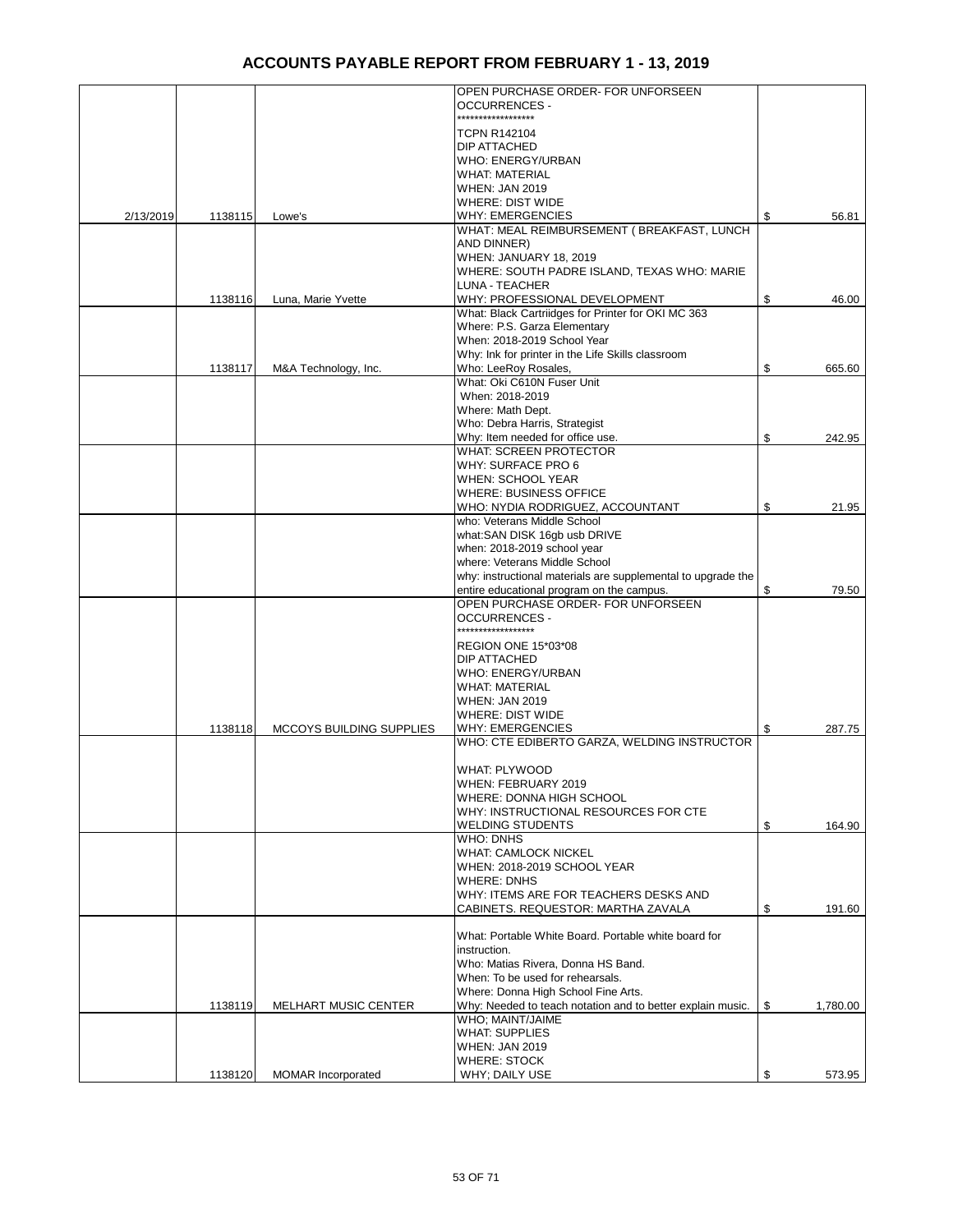|           |         |                                 | OPEN PURCHASE ORDER- FOR UNFORSEEN<br><b>OCCURRENCES -</b>                                    |                |
|-----------|---------|---------------------------------|-----------------------------------------------------------------------------------------------|----------------|
|           |         |                                 | ******************                                                                            |                |
|           |         |                                 | <b>TCPN R142104</b><br>DIP ATTACHED                                                           |                |
|           |         |                                 | WHO: ENERGY/URBAN                                                                             |                |
|           |         |                                 | <b>WHAT: MATERIAL</b>                                                                         |                |
|           |         |                                 | <b>WHEN: JAN 2019</b>                                                                         |                |
| 2/13/2019 | 1138115 | Lowe's                          | <b>WHERE: DIST WIDE</b><br><b>WHY: EMERGENCIES</b>                                            | \$<br>56.81    |
|           |         |                                 | WHAT: MEAL REIMBURSEMENT ( BREAKFAST, LUNCH                                                   |                |
|           |         |                                 | AND DINNER)                                                                                   |                |
|           |         |                                 | WHEN: JANUARY 18, 2019                                                                        |                |
|           |         |                                 | WHERE: SOUTH PADRE ISLAND, TEXAS WHO: MARIE                                                   |                |
|           | 1138116 | Luna, Marie Yvette              | LUNA - TEACHER<br>WHY: PROFESSIONAL DEVELOPMENT                                               | \$<br>46.00    |
|           |         |                                 | What: Black Cartriidges for Printer for OKI MC 363                                            |                |
|           |         |                                 | Where: P.S. Garza Elementary                                                                  |                |
|           |         |                                 | When: 2018-2019 School Year                                                                   |                |
|           |         |                                 | Why: Ink for printer in the Life Skills classroom                                             |                |
|           | 1138117 | M&A Technology, Inc.            | Who: LeeRoy Rosales,<br>What: Oki C610N Fuser Unit                                            | \$<br>665.60   |
|           |         |                                 | When: 2018-2019                                                                               |                |
|           |         |                                 | Where: Math Dept.                                                                             |                |
|           |         |                                 | Who: Debra Harris, Strategist                                                                 |                |
|           |         |                                 | Why: Item needed for office use.                                                              | \$<br>242.95   |
|           |         |                                 | <b>WHAT: SCREEN PROTECTOR</b>                                                                 |                |
|           |         |                                 | <b>WHY: SURFACE PRO 6</b><br><b>WHEN: SCHOOL YEAR</b>                                         |                |
|           |         |                                 | <b>WHERE: BUSINESS OFFICE</b>                                                                 |                |
|           |         |                                 | WHO: NYDIA RODRIGUEZ, ACCOUNTANT                                                              | \$<br>21.95    |
|           |         |                                 | who: Veterans Middle School                                                                   |                |
|           |         |                                 | what:SAN DISK 16gb usb DRIVE                                                                  |                |
|           |         |                                 | when: 2018-2019 school year                                                                   |                |
|           |         |                                 | where: Veterans Middle School<br>why: instructional materials are supplemental to upgrade the |                |
|           |         |                                 | entire educational program on the campus.                                                     | \$<br>79.50    |
|           |         |                                 | OPEN PURCHASE ORDER- FOR UNFORSEEN                                                            |                |
|           |         |                                 | <b>OCCURRENCES -</b><br>******************                                                    |                |
|           |         |                                 | REGION ONE 15*03*08                                                                           |                |
|           |         |                                 | DIP ATTACHED                                                                                  |                |
|           |         |                                 | <b>WHO: ENERGY/URBAN</b>                                                                      |                |
|           |         |                                 | <b>WHAT: MATERIAL</b>                                                                         |                |
|           |         |                                 | <b>WHEN: JAN 2019</b>                                                                         |                |
|           | 1138118 | <b>MCCOYS BUILDING SUPPLIES</b> | <b>WHERE: DIST WIDE</b><br><b>WHY: EMERGENCIES</b>                                            | \$<br>287.75   |
|           |         |                                 | WHO: CTE EDIBERTO GARZA, WELDING INSTRUCTOR                                                   |                |
|           |         |                                 |                                                                                               |                |
|           |         |                                 | <b>WHAT: PLYWOOD</b>                                                                          |                |
|           |         |                                 | WHEN: FEBRUARY 2019                                                                           |                |
|           |         |                                 | WHERE: DONNA HIGH SCHOOL<br>WHY: INSTRUCTIONAL RESOURCES FOR CTE                              |                |
|           |         |                                 | <b>WELDING STUDENTS</b>                                                                       | \$<br>164.90   |
|           |         |                                 | <b>WHO: DNHS</b>                                                                              |                |
|           |         |                                 | <b>WHAT: CAMLOCK NICKEL</b>                                                                   |                |
|           |         |                                 | WHEN: 2018-2019 SCHOOL YEAR                                                                   |                |
|           |         |                                 | <b>WHERE: DNHS</b><br>WHY: ITEMS ARE FOR TEACHERS DESKS AND                                   |                |
|           |         |                                 | CABINETS. REQUESTOR: MARTHA ZAVALA                                                            | \$<br>191.60   |
|           |         |                                 |                                                                                               |                |
|           |         |                                 | What: Portable White Board. Portable white board for                                          |                |
|           |         |                                 | instruction.                                                                                  |                |
|           |         |                                 | Who: Matias Rivera, Donna HS Band.<br>When: To be used for rehearsals.                        |                |
|           |         |                                 | Where: Donna High School Fine Arts.                                                           |                |
|           | 1138119 | <b>MELHART MUSIC CENTER</b>     | Why: Needed to teach notation and to better explain music.                                    | \$<br>1,780.00 |
|           |         |                                 | WHO; MAINT/JAIME                                                                              |                |
|           |         |                                 | <b>WHAT: SUPPLIES</b>                                                                         |                |
|           |         |                                 | <b>WHEN: JAN 2019</b>                                                                         |                |
|           | 1138120 | MOMAR Incorporated              | <b>WHERE: STOCK</b><br>WHY; DAILY USE                                                         | \$<br>573.95   |
|           |         |                                 |                                                                                               |                |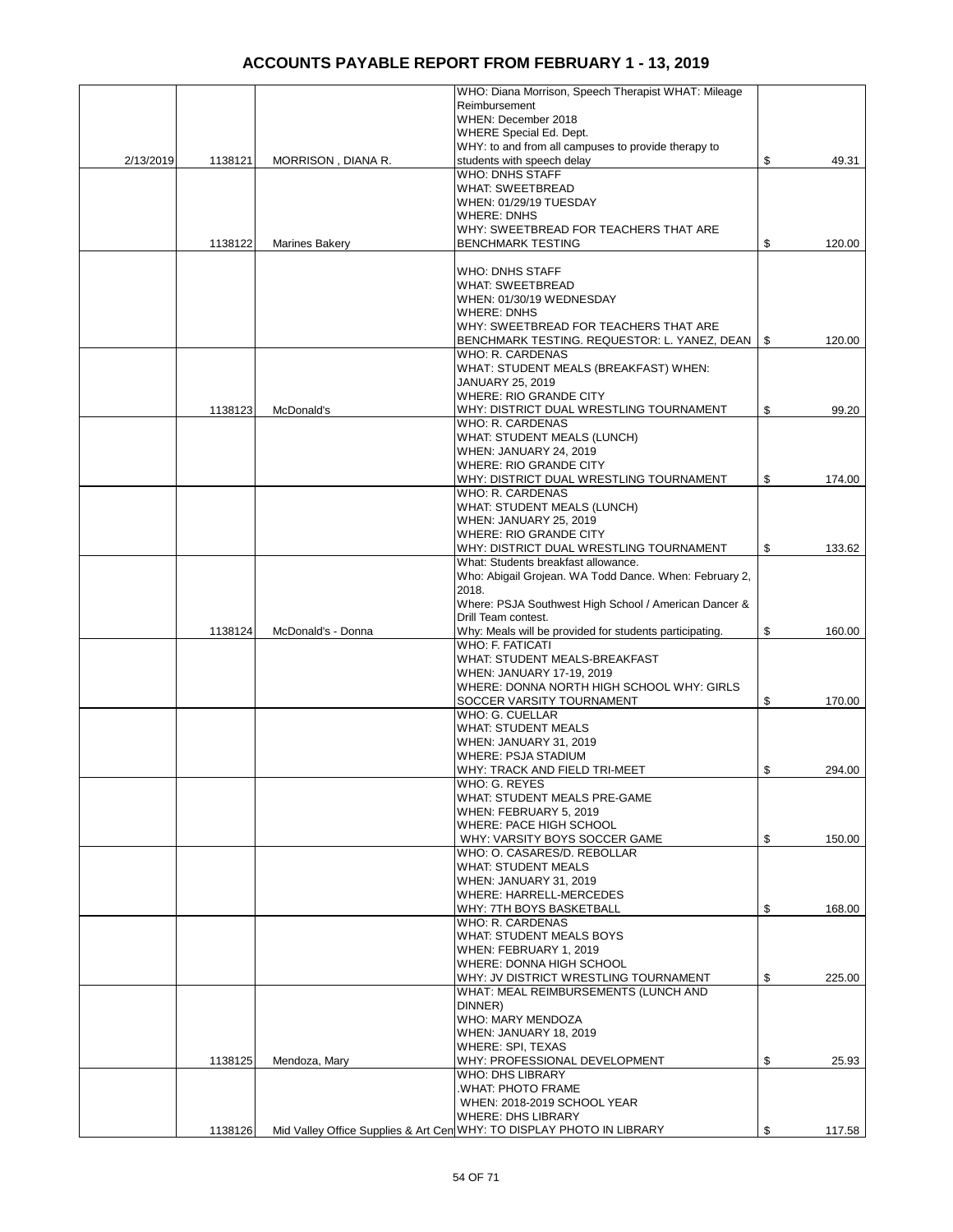|           |         |                       | WHO: Diana Morrison, Speech Therapist WHAT: Mileage                   |              |
|-----------|---------|-----------------------|-----------------------------------------------------------------------|--------------|
|           |         |                       | Reimbursement                                                         |              |
|           |         |                       | WHEN: December 2018                                                   |              |
|           |         |                       | WHERE Special Ed. Dept.                                               |              |
|           |         |                       | WHY: to and from all campuses to provide therapy to                   |              |
| 2/13/2019 | 1138121 | MORRISON, DIANA R.    | students with speech delay                                            | \$<br>49.31  |
|           |         |                       | <b>WHO: DNHS STAFF</b>                                                |              |
|           |         |                       | <b>WHAT: SWEETBREAD</b>                                               |              |
|           |         |                       | WHEN: 01/29/19 TUESDAY                                                |              |
|           |         |                       | <b>WHERE: DNHS</b>                                                    |              |
|           |         |                       | WHY: SWEETBREAD FOR TEACHERS THAT ARE                                 |              |
|           | 1138122 | <b>Marines Bakery</b> | <b>BENCHMARK TESTING</b>                                              | \$<br>120.00 |
|           |         |                       |                                                                       |              |
|           |         |                       | WHO: DNHS STAFF                                                       |              |
|           |         |                       | <b>WHAT: SWEETBREAD</b>                                               |              |
|           |         |                       | WHEN: 01/30/19 WEDNESDAY                                              |              |
|           |         |                       | <b>WHERE: DNHS</b>                                                    |              |
|           |         |                       | WHY: SWEETBREAD FOR TEACHERS THAT ARE                                 |              |
|           |         |                       | BENCHMARK TESTING. REQUESTOR: L. YANEZ, DEAN   \$                     | 120.00       |
|           |         |                       | <b>WHO: R. CARDENAS</b>                                               |              |
|           |         |                       | WHAT: STUDENT MEALS (BREAKFAST) WHEN:                                 |              |
|           |         |                       |                                                                       |              |
|           |         |                       | JANUARY 25, 2019                                                      |              |
|           |         |                       | <b>WHERE: RIO GRANDE CITY</b>                                         |              |
|           | 1138123 | McDonald's            | WHY: DISTRICT DUAL WRESTLING TOURNAMENT                               | \$<br>99.20  |
|           |         |                       | <b>WHO: R. CARDENAS</b>                                               |              |
|           |         |                       | <b>WHAT: STUDENT MEALS (LUNCH)</b>                                    |              |
|           |         |                       | WHEN: JANUARY 24, 2019                                                |              |
|           |         |                       | <b>WHERE: RIO GRANDE CITY</b>                                         |              |
|           |         |                       | WHY: DISTRICT DUAL WRESTLING TOURNAMENT                               | \$<br>174.00 |
|           |         |                       | WHO: R. CARDENAS                                                      |              |
|           |         |                       | <b>WHAT: STUDENT MEALS (LUNCH)</b>                                    |              |
|           |         |                       | WHEN: JANUARY 25, 2019                                                |              |
|           |         |                       | <b>WHERE: RIO GRANDE CITY</b>                                         |              |
|           |         |                       | WHY: DISTRICT DUAL WRESTLING TOURNAMENT                               | \$<br>133.62 |
|           |         |                       | What: Students breakfast allowance.                                   |              |
|           |         |                       | Who: Abigail Grojean. WA Todd Dance. When: February 2,                |              |
|           |         |                       | 2018.                                                                 |              |
|           |         |                       | Where: PSJA Southwest High School / American Dancer &                 |              |
|           |         |                       | Drill Team contest.                                                   |              |
|           | 1138124 | McDonald's - Donna    | Why: Meals will be provided for students participating.               | \$<br>160.00 |
|           |         |                       | WHO: F. FATICATI                                                      |              |
|           |         |                       | WHAT: STUDENT MEALS-BREAKFAST                                         |              |
|           |         |                       |                                                                       |              |
|           |         |                       | WHEN: JANUARY 17-19, 2019                                             |              |
|           |         |                       | WHERE: DONNA NORTH HIGH SCHOOL WHY: GIRLS                             |              |
|           |         |                       | SOCCER VARSITY TOURNAMENT                                             | \$<br>170.00 |
|           |         |                       | WHO: G. CUELLAR                                                       |              |
|           |         |                       | <b>WHAT: STUDENT MEALS</b>                                            |              |
|           |         |                       | WHEN: JANUARY 31, 2019                                                |              |
|           |         |                       | <b>WHERE: PSJA STADIUM</b>                                            |              |
|           |         |                       | WHY: TRACK AND FIELD TRI-MEET                                         | \$<br>294.00 |
|           |         |                       | WHO: G. REYES                                                         |              |
|           |         |                       | WHAT: STUDENT MEALS PRE-GAME                                          |              |
|           |         |                       | WHEN: FEBRUARY 5, 2019                                                |              |
|           |         |                       | WHERE: PACE HIGH SCHOOL                                               |              |
|           |         |                       | WHY: VARSITY BOYS SOCCER GAME                                         | \$<br>150.00 |
|           |         |                       | WHO: O. CASARES/D. REBOLLAR                                           |              |
|           |         |                       | <b>WHAT: STUDENT MEALS</b>                                            |              |
|           |         |                       | WHEN: JANUARY 31, 2019                                                |              |
|           |         |                       | WHERE: HARRELL-MERCEDES                                               |              |
|           |         |                       | WHY: 7TH BOYS BASKETBALL                                              | \$<br>168.00 |
|           |         |                       | WHO: R. CARDENAS                                                      |              |
|           |         |                       | WHAT: STUDENT MEALS BOYS                                              |              |
|           |         |                       | WHEN: FEBRUARY 1, 2019                                                |              |
|           |         |                       | WHERE: DONNA HIGH SCHOOL                                              |              |
|           |         |                       | WHY: JV DISTRICT WRESTLING TOURNAMENT                                 | \$<br>225.00 |
|           |         |                       | WHAT: MEAL REIMBURSEMENTS (LUNCH AND                                  |              |
|           |         |                       | DINNER)                                                               |              |
|           |         |                       | WHO: MARY MENDOZA                                                     |              |
|           |         |                       | WHEN: JANUARY 18, 2019                                                |              |
|           |         |                       | WHERE: SPI, TEXAS                                                     |              |
|           |         |                       |                                                                       | \$<br>25.93  |
|           | 1138125 | Mendoza, Mary         | WHY: PROFESSIONAL DEVELOPMENT<br><b>WHO: DHS LIBRARY</b>              |              |
|           |         |                       |                                                                       |              |
|           |         |                       | .WHAT: PHOTO FRAME                                                    |              |
|           |         |                       | WHEN: 2018-2019 SCHOOL YEAR                                           |              |
|           |         |                       | WHERE: DHS LIBRARY                                                    |              |
|           | 1138126 |                       | Mid Valley Office Supplies & Art Cen WHY: TO DISPLAY PHOTO IN LIBRARY | \$<br>117.58 |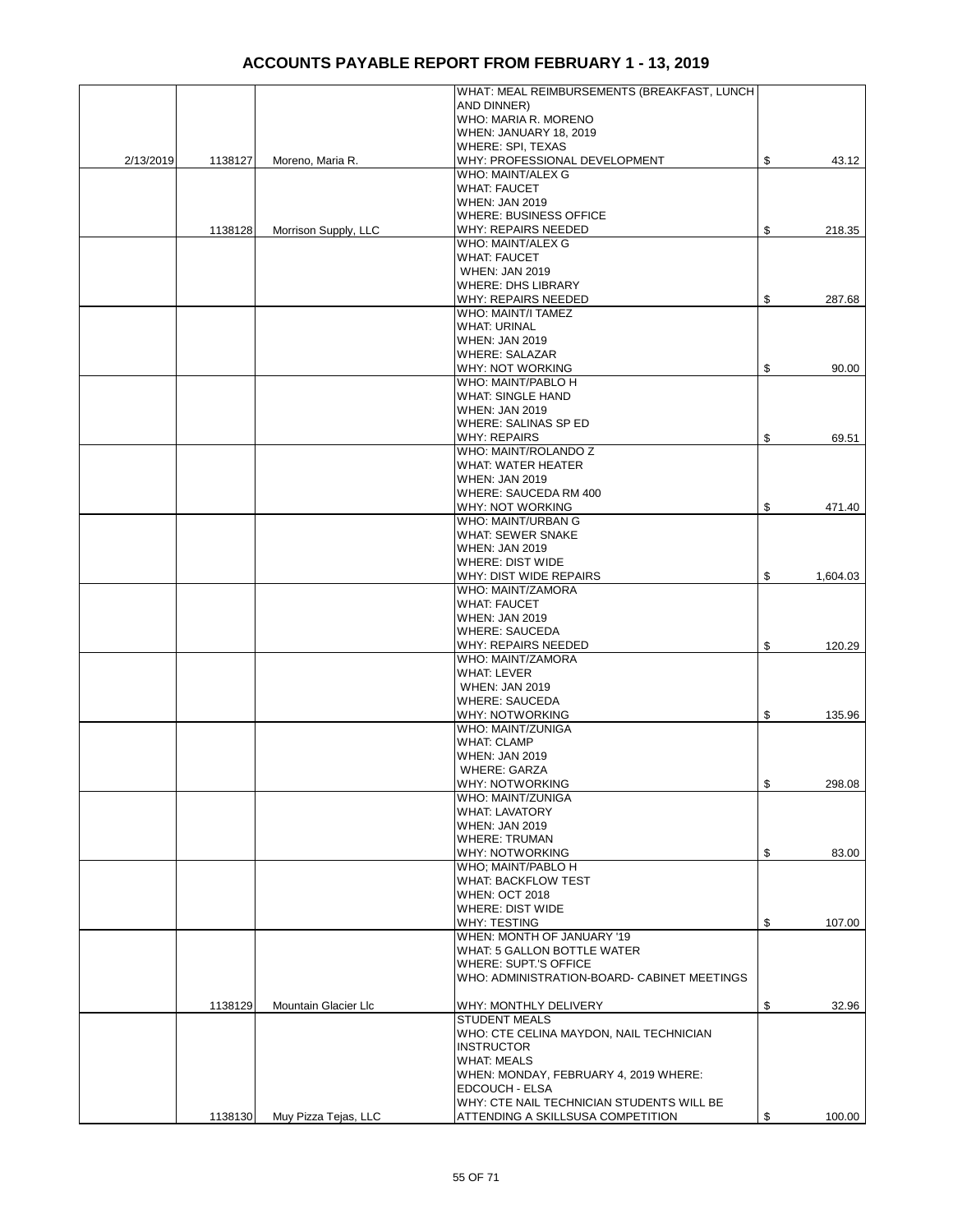|           |         |                      | WHAT: MEAL REIMBURSEMENTS (BREAKFAST, LUNCH |                |
|-----------|---------|----------------------|---------------------------------------------|----------------|
|           |         |                      | AND DINNER)                                 |                |
|           |         |                      | WHO: MARIA R. MORENO                        |                |
|           |         |                      |                                             |                |
|           |         |                      | WHEN: JANUARY 18, 2019                      |                |
|           |         |                      | WHERE: SPI, TEXAS                           |                |
| 2/13/2019 | 1138127 | Moreno, Maria R.     | WHY: PROFESSIONAL DEVELOPMENT               | \$<br>43.12    |
|           |         |                      | WHO: MAINT/ALEX G                           |                |
|           |         |                      | <b>WHAT: FAUCET</b>                         |                |
|           |         |                      | <b>WHEN: JAN 2019</b>                       |                |
|           |         |                      | <b>WHERE: BUSINESS OFFICE</b>               |                |
|           | 1138128 | Morrison Supply, LLC | WHY: REPAIRS NEEDED                         | \$<br>218.35   |
|           |         |                      | WHO: MAINT/ALEX G                           |                |
|           |         |                      | <b>WHAT: FAUCET</b>                         |                |
|           |         |                      | <b>WHEN: JAN 2019</b>                       |                |
|           |         |                      | <b>WHERE: DHS LIBRARY</b>                   |                |
|           |         |                      | WHY: REPAIRS NEEDED                         | \$<br>287.68   |
|           |         |                      | WHO: MAINT/I TAMEZ                          |                |
|           |         |                      | <b>WHAT: URINAL</b>                         |                |
|           |         |                      | <b>WHEN: JAN 2019</b>                       |                |
|           |         |                      | <b>WHERE: SALAZAR</b>                       |                |
|           |         |                      |                                             |                |
|           |         |                      | WHY: NOT WORKING                            | \$<br>90.00    |
|           |         |                      | WHO: MAINT/PABLO H                          |                |
|           |         |                      | <b>WHAT: SINGLE HAND</b>                    |                |
|           |         |                      | <b>WHEN: JAN 2019</b>                       |                |
|           |         |                      | WHERE: SALINAS SP ED                        |                |
|           |         |                      | <b>WHY: REPAIRS</b>                         | \$<br>69.51    |
|           |         |                      | WHO: MAINT/ROLANDO Z                        |                |
|           |         |                      | WHAT: WATER HEATER                          |                |
|           |         |                      | <b>WHEN: JAN 2019</b>                       |                |
|           |         |                      | WHERE: SAUCEDA RM 400                       |                |
|           |         |                      | WHY: NOT WORKING                            | \$<br>471.40   |
|           |         |                      | <b>WHO: MAINT/URBAN G</b>                   |                |
|           |         |                      | <b>WHAT: SEWER SNAKE</b>                    |                |
|           |         |                      | <b>WHEN: JAN 2019</b>                       |                |
|           |         |                      | WHERE: DIST WIDE                            |                |
|           |         |                      |                                             |                |
|           |         |                      | WHY: DIST WIDE REPAIRS                      | \$<br>1,604.03 |
|           |         |                      | WHO: MAINT/ZAMORA                           |                |
|           |         |                      | <b>WHAT: FAUCET</b>                         |                |
|           |         |                      | <b>WHEN: JAN 2019</b>                       |                |
|           |         |                      | <b>WHERE: SAUCEDA</b>                       |                |
|           |         |                      | WHY: REPAIRS NEEDED                         | \$<br>120.29   |
|           |         |                      | WHO: MAINT/ZAMORA                           |                |
|           |         |                      | <b>WHAT: LEVER</b>                          |                |
|           |         |                      | <b>WHEN: JAN 2019</b>                       |                |
|           |         |                      | <b>WHERE: SAUCEDA</b>                       |                |
|           |         |                      | <b>WHY: NOTWORKING</b>                      | \$<br>135.96   |
|           |         |                      | WHO: MAINT/ZUNIGA                           |                |
|           |         |                      | <b>WHAT: CLAMP</b>                          |                |
|           |         |                      | <b>WHEN: JAN 2019</b>                       |                |
|           |         |                      | <b>WHERE: GARZA</b>                         |                |
|           |         |                      | <b>WHY: NOTWORKING</b>                      | \$<br>298.08   |
|           |         |                      | WHO: MAINT/ZUNIGA                           |                |
|           |         |                      | <b>WHAT: LAVATORY</b>                       |                |
|           |         |                      | <b>WHEN: JAN 2019</b>                       |                |
|           |         |                      |                                             |                |
|           |         |                      | <b>WHERE: TRUMAN</b>                        |                |
|           |         |                      | <b>WHY: NOTWORKING</b>                      | \$<br>83.00    |
|           |         |                      | WHO; MAINT/PABLO H                          |                |
|           |         |                      | WHAT: BACKFLOW TEST                         |                |
|           |         |                      | <b>WHEN: OCT 2018</b>                       |                |
|           |         |                      | WHERE: DIST WIDE                            |                |
|           |         |                      | WHY: TESTING                                | \$<br>107.00   |
|           |         |                      | WHEN: MONTH OF JANUARY '19                  |                |
|           |         |                      | WHAT: 5 GALLON BOTTLE WATER                 |                |
|           |         |                      | <b>WHERE: SUPT.'S OFFICE</b>                |                |
|           |         |                      | WHO: ADMINISTRATION-BOARD- CABINET MEETINGS |                |
|           |         |                      |                                             |                |
|           | 1138129 | Mountain Glacier Llc | WHY: MONTHLY DELIVERY                       | \$<br>32.96    |
|           |         |                      | <b>STUDENT MEALS</b>                        |                |
|           |         |                      | WHO: CTE CELINA MAYDON, NAIL TECHNICIAN     |                |
|           |         |                      | <b>INSTRUCTOR</b>                           |                |
|           |         |                      | <b>WHAT: MEALS</b>                          |                |
|           |         |                      | WHEN: MONDAY, FEBRUARY 4, 2019 WHERE:       |                |
|           |         |                      | EDCOUCH - ELSA                              |                |
|           |         |                      | WHY: CTE NAIL TECHNICIAN STUDENTS WILL BE   |                |
|           |         |                      |                                             |                |
|           | 1138130 | Muy Pizza Tejas, LLC | ATTENDING A SKILLSUSA COMPETITION           | \$<br>100.00   |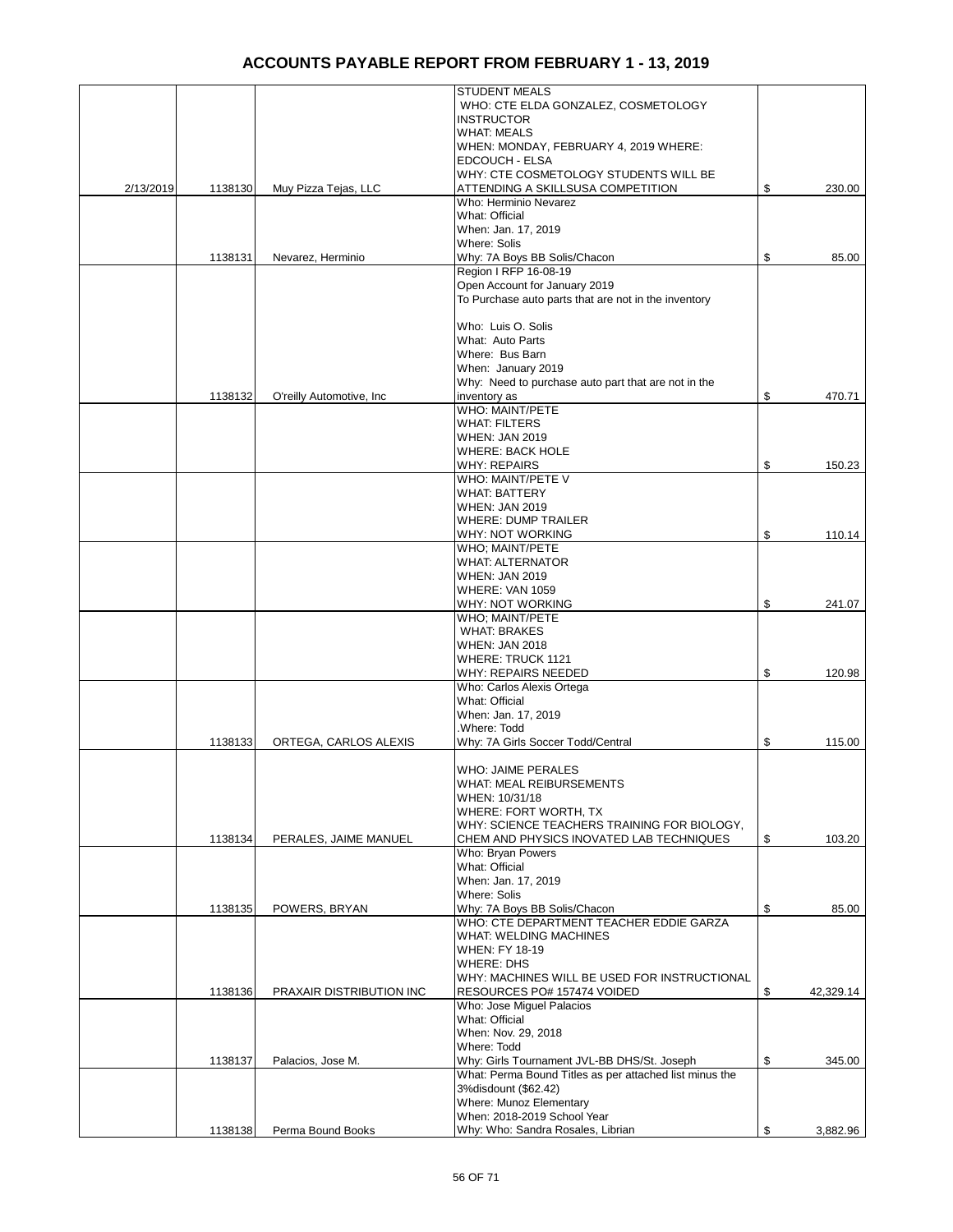|           |         |                           | <b>STUDENT MEALS</b>                                    |                 |
|-----------|---------|---------------------------|---------------------------------------------------------|-----------------|
|           |         |                           | WHO: CTE ELDA GONZALEZ, COSMETOLOGY                     |                 |
|           |         |                           | <b>INSTRUCTOR</b>                                       |                 |
|           |         |                           | <b>WHAT: MEALS</b>                                      |                 |
|           |         |                           |                                                         |                 |
|           |         |                           | WHEN: MONDAY, FEBRUARY 4, 2019 WHERE:<br>EDCOUCH - ELSA |                 |
|           |         |                           | WHY: CTE COSMETOLOGY STUDENTS WILL BE                   |                 |
|           |         |                           |                                                         |                 |
| 2/13/2019 | 1138130 | Muy Pizza Tejas, LLC      | ATTENDING A SKILLSUSA COMPETITION                       | \$<br>230.00    |
|           |         |                           | Who: Herminio Nevarez                                   |                 |
|           |         |                           | What: Official                                          |                 |
|           |         |                           | When: Jan. 17, 2019                                     |                 |
|           |         |                           | <b>Where: Solis</b>                                     |                 |
|           | 1138131 | Nevarez, Herminio         | Why: 7A Boys BB Solis/Chacon                            | \$<br>85.00     |
|           |         |                           | Region I RFP 16-08-19                                   |                 |
|           |         |                           | Open Account for January 2019                           |                 |
|           |         |                           | To Purchase auto parts that are not in the inventory    |                 |
|           |         |                           |                                                         |                 |
|           |         |                           | Who: Luis O. Solis                                      |                 |
|           |         |                           | What: Auto Parts                                        |                 |
|           |         |                           | Where: Bus Barn                                         |                 |
|           |         |                           | When: January 2019                                      |                 |
|           |         |                           | Why: Need to purchase auto part that are not in the     |                 |
|           | 1138132 | O'reilly Automotive, Inc. | inventory as                                            | \$<br>470.71    |
|           |         |                           | WHO: MAINT/PETE                                         |                 |
|           |         |                           | <b>WHAT: FILTERS</b>                                    |                 |
|           |         |                           | <b>WHEN: JAN 2019</b>                                   |                 |
|           |         |                           | <b>WHERE: BACK HOLE</b>                                 |                 |
|           |         |                           | <b>WHY: REPAIRS</b>                                     | \$<br>150.23    |
|           |         |                           | WHO: MAINT/PETE V                                       |                 |
|           |         |                           | <b>WHAT: BATTERY</b>                                    |                 |
|           |         |                           |                                                         |                 |
|           |         |                           | <b>WHEN: JAN 2019</b>                                   |                 |
|           |         |                           | <b>WHERE: DUMP TRAILER</b>                              |                 |
|           |         |                           | WHY: NOT WORKING                                        | \$<br>110.14    |
|           |         |                           | WHO; MAINT/PETE                                         |                 |
|           |         |                           | <b>WHAT: ALTERNATOR</b>                                 |                 |
|           |         |                           | <b>WHEN: JAN 2019</b>                                   |                 |
|           |         |                           | WHERE: VAN 1059                                         |                 |
|           |         |                           | WHY: NOT WORKING                                        | \$<br>241.07    |
|           |         |                           | WHO; MAINT/PETE                                         |                 |
|           |         |                           | <b>WHAT: BRAKES</b>                                     |                 |
|           |         |                           | <b>WHEN: JAN 2018</b>                                   |                 |
|           |         |                           | <b>WHERE: TRUCK 1121</b>                                |                 |
|           |         |                           | WHY: REPAIRS NEEDED                                     | \$<br>120.98    |
|           |         |                           | Who: Carlos Alexis Ortega                               |                 |
|           |         |                           | What: Official                                          |                 |
|           |         |                           | When: Jan. 17, 2019                                     |                 |
|           |         |                           | .Where: Todd                                            |                 |
|           | 1138133 | ORTEGA, CARLOS ALEXIS     | Why: 7A Girls Soccer Todd/Central                       | \$<br>115.00    |
|           |         |                           |                                                         |                 |
|           |         |                           | <b>WHO: JAIME PERALES</b>                               |                 |
|           |         |                           | <b>WHAT: MEAL REIBURSEMENTS</b>                         |                 |
|           |         |                           | WHEN: 10/31/18                                          |                 |
|           |         |                           | WHERE: FORT WORTH, TX                                   |                 |
|           |         |                           | WHY: SCIENCE TEACHERS TRAINING FOR BIOLOGY,             |                 |
|           |         | PERALES, JAIME MANUEL     | CHEM AND PHYSICS INOVATED LAB TECHNIQUES                | \$<br>103.20    |
|           | 1138134 |                           |                                                         |                 |
|           |         |                           | Who: Bryan Powers<br>What: Official                     |                 |
|           |         |                           |                                                         |                 |
|           |         |                           | When: Jan. 17, 2019                                     |                 |
|           |         |                           | Where: Solis                                            |                 |
|           | 1138135 | POWERS, BRYAN             | Why: 7A Boys BB Solis/Chacon                            | \$<br>85.00     |
|           |         |                           | WHO: CTE DEPARTMENT TEACHER EDDIE GARZA                 |                 |
|           |         |                           | <b>WHAT: WELDING MACHINES</b>                           |                 |
|           |         |                           | <b>WHEN: FY 18-19</b>                                   |                 |
|           |         |                           | <b>WHERE: DHS</b>                                       |                 |
|           |         |                           | WHY: MACHINES WILL BE USED FOR INSTRUCTIONAL            |                 |
|           | 1138136 | PRAXAIR DISTRIBUTION INC  | RESOURCES PO# 157474 VOIDED                             | \$<br>42,329.14 |
|           |         |                           | Who: Jose Miguel Palacios                               |                 |
|           |         |                           | What: Official                                          |                 |
|           |         |                           | When: Nov. 29, 2018                                     |                 |
|           |         |                           | Where: Todd                                             |                 |
|           | 1138137 | Palacios, Jose M.         | Why: Girls Tournament JVL-BB DHS/St. Joseph             | \$<br>345.00    |
|           |         |                           | What: Perma Bound Titles as per attached list minus the |                 |
|           |         |                           | 3% disdount (\$62.42)                                   |                 |
|           |         |                           | Where: Munoz Elementary                                 |                 |
|           |         |                           | When: 2018-2019 School Year                             |                 |
|           | 1138138 | Perma Bound Books         | Why: Who: Sandra Rosales, Librian                       | \$<br>3,882.96  |
|           |         |                           |                                                         |                 |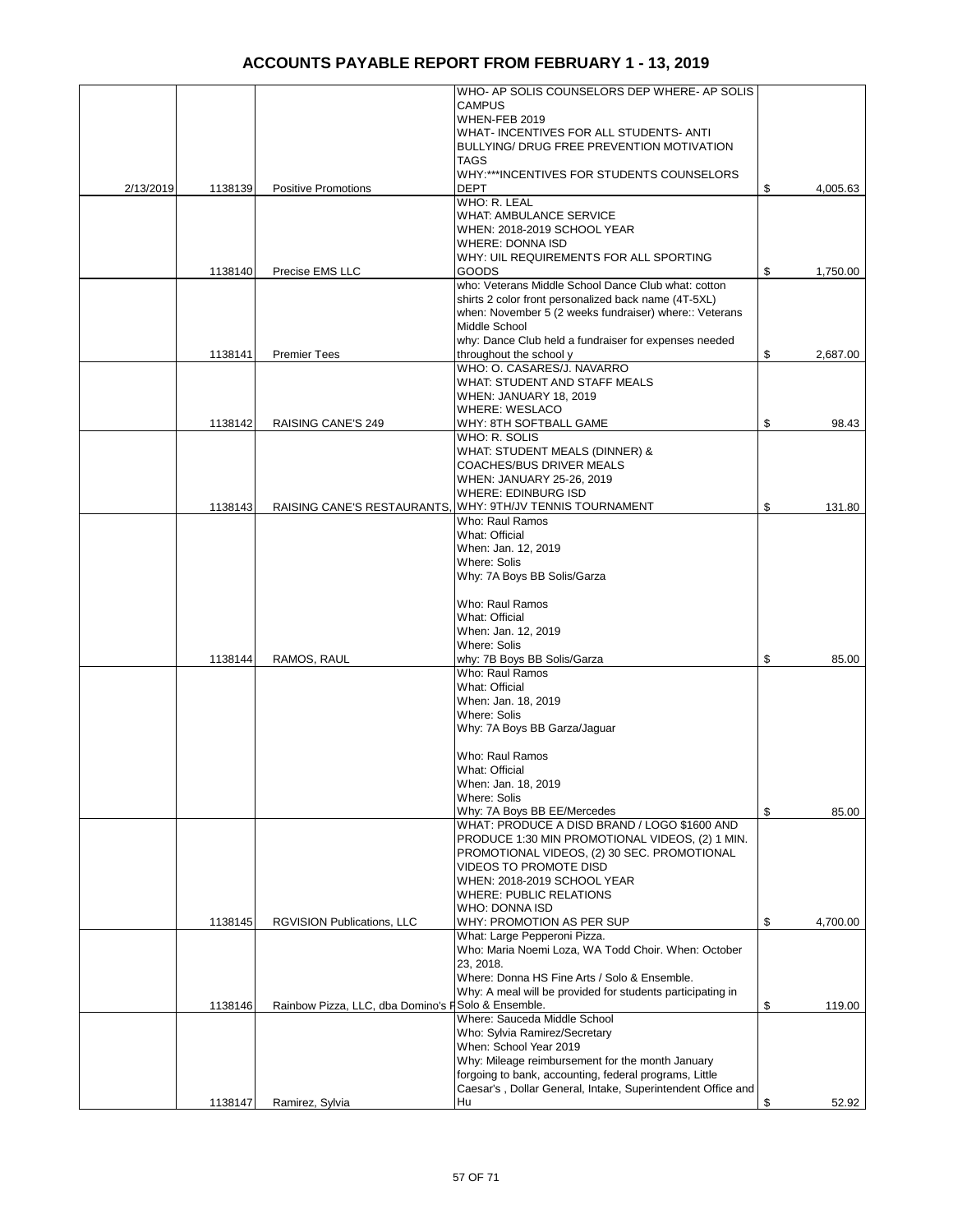| <b>CAMPUS</b><br>WHEN-FEB 2019<br>WHAT-INCENTIVES FOR ALL STUDENTS-ANTI<br>BULLYING/ DRUG FREE PREVENTION MOTIVATION<br><b>TAGS</b><br>WHY:***INCENTIVES FOR STUDENTS COUNSELORS<br>2/13/2019<br><b>DEPT</b><br>1138139<br><b>Positive Promotions</b><br>WHO: R. LEAL<br><b>WHAT: AMBULANCE SERVICE</b><br>WHEN: 2018-2019 SCHOOL YEAR<br>WHERE: DONNA ISD<br>WHY: UIL REQUIREMENTS FOR ALL SPORTING<br>Precise EMS LLC<br>GOODS<br>1138140<br>who: Veterans Middle School Dance Club what: cotton<br>shirts 2 color front personalized back name (4T-5XL)<br>when: November 5 (2 weeks fundraiser) where:: Veterans<br>Middle School<br>why: Dance Club held a fundraiser for expenses needed<br>throughout the school y<br>1138141<br><b>Premier Tees</b><br>WHO: O. CASARES/J. NAVARRO<br>WHAT: STUDENT AND STAFF MEALS<br>WHEN: JANUARY 18, 2019<br><b>WHERE: WESLACO</b><br><b>RAISING CANE'S 249</b><br>WHY: 8TH SOFTBALL GAME<br>1138142<br>WHO: R. SOLIS<br>WHAT: STUDENT MEALS (DINNER) &<br>COACHES/BUS DRIVER MEALS<br>WHEN: JANUARY 25-26, 2019<br><b>WHERE: EDINBURG ISD</b><br>RAISING CANE'S RESTAURANTS, WHY: 9TH/JV TENNIS TOURNAMENT<br>1138143<br>Who: Raul Ramos<br>What: Official<br>When: Jan. 12, 2019<br>Where: Solis<br>Why: 7A Boys BB Solis/Garza<br>Who: Raul Ramos<br>What: Official<br>When: Jan. 12, 2019<br><b>Where: Solis</b><br>RAMOS, RAUL<br>why: 7B Boys BB Solis/Garza<br>1138144<br>Who: Raul Ramos<br>What: Official<br>When: Jan. 18, 2019<br>Where: Solis<br>Why: 7A Boys BB Garza/Jaguar<br>Who: Raul Ramos<br>What: Official<br>When: Jan. 18, 2019<br><b>Where: Solis</b><br>Why: 7A Boys BB EE/Mercedes<br>WHAT: PRODUCE A DISD BRAND / LOGO \$1600 AND<br>PRODUCE 1:30 MIN PROMOTIONAL VIDEOS, (2) 1 MIN.<br>PROMOTIONAL VIDEOS, (2) 30 SEC. PROMOTIONAL<br><b>VIDEOS TO PROMOTE DISD</b><br>WHEN: 2018-2019 SCHOOL YEAR<br><b>WHERE: PUBLIC RELATIONS</b><br>WHO: DONNA ISD<br>WHY: PROMOTION AS PER SUP<br>1138145<br><b>RGVISION Publications, LLC</b><br>What: Large Pepperoni Pizza.<br>Who: Maria Noemi Loza, WA Todd Choir. When: October<br>23, 2018.<br>Where: Donna HS Fine Arts / Solo & Ensemble.<br>Why: A meal will be provided for students participating in<br>Rainbow Pizza, LLC, dba Domino's FSolo & Ensemble.<br>1138146<br>Where: Sauceda Middle School | \$<br>4,005.63 | WHO- AP SOLIS COUNSELORS DEP WHERE- AP SOLIS                |                 |         |  |
|------------------------------------------------------------------------------------------------------------------------------------------------------------------------------------------------------------------------------------------------------------------------------------------------------------------------------------------------------------------------------------------------------------------------------------------------------------------------------------------------------------------------------------------------------------------------------------------------------------------------------------------------------------------------------------------------------------------------------------------------------------------------------------------------------------------------------------------------------------------------------------------------------------------------------------------------------------------------------------------------------------------------------------------------------------------------------------------------------------------------------------------------------------------------------------------------------------------------------------------------------------------------------------------------------------------------------------------------------------------------------------------------------------------------------------------------------------------------------------------------------------------------------------------------------------------------------------------------------------------------------------------------------------------------------------------------------------------------------------------------------------------------------------------------------------------------------------------------------------------------------------------------------------------------------------------------------------------------------------------------------------------------------------------------------------------------------------------------------------------------------------------------------------------------------------------------------------------------------------------------------------------------------------------------------------------------------|----------------|-------------------------------------------------------------|-----------------|---------|--|
|                                                                                                                                                                                                                                                                                                                                                                                                                                                                                                                                                                                                                                                                                                                                                                                                                                                                                                                                                                                                                                                                                                                                                                                                                                                                                                                                                                                                                                                                                                                                                                                                                                                                                                                                                                                                                                                                                                                                                                                                                                                                                                                                                                                                                                                                                                                              |                |                                                             |                 |         |  |
|                                                                                                                                                                                                                                                                                                                                                                                                                                                                                                                                                                                                                                                                                                                                                                                                                                                                                                                                                                                                                                                                                                                                                                                                                                                                                                                                                                                                                                                                                                                                                                                                                                                                                                                                                                                                                                                                                                                                                                                                                                                                                                                                                                                                                                                                                                                              |                |                                                             |                 |         |  |
|                                                                                                                                                                                                                                                                                                                                                                                                                                                                                                                                                                                                                                                                                                                                                                                                                                                                                                                                                                                                                                                                                                                                                                                                                                                                                                                                                                                                                                                                                                                                                                                                                                                                                                                                                                                                                                                                                                                                                                                                                                                                                                                                                                                                                                                                                                                              |                |                                                             |                 |         |  |
|                                                                                                                                                                                                                                                                                                                                                                                                                                                                                                                                                                                                                                                                                                                                                                                                                                                                                                                                                                                                                                                                                                                                                                                                                                                                                                                                                                                                                                                                                                                                                                                                                                                                                                                                                                                                                                                                                                                                                                                                                                                                                                                                                                                                                                                                                                                              |                |                                                             |                 |         |  |
|                                                                                                                                                                                                                                                                                                                                                                                                                                                                                                                                                                                                                                                                                                                                                                                                                                                                                                                                                                                                                                                                                                                                                                                                                                                                                                                                                                                                                                                                                                                                                                                                                                                                                                                                                                                                                                                                                                                                                                                                                                                                                                                                                                                                                                                                                                                              |                |                                                             |                 |         |  |
|                                                                                                                                                                                                                                                                                                                                                                                                                                                                                                                                                                                                                                                                                                                                                                                                                                                                                                                                                                                                                                                                                                                                                                                                                                                                                                                                                                                                                                                                                                                                                                                                                                                                                                                                                                                                                                                                                                                                                                                                                                                                                                                                                                                                                                                                                                                              |                |                                                             |                 |         |  |
|                                                                                                                                                                                                                                                                                                                                                                                                                                                                                                                                                                                                                                                                                                                                                                                                                                                                                                                                                                                                                                                                                                                                                                                                                                                                                                                                                                                                                                                                                                                                                                                                                                                                                                                                                                                                                                                                                                                                                                                                                                                                                                                                                                                                                                                                                                                              |                |                                                             |                 |         |  |
|                                                                                                                                                                                                                                                                                                                                                                                                                                                                                                                                                                                                                                                                                                                                                                                                                                                                                                                                                                                                                                                                                                                                                                                                                                                                                                                                                                                                                                                                                                                                                                                                                                                                                                                                                                                                                                                                                                                                                                                                                                                                                                                                                                                                                                                                                                                              |                |                                                             |                 |         |  |
|                                                                                                                                                                                                                                                                                                                                                                                                                                                                                                                                                                                                                                                                                                                                                                                                                                                                                                                                                                                                                                                                                                                                                                                                                                                                                                                                                                                                                                                                                                                                                                                                                                                                                                                                                                                                                                                                                                                                                                                                                                                                                                                                                                                                                                                                                                                              |                |                                                             |                 |         |  |
|                                                                                                                                                                                                                                                                                                                                                                                                                                                                                                                                                                                                                                                                                                                                                                                                                                                                                                                                                                                                                                                                                                                                                                                                                                                                                                                                                                                                                                                                                                                                                                                                                                                                                                                                                                                                                                                                                                                                                                                                                                                                                                                                                                                                                                                                                                                              |                |                                                             |                 |         |  |
|                                                                                                                                                                                                                                                                                                                                                                                                                                                                                                                                                                                                                                                                                                                                                                                                                                                                                                                                                                                                                                                                                                                                                                                                                                                                                                                                                                                                                                                                                                                                                                                                                                                                                                                                                                                                                                                                                                                                                                                                                                                                                                                                                                                                                                                                                                                              |                |                                                             |                 |         |  |
|                                                                                                                                                                                                                                                                                                                                                                                                                                                                                                                                                                                                                                                                                                                                                                                                                                                                                                                                                                                                                                                                                                                                                                                                                                                                                                                                                                                                                                                                                                                                                                                                                                                                                                                                                                                                                                                                                                                                                                                                                                                                                                                                                                                                                                                                                                                              |                |                                                             |                 |         |  |
|                                                                                                                                                                                                                                                                                                                                                                                                                                                                                                                                                                                                                                                                                                                                                                                                                                                                                                                                                                                                                                                                                                                                                                                                                                                                                                                                                                                                                                                                                                                                                                                                                                                                                                                                                                                                                                                                                                                                                                                                                                                                                                                                                                                                                                                                                                                              | \$<br>1,750.00 |                                                             |                 |         |  |
|                                                                                                                                                                                                                                                                                                                                                                                                                                                                                                                                                                                                                                                                                                                                                                                                                                                                                                                                                                                                                                                                                                                                                                                                                                                                                                                                                                                                                                                                                                                                                                                                                                                                                                                                                                                                                                                                                                                                                                                                                                                                                                                                                                                                                                                                                                                              |                |                                                             |                 |         |  |
|                                                                                                                                                                                                                                                                                                                                                                                                                                                                                                                                                                                                                                                                                                                                                                                                                                                                                                                                                                                                                                                                                                                                                                                                                                                                                                                                                                                                                                                                                                                                                                                                                                                                                                                                                                                                                                                                                                                                                                                                                                                                                                                                                                                                                                                                                                                              |                |                                                             |                 |         |  |
|                                                                                                                                                                                                                                                                                                                                                                                                                                                                                                                                                                                                                                                                                                                                                                                                                                                                                                                                                                                                                                                                                                                                                                                                                                                                                                                                                                                                                                                                                                                                                                                                                                                                                                                                                                                                                                                                                                                                                                                                                                                                                                                                                                                                                                                                                                                              |                |                                                             |                 |         |  |
|                                                                                                                                                                                                                                                                                                                                                                                                                                                                                                                                                                                                                                                                                                                                                                                                                                                                                                                                                                                                                                                                                                                                                                                                                                                                                                                                                                                                                                                                                                                                                                                                                                                                                                                                                                                                                                                                                                                                                                                                                                                                                                                                                                                                                                                                                                                              |                |                                                             |                 |         |  |
|                                                                                                                                                                                                                                                                                                                                                                                                                                                                                                                                                                                                                                                                                                                                                                                                                                                                                                                                                                                                                                                                                                                                                                                                                                                                                                                                                                                                                                                                                                                                                                                                                                                                                                                                                                                                                                                                                                                                                                                                                                                                                                                                                                                                                                                                                                                              |                |                                                             |                 |         |  |
|                                                                                                                                                                                                                                                                                                                                                                                                                                                                                                                                                                                                                                                                                                                                                                                                                                                                                                                                                                                                                                                                                                                                                                                                                                                                                                                                                                                                                                                                                                                                                                                                                                                                                                                                                                                                                                                                                                                                                                                                                                                                                                                                                                                                                                                                                                                              | \$<br>2,687.00 |                                                             |                 |         |  |
|                                                                                                                                                                                                                                                                                                                                                                                                                                                                                                                                                                                                                                                                                                                                                                                                                                                                                                                                                                                                                                                                                                                                                                                                                                                                                                                                                                                                                                                                                                                                                                                                                                                                                                                                                                                                                                                                                                                                                                                                                                                                                                                                                                                                                                                                                                                              |                |                                                             |                 |         |  |
|                                                                                                                                                                                                                                                                                                                                                                                                                                                                                                                                                                                                                                                                                                                                                                                                                                                                                                                                                                                                                                                                                                                                                                                                                                                                                                                                                                                                                                                                                                                                                                                                                                                                                                                                                                                                                                                                                                                                                                                                                                                                                                                                                                                                                                                                                                                              |                |                                                             |                 |         |  |
|                                                                                                                                                                                                                                                                                                                                                                                                                                                                                                                                                                                                                                                                                                                                                                                                                                                                                                                                                                                                                                                                                                                                                                                                                                                                                                                                                                                                                                                                                                                                                                                                                                                                                                                                                                                                                                                                                                                                                                                                                                                                                                                                                                                                                                                                                                                              |                |                                                             |                 |         |  |
|                                                                                                                                                                                                                                                                                                                                                                                                                                                                                                                                                                                                                                                                                                                                                                                                                                                                                                                                                                                                                                                                                                                                                                                                                                                                                                                                                                                                                                                                                                                                                                                                                                                                                                                                                                                                                                                                                                                                                                                                                                                                                                                                                                                                                                                                                                                              | \$<br>98.43    |                                                             |                 |         |  |
|                                                                                                                                                                                                                                                                                                                                                                                                                                                                                                                                                                                                                                                                                                                                                                                                                                                                                                                                                                                                                                                                                                                                                                                                                                                                                                                                                                                                                                                                                                                                                                                                                                                                                                                                                                                                                                                                                                                                                                                                                                                                                                                                                                                                                                                                                                                              |                |                                                             |                 |         |  |
|                                                                                                                                                                                                                                                                                                                                                                                                                                                                                                                                                                                                                                                                                                                                                                                                                                                                                                                                                                                                                                                                                                                                                                                                                                                                                                                                                                                                                                                                                                                                                                                                                                                                                                                                                                                                                                                                                                                                                                                                                                                                                                                                                                                                                                                                                                                              |                |                                                             |                 |         |  |
|                                                                                                                                                                                                                                                                                                                                                                                                                                                                                                                                                                                                                                                                                                                                                                                                                                                                                                                                                                                                                                                                                                                                                                                                                                                                                                                                                                                                                                                                                                                                                                                                                                                                                                                                                                                                                                                                                                                                                                                                                                                                                                                                                                                                                                                                                                                              |                |                                                             |                 |         |  |
|                                                                                                                                                                                                                                                                                                                                                                                                                                                                                                                                                                                                                                                                                                                                                                                                                                                                                                                                                                                                                                                                                                                                                                                                                                                                                                                                                                                                                                                                                                                                                                                                                                                                                                                                                                                                                                                                                                                                                                                                                                                                                                                                                                                                                                                                                                                              |                |                                                             |                 |         |  |
|                                                                                                                                                                                                                                                                                                                                                                                                                                                                                                                                                                                                                                                                                                                                                                                                                                                                                                                                                                                                                                                                                                                                                                                                                                                                                                                                                                                                                                                                                                                                                                                                                                                                                                                                                                                                                                                                                                                                                                                                                                                                                                                                                                                                                                                                                                                              |                |                                                             |                 |         |  |
|                                                                                                                                                                                                                                                                                                                                                                                                                                                                                                                                                                                                                                                                                                                                                                                                                                                                                                                                                                                                                                                                                                                                                                                                                                                                                                                                                                                                                                                                                                                                                                                                                                                                                                                                                                                                                                                                                                                                                                                                                                                                                                                                                                                                                                                                                                                              | \$<br>131.80   |                                                             |                 |         |  |
|                                                                                                                                                                                                                                                                                                                                                                                                                                                                                                                                                                                                                                                                                                                                                                                                                                                                                                                                                                                                                                                                                                                                                                                                                                                                                                                                                                                                                                                                                                                                                                                                                                                                                                                                                                                                                                                                                                                                                                                                                                                                                                                                                                                                                                                                                                                              |                |                                                             |                 |         |  |
|                                                                                                                                                                                                                                                                                                                                                                                                                                                                                                                                                                                                                                                                                                                                                                                                                                                                                                                                                                                                                                                                                                                                                                                                                                                                                                                                                                                                                                                                                                                                                                                                                                                                                                                                                                                                                                                                                                                                                                                                                                                                                                                                                                                                                                                                                                                              |                |                                                             |                 |         |  |
|                                                                                                                                                                                                                                                                                                                                                                                                                                                                                                                                                                                                                                                                                                                                                                                                                                                                                                                                                                                                                                                                                                                                                                                                                                                                                                                                                                                                                                                                                                                                                                                                                                                                                                                                                                                                                                                                                                                                                                                                                                                                                                                                                                                                                                                                                                                              |                |                                                             |                 |         |  |
|                                                                                                                                                                                                                                                                                                                                                                                                                                                                                                                                                                                                                                                                                                                                                                                                                                                                                                                                                                                                                                                                                                                                                                                                                                                                                                                                                                                                                                                                                                                                                                                                                                                                                                                                                                                                                                                                                                                                                                                                                                                                                                                                                                                                                                                                                                                              |                |                                                             |                 |         |  |
|                                                                                                                                                                                                                                                                                                                                                                                                                                                                                                                                                                                                                                                                                                                                                                                                                                                                                                                                                                                                                                                                                                                                                                                                                                                                                                                                                                                                                                                                                                                                                                                                                                                                                                                                                                                                                                                                                                                                                                                                                                                                                                                                                                                                                                                                                                                              |                |                                                             |                 |         |  |
|                                                                                                                                                                                                                                                                                                                                                                                                                                                                                                                                                                                                                                                                                                                                                                                                                                                                                                                                                                                                                                                                                                                                                                                                                                                                                                                                                                                                                                                                                                                                                                                                                                                                                                                                                                                                                                                                                                                                                                                                                                                                                                                                                                                                                                                                                                                              |                |                                                             |                 |         |  |
|                                                                                                                                                                                                                                                                                                                                                                                                                                                                                                                                                                                                                                                                                                                                                                                                                                                                                                                                                                                                                                                                                                                                                                                                                                                                                                                                                                                                                                                                                                                                                                                                                                                                                                                                                                                                                                                                                                                                                                                                                                                                                                                                                                                                                                                                                                                              |                |                                                             |                 |         |  |
|                                                                                                                                                                                                                                                                                                                                                                                                                                                                                                                                                                                                                                                                                                                                                                                                                                                                                                                                                                                                                                                                                                                                                                                                                                                                                                                                                                                                                                                                                                                                                                                                                                                                                                                                                                                                                                                                                                                                                                                                                                                                                                                                                                                                                                                                                                                              |                |                                                             |                 |         |  |
|                                                                                                                                                                                                                                                                                                                                                                                                                                                                                                                                                                                                                                                                                                                                                                                                                                                                                                                                                                                                                                                                                                                                                                                                                                                                                                                                                                                                                                                                                                                                                                                                                                                                                                                                                                                                                                                                                                                                                                                                                                                                                                                                                                                                                                                                                                                              |                |                                                             |                 |         |  |
|                                                                                                                                                                                                                                                                                                                                                                                                                                                                                                                                                                                                                                                                                                                                                                                                                                                                                                                                                                                                                                                                                                                                                                                                                                                                                                                                                                                                                                                                                                                                                                                                                                                                                                                                                                                                                                                                                                                                                                                                                                                                                                                                                                                                                                                                                                                              | \$<br>85.00    |                                                             |                 |         |  |
|                                                                                                                                                                                                                                                                                                                                                                                                                                                                                                                                                                                                                                                                                                                                                                                                                                                                                                                                                                                                                                                                                                                                                                                                                                                                                                                                                                                                                                                                                                                                                                                                                                                                                                                                                                                                                                                                                                                                                                                                                                                                                                                                                                                                                                                                                                                              |                |                                                             |                 |         |  |
|                                                                                                                                                                                                                                                                                                                                                                                                                                                                                                                                                                                                                                                                                                                                                                                                                                                                                                                                                                                                                                                                                                                                                                                                                                                                                                                                                                                                                                                                                                                                                                                                                                                                                                                                                                                                                                                                                                                                                                                                                                                                                                                                                                                                                                                                                                                              |                |                                                             |                 |         |  |
|                                                                                                                                                                                                                                                                                                                                                                                                                                                                                                                                                                                                                                                                                                                                                                                                                                                                                                                                                                                                                                                                                                                                                                                                                                                                                                                                                                                                                                                                                                                                                                                                                                                                                                                                                                                                                                                                                                                                                                                                                                                                                                                                                                                                                                                                                                                              |                |                                                             |                 |         |  |
|                                                                                                                                                                                                                                                                                                                                                                                                                                                                                                                                                                                                                                                                                                                                                                                                                                                                                                                                                                                                                                                                                                                                                                                                                                                                                                                                                                                                                                                                                                                                                                                                                                                                                                                                                                                                                                                                                                                                                                                                                                                                                                                                                                                                                                                                                                                              |                |                                                             |                 |         |  |
|                                                                                                                                                                                                                                                                                                                                                                                                                                                                                                                                                                                                                                                                                                                                                                                                                                                                                                                                                                                                                                                                                                                                                                                                                                                                                                                                                                                                                                                                                                                                                                                                                                                                                                                                                                                                                                                                                                                                                                                                                                                                                                                                                                                                                                                                                                                              |                |                                                             |                 |         |  |
|                                                                                                                                                                                                                                                                                                                                                                                                                                                                                                                                                                                                                                                                                                                                                                                                                                                                                                                                                                                                                                                                                                                                                                                                                                                                                                                                                                                                                                                                                                                                                                                                                                                                                                                                                                                                                                                                                                                                                                                                                                                                                                                                                                                                                                                                                                                              |                |                                                             |                 |         |  |
|                                                                                                                                                                                                                                                                                                                                                                                                                                                                                                                                                                                                                                                                                                                                                                                                                                                                                                                                                                                                                                                                                                                                                                                                                                                                                                                                                                                                                                                                                                                                                                                                                                                                                                                                                                                                                                                                                                                                                                                                                                                                                                                                                                                                                                                                                                                              |                |                                                             |                 |         |  |
|                                                                                                                                                                                                                                                                                                                                                                                                                                                                                                                                                                                                                                                                                                                                                                                                                                                                                                                                                                                                                                                                                                                                                                                                                                                                                                                                                                                                                                                                                                                                                                                                                                                                                                                                                                                                                                                                                                                                                                                                                                                                                                                                                                                                                                                                                                                              |                |                                                             |                 |         |  |
|                                                                                                                                                                                                                                                                                                                                                                                                                                                                                                                                                                                                                                                                                                                                                                                                                                                                                                                                                                                                                                                                                                                                                                                                                                                                                                                                                                                                                                                                                                                                                                                                                                                                                                                                                                                                                                                                                                                                                                                                                                                                                                                                                                                                                                                                                                                              |                |                                                             |                 |         |  |
|                                                                                                                                                                                                                                                                                                                                                                                                                                                                                                                                                                                                                                                                                                                                                                                                                                                                                                                                                                                                                                                                                                                                                                                                                                                                                                                                                                                                                                                                                                                                                                                                                                                                                                                                                                                                                                                                                                                                                                                                                                                                                                                                                                                                                                                                                                                              |                |                                                             |                 |         |  |
|                                                                                                                                                                                                                                                                                                                                                                                                                                                                                                                                                                                                                                                                                                                                                                                                                                                                                                                                                                                                                                                                                                                                                                                                                                                                                                                                                                                                                                                                                                                                                                                                                                                                                                                                                                                                                                                                                                                                                                                                                                                                                                                                                                                                                                                                                                                              | 85.00<br>\$    |                                                             |                 |         |  |
|                                                                                                                                                                                                                                                                                                                                                                                                                                                                                                                                                                                                                                                                                                                                                                                                                                                                                                                                                                                                                                                                                                                                                                                                                                                                                                                                                                                                                                                                                                                                                                                                                                                                                                                                                                                                                                                                                                                                                                                                                                                                                                                                                                                                                                                                                                                              |                |                                                             |                 |         |  |
|                                                                                                                                                                                                                                                                                                                                                                                                                                                                                                                                                                                                                                                                                                                                                                                                                                                                                                                                                                                                                                                                                                                                                                                                                                                                                                                                                                                                                                                                                                                                                                                                                                                                                                                                                                                                                                                                                                                                                                                                                                                                                                                                                                                                                                                                                                                              |                |                                                             |                 |         |  |
|                                                                                                                                                                                                                                                                                                                                                                                                                                                                                                                                                                                                                                                                                                                                                                                                                                                                                                                                                                                                                                                                                                                                                                                                                                                                                                                                                                                                                                                                                                                                                                                                                                                                                                                                                                                                                                                                                                                                                                                                                                                                                                                                                                                                                                                                                                                              |                |                                                             |                 |         |  |
|                                                                                                                                                                                                                                                                                                                                                                                                                                                                                                                                                                                                                                                                                                                                                                                                                                                                                                                                                                                                                                                                                                                                                                                                                                                                                                                                                                                                                                                                                                                                                                                                                                                                                                                                                                                                                                                                                                                                                                                                                                                                                                                                                                                                                                                                                                                              |                |                                                             |                 |         |  |
|                                                                                                                                                                                                                                                                                                                                                                                                                                                                                                                                                                                                                                                                                                                                                                                                                                                                                                                                                                                                                                                                                                                                                                                                                                                                                                                                                                                                                                                                                                                                                                                                                                                                                                                                                                                                                                                                                                                                                                                                                                                                                                                                                                                                                                                                                                                              |                |                                                             |                 |         |  |
|                                                                                                                                                                                                                                                                                                                                                                                                                                                                                                                                                                                                                                                                                                                                                                                                                                                                                                                                                                                                                                                                                                                                                                                                                                                                                                                                                                                                                                                                                                                                                                                                                                                                                                                                                                                                                                                                                                                                                                                                                                                                                                                                                                                                                                                                                                                              |                |                                                             |                 |         |  |
|                                                                                                                                                                                                                                                                                                                                                                                                                                                                                                                                                                                                                                                                                                                                                                                                                                                                                                                                                                                                                                                                                                                                                                                                                                                                                                                                                                                                                                                                                                                                                                                                                                                                                                                                                                                                                                                                                                                                                                                                                                                                                                                                                                                                                                                                                                                              | \$<br>4,700.00 |                                                             |                 |         |  |
|                                                                                                                                                                                                                                                                                                                                                                                                                                                                                                                                                                                                                                                                                                                                                                                                                                                                                                                                                                                                                                                                                                                                                                                                                                                                                                                                                                                                                                                                                                                                                                                                                                                                                                                                                                                                                                                                                                                                                                                                                                                                                                                                                                                                                                                                                                                              |                |                                                             |                 |         |  |
|                                                                                                                                                                                                                                                                                                                                                                                                                                                                                                                                                                                                                                                                                                                                                                                                                                                                                                                                                                                                                                                                                                                                                                                                                                                                                                                                                                                                                                                                                                                                                                                                                                                                                                                                                                                                                                                                                                                                                                                                                                                                                                                                                                                                                                                                                                                              |                |                                                             |                 |         |  |
|                                                                                                                                                                                                                                                                                                                                                                                                                                                                                                                                                                                                                                                                                                                                                                                                                                                                                                                                                                                                                                                                                                                                                                                                                                                                                                                                                                                                                                                                                                                                                                                                                                                                                                                                                                                                                                                                                                                                                                                                                                                                                                                                                                                                                                                                                                                              |                |                                                             |                 |         |  |
|                                                                                                                                                                                                                                                                                                                                                                                                                                                                                                                                                                                                                                                                                                                                                                                                                                                                                                                                                                                                                                                                                                                                                                                                                                                                                                                                                                                                                                                                                                                                                                                                                                                                                                                                                                                                                                                                                                                                                                                                                                                                                                                                                                                                                                                                                                                              |                |                                                             |                 |         |  |
|                                                                                                                                                                                                                                                                                                                                                                                                                                                                                                                                                                                                                                                                                                                                                                                                                                                                                                                                                                                                                                                                                                                                                                                                                                                                                                                                                                                                                                                                                                                                                                                                                                                                                                                                                                                                                                                                                                                                                                                                                                                                                                                                                                                                                                                                                                                              |                |                                                             |                 |         |  |
|                                                                                                                                                                                                                                                                                                                                                                                                                                                                                                                                                                                                                                                                                                                                                                                                                                                                                                                                                                                                                                                                                                                                                                                                                                                                                                                                                                                                                                                                                                                                                                                                                                                                                                                                                                                                                                                                                                                                                                                                                                                                                                                                                                                                                                                                                                                              | \$<br>119.00   |                                                             |                 |         |  |
|                                                                                                                                                                                                                                                                                                                                                                                                                                                                                                                                                                                                                                                                                                                                                                                                                                                                                                                                                                                                                                                                                                                                                                                                                                                                                                                                                                                                                                                                                                                                                                                                                                                                                                                                                                                                                                                                                                                                                                                                                                                                                                                                                                                                                                                                                                                              |                |                                                             |                 |         |  |
|                                                                                                                                                                                                                                                                                                                                                                                                                                                                                                                                                                                                                                                                                                                                                                                                                                                                                                                                                                                                                                                                                                                                                                                                                                                                                                                                                                                                                                                                                                                                                                                                                                                                                                                                                                                                                                                                                                                                                                                                                                                                                                                                                                                                                                                                                                                              |                | Who: Sylvia Ramirez/Secretary                               |                 |         |  |
| When: School Year 2019                                                                                                                                                                                                                                                                                                                                                                                                                                                                                                                                                                                                                                                                                                                                                                                                                                                                                                                                                                                                                                                                                                                                                                                                                                                                                                                                                                                                                                                                                                                                                                                                                                                                                                                                                                                                                                                                                                                                                                                                                                                                                                                                                                                                                                                                                                       |                |                                                             |                 |         |  |
| Why: Mileage reimbursement for the month January<br>forgoing to bank, accounting, federal programs, Little                                                                                                                                                                                                                                                                                                                                                                                                                                                                                                                                                                                                                                                                                                                                                                                                                                                                                                                                                                                                                                                                                                                                                                                                                                                                                                                                                                                                                                                                                                                                                                                                                                                                                                                                                                                                                                                                                                                                                                                                                                                                                                                                                                                                                   |                |                                                             |                 |         |  |
|                                                                                                                                                                                                                                                                                                                                                                                                                                                                                                                                                                                                                                                                                                                                                                                                                                                                                                                                                                                                                                                                                                                                                                                                                                                                                                                                                                                                                                                                                                                                                                                                                                                                                                                                                                                                                                                                                                                                                                                                                                                                                                                                                                                                                                                                                                                              |                | Caesar's, Dollar General, Intake, Superintendent Office and |                 |         |  |
|                                                                                                                                                                                                                                                                                                                                                                                                                                                                                                                                                                                                                                                                                                                                                                                                                                                                                                                                                                                                                                                                                                                                                                                                                                                                                                                                                                                                                                                                                                                                                                                                                                                                                                                                                                                                                                                                                                                                                                                                                                                                                                                                                                                                                                                                                                                              | \$<br>52.92    | Hu                                                          | Ramirez, Sylvia | 1138147 |  |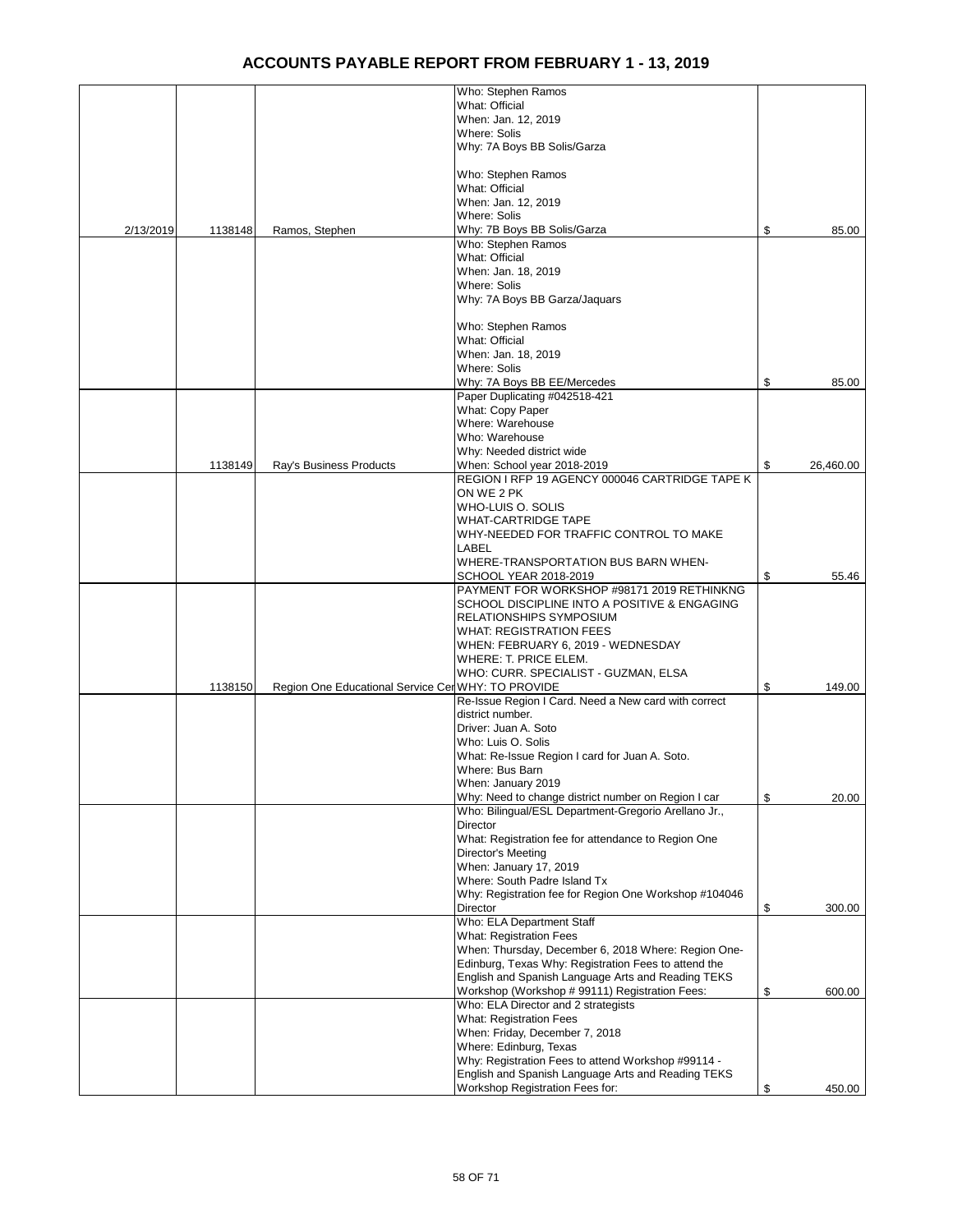|           |         |                                                    | Who: Stephen Ramos                                    |                 |
|-----------|---------|----------------------------------------------------|-------------------------------------------------------|-----------------|
|           |         |                                                    | What: Official                                        |                 |
|           |         |                                                    | When: Jan. 12, 2019                                   |                 |
|           |         |                                                    | Where: Solis                                          |                 |
|           |         |                                                    | Why: 7A Boys BB Solis/Garza                           |                 |
|           |         |                                                    |                                                       |                 |
|           |         |                                                    | Who: Stephen Ramos                                    |                 |
|           |         |                                                    | What: Official                                        |                 |
|           |         |                                                    | When: Jan. 12, 2019                                   |                 |
|           |         |                                                    | <b>Where: Solis</b>                                   |                 |
| 2/13/2019 | 1138148 | Ramos, Stephen                                     | Why: 7B Boys BB Solis/Garza                           | \$<br>85.00     |
|           |         |                                                    | Who: Stephen Ramos                                    |                 |
|           |         |                                                    | What: Official                                        |                 |
|           |         |                                                    | When: Jan. 18, 2019                                   |                 |
|           |         |                                                    | <b>Where: Solis</b>                                   |                 |
|           |         |                                                    | Why: 7A Boys BB Garza/Jaquars                         |                 |
|           |         |                                                    |                                                       |                 |
|           |         |                                                    | Who: Stephen Ramos                                    |                 |
|           |         |                                                    | What: Official                                        |                 |
|           |         |                                                    | When: Jan. 18, 2019                                   |                 |
|           |         |                                                    | Where: Solis                                          |                 |
|           |         |                                                    |                                                       | 85.00           |
|           |         |                                                    | Why: 7A Boys BB EE/Mercedes                           | \$              |
|           |         |                                                    | Paper Duplicating #042518-421                         |                 |
|           |         |                                                    | What: Copy Paper                                      |                 |
|           |         |                                                    | Where: Warehouse                                      |                 |
|           |         |                                                    | Who: Warehouse                                        |                 |
|           |         |                                                    | Why: Needed district wide                             |                 |
|           | 1138149 | Ray's Business Products                            | When: School year 2018-2019                           | \$<br>26,460.00 |
|           |         |                                                    | REGION I RFP 19 AGENCY 000046 CARTRIDGE TAPE K        |                 |
|           |         |                                                    | ON WE 2 PK                                            |                 |
|           |         |                                                    | WHO-LUIS O. SOLIS                                     |                 |
|           |         |                                                    | <b>WHAT-CARTRIDGE TAPE</b>                            |                 |
|           |         |                                                    | WHY-NEEDED FOR TRAFFIC CONTROL TO MAKE                |                 |
|           |         |                                                    | LABEL                                                 |                 |
|           |         |                                                    | WHERE-TRANSPORTATION BUS BARN WHEN-                   |                 |
|           |         |                                                    | SCHOOL YEAR 2018-2019                                 | \$<br>55.46     |
|           |         |                                                    | PAYMENT FOR WORKSHOP #98171 2019 RETHINKNG            |                 |
|           |         |                                                    | SCHOOL DISCIPLINE INTO A POSITIVE & ENGAGING          |                 |
|           |         |                                                    | <b>RELATIONSHIPS SYMPOSIUM</b>                        |                 |
|           |         |                                                    | <b>WHAT: REGISTRATION FEES</b>                        |                 |
|           |         |                                                    | WHEN: FEBRUARY 6, 2019 - WEDNESDAY                    |                 |
|           |         |                                                    | WHERE: T. PRICE ELEM.                                 |                 |
|           |         |                                                    | WHO: CURR. SPECIALIST - GUZMAN, ELSA                  |                 |
|           | 1138150 | Region One Educational Service Cer WHY: TO PROVIDE |                                                       | \$<br>149.00    |
|           |         |                                                    | Re-Issue Region I Card. Need a New card with correct  |                 |
|           |         |                                                    | district number.                                      |                 |
|           |         |                                                    | Driver: Juan A. Soto                                  |                 |
|           |         |                                                    | Who: Luis O. Solis                                    |                 |
|           |         |                                                    | What: Re-Issue Region I card for Juan A. Soto.        |                 |
|           |         |                                                    | Where: Bus Barn                                       |                 |
|           |         |                                                    | When: January 2019                                    |                 |
|           |         |                                                    | Why: Need to change district number on Region I car   | \$<br>20.00     |
|           |         |                                                    | Who: Bilingual/ESL Department-Gregorio Arellano Jr.,  |                 |
|           |         |                                                    | Director                                              |                 |
|           |         |                                                    | What: Registration fee for attendance to Region One   |                 |
|           |         |                                                    | Director's Meeting                                    |                 |
|           |         |                                                    | When: January 17, 2019                                |                 |
|           |         |                                                    | Where: South Padre Island Tx                          |                 |
|           |         |                                                    | Why: Registration fee for Region One Workshop #104046 |                 |
|           |         |                                                    | Director                                              | \$<br>300.00    |
|           |         |                                                    | Who: ELA Department Staff                             |                 |
|           |         |                                                    | What: Registration Fees                               |                 |
|           |         |                                                    | When: Thursday, December 6, 2018 Where: Region One-   |                 |
|           |         |                                                    | Edinburg, Texas Why: Registration Fees to attend the  |                 |
|           |         |                                                    | English and Spanish Language Arts and Reading TEKS    |                 |
|           |         |                                                    | Workshop (Workshop # 99111) Registration Fees:        | \$<br>600.00    |
|           |         |                                                    | Who: ELA Director and 2 strategists                   |                 |
|           |         |                                                    | What: Registration Fees                               |                 |
|           |         |                                                    | When: Friday, December 7, 2018                        |                 |
|           |         |                                                    | Where: Edinburg, Texas                                |                 |
|           |         |                                                    | Why: Registration Fees to attend Workshop #99114 -    |                 |
|           |         |                                                    | English and Spanish Language Arts and Reading TEKS    |                 |
|           |         |                                                    | Workshop Registration Fees for:                       | \$<br>450.00    |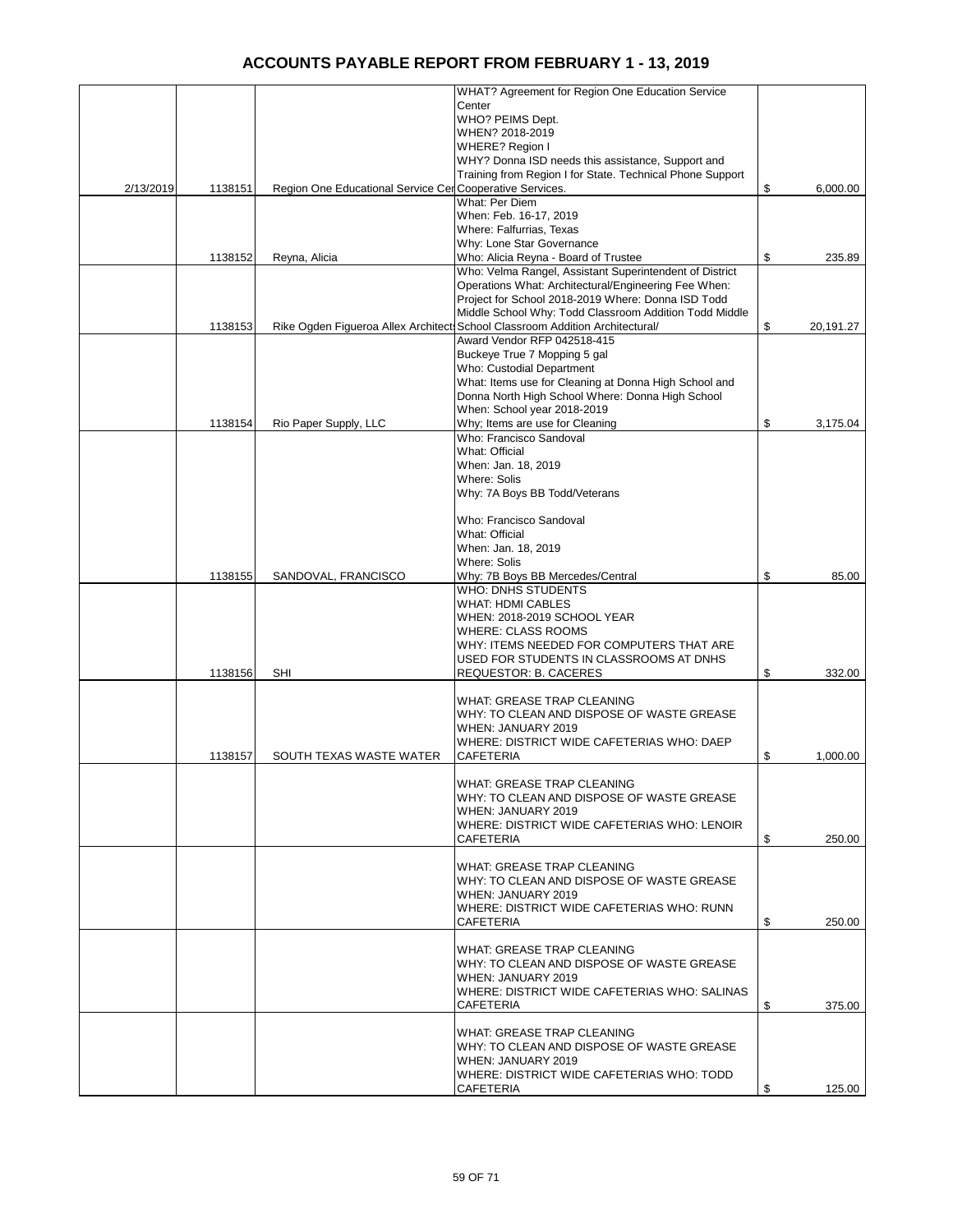|           |         |                                                          | WHAT? Agreement for Region One Education Service                              |                 |
|-----------|---------|----------------------------------------------------------|-------------------------------------------------------------------------------|-----------------|
|           |         |                                                          | Center                                                                        |                 |
|           |         |                                                          | WHO? PEIMS Dept.                                                              |                 |
|           |         |                                                          | WHEN? 2018-2019                                                               |                 |
|           |         |                                                          | WHERE? Region I                                                               |                 |
|           |         |                                                          | WHY? Donna ISD needs this assistance, Support and                             |                 |
|           |         |                                                          | Training from Region I for State. Technical Phone Support                     |                 |
| 2/13/2019 | 1138151 | Region One Educational Service Cer Cooperative Services. |                                                                               | \$<br>6,000.00  |
|           |         |                                                          | <b>What: Per Diem</b>                                                         |                 |
|           |         |                                                          | When: Feb. 16-17, 2019                                                        |                 |
|           |         |                                                          | Where: Falfurrias, Texas                                                      |                 |
|           | 1138152 |                                                          | Why: Lone Star Governance<br>Who: Alicia Reyna - Board of Trustee             | \$<br>235.89    |
|           |         | Reyna, Alicia                                            | Who: Velma Rangel, Assistant Superintendent of District                       |                 |
|           |         |                                                          | Operations What: Architectural/Engineering Fee When:                          |                 |
|           |         |                                                          | Project for School 2018-2019 Where: Donna ISD Todd                            |                 |
|           |         |                                                          | Middle School Why: Todd Classroom Addition Todd Middle                        |                 |
|           | 1138153 |                                                          | Rike Ogden Figueroa Allex Architect: School Classroom Addition Architectural/ | \$<br>20,191.27 |
|           |         |                                                          | Award Vendor RFP 042518-415                                                   |                 |
|           |         |                                                          | Buckeye True 7 Mopping 5 gal                                                  |                 |
|           |         |                                                          | Who: Custodial Department                                                     |                 |
|           |         |                                                          | What: Items use for Cleaning at Donna High School and                         |                 |
|           |         |                                                          | Donna North High School Where: Donna High School                              |                 |
|           |         |                                                          | When: School year 2018-2019                                                   |                 |
|           | 1138154 | Rio Paper Supply, LLC                                    | Why; Items are use for Cleaning                                               | \$<br>3,175.04  |
|           |         |                                                          | Who: Francisco Sandoval                                                       |                 |
|           |         |                                                          | What: Official                                                                |                 |
|           |         |                                                          | When: Jan. 18, 2019                                                           |                 |
|           |         |                                                          | Where: Solis                                                                  |                 |
|           |         |                                                          | Why: 7A Boys BB Todd/Veterans                                                 |                 |
|           |         |                                                          |                                                                               |                 |
|           |         |                                                          | Who: Francisco Sandoval<br>What: Official                                     |                 |
|           |         |                                                          | When: Jan. 18, 2019                                                           |                 |
|           |         |                                                          | Where: Solis                                                                  |                 |
|           | 1138155 | SANDOVAL, FRANCISCO                                      | Why: 7B Boys BB Mercedes/Central                                              | \$<br>85.00     |
|           |         |                                                          | WHO: DNHS STUDENTS                                                            |                 |
|           |         |                                                          | <b>WHAT: HDMI CABLES</b>                                                      |                 |
|           |         |                                                          | WHEN: 2018-2019 SCHOOL YEAR                                                   |                 |
|           |         |                                                          | <b>WHERE: CLASS ROOMS</b>                                                     |                 |
|           |         |                                                          | WHY: ITEMS NEEDED FOR COMPUTERS THAT ARE                                      |                 |
|           |         |                                                          | USED FOR STUDENTS IN CLASSROOMS AT DNHS                                       |                 |
|           | 1138156 | <b>SHI</b>                                               | REQUESTOR: B. CACERES                                                         | \$<br>332.00    |
|           |         |                                                          |                                                                               |                 |
|           |         |                                                          | <b>WHAT: GREASE TRAP CLEANING</b>                                             |                 |
|           |         |                                                          | WHY: TO CLEAN AND DISPOSE OF WASTE GREASE                                     |                 |
|           |         |                                                          | WHEN: JANUARY 2019                                                            |                 |
|           |         |                                                          | WHERE: DISTRICT WIDE CAFETERIAS WHO: DAEP                                     |                 |
|           | 1138157 | SOUTH TEXAS WASTE WATER                                  | <b>CAFETERIA</b>                                                              | \$<br>1,000.00  |
|           |         |                                                          | <b>WHAT: GREASE TRAP CLEANING</b>                                             |                 |
|           |         |                                                          | WHY: TO CLEAN AND DISPOSE OF WASTE GREASE                                     |                 |
|           |         |                                                          | WHEN: JANUARY 2019                                                            |                 |
|           |         |                                                          | WHERE: DISTRICT WIDE CAFETERIAS WHO: LENOIR                                   |                 |
|           |         |                                                          | CAFETERIA                                                                     | \$<br>250.00    |
|           |         |                                                          |                                                                               |                 |
|           |         |                                                          | WHAT: GREASE TRAP CLEANING                                                    |                 |
|           |         |                                                          | WHY: TO CLEAN AND DISPOSE OF WASTE GREASE                                     |                 |
|           |         |                                                          | WHEN: JANUARY 2019                                                            |                 |
|           |         |                                                          | WHERE: DISTRICT WIDE CAFETERIAS WHO: RUNN                                     |                 |
|           |         |                                                          | <b>CAFETERIA</b>                                                              | \$<br>250.00    |
|           |         |                                                          |                                                                               |                 |
|           |         |                                                          | WHAT: GREASE TRAP CLEANING                                                    |                 |
|           |         |                                                          | WHY: TO CLEAN AND DISPOSE OF WASTE GREASE                                     |                 |
|           |         |                                                          | WHEN: JANUARY 2019                                                            |                 |
|           |         |                                                          | WHERE: DISTRICT WIDE CAFETERIAS WHO: SALINAS                                  |                 |
|           |         |                                                          | CAFETERIA                                                                     | \$<br>375.00    |
|           |         |                                                          | WHAT: GREASE TRAP CLEANING                                                    |                 |
|           |         |                                                          | WHY: TO CLEAN AND DISPOSE OF WASTE GREASE                                     |                 |
|           |         |                                                          | WHEN: JANUARY 2019                                                            |                 |
|           |         |                                                          | WHERE: DISTRICT WIDE CAFETERIAS WHO: TODD                                     |                 |
|           |         |                                                          | CAFETERIA                                                                     | \$<br>125.00    |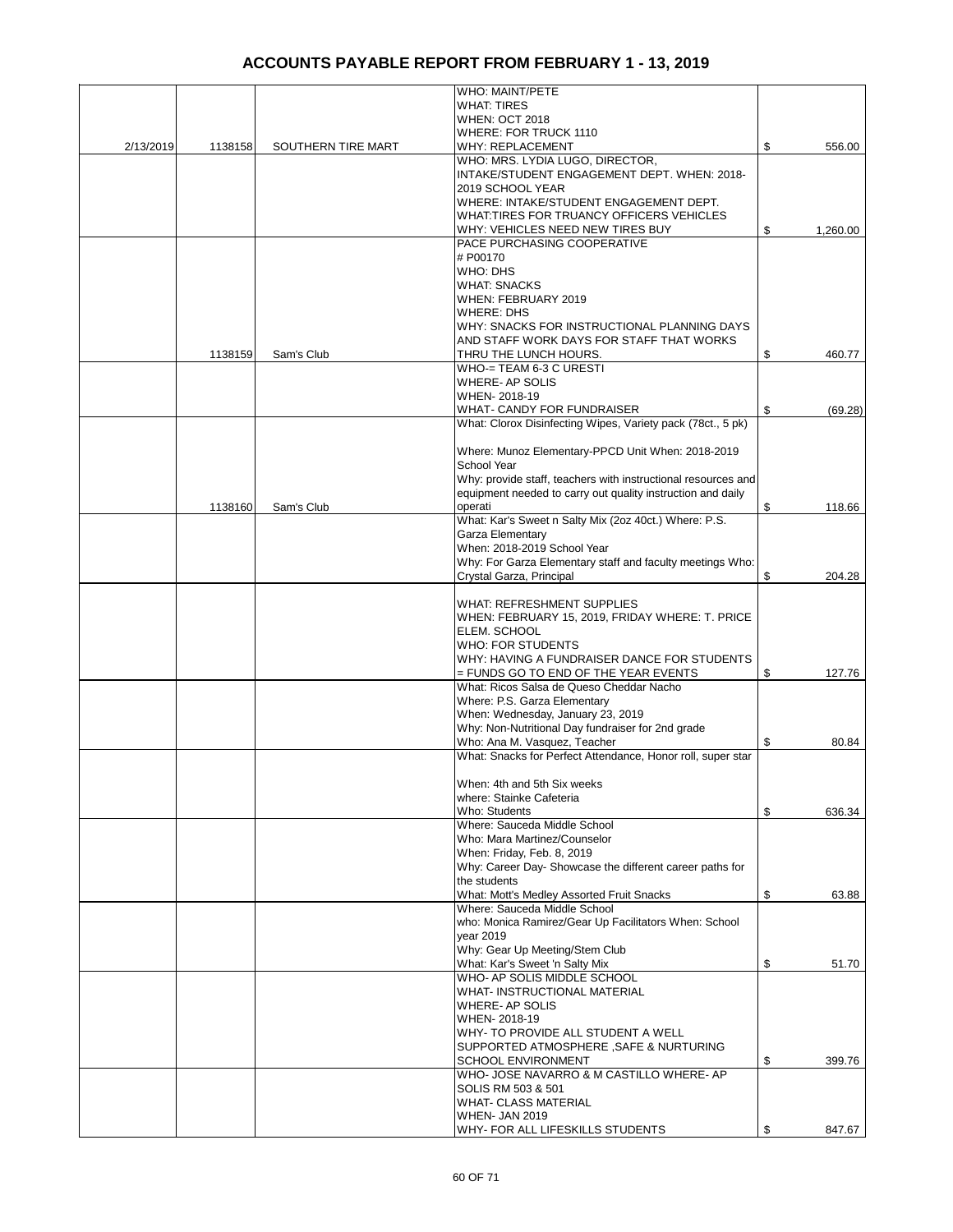|           |         |                    | <b>WHO: MAINT/PETE</b>                                        |                |
|-----------|---------|--------------------|---------------------------------------------------------------|----------------|
|           |         |                    | <b>WHAT: TIRES</b>                                            |                |
|           |         |                    | WHEN: OCT 2018                                                |                |
|           |         |                    | <b>WHERE: FOR TRUCK 1110</b>                                  |                |
| 2/13/2019 | 1138158 | SOUTHERN TIRE MART | <b>WHY: REPLACEMENT</b><br>WHO: MRS. LYDIA LUGO, DIRECTOR,    | \$<br>556.00   |
|           |         |                    | INTAKE/STUDENT ENGAGEMENT DEPT. WHEN: 2018-                   |                |
|           |         |                    | 2019 SCHOOL YEAR                                              |                |
|           |         |                    | WHERE: INTAKE/STUDENT ENGAGEMENT DEPT.                        |                |
|           |         |                    | WHAT:TIRES FOR TRUANCY OFFICERS VEHICLES                      |                |
|           |         |                    | WHY: VEHICLES NEED NEW TIRES BUY                              | \$<br>1,260.00 |
|           |         |                    | PACE PURCHASING COOPERATIVE                                   |                |
|           |         |                    | # P00170                                                      |                |
|           |         |                    | WHO: DHS                                                      |                |
|           |         |                    | <b>WHAT: SNACKS</b>                                           |                |
|           |         |                    | WHEN: FEBRUARY 2019                                           |                |
|           |         |                    | WHERE: DHS                                                    |                |
|           |         |                    | WHY: SNACKS FOR INSTRUCTIONAL PLANNING DAYS                   |                |
|           |         |                    | AND STAFF WORK DAYS FOR STAFF THAT WORKS                      |                |
|           | 1138159 | Sam's Club         | THRU THE LUNCH HOURS.                                         | \$<br>460.77   |
|           |         |                    | WHO-= TEAM 6-3 C URESTI                                       |                |
|           |         |                    | WHERE- AP SOLIS                                               |                |
|           |         |                    | WHEN-2018-19                                                  |                |
|           |         |                    | <b>WHAT- CANDY FOR FUNDRAISER</b>                             | \$<br>(69.28)  |
|           |         |                    | What: Clorox Disinfecting Wipes, Variety pack (78ct., 5 pk)   |                |
|           |         |                    |                                                               |                |
|           |         |                    | Where: Munoz Elementary-PPCD Unit When: 2018-2019             |                |
|           |         |                    | School Year                                                   |                |
|           |         |                    | Why: provide staff, teachers with instructional resources and |                |
|           |         |                    | equipment needed to carry out quality instruction and daily   |                |
|           | 1138160 | Sam's Club         | operati                                                       | \$<br>118.66   |
|           |         |                    | What: Kar's Sweet n Salty Mix (2oz 40ct.) Where: P.S.         |                |
|           |         |                    | Garza Elementary                                              |                |
|           |         |                    | When: 2018-2019 School Year                                   |                |
|           |         |                    | Why: For Garza Elementary staff and faculty meetings Who:     |                |
|           |         |                    | Crystal Garza, Principal                                      | \$<br>204.28   |
|           |         |                    |                                                               |                |
|           |         |                    | <b>WHAT: REFRESHMENT SUPPLIES</b>                             |                |
|           |         |                    | WHEN: FEBRUARY 15, 2019, FRIDAY WHERE: T. PRICE               |                |
|           |         |                    | ELEM. SCHOOL<br><b>WHO: FOR STUDENTS</b>                      |                |
|           |         |                    | WHY: HAVING A FUNDRAISER DANCE FOR STUDENTS                   |                |
|           |         |                    | = FUNDS GO TO END OF THE YEAR EVENTS                          | \$<br>127.76   |
|           |         |                    | What: Ricos Salsa de Queso Cheddar Nacho                      |                |
|           |         |                    | Where: P.S. Garza Elementary                                  |                |
|           |         |                    | When: Wednesday, January 23, 2019                             |                |
|           |         |                    | Why: Non-Nutritional Day fundraiser for 2nd grade             |                |
|           |         |                    | Who: Ana M. Vasquez, Teacher                                  | \$<br>80.84    |
|           |         |                    | What: Snacks for Perfect Attendance, Honor roll, super star   |                |
|           |         |                    |                                                               |                |
|           |         |                    | When: 4th and 5th Six weeks                                   |                |
|           |         |                    | where: Stainke Cafeteria                                      |                |
|           |         |                    | Who: Students                                                 | \$<br>636.34   |
|           |         |                    | Where: Sauceda Middle School                                  |                |
|           |         |                    | Who: Mara Martinez/Counselor                                  |                |
|           |         |                    | When: Friday, Feb. 8, 2019                                    |                |
|           |         |                    | Why: Career Day- Showcase the different career paths for      |                |
|           |         |                    | the students                                                  |                |
|           |         |                    | What: Mott's Medley Assorted Fruit Snacks                     | \$<br>63.88    |
|           |         |                    | Where: Sauceda Middle School                                  |                |
|           |         |                    | who: Monica Ramirez/Gear Up Facilitators When: School         |                |
|           |         |                    | vear 2019                                                     |                |
|           |         |                    | Why: Gear Up Meeting/Stem Club                                |                |
|           |         |                    | What: Kar's Sweet 'n Salty Mix                                | \$<br>51.70    |
|           |         |                    | WHO- AP SOLIS MIDDLE SCHOOL                                   |                |
|           |         |                    | WHAT- INSTRUCTIONAL MATERIAL                                  |                |
|           |         |                    | WHERE- AP SOLIS                                               |                |
|           |         |                    | WHEN-2018-19<br>WHY- TO PROVIDE ALL STUDENT A WELL            |                |
|           |         |                    | SUPPORTED ATMOSPHERE, SAFE & NURTURING                        |                |
|           |         |                    | <b>SCHOOL ENVIRONMENT</b>                                     | \$<br>399.76   |
|           |         |                    | WHO- JOSE NAVARRO & M CASTILLO WHERE- AP                      |                |
|           |         |                    | SOLIS RM 503 & 501                                            |                |
|           |         |                    | <b>WHAT- CLASS MATERIAL</b>                                   |                |
|           |         |                    | <b>WHEN- JAN 2019</b>                                         |                |
|           |         |                    | WHY- FOR ALL LIFESKILLS STUDENTS                              | \$<br>847.67   |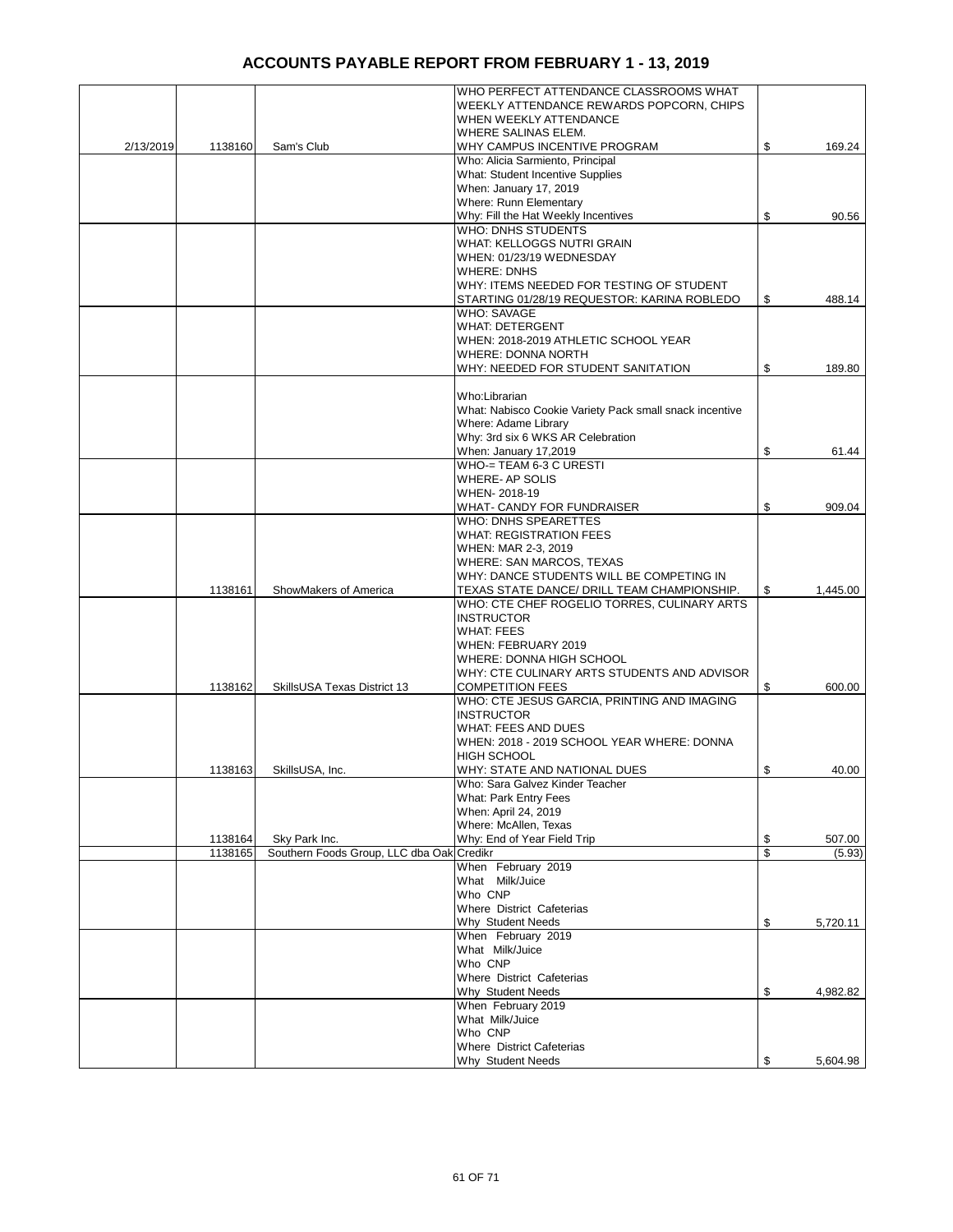|           |         |                                           | WHO PERFECT ATTENDANCE CLASSROOMS WHAT                  |                |
|-----------|---------|-------------------------------------------|---------------------------------------------------------|----------------|
|           |         |                                           | WEEKLY ATTENDANCE REWARDS POPCORN, CHIPS                |                |
|           |         |                                           | WHEN WEEKLY ATTENDANCE                                  |                |
|           |         |                                           | WHERE SALINAS ELEM.                                     |                |
| 2/13/2019 | 1138160 | Sam's Club                                | WHY CAMPUS INCENTIVE PROGRAM                            | \$<br>169.24   |
|           |         |                                           | Who: Alicia Sarmiento, Principal                        |                |
|           |         |                                           | What: Student Incentive Supplies                        |                |
|           |         |                                           | When: January 17, 2019                                  |                |
|           |         |                                           | Where: Runn Elementary                                  |                |
|           |         |                                           | Why: Fill the Hat Weekly Incentives                     | \$<br>90.56    |
|           |         |                                           | WHO: DNHS STUDENTS                                      |                |
|           |         |                                           | WHAT: KELLOGGS NUTRI GRAIN                              |                |
|           |         |                                           | WHEN: 01/23/19 WEDNESDAY                                |                |
|           |         |                                           | <b>WHERE: DNHS</b>                                      |                |
|           |         |                                           | WHY: ITEMS NEEDED FOR TESTING OF STUDENT                |                |
|           |         |                                           | STARTING 01/28/19 REQUESTOR: KARINA ROBLEDO             | \$<br>488.14   |
|           |         |                                           | <b>WHO: SAVAGE</b>                                      |                |
|           |         |                                           | <b>WHAT: DETERGENT</b>                                  |                |
|           |         |                                           | WHEN: 2018-2019 ATHLETIC SCHOOL YEAR                    |                |
|           |         |                                           | <b>WHERE: DONNA NORTH</b>                               |                |
|           |         |                                           | WHY: NEEDED FOR STUDENT SANITATION                      | \$<br>189.80   |
|           |         |                                           |                                                         |                |
|           |         |                                           | Who:Librarian                                           |                |
|           |         |                                           | What: Nabisco Cookie Variety Pack small snack incentive |                |
|           |         |                                           | Where: Adame Library                                    |                |
|           |         |                                           | Why: 3rd six 6 WKS AR Celebration                       |                |
|           |         |                                           | When: January 17,2019                                   | \$<br>61.44    |
|           |         |                                           | WHO-= TEAM 6-3 C URESTI                                 |                |
|           |         |                                           |                                                         |                |
|           |         |                                           | WHERE- AP SOLIS                                         |                |
|           |         |                                           | WHEN-2018-19                                            |                |
|           |         |                                           | WHAT- CANDY FOR FUNDRAISER                              | \$<br>909.04   |
|           |         |                                           | WHO: DNHS SPEARETTES                                    |                |
|           |         |                                           | <b>WHAT: REGISTRATION FEES</b>                          |                |
|           |         |                                           | WHEN: MAR 2-3, 2019                                     |                |
|           |         |                                           | WHERE: SAN MARCOS, TEXAS                                |                |
|           |         |                                           | WHY: DANCE STUDENTS WILL BE COMPETING IN                |                |
|           | 1138161 | ShowMakers of America                     | TEXAS STATE DANCE/ DRILL TEAM CHAMPIONSHIP.             | \$<br>1,445.00 |
|           |         |                                           | WHO: CTE CHEF ROGELIO TORRES, CULINARY ARTS             |                |
|           |         |                                           | <b>INSTRUCTOR</b>                                       |                |
|           |         |                                           | <b>WHAT: FEES</b>                                       |                |
|           |         |                                           | WHEN: FEBRUARY 2019                                     |                |
|           |         |                                           | WHERE: DONNA HIGH SCHOOL                                |                |
|           |         |                                           | WHY: CTE CULINARY ARTS STUDENTS AND ADVISOR             |                |
|           | 1138162 | SkillsUSA Texas District 13               | <b>COMPETITION FEES</b>                                 | \$<br>600.00   |
|           |         |                                           | WHO: CTE JESUS GARCIA, PRINTING AND IMAGING             |                |
|           |         |                                           | <b>INSTRUCTOR</b>                                       |                |
|           |         |                                           |                                                         |                |
|           |         |                                           | WHAT: FEES AND DUES                                     |                |
|           |         |                                           | WHEN: 2018 - 2019 SCHOOL YEAR WHERE: DONNA              |                |
|           |         |                                           | <b>HIGH SCHOOL</b>                                      |                |
|           | 1138163 | SkillsUSA, Inc.                           | WHY: STATE AND NATIONAL DUES                            | \$<br>40.00    |
|           |         |                                           | Who: Sara Galvez Kinder Teacher                         |                |
|           |         |                                           | What: Park Entry Fees                                   |                |
|           |         |                                           | When: April 24, 2019                                    |                |
|           |         |                                           | Where: McAllen, Texas                                   |                |
|           | 1138164 | Sky Park Inc.                             | Why: End of Year Field Trip                             | \$<br>507.00   |
|           | 1138165 | Southern Foods Group, LLC dba Oak Credikr |                                                         | \$<br>(5.93)   |
|           |         |                                           | When February 2019                                      |                |
|           |         |                                           | What Milk/Juice                                         |                |
|           |         |                                           | Who CNP                                                 |                |
|           |         |                                           | Where District Cafeterias                               |                |
|           |         |                                           | Why Student Needs                                       | \$<br>5,720.11 |
|           |         |                                           | When February 2019                                      |                |
|           |         |                                           | What Milk/Juice                                         |                |
|           |         |                                           | Who CNP                                                 |                |
|           |         |                                           | Where District Cafeterias                               |                |
|           |         |                                           | Why Student Needs                                       | \$<br>4,982.82 |
|           |         |                                           | When February 2019                                      |                |
|           |         |                                           | What Milk/Juice                                         |                |
|           |         |                                           | Who CNP                                                 |                |
|           |         |                                           | Where District Cafeterias                               |                |
|           |         |                                           | Why Student Needs                                       | \$<br>5,604.98 |
|           |         |                                           |                                                         |                |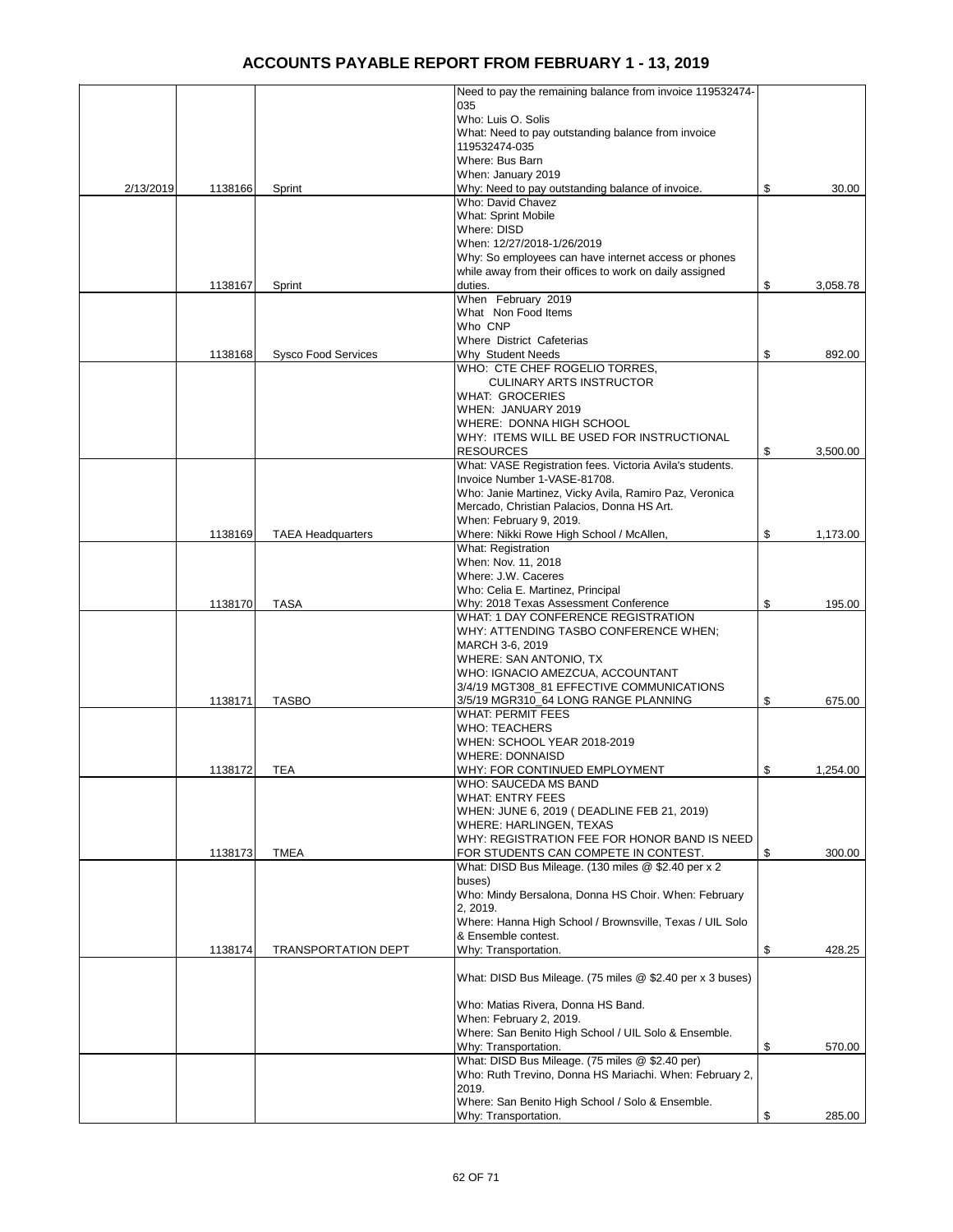|           |         |                            | Need to pay the remaining balance from invoice 119532474-                    |                |
|-----------|---------|----------------------------|------------------------------------------------------------------------------|----------------|
|           |         |                            | 035                                                                          |                |
|           |         |                            | Who: Luis O. Solis                                                           |                |
|           |         |                            | What: Need to pay outstanding balance from invoice<br>119532474-035          |                |
|           |         |                            | Where: Bus Barn                                                              |                |
|           |         |                            | When: January 2019                                                           |                |
| 2/13/2019 | 1138166 | Sprint                     | Why: Need to pay outstanding balance of invoice.                             | \$<br>30.00    |
|           |         |                            | Who: David Chavez                                                            |                |
|           |         |                            | <b>What: Sprint Mobile</b>                                                   |                |
|           |         |                            | Where: DISD                                                                  |                |
|           |         |                            | When: 12/27/2018-1/26/2019                                                   |                |
|           |         |                            | Why: So employees can have internet access or phones                         |                |
|           | 1138167 | Sprint                     | while away from their offices to work on daily assigned<br>duties.           | \$<br>3,058.78 |
|           |         |                            | When February 2019                                                           |                |
|           |         |                            | What Non Food Items                                                          |                |
|           |         |                            | Who CNP                                                                      |                |
|           |         |                            | <b>Where District Cafeterias</b>                                             |                |
|           | 1138168 | <b>Sysco Food Services</b> | Why Student Needs                                                            | \$<br>892.00   |
|           |         |                            | WHO: CTE CHEF ROGELIO TORRES,                                                |                |
|           |         |                            | <b>CULINARY ARTS INSTRUCTOR</b>                                              |                |
|           |         |                            | WHAT: GROCERIES                                                              |                |
|           |         |                            | WHEN: JANUARY 2019<br><b>WHERE: DONNA HIGH SCHOOL</b>                        |                |
|           |         |                            | WHY: ITEMS WILL BE USED FOR INSTRUCTIONAL                                    |                |
|           |         |                            | RESOURCES                                                                    | \$<br>3,500.00 |
|           |         |                            | What: VASE Registration fees. Victoria Avila's students.                     |                |
|           |         |                            | Invoice Number 1-VASE-81708.                                                 |                |
|           |         |                            | Who: Janie Martinez, Vicky Avila, Ramiro Paz, Veronica                       |                |
|           |         |                            | Mercado, Christian Palacios, Donna HS Art.                                   |                |
|           |         |                            | When: February 9, 2019.                                                      |                |
|           | 1138169 | <b>TAEA Headquarters</b>   | Where: Nikki Rowe High School / McAllen,                                     | \$<br>1,173.00 |
|           |         |                            | What: Registration                                                           |                |
|           |         |                            | When: Nov. 11, 2018                                                          |                |
|           |         |                            | Where: J.W. Caceres                                                          |                |
|           | 1138170 | <b>TASA</b>                | Who: Celia E. Martinez, Principal                                            | \$<br>195.00   |
|           |         |                            | Why: 2018 Texas Assessment Conference<br>WHAT: 1 DAY CONFERENCE REGISTRATION |                |
|           |         |                            | WHY: ATTENDING TASBO CONFERENCE WHEN;                                        |                |
|           |         |                            | MARCH 3-6, 2019                                                              |                |
|           |         |                            | WHERE: SAN ANTONIO, TX                                                       |                |
|           |         |                            | WHO: IGNACIO AMEZCUA, ACCOUNTANT                                             |                |
|           |         |                            | 3/4/19 MGT308_81 EFFECTIVE COMMUNICATIONS                                    |                |
|           | 1138171 | <b>TASBO</b>               | 3/5/19 MGR310_64 LONG RANGE PLANNING                                         | \$<br>675.00   |
|           |         |                            | WHAT: PERMIT FEES                                                            |                |
|           |         |                            | WHO: TEACHERS                                                                |                |
|           |         |                            | WHEN: SCHOOL YEAR 2018-2019                                                  |                |
|           | 1138172 | TEA                        | WHERE: DONNAISD<br>WHY: FOR CONTINUED EMPLOYMENT                             | \$<br>1,254.00 |
|           |         |                            | WHO: SAUCEDA MS BAND                                                         |                |
|           |         |                            | WHAT: ENTRY FEES                                                             |                |
|           |         |                            | WHEN: JUNE 6, 2019 ( DEADLINE FEB 21, 2019)                                  |                |
|           |         |                            | WHERE: HARLINGEN, TEXAS                                                      |                |
|           |         |                            | WHY: REGISTRATION FEE FOR HONOR BAND IS NEED                                 |                |
|           | 1138173 | <b>TMEA</b>                | FOR STUDENTS CAN COMPETE IN CONTEST.                                         | \$<br>300.00   |
|           |         |                            | What: DISD Bus Mileage. (130 miles @ \$2.40 per x 2                          |                |
|           |         |                            | buses)                                                                       |                |
|           |         |                            | Who: Mindy Bersalona, Donna HS Choir. When: February<br>2, 2019.             |                |
|           |         |                            | Where: Hanna High School / Brownsville, Texas / UIL Solo                     |                |
|           |         |                            | & Ensemble contest.                                                          |                |
|           | 1138174 | <b>TRANSPORTATION DEPT</b> | Why: Transportation.                                                         | \$<br>428.25   |
|           |         |                            |                                                                              |                |
|           |         |                            | What: DISD Bus Mileage. (75 miles @ \$2.40 per x 3 buses)                    |                |
|           |         |                            |                                                                              |                |
|           |         |                            | Who: Matias Rivera, Donna HS Band.                                           |                |
|           |         |                            | When: February 2, 2019.                                                      |                |
|           |         |                            | Where: San Benito High School / UIL Solo & Ensemble.                         |                |
|           |         |                            | Why: Transportation.<br>What: DISD Bus Mileage. (75 miles @ \$2.40 per)      | \$<br>570.00   |
|           |         |                            | Who: Ruth Trevino, Donna HS Mariachi. When: February 2,                      |                |
|           |         |                            | 2019.                                                                        |                |
|           |         |                            | Where: San Benito High School / Solo & Ensemble.                             |                |
|           |         |                            | Why: Transportation.                                                         | \$<br>285.00   |
|           |         |                            |                                                                              |                |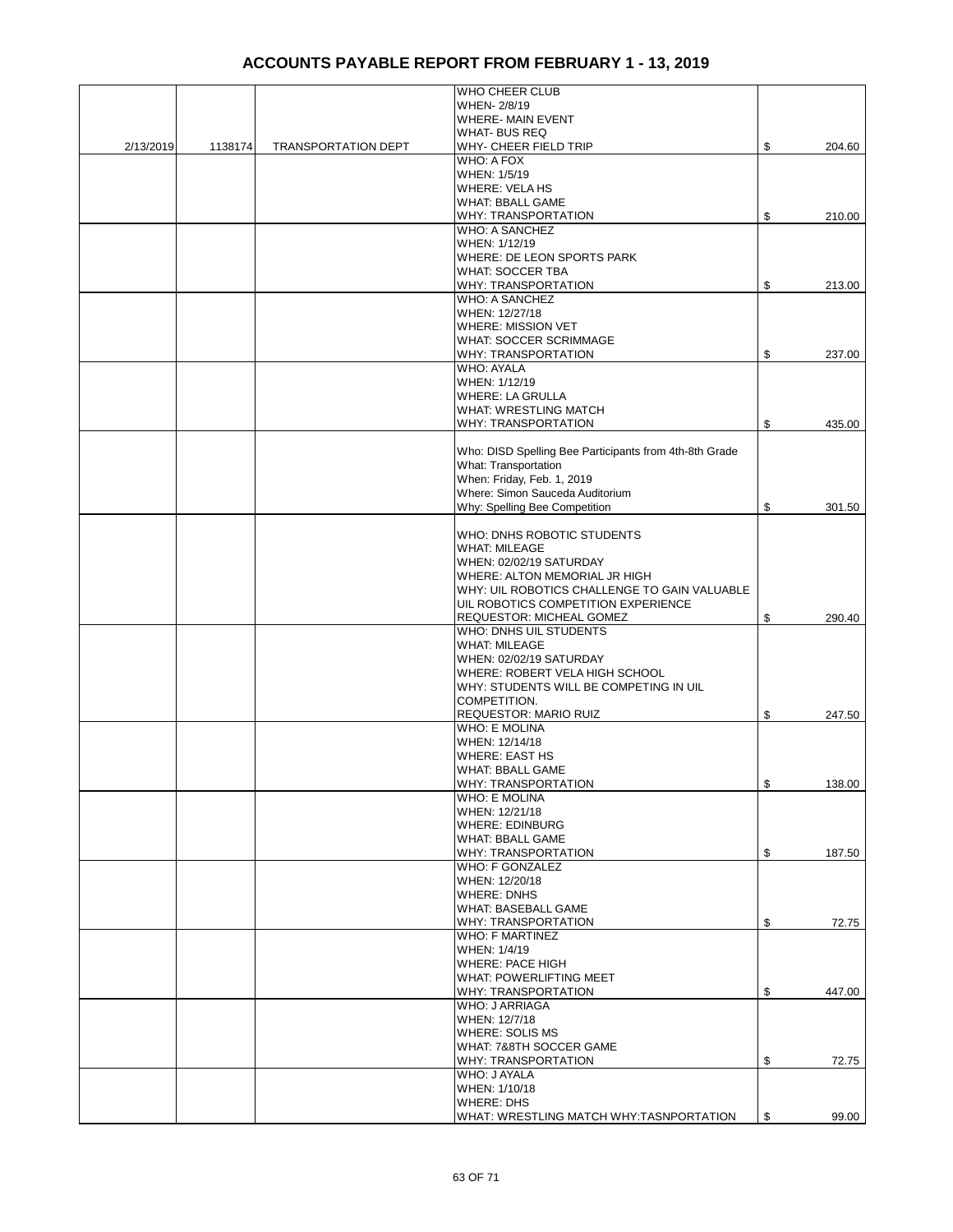|           |         |                            | WHO CHEER CLUB                                                  |              |
|-----------|---------|----------------------------|-----------------------------------------------------------------|--------------|
|           |         |                            | WHEN- 2/8/19                                                    |              |
|           |         |                            | <b>WHERE- MAIN EVENT</b>                                        |              |
|           |         |                            | <b>WHAT-BUS REQ</b>                                             |              |
| 2/13/2019 | 1138174 | <b>TRANSPORTATION DEPT</b> | WHY- CHEER FIELD TRIP                                           | \$<br>204.60 |
|           |         |                            | WHO: A FOX                                                      |              |
|           |         |                            | WHEN: 1/5/19                                                    |              |
|           |         |                            | WHERE: VELA HS                                                  |              |
|           |         |                            | <b>WHAT: BBALL GAME</b>                                         |              |
|           |         |                            | WHY: TRANSPORTATION<br><b>WHO: A SANCHEZ</b>                    | \$<br>210.00 |
|           |         |                            | WHEN: 1/12/19                                                   |              |
|           |         |                            | WHERE: DE LEON SPORTS PARK                                      |              |
|           |         |                            | <b>WHAT: SOCCER TBA</b>                                         |              |
|           |         |                            | <b>WHY: TRANSPORTATION</b>                                      | \$<br>213.00 |
|           |         |                            | <b>WHO: A SANCHEZ</b>                                           |              |
|           |         |                            | WHEN: 12/27/18                                                  |              |
|           |         |                            | WHERE: MISSION VET                                              |              |
|           |         |                            | <b>WHAT: SOCCER SCRIMMAGE</b>                                   |              |
|           |         |                            | WHY: TRANSPORTATION<br><b>WHO: AYALA</b>                        | \$<br>237.00 |
|           |         |                            | WHEN: 1/12/19                                                   |              |
|           |         |                            | <b>WHERE: LA GRULLA</b>                                         |              |
|           |         |                            | <b>WHAT: WRESTLING MATCH</b>                                    |              |
|           |         |                            | <b>WHY: TRANSPORTATION</b>                                      | \$<br>435.00 |
|           |         |                            |                                                                 |              |
|           |         |                            | Who: DISD Spelling Bee Participants from 4th-8th Grade          |              |
|           |         |                            | What: Transportation                                            |              |
|           |         |                            | When: Friday, Feb. 1, 2019<br>Where: Simon Sauceda Auditorium   |              |
|           |         |                            | Why: Spelling Bee Competition                                   | \$<br>301.50 |
|           |         |                            |                                                                 |              |
|           |         |                            | WHO: DNHS ROBOTIC STUDENTS                                      |              |
|           |         |                            | <b>WHAT: MILEAGE</b>                                            |              |
|           |         |                            | WHEN: 02/02/19 SATURDAY                                         |              |
|           |         |                            | WHERE: ALTON MEMORIAL JR HIGH                                   |              |
|           |         |                            | WHY: UIL ROBOTICS CHALLENGE TO GAIN VALUABLE                    |              |
|           |         |                            | UIL ROBOTICS COMPETITION EXPERIENCE<br>REQUESTOR: MICHEAL GOMEZ | \$<br>290.40 |
|           |         |                            | WHO: DNHS UIL STUDENTS                                          |              |
|           |         |                            | <b>WHAT: MILEAGE</b>                                            |              |
|           |         |                            | WHEN: 02/02/19 SATURDAY                                         |              |
|           |         |                            | WHERE: ROBERT VELA HIGH SCHOOL                                  |              |
|           |         |                            | WHY: STUDENTS WILL BE COMPETING IN UIL                          |              |
|           |         |                            | COMPETITION.                                                    |              |
|           |         |                            | REQUESTOR: MARIO RUIZ<br><b>WHO: E MOLINA</b>                   | \$<br>247.50 |
|           |         |                            | WHEN: 12/14/18                                                  |              |
|           |         |                            | <b>WHERE: EAST HS</b>                                           |              |
|           |         |                            | <b>WHAT: BBALL GAME</b>                                         |              |
|           |         |                            | WHY: TRANSPORTATION                                             | \$<br>138.00 |
|           |         |                            | <b>WHO: E MOLINA</b>                                            |              |
|           |         |                            | WHEN: 12/21/18                                                  |              |
|           |         |                            | <b>WHERE: EDINBURG</b>                                          |              |
|           |         |                            | <b>WHAT: BBALL GAME</b><br>WHY: TRANSPORTATION                  | \$<br>187.50 |
|           |         |                            | <b>WHO: F GONZALEZ</b>                                          |              |
|           |         |                            | WHEN: 12/20/18                                                  |              |
|           |         |                            | <b>WHERE: DNHS</b>                                              |              |
|           |         |                            | <b>WHAT: BASEBALL GAME</b>                                      |              |
|           |         |                            | WHY: TRANSPORTATION                                             | \$<br>72.75  |
|           |         |                            | <b>WHO: F MARTINEZ</b>                                          |              |
|           |         |                            | WHEN: 1/4/19<br>WHERE: PACE HIGH                                |              |
|           |         |                            | WHAT: POWERLIFTING MEET                                         |              |
|           |         |                            | WHY: TRANSPORTATION                                             | \$<br>447.00 |
|           |         |                            | WHO: J ARRIAGA                                                  |              |
|           |         |                            | WHEN: 12/7/18                                                   |              |
|           |         |                            | <b>WHERE: SOLIS MS</b>                                          |              |
|           |         |                            | WHAT: 7&8TH SOCCER GAME                                         |              |
|           |         |                            | <b>WHY: TRANSPORTATION</b>                                      | \$<br>72.75  |
|           |         |                            | WHO: J AYALA<br>WHEN: 1/10/18                                   |              |
|           |         |                            | <b>WHERE: DHS</b>                                               |              |
|           |         |                            | WHAT: WRESTLING MATCH WHY:TASNPORTATION                         | \$<br>99.00  |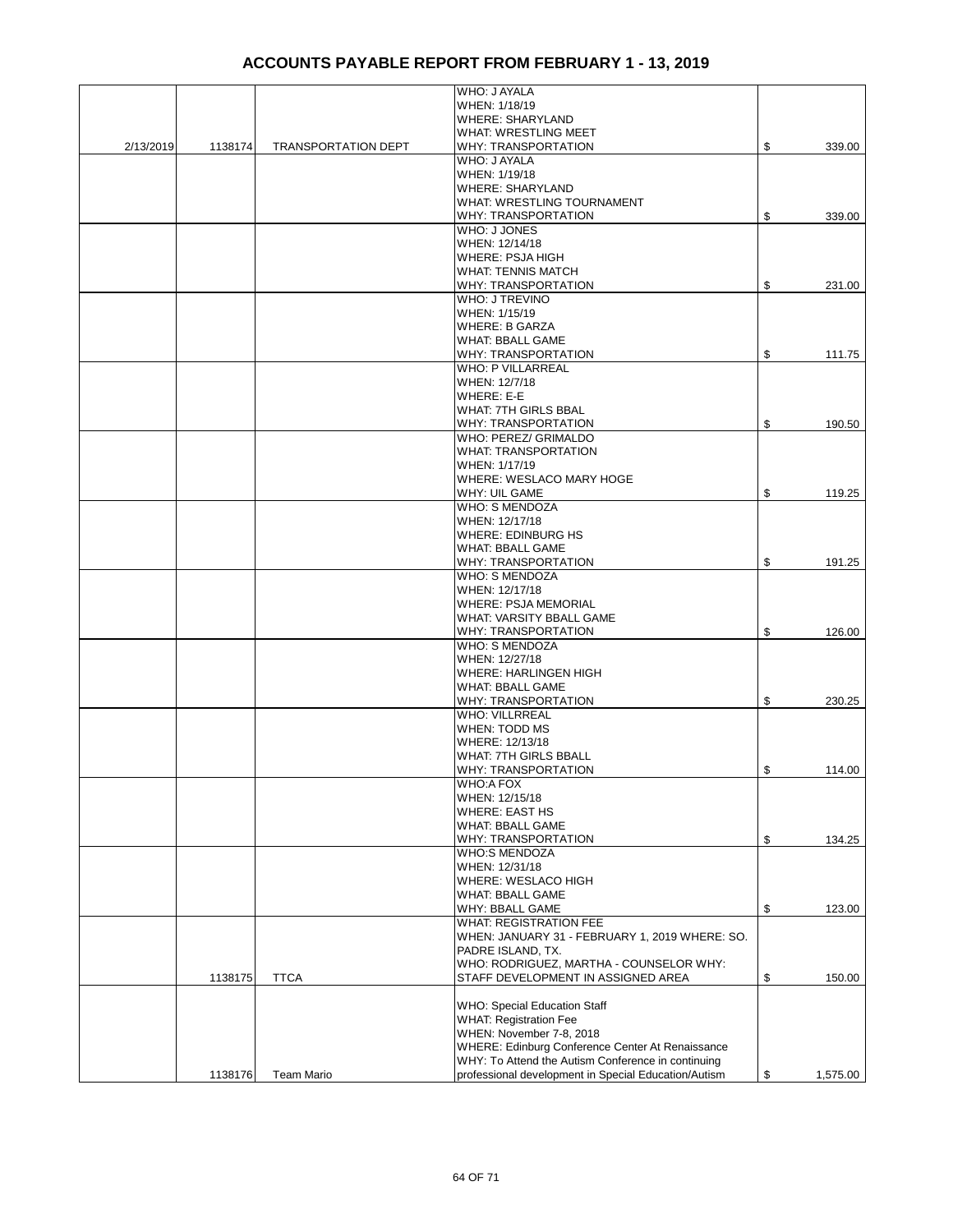|           |         |                            | WHO: J AYALA                                         |                |
|-----------|---------|----------------------------|------------------------------------------------------|----------------|
|           |         |                            | WHEN: 1/18/19                                        |                |
|           |         |                            | <b>WHERE: SHARYLAND</b>                              |                |
|           |         |                            | <b>WHAT: WRESTLING MEET</b>                          |                |
| 2/13/2019 | 1138174 | <b>TRANSPORTATION DEPT</b> | WHY: TRANSPORTATION                                  | \$<br>339.00   |
|           |         |                            | WHO: J AYALA                                         |                |
|           |         |                            | WHEN: 1/19/18                                        |                |
|           |         |                            | <b>WHERE: SHARYLAND</b>                              |                |
|           |         |                            | WHAT: WRESTLING TOURNAMENT                           |                |
|           |         |                            | WHY: TRANSPORTATION                                  | \$<br>339.00   |
|           |         |                            | WHO: J JONES                                         |                |
|           |         |                            | WHEN: 12/14/18                                       |                |
|           |         |                            | <b>WHERE: PSJA HIGH</b>                              |                |
|           |         |                            | <b>WHAT: TENNIS MATCH</b>                            |                |
|           |         |                            | WHY: TRANSPORTATION                                  | \$<br>231.00   |
|           |         |                            | <b>WHO: J TREVINO</b>                                |                |
|           |         |                            | WHEN: 1/15/19                                        |                |
|           |         |                            | WHERE: B GARZA                                       |                |
|           |         |                            | <b>WHAT: BBALL GAME</b>                              |                |
|           |         |                            | WHY: TRANSPORTATION                                  | \$<br>111.75   |
|           |         |                            | <b>WHO: P VILLARREAL</b><br>WHEN: 12/7/18            |                |
|           |         |                            | WHERE: E-E                                           |                |
|           |         |                            |                                                      |                |
|           |         |                            | WHAT: 7TH GIRLS BBAL<br>WHY: TRANSPORTATION          |                |
|           |         |                            |                                                      | \$<br>190.50   |
|           |         |                            | WHO: PEREZ/ GRIMALDO<br><b>WHAT: TRANSPORTATION</b>  |                |
|           |         |                            | WHEN: 1/17/19                                        |                |
|           |         |                            | <b>WHERE: WESLACO MARY HOGE</b>                      |                |
|           |         |                            | <b>WHY: UIL GAME</b>                                 | \$<br>119.25   |
|           |         |                            | <b>WHO: S MENDOZA</b>                                |                |
|           |         |                            | WHEN: 12/17/18                                       |                |
|           |         |                            | WHERE: EDINBURG HS                                   |                |
|           |         |                            | <b>WHAT: BBALL GAME</b>                              |                |
|           |         |                            | WHY: TRANSPORTATION                                  | \$<br>191.25   |
|           |         |                            | <b>WHO: S MENDOZA</b>                                |                |
|           |         |                            | WHEN: 12/17/18                                       |                |
|           |         |                            | <b>WHERE: PSJA MEMORIAL</b>                          |                |
|           |         |                            | <b>WHAT: VARSITY BBALL GAME</b>                      |                |
|           |         |                            | WHY: TRANSPORTATION                                  | \$<br>126.00   |
|           |         |                            | WHO: S MENDOZA                                       |                |
|           |         |                            | WHEN: 12/27/18                                       |                |
|           |         |                            | <b>WHERE: HARLINGEN HIGH</b>                         |                |
|           |         |                            | <b>WHAT: BBALL GAME</b>                              |                |
|           |         |                            | <b>WHY: TRANSPORTATION</b>                           | \$<br>230.25   |
|           |         |                            | <b>WHO: VILLRREAL</b>                                |                |
|           |         |                            | WHEN: TODD MS                                        |                |
|           |         |                            | WHERE: 12/13/18                                      |                |
|           |         |                            | <b>WHAT: 7TH GIRLS BBALL</b>                         |                |
|           |         |                            | <b>WHY: TRANSPORTATION</b>                           | \$<br>114.00   |
|           |         |                            | WHO:A FOX                                            |                |
|           |         |                            | WHEN: 12/15/18                                       |                |
|           |         |                            | <b>WHERE: EAST HS</b>                                |                |
|           |         |                            | <b>WHAT: BBALL GAME</b>                              |                |
|           |         |                            | WHY: TRANSPORTATION                                  | \$<br>134.25   |
|           |         |                            | <b>WHO:S MENDOZA</b>                                 |                |
|           |         |                            | WHEN: 12/31/18                                       |                |
|           |         |                            | <b>WHERE: WESLACO HIGH</b>                           |                |
|           |         |                            | <b>WHAT: BBALL GAME</b>                              |                |
|           |         |                            | WHY: BBALL GAME                                      | \$<br>123.00   |
|           |         |                            | <b>WHAT: REGISTRATION FEE</b>                        |                |
|           |         |                            | WHEN: JANUARY 31 - FEBRUARY 1, 2019 WHERE: SO.       |                |
|           |         |                            | PADRE ISLAND, TX.                                    |                |
|           |         |                            | WHO: RODRIGUEZ, MARTHA - COUNSELOR WHY:              |                |
|           | 1138175 | <b>TTCA</b>                | STAFF DEVELOPMENT IN ASSIGNED AREA                   | \$<br>150.00   |
|           |         |                            |                                                      |                |
|           |         |                            | <b>WHO: Special Education Staff</b>                  |                |
|           |         |                            | <b>WHAT: Registration Fee</b>                        |                |
|           |         |                            | WHEN: November 7-8, 2018                             |                |
|           |         |                            | WHERE: Edinburg Conference Center At Renaissance     |                |
|           |         |                            | WHY: To Attend the Autism Conference in continuing   |                |
|           | 1138176 | <b>Team Mario</b>          | professional development in Special Education/Autism | \$<br>1,575.00 |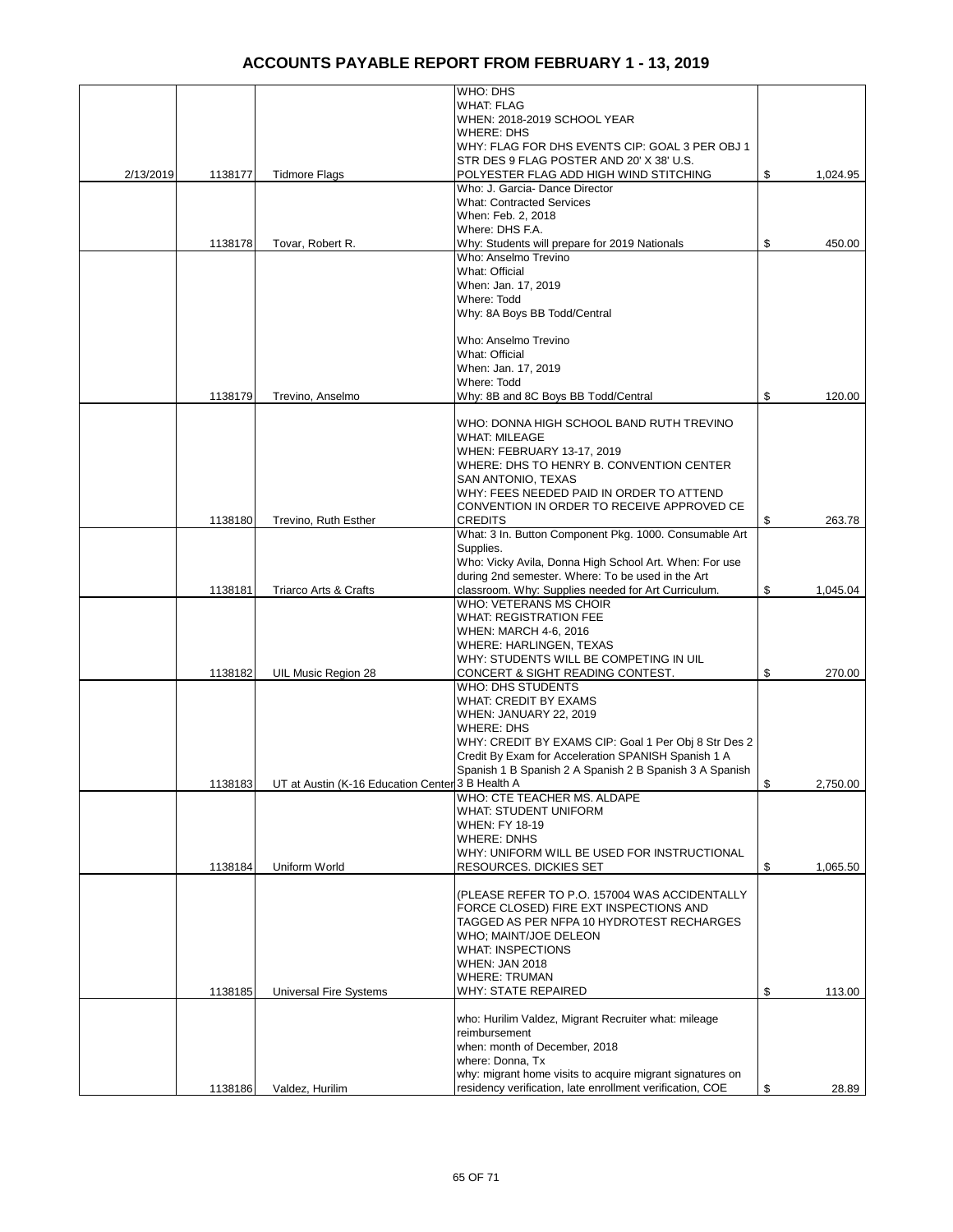|           |         |                                                  | WHO: DHS                                                  |                |
|-----------|---------|--------------------------------------------------|-----------------------------------------------------------|----------------|
|           |         |                                                  | <b>WHAT: FLAG</b>                                         |                |
|           |         |                                                  | WHEN: 2018-2019 SCHOOL YEAR                               |                |
|           |         |                                                  | <b>WHERE: DHS</b>                                         |                |
|           |         |                                                  | WHY: FLAG FOR DHS EVENTS CIP: GOAL 3 PER OBJ 1            |                |
|           |         |                                                  | STR DES 9 FLAG POSTER AND 20' X 38' U.S.                  |                |
| 2/13/2019 | 1138177 | <b>Tidmore Flags</b>                             | POLYESTER FLAG ADD HIGH WIND STITCHING                    | \$<br>1,024.95 |
|           |         |                                                  | Who: J. Garcia-Dance Director                             |                |
|           |         |                                                  | <b>What: Contracted Services</b>                          |                |
|           |         |                                                  | When: Feb. 2, 2018                                        |                |
|           |         |                                                  | Where: DHS F.A.                                           |                |
|           | 1138178 | Tovar, Robert R.                                 | Why: Students will prepare for 2019 Nationals             | \$<br>450.00   |
|           |         |                                                  | Who: Anselmo Trevino                                      |                |
|           |         |                                                  | What: Official                                            |                |
|           |         |                                                  | When: Jan. 17, 2019                                       |                |
|           |         |                                                  | Where: Todd                                               |                |
|           |         |                                                  | Why: 8A Boys BB Todd/Central                              |                |
|           |         |                                                  |                                                           |                |
|           |         |                                                  | Who: Anselmo Trevino                                      |                |
|           |         |                                                  | What: Official                                            |                |
|           |         |                                                  | When: Jan. 17, 2019                                       |                |
|           |         |                                                  | Where: Todd                                               |                |
|           | 1138179 | Trevino, Anselmo                                 | Why: 8B and 8C Boys BB Todd/Central                       | \$<br>120.00   |
|           |         |                                                  |                                                           |                |
|           |         |                                                  | WHO: DONNA HIGH SCHOOL BAND RUTH TREVINO                  |                |
|           |         |                                                  | <b>WHAT: MILEAGE</b>                                      |                |
|           |         |                                                  | WHEN: FEBRUARY 13-17, 2019                                |                |
|           |         |                                                  | WHERE: DHS TO HENRY B. CONVENTION CENTER                  |                |
|           |         |                                                  | SAN ANTONIO, TEXAS                                        |                |
|           |         |                                                  | WHY: FEES NEEDED PAID IN ORDER TO ATTEND                  |                |
|           |         |                                                  | CONVENTION IN ORDER TO RECEIVE APPROVED CE                |                |
|           | 1138180 | Trevino, Ruth Esther                             | <b>CREDITS</b>                                            | \$<br>263.78   |
|           |         |                                                  | What: 3 In. Button Component Pkg. 1000. Consumable Art    |                |
|           |         |                                                  | Supplies.                                                 |                |
|           |         |                                                  | Who: Vicky Avila, Donna High School Art. When: For use    |                |
|           |         |                                                  | during 2nd semester. Where: To be used in the Art         |                |
|           | 1138181 | Triarco Arts & Crafts                            | classroom. Why: Supplies needed for Art Curriculum.       | \$<br>1,045.04 |
|           |         |                                                  | WHO: VETERANS MS CHOIR                                    |                |
|           |         |                                                  | <b>WHAT: REGISTRATION FEE</b>                             |                |
|           |         |                                                  | <b>WHEN: MARCH 4-6, 2016</b>                              |                |
|           |         |                                                  | WHERE: HARLINGEN, TEXAS                                   |                |
|           |         |                                                  | WHY: STUDENTS WILL BE COMPETING IN UIL                    |                |
|           | 1138182 | UIL Music Region 28                              | CONCERT & SIGHT READING CONTEST.                          | \$<br>270.00   |
|           |         |                                                  | <b>WHO: DHS STUDENTS</b>                                  |                |
|           |         |                                                  | <b>WHAT: CREDIT BY EXAMS</b>                              |                |
|           |         |                                                  | WHEN: JANUARY 22, 2019                                    |                |
|           |         |                                                  | <b>WHERE: DHS</b>                                         |                |
|           |         |                                                  | WHY: CREDIT BY EXAMS CIP: Goal 1 Per Obj 8 Str Des 2      |                |
|           |         |                                                  | Credit By Exam for Acceleration SPANISH Spanish 1 A       |                |
|           |         |                                                  | Spanish 1 B Spanish 2 A Spanish 2 B Spanish 3 A Spanish   |                |
|           | 1138183 | UT at Austin (K-16 Education Center 3 B Health A |                                                           | \$<br>2,750.00 |
|           |         |                                                  | WHO: CTE TEACHER MS. ALDAPE                               |                |
|           |         |                                                  | <b>WHAT: STUDENT UNIFORM</b>                              |                |
|           |         |                                                  | <b>WHEN: FY 18-19</b>                                     |                |
|           |         |                                                  | <b>WHERE: DNHS</b>                                        |                |
|           |         |                                                  | WHY: UNIFORM WILL BE USED FOR INSTRUCTIONAL               |                |
|           | 1138184 | Uniform World                                    | RESOURCES. DICKIES SET                                    | \$<br>1,065.50 |
|           |         |                                                  |                                                           |                |
|           |         |                                                  | (PLEASE REFER TO P.O. 157004 WAS ACCIDENTALLY             |                |
|           |         |                                                  | FORCE CLOSED) FIRE EXT INSPECTIONS AND                    |                |
|           |         |                                                  | TAGGED AS PER NFPA 10 HYDROTEST RECHARGES                 |                |
|           |         |                                                  | WHO; MAINT/JOE DELEON                                     |                |
|           |         |                                                  | <b>WHAT: INSPECTIONS</b><br><b>WHEN: JAN 2018</b>         |                |
|           |         |                                                  |                                                           |                |
|           |         |                                                  | <b>WHERE: TRUMAN</b>                                      |                |
|           | 1138185 | <b>Universal Fire Systems</b>                    | <b>WHY: STATE REPAIRED</b>                                | \$<br>113.00   |
|           |         |                                                  | who: Hurilim Valdez, Migrant Recruiter what: mileage      |                |
|           |         |                                                  | reimbursement                                             |                |
|           |         |                                                  |                                                           |                |
|           |         |                                                  | when: month of December, 2018                             |                |
|           |         |                                                  | where: Donna, Tx                                          |                |
|           |         |                                                  | why: migrant home visits to acquire migrant signatures on |                |
|           | 1138186 | Valdez, Hurilim                                  | residency verification, late enrollment verification, COE | \$<br>28.89    |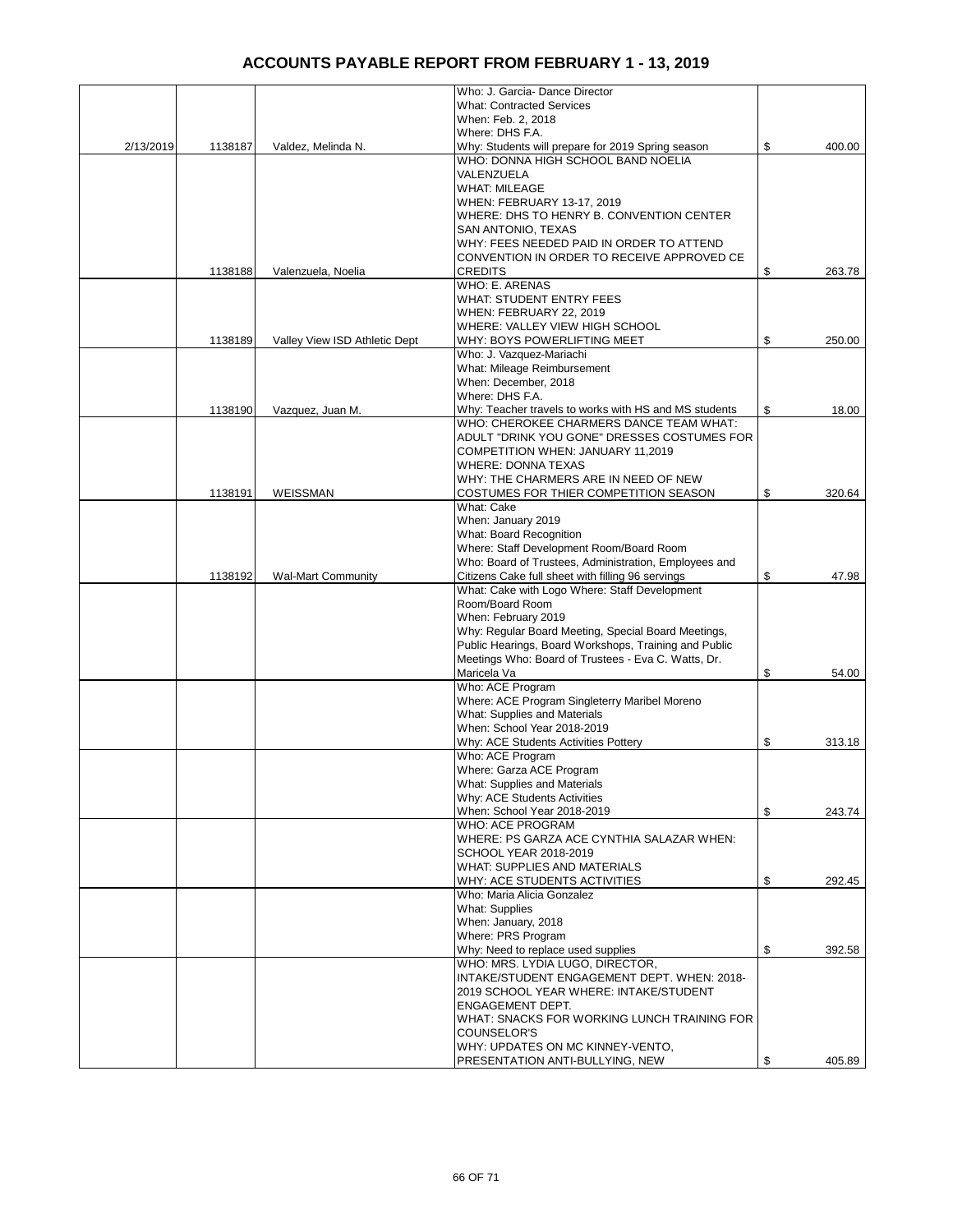|           |         |                               | Who: J. Garcia- Dance Director                                      |              |
|-----------|---------|-------------------------------|---------------------------------------------------------------------|--------------|
|           |         |                               | <b>What: Contracted Services</b>                                    |              |
|           |         |                               | When: Feb. 2, 2018                                                  |              |
|           |         |                               | Where: DHS F.A.                                                     |              |
| 2/13/2019 | 1138187 | Valdez, Melinda N.            | Why: Students will prepare for 2019 Spring season                   | \$<br>400.00 |
|           |         |                               | WHO: DONNA HIGH SCHOOL BAND NOELIA                                  |              |
|           |         |                               | VALENZUELA                                                          |              |
|           |         |                               | <b>WHAT: MILEAGE</b>                                                |              |
|           |         |                               | WHEN: FEBRUARY 13-17, 2019                                          |              |
|           |         |                               | WHERE: DHS TO HENRY B. CONVENTION CENTER                            |              |
|           |         |                               | SAN ANTONIO, TEXAS                                                  |              |
|           |         |                               | WHY: FEES NEEDED PAID IN ORDER TO ATTEND                            |              |
|           |         |                               | CONVENTION IN ORDER TO RECEIVE APPROVED CE                          |              |
|           | 1138188 | Valenzuela, Noelia            | <b>CREDITS</b>                                                      | \$<br>263.78 |
|           |         |                               | WHO: E. ARENAS                                                      |              |
|           |         |                               | <b>WHAT: STUDENT ENTRY FEES</b>                                     |              |
|           |         |                               | WHEN: FEBRUARY 22, 2019                                             |              |
|           |         |                               | WHERE: VALLEY VIEW HIGH SCHOOL                                      |              |
|           | 1138189 |                               | WHY: BOYS POWERLIFTING MEET                                         | \$<br>250.00 |
|           |         | Valley View ISD Athletic Dept |                                                                     |              |
|           |         |                               | Who: J. Vazquez-Mariachi                                            |              |
|           |         |                               | What: Mileage Reimbursement                                         |              |
|           |         |                               | When: December, 2018                                                |              |
|           |         |                               | Where: DHS F.A.                                                     |              |
|           | 1138190 | Vazquez, Juan M.              | Why: Teacher travels to works with HS and MS students               | \$<br>18.00  |
|           |         |                               | WHO: CHEROKEE CHARMERS DANCE TEAM WHAT:                             |              |
|           |         |                               | ADULT "DRINK YOU GONE" DRESSES COSTUMES FOR                         |              |
|           |         |                               | COMPETITION WHEN: JANUARY 11,2019                                   |              |
|           |         |                               | <b>WHERE: DONNA TEXAS</b>                                           |              |
|           |         |                               | WHY: THE CHARMERS ARE IN NEED OF NEW                                |              |
|           | 1138191 | WEISSMAN                      | COSTUMES FOR THIER COMPETITION SEASON                               | \$<br>320.64 |
|           |         |                               | What: Cake                                                          |              |
|           |         |                               | When: January 2019                                                  |              |
|           |         |                               | What: Board Recognition                                             |              |
|           |         |                               | Where: Staff Development Room/Board Room                            |              |
|           |         |                               | Who: Board of Trustees, Administration, Employees and               |              |
|           | 1138192 | <b>Wal-Mart Community</b>     | Citizens Cake full sheet with filling 96 servings                   | \$<br>47.98  |
|           |         |                               | What: Cake with Logo Where: Staff Development                       |              |
|           |         |                               | Room/Board Room                                                     |              |
|           |         |                               | When: February 2019                                                 |              |
|           |         |                               | Why: Regular Board Meeting, Special Board Meetings,                 |              |
|           |         |                               | Public Hearings, Board Workshops, Training and Public               |              |
|           |         |                               | Meetings Who: Board of Trustees - Eva C. Watts, Dr.                 |              |
|           |         |                               | Maricela Va<br>Who: ACE Program                                     | \$<br>54.00  |
|           |         |                               | Where: ACE Program Singleterry Maribel Moreno                       |              |
|           |         |                               | What: Supplies and Materials                                        |              |
|           |         |                               |                                                                     |              |
|           |         |                               | When: School Year 2018-2019<br>Why: ACE Students Activities Pottery |              |
|           |         |                               | Who: ACE Program                                                    | \$<br>313.18 |
|           |         |                               | Where: Garza ACE Program                                            |              |
|           |         |                               | What: Supplies and Materials                                        |              |
|           |         |                               | Why: ACE Students Activities                                        |              |
|           |         |                               | When: School Year 2018-2019                                         | \$<br>243.74 |
|           |         |                               | WHO: ACE PROGRAM                                                    |              |
|           |         |                               | WHERE: PS GARZA ACE CYNTHIA SALAZAR WHEN:                           |              |
|           |         |                               | SCHOOL YEAR 2018-2019                                               |              |
|           |         |                               | WHAT: SUPPLIES AND MATERIALS                                        |              |
|           |         |                               | WHY: ACE STUDENTS ACTIVITIES                                        | \$<br>292.45 |
|           |         |                               | Who: Maria Alicia Gonzalez                                          |              |
|           |         |                               | What: Supplies                                                      |              |
|           |         |                               | When: January, 2018                                                 |              |
|           |         |                               | Where: PRS Program                                                  |              |
|           |         |                               | Why: Need to replace used supplies                                  | \$<br>392.58 |
|           |         |                               | WHO: MRS. LYDIA LUGO, DIRECTOR,                                     |              |
|           |         |                               | INTAKE/STUDENT ENGAGEMENT DEPT. WHEN: 2018-                         |              |
|           |         |                               | 2019 SCHOOL YEAR WHERE: INTAKE/STUDENT                              |              |
|           |         |                               | <b>ENGAGEMENT DEPT.</b>                                             |              |
|           |         |                               | WHAT: SNACKS FOR WORKING LUNCH TRAINING FOR                         |              |
|           |         |                               | COUNSELOR'S                                                         |              |
|           |         |                               | WHY: UPDATES ON MC KINNEY-VENTO,                                    |              |
|           |         |                               | PRESENTATION ANTI-BULLYING, NEW                                     | \$<br>405.89 |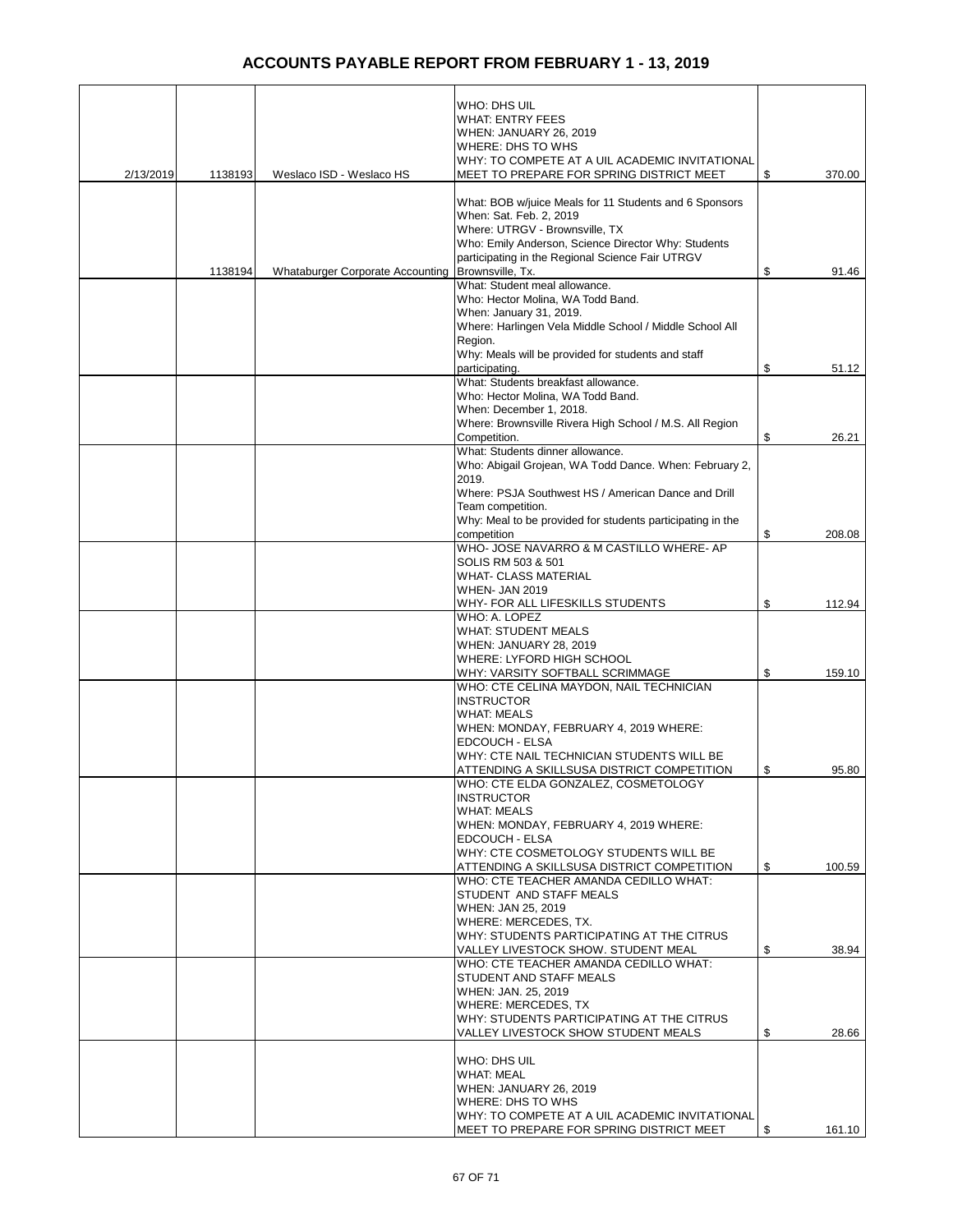| 2/13/2019 | 1138193 | Weslaco ISD - Weslaco HS         | WHO: DHS UIL<br><b>WHAT: ENTRY FEES</b><br>WHEN: JANUARY 26, 2019<br>WHERE: DHS TO WHS<br>WHY: TO COMPETE AT A UIL ACADEMIC INVITATIONAL<br>MEET TO PREPARE FOR SPRING DISTRICT MEET | \$<br>370.00 |
|-----------|---------|----------------------------------|--------------------------------------------------------------------------------------------------------------------------------------------------------------------------------------|--------------|
|           |         |                                  | What: BOB w/juice Meals for 11 Students and 6 Sponsors<br>When: Sat. Feb. 2, 2019<br>Where: UTRGV - Brownsville, TX                                                                  |              |
|           | 1138194 | Whataburger Corporate Accounting | Who: Emily Anderson, Science Director Why: Students<br>participating in the Regional Science Fair UTRGV<br>Brownsville, Tx.                                                          | \$<br>91.46  |
|           |         |                                  | What: Student meal allowance.<br>Who: Hector Molina, WA Todd Band.<br>When: January 31, 2019.<br>Where: Harlingen Vela Middle School / Middle School All                             |              |
|           |         |                                  | Region.<br>Why: Meals will be provided for students and staff<br>participating.                                                                                                      | \$<br>51.12  |
|           |         |                                  | What: Students breakfast allowance.<br>Who: Hector Molina, WA Todd Band.<br>When: December 1, 2018.                                                                                  |              |
|           |         |                                  | Where: Brownsville Rivera High School / M.S. All Region<br>Competition.                                                                                                              | \$<br>26.21  |
|           |         |                                  | What: Students dinner allowance.<br>Who: Abigail Grojean, WA Todd Dance. When: February 2,                                                                                           |              |
|           |         |                                  | 2019.                                                                                                                                                                                |              |
|           |         |                                  | Where: PSJA Southwest HS / American Dance and Drill<br>Team competition.                                                                                                             |              |
|           |         |                                  | Why: Meal to be provided for students participating in the<br>competition                                                                                                            | \$<br>208.08 |
|           |         |                                  | WHO- JOSE NAVARRO & M CASTILLO WHERE- AP                                                                                                                                             |              |
|           |         |                                  | SOLIS RM 503 & 501<br><b>WHAT- CLASS MATERIAL</b>                                                                                                                                    |              |
|           |         |                                  | <b>WHEN- JAN 2019</b><br>WHY- FOR ALL LIFESKILLS STUDENTS                                                                                                                            | \$<br>112.94 |
|           |         |                                  | WHO: A. LOPEZ                                                                                                                                                                        |              |
|           |         |                                  | <b>WHAT: STUDENT MEALS</b><br>WHEN: JANUARY 28, 2019                                                                                                                                 |              |
|           |         |                                  | WHERE: LYFORD HIGH SCHOOL<br>WHY: VARSITY SOFTBALL SCRIMMAGE                                                                                                                         | \$<br>159.10 |
|           |         |                                  | WHO: CTE CELINA MAYDON, NAIL TECHNICIAN                                                                                                                                              |              |
|           |         |                                  | <b>INSTRUCTOR</b><br><b>WHAT: MEALS</b>                                                                                                                                              |              |
|           |         |                                  | WHEN: MONDAY, FEBRUARY 4, 2019 WHERE:<br>EDCOUCH - ELSA                                                                                                                              |              |
|           |         |                                  | WHY: CTE NAIL TECHNICIAN STUDENTS WILL BE                                                                                                                                            |              |
|           |         |                                  | ATTENDING A SKILLSUSA DISTRICT COMPETITION<br>WHO: CTE ELDA GONZALEZ, COSMETOLOGY                                                                                                    | \$<br>95.80  |
|           |         |                                  | <b>INSTRUCTOR</b>                                                                                                                                                                    |              |
|           |         |                                  | <b>WHAT: MEALS</b><br>WHEN: MONDAY, FEBRUARY 4, 2019 WHERE:                                                                                                                          |              |
|           |         |                                  | EDCOUCH - ELSA<br>WHY: CTE COSMETOLOGY STUDENTS WILL BE                                                                                                                              |              |
|           |         |                                  | ATTENDING A SKILLSUSA DISTRICT COMPETITION                                                                                                                                           | \$<br>100.59 |
|           |         |                                  | WHO: CTE TEACHER AMANDA CEDILLO WHAT:<br>STUDENT AND STAFF MEALS                                                                                                                     |              |
|           |         |                                  | WHEN: JAN 25, 2019<br>WHERE: MERCEDES, TX.                                                                                                                                           |              |
|           |         |                                  | WHY: STUDENTS PARTICIPATING AT THE CITRUS                                                                                                                                            |              |
|           |         |                                  | VALLEY LIVESTOCK SHOW. STUDENT MEAL<br>WHO: CTE TEACHER AMANDA CEDILLO WHAT:                                                                                                         | \$<br>38.94  |
|           |         |                                  | STUDENT AND STAFF MEALS<br>WHEN: JAN. 25, 2019                                                                                                                                       |              |
|           |         |                                  | WHERE: MERCEDES, TX                                                                                                                                                                  |              |
|           |         |                                  | WHY: STUDENTS PARTICIPATING AT THE CITRUS<br>VALLEY LIVESTOCK SHOW STUDENT MEALS                                                                                                     | \$<br>28.66  |
|           |         |                                  | WHO: DHS UIL                                                                                                                                                                         |              |
|           |         |                                  | <b>WHAT: MEAL</b><br>WHEN: JANUARY 26, 2019                                                                                                                                          |              |
|           |         |                                  | WHERE: DHS TO WHS                                                                                                                                                                    |              |
|           |         |                                  | WHY: TO COMPETE AT A UIL ACADEMIC INVITATIONAL<br>MEET TO PREPARE FOR SPRING DISTRICT MEET                                                                                           | \$<br>161.10 |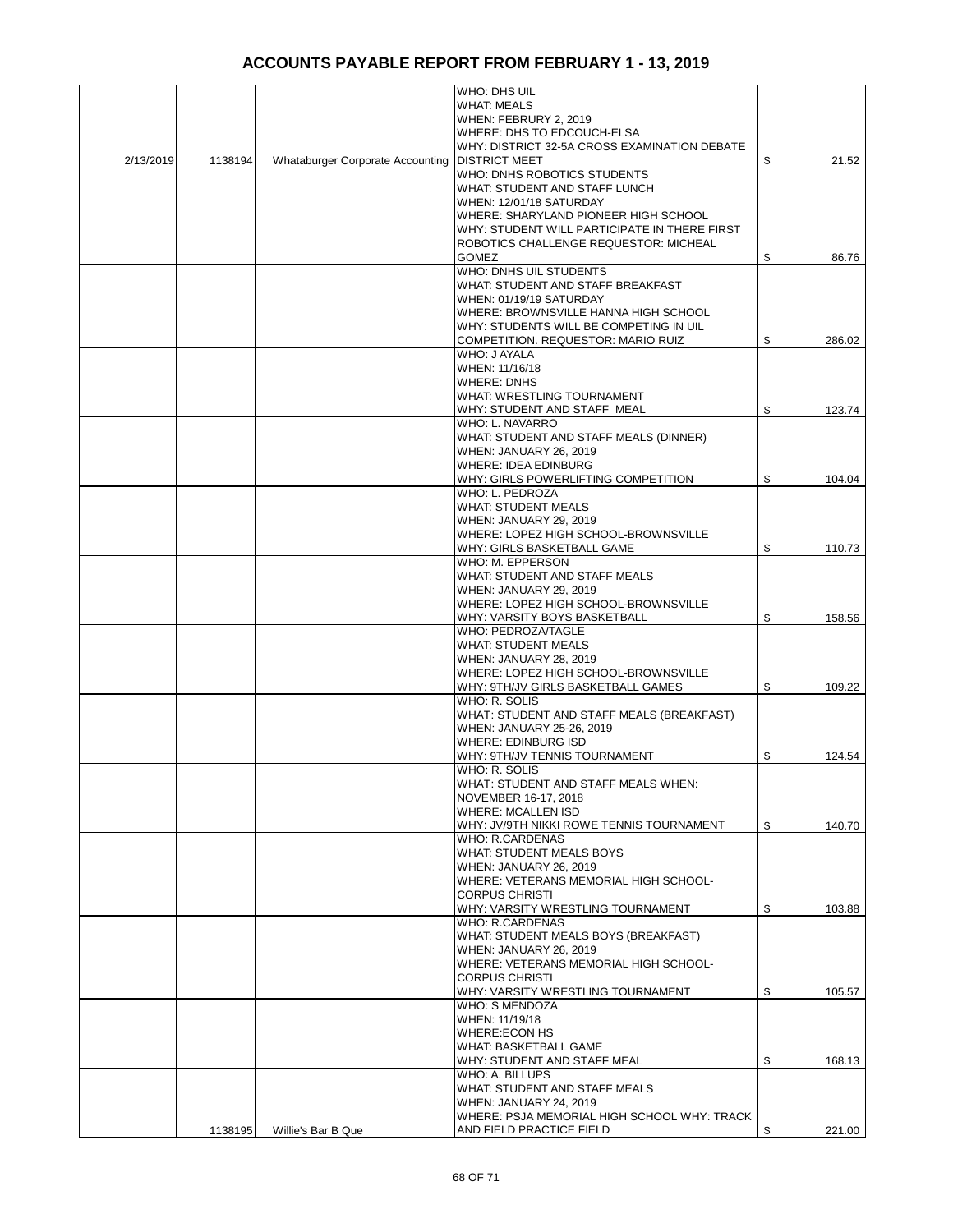|           |         |                                                  | WHO: DHS UIL                                                               |              |
|-----------|---------|--------------------------------------------------|----------------------------------------------------------------------------|--------------|
|           |         |                                                  | <b>WHAT: MEALS</b>                                                         |              |
|           |         |                                                  | WHEN: FEBRURY 2, 2019                                                      |              |
|           |         |                                                  | WHERE: DHS TO EDCOUCH-ELSA                                                 |              |
|           |         |                                                  | WHY: DISTRICT 32-5A CROSS EXAMINATION DEBATE                               |              |
| 2/13/2019 | 1138194 | Whataburger Corporate Accounting   DISTRICT MEET |                                                                            | \$<br>21.52  |
|           |         |                                                  | WHO: DNHS ROBOTICS STUDENTS<br>WHAT: STUDENT AND STAFF LUNCH               |              |
|           |         |                                                  | WHEN: 12/01/18 SATURDAY                                                    |              |
|           |         |                                                  | WHERE: SHARYLAND PIONEER HIGH SCHOOL                                       |              |
|           |         |                                                  | WHY: STUDENT WILL PARTICIPATE IN THERE FIRST                               |              |
|           |         |                                                  | ROBOTICS CHALLENGE REQUESTOR: MICHEAL                                      |              |
|           |         |                                                  | <b>GOMEZ</b>                                                               | \$<br>86.76  |
|           |         |                                                  | WHO: DNHS UIL STUDENTS                                                     |              |
|           |         |                                                  | WHAT: STUDENT AND STAFF BREAKFAST                                          |              |
|           |         |                                                  | WHEN: 01/19/19 SATURDAY                                                    |              |
|           |         |                                                  | WHERE: BROWNSVILLE HANNA HIGH SCHOOL                                       |              |
|           |         |                                                  | WHY: STUDENTS WILL BE COMPETING IN UIL                                     |              |
|           |         |                                                  | COMPETITION. REQUESTOR: MARIO RUIZ<br>WHO: J AYALA                         | \$<br>286.02 |
|           |         |                                                  | WHEN: 11/16/18                                                             |              |
|           |         |                                                  | <b>WHERE: DNHS</b>                                                         |              |
|           |         |                                                  | <b>WHAT: WRESTLING TOURNAMENT</b>                                          |              |
|           |         |                                                  | WHY: STUDENT AND STAFF MEAL                                                | \$<br>123.74 |
|           |         |                                                  | WHO: L. NAVARRO                                                            |              |
|           |         |                                                  | WHAT: STUDENT AND STAFF MEALS (DINNER)                                     |              |
|           |         |                                                  | WHEN: JANUARY 26, 2019                                                     |              |
|           |         |                                                  | <b>WHERE: IDEA EDINBURG</b>                                                |              |
|           |         |                                                  | WHY: GIRLS POWERLIFTING COMPETITION                                        | \$<br>104.04 |
|           |         |                                                  | WHO: L. PEDROZA                                                            |              |
|           |         |                                                  | <b>WHAT: STUDENT MEALS</b>                                                 |              |
|           |         |                                                  | <b>WHEN: JANUARY 29, 2019</b><br>WHERE: LOPEZ HIGH SCHOOL-BROWNSVILLE      |              |
|           |         |                                                  | WHY: GIRLS BASKETBALL GAME                                                 | \$<br>110.73 |
|           |         |                                                  | WHO: M. EPPERSON                                                           |              |
|           |         |                                                  | WHAT: STUDENT AND STAFF MEALS                                              |              |
|           |         |                                                  | WHEN: JANUARY 29, 2019                                                     |              |
|           |         |                                                  | WHERE: LOPEZ HIGH SCHOOL-BROWNSVILLE                                       |              |
|           |         |                                                  | WHY: VARSITY BOYS BASKETBALL                                               | \$<br>158.56 |
|           |         |                                                  | <b>WHO: PEDROZA/TAGLE</b>                                                  |              |
|           |         |                                                  | <b>WHAT: STUDENT MEALS</b>                                                 |              |
|           |         |                                                  | <b>WHEN: JANUARY 28, 2019</b>                                              |              |
|           |         |                                                  | WHERE: LOPEZ HIGH SCHOOL-BROWNSVILLE<br>WHY: 9TH/JV GIRLS BASKETBALL GAMES | \$<br>109.22 |
|           |         |                                                  | WHO: R. SOLIS                                                              |              |
|           |         |                                                  | WHAT: STUDENT AND STAFF MEALS (BREAKFAST)                                  |              |
|           |         |                                                  | WHEN: JANUARY 25-26, 2019                                                  |              |
|           |         |                                                  | <b>WHERE: EDINBURG ISD</b>                                                 |              |
|           |         |                                                  | WHY: 9TH/JV TENNIS TOURNAMENT                                              | \$<br>124.54 |
|           |         |                                                  | WHO: R. SOLIS                                                              |              |
|           |         |                                                  | WHAT: STUDENT AND STAFF MEALS WHEN:                                        |              |
|           |         |                                                  | NOVEMBER 16-17, 2018                                                       |              |
|           |         |                                                  | <b>WHERE: MCALLEN ISD</b>                                                  |              |
|           |         |                                                  | WHY: JV/9TH NIKKI ROWE TENNIS TOURNAMENT<br><b>WHO: R.CARDENAS</b>         | \$<br>140.70 |
|           |         |                                                  | <b>WHAT: STUDENT MEALS BOYS</b>                                            |              |
|           |         |                                                  | WHEN: JANUARY 26, 2019                                                     |              |
|           |         |                                                  | WHERE: VETERANS MEMORIAL HIGH SCHOOL-                                      |              |
|           |         |                                                  | <b>CORPUS CHRISTI</b>                                                      |              |
|           |         |                                                  | WHY: VARSITY WRESTLING TOURNAMENT                                          | \$<br>103.88 |
|           |         |                                                  | <b>WHO: R.CARDENAS</b>                                                     |              |
|           |         |                                                  | WHAT: STUDENT MEALS BOYS (BREAKFAST)                                       |              |
|           |         |                                                  | WHEN: JANUARY 26, 2019                                                     |              |
|           |         |                                                  | WHERE: VETERANS MEMORIAL HIGH SCHOOL-<br><b>CORPUS CHRISTI</b>             |              |
|           |         |                                                  | WHY: VARSITY WRESTLING TOURNAMENT                                          | \$<br>105.57 |
|           |         |                                                  | <b>WHO: S MENDOZA</b>                                                      |              |
|           |         |                                                  | WHEN: 11/19/18                                                             |              |
|           |         |                                                  | WHERE: ECON HS                                                             |              |
|           |         |                                                  | WHAT: BASKETBALL GAME                                                      |              |
|           |         |                                                  | WHY: STUDENT AND STAFF MEAL                                                | \$<br>168.13 |
|           |         |                                                  | WHO: A. BILLUPS                                                            |              |
|           |         |                                                  | WHAT: STUDENT AND STAFF MEALS                                              |              |
|           |         |                                                  | WHEN: JANUARY 24, 2019                                                     |              |
|           |         |                                                  | WHERE: PSJA MEMORIAL HIGH SCHOOL WHY: TRACK<br>AND FIELD PRACTICE FIELD    | 221.00       |
|           | 1138195 | Willie's Bar B Que                               |                                                                            | \$           |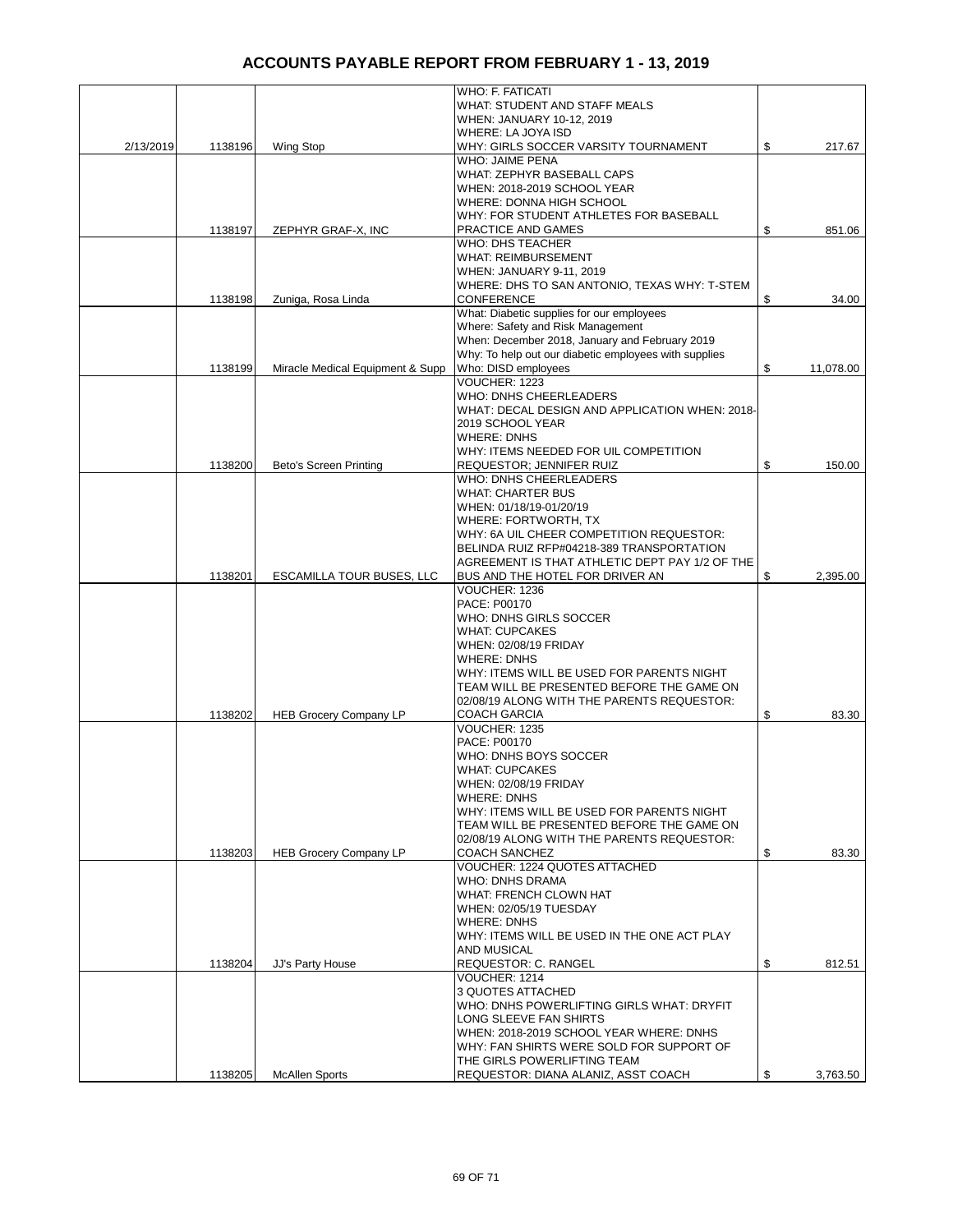|           |         |                                  | <b>WHO: F. FATICATI</b>                                                                                 |                 |
|-----------|---------|----------------------------------|---------------------------------------------------------------------------------------------------------|-----------------|
|           |         |                                  | WHAT: STUDENT AND STAFF MEALS                                                                           |                 |
|           |         |                                  | WHEN: JANUARY 10-12, 2019                                                                               |                 |
|           |         |                                  | WHERE: LA JOYA ISD                                                                                      |                 |
| 2/13/2019 | 1138196 | Wing Stop                        | WHY: GIRLS SOCCER VARSITY TOURNAMENT                                                                    | \$<br>217.67    |
|           |         |                                  | WHO: JAIME PENA                                                                                         |                 |
|           |         |                                  | WHAT: ZEPHYR BASEBALL CAPS                                                                              |                 |
|           |         |                                  | WHEN: 2018-2019 SCHOOL YEAR<br>WHERE: DONNA HIGH SCHOOL                                                 |                 |
|           |         |                                  | WHY: FOR STUDENT ATHLETES FOR BASEBALL                                                                  |                 |
|           | 1138197 | ZEPHYR GRAF-X, INC               | PRACTICE AND GAMES                                                                                      | \$<br>851.06    |
|           |         |                                  | <b>WHO: DHS TEACHER</b>                                                                                 |                 |
|           |         |                                  | <b>WHAT: REIMBURSEMENT</b>                                                                              |                 |
|           |         |                                  | WHEN: JANUARY 9-11, 2019                                                                                |                 |
|           |         |                                  | WHERE: DHS TO SAN ANTONIO, TEXAS WHY: T-STEM                                                            |                 |
|           | 1138198 | Zuniga, Rosa Linda               | <b>CONFERENCE</b>                                                                                       | \$<br>34.00     |
|           |         |                                  | What: Diabetic supplies for our employees                                                               |                 |
|           |         |                                  | Where: Safety and Risk Management                                                                       |                 |
|           |         |                                  | When: December 2018, January and February 2019<br>Why: To help out our diabetic employees with supplies |                 |
|           | 1138199 | Miracle Medical Equipment & Supp | Who: DISD employees                                                                                     | \$<br>11,078.00 |
|           |         |                                  | VOUCHER: 1223                                                                                           |                 |
|           |         |                                  | WHO: DNHS CHEERLEADERS                                                                                  |                 |
|           |         |                                  | WHAT: DECAL DESIGN AND APPLICATION WHEN: 2018-                                                          |                 |
|           |         |                                  | 2019 SCHOOL YEAR                                                                                        |                 |
|           |         |                                  | <b>WHERE: DNHS</b>                                                                                      |                 |
|           |         |                                  | WHY: ITEMS NEEDED FOR UIL COMPETITION                                                                   |                 |
|           | 1138200 | <b>Beto's Screen Printing</b>    | <b>REQUESTOR; JENNIFER RUIZ</b>                                                                         | \$<br>150.00    |
|           |         |                                  | WHO: DNHS CHEERLEADERS                                                                                  |                 |
|           |         |                                  | <b>WHAT: CHARTER BUS</b>                                                                                |                 |
|           |         |                                  | WHEN: 01/18/19-01/20/19                                                                                 |                 |
|           |         |                                  | WHERE: FORTWORTH, TX<br>WHY: 6A UIL CHEER COMPETITION REQUESTOR:                                        |                 |
|           |         |                                  | BELINDA RUIZ RFP#04218-389 TRANSPORTATION                                                               |                 |
|           |         |                                  | AGREEMENT IS THAT ATHLETIC DEPT PAY 1/2 OF THE                                                          |                 |
|           | 1138201 | <b>ESCAMILLA TOUR BUSES, LLC</b> | BUS AND THE HOTEL FOR DRIVER AN                                                                         | \$<br>2,395.00  |
|           |         |                                  | VOUCHER: 1236                                                                                           |                 |
|           |         |                                  | PACE: P00170                                                                                            |                 |
|           |         |                                  | WHO: DNHS GIRLS SOCCER                                                                                  |                 |
|           |         |                                  | <b>WHAT: CUPCAKES</b>                                                                                   |                 |
|           |         |                                  | <b>WHEN: 02/08/19 FRIDAY</b>                                                                            |                 |
|           |         |                                  | <b>WHERE: DNHS</b>                                                                                      |                 |
|           |         |                                  | WHY: ITEMS WILL BE USED FOR PARENTS NIGHT<br>TEAM WILL BE PRESENTED BEFORE THE GAME ON                  |                 |
|           |         |                                  | 02/08/19 ALONG WITH THE PARENTS REQUESTOR:                                                              |                 |
|           | 1138202 | <b>HEB Grocery Company LP</b>    | <b>COACH GARCIA</b>                                                                                     | \$<br>83.30     |
|           |         |                                  | VOUCHER: 1235                                                                                           |                 |
|           |         |                                  | PACE: P00170                                                                                            |                 |
|           |         |                                  | WHO: DNHS BOYS SOCCER                                                                                   |                 |
|           |         |                                  | <b>WHAT: CUPCAKES</b>                                                                                   |                 |
|           |         |                                  | WHEN: 02/08/19 FRIDAY                                                                                   |                 |
|           |         |                                  | <b>WHERE: DNHS</b>                                                                                      |                 |
|           |         |                                  | WHY: ITEMS WILL BE USED FOR PARENTS NIGHT                                                               |                 |
|           |         |                                  | TEAM WILL BE PRESENTED BEFORE THE GAME ON                                                               |                 |
|           |         |                                  | 02/08/19 ALONG WITH THE PARENTS REQUESTOR:                                                              |                 |
|           | 1138203 | <b>HEB Grocery Company LP</b>    | <b>COACH SANCHEZ</b><br>VOUCHER: 1224 QUOTES ATTACHED                                                   | \$<br>83.30     |
|           |         |                                  | WHO: DNHS DRAMA                                                                                         |                 |
|           |         |                                  | WHAT: FRENCH CLOWN HAT                                                                                  |                 |
|           |         |                                  | WHEN: 02/05/19 TUESDAY                                                                                  |                 |
|           |         |                                  | <b>WHERE: DNHS</b>                                                                                      |                 |
|           |         |                                  | WHY: ITEMS WILL BE USED IN THE ONE ACT PLAY                                                             |                 |
|           |         |                                  | <b>AND MUSICAL</b>                                                                                      |                 |
|           | 1138204 | JJ's Party House                 | <b>REQUESTOR: C. RANGEL</b>                                                                             | \$<br>812.51    |
|           |         |                                  | VOUCHER: 1214                                                                                           |                 |
|           |         |                                  | 3 QUOTES ATTACHED                                                                                       |                 |
|           |         |                                  | WHO: DNHS POWERLIFTING GIRLS WHAT: DRYFIT                                                               |                 |
|           |         |                                  | LONG SLEEVE FAN SHIRTS<br>WHEN: 2018-2019 SCHOOL YEAR WHERE: DNHS                                       |                 |
|           |         |                                  | WHY: FAN SHIRTS WERE SOLD FOR SUPPORT OF                                                                |                 |
|           |         |                                  | THE GIRLS POWERLIFTING TEAM                                                                             |                 |
|           | 1138205 | McAllen Sports                   | REQUESTOR: DIANA ALANIZ, ASST COACH                                                                     | \$<br>3,763.50  |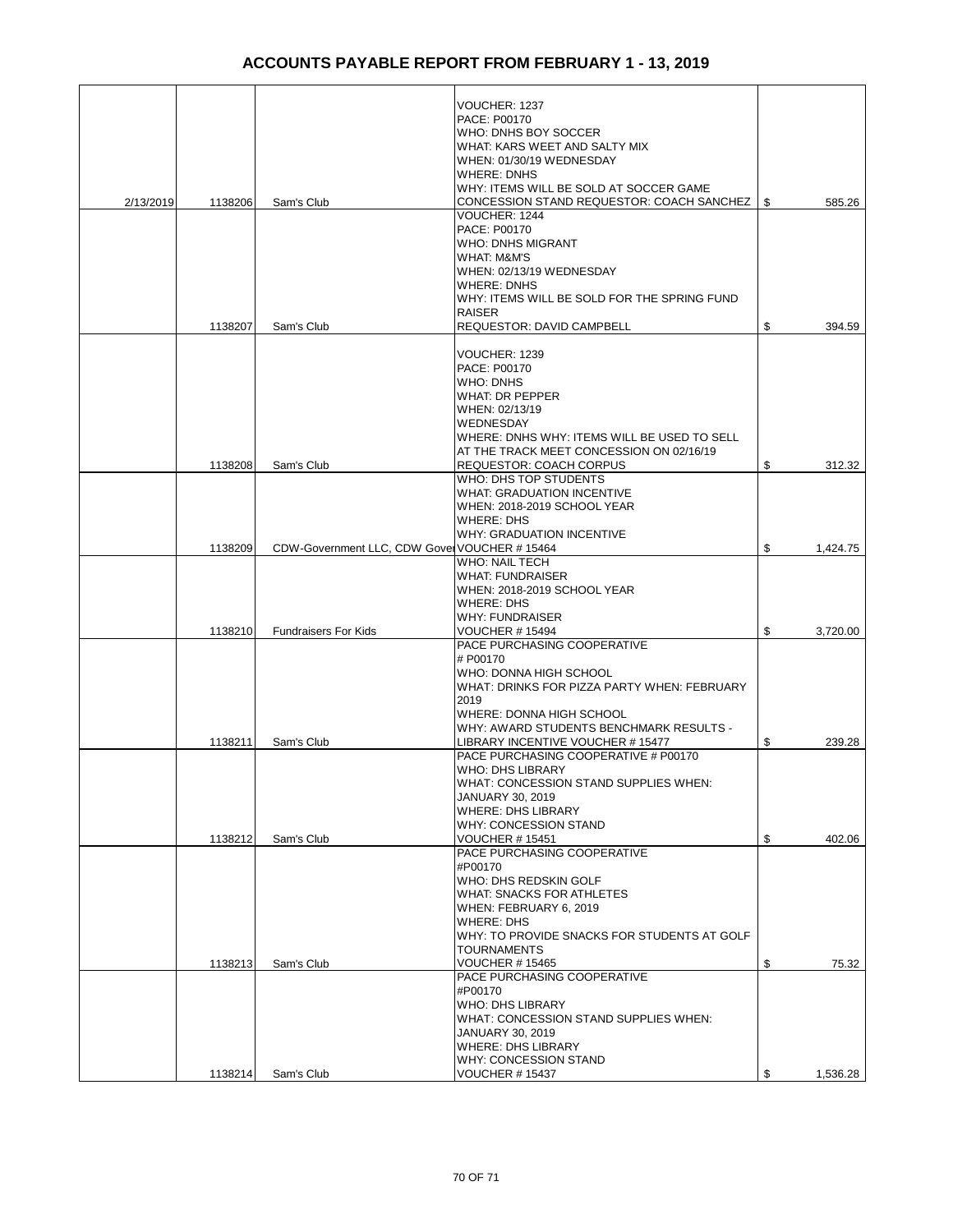|           |         |                                              | VOUCHER: 1237<br>PACE: P00170                    |                |
|-----------|---------|----------------------------------------------|--------------------------------------------------|----------------|
|           |         |                                              | WHO: DNHS BOY SOCCER                             |                |
|           |         |                                              | WHAT: KARS WEET AND SALTY MIX                    |                |
|           |         |                                              | WHEN: 01/30/19 WEDNESDAY                         |                |
|           |         |                                              | <b>WHERE: DNHS</b>                               |                |
|           |         |                                              | WHY: ITEMS WILL BE SOLD AT SOCCER GAME           |                |
| 2/13/2019 | 1138206 | Sam's Club                                   | CONCESSION STAND REQUESTOR: COACH SANCHEZ        | \$<br>585.26   |
|           |         |                                              | VOUCHER: 1244                                    |                |
|           |         |                                              | PACE: P00170                                     |                |
|           |         |                                              | WHO: DNHS MIGRANT                                |                |
|           |         |                                              | WHAT: M&M'S                                      |                |
|           |         |                                              | WHEN: 02/13/19 WEDNESDAY<br><b>WHERE: DNHS</b>   |                |
|           |         |                                              | WHY: ITEMS WILL BE SOLD FOR THE SPRING FUND      |                |
|           |         |                                              | <b>RAISER</b>                                    |                |
|           | 1138207 | Sam's Club                                   | <b>REQUESTOR: DAVID CAMPBELL</b>                 | \$<br>394.59   |
|           |         |                                              |                                                  |                |
|           |         |                                              | VOUCHER: 1239<br>PACE: P00170                    |                |
|           |         |                                              | WHO: DNHS                                        |                |
|           |         |                                              | <b>WHAT: DR PEPPER</b>                           |                |
|           |         |                                              | WHEN: 02/13/19                                   |                |
|           |         |                                              | <b>WEDNESDAY</b>                                 |                |
|           |         |                                              | WHERE: DNHS WHY: ITEMS WILL BE USED TO SELL      |                |
|           |         |                                              | AT THE TRACK MEET CONCESSION ON 02/16/19         |                |
|           | 1138208 | Sam's Club                                   | <b>REQUESTOR: COACH CORPUS</b>                   | \$<br>312.32   |
|           |         |                                              | WHO: DHS TOP STUDENTS                            |                |
|           |         |                                              | <b>WHAT: GRADUATION INCENTIVE</b>                |                |
|           |         |                                              | WHEN: 2018-2019 SCHOOL YEAR<br><b>WHERE: DHS</b> |                |
|           |         |                                              |                                                  |                |
|           | 1138209 | CDW-Government LLC, CDW Gover VOUCHER #15464 | WHY: GRADUATION INCENTIVE                        | \$<br>1,424.75 |
|           |         |                                              | <b>WHO: NAIL TECH</b>                            |                |
|           |         |                                              | <b>WHAT: FUNDRAISER</b>                          |                |
|           |         |                                              | WHEN: 2018-2019 SCHOOL YEAR                      |                |
|           |         |                                              | <b>WHERE: DHS</b>                                |                |
|           |         |                                              | <b>WHY: FUNDRAISER</b>                           |                |
|           | 1138210 | <b>Fundraisers For Kids</b>                  | <b>VOUCHER #15494</b>                            | \$<br>3,720.00 |
|           |         |                                              | PACE PURCHASING COOPERATIVE                      |                |
|           |         |                                              | # P00170<br>WHO: DONNA HIGH SCHOOL               |                |
|           |         |                                              | WHAT: DRINKS FOR PIZZA PARTY WHEN: FEBRUARY      |                |
|           |         |                                              | 2019                                             |                |
|           |         |                                              | WHERE: DONNA HIGH SCHOOL                         |                |
|           |         |                                              | WHY: AWARD STUDENTS BENCHMARK RESULTS -          |                |
|           | 1138211 | Sam's Club                                   | LIBRARY INCENTIVE VOUCHER # 15477                | \$<br>239.28   |
|           |         |                                              | PACE PURCHASING COOPERATIVE # P00170             |                |
|           |         |                                              | <b>WHO: DHS LIBRARY</b>                          |                |
|           |         |                                              | WHAT: CONCESSION STAND SUPPLIES WHEN:            |                |
|           |         |                                              | <b>JANUARY 30, 2019</b>                          |                |
|           |         |                                              | <b>WHERE: DHS LIBRARY</b>                        |                |
|           | 1138212 | Sam's Club                                   | WHY: CONCESSION STAND<br>VOUCHER # 15451         | \$<br>402.06   |
|           |         |                                              | PACE PURCHASING COOPERATIVE                      |                |
|           |         |                                              | #P00170                                          |                |
|           |         |                                              | WHO: DHS REDSKIN GOLF                            |                |
|           |         |                                              | WHAT: SNACKS FOR ATHLETES                        |                |
|           |         |                                              | WHEN: FEBRUARY 6, 2019                           |                |
|           |         |                                              | <b>WHERE: DHS</b>                                |                |
|           |         |                                              | WHY: TO PROVIDE SNACKS FOR STUDENTS AT GOLF      |                |
|           |         |                                              | <b>TOURNAMENTS</b>                               |                |
|           | 1138213 | Sam's Club                                   | <b>VOUCHER # 15465</b>                           | \$<br>75.32    |
|           |         |                                              | PACE PURCHASING COOPERATIVE                      |                |
|           |         |                                              | #P00170<br><b>WHO: DHS LIBRARY</b>               |                |
|           |         |                                              | WHAT: CONCESSION STAND SUPPLIES WHEN:            |                |
|           |         |                                              | <b>JANUARY 30, 2019</b>                          |                |
|           |         |                                              | <b>WHERE: DHS LIBRARY</b>                        |                |
|           |         |                                              | <b>WHY: CONCESSION STAND</b>                     |                |
|           | 1138214 | Sam's Club                                   | <b>VOUCHER # 15437</b>                           | \$<br>1,536.28 |